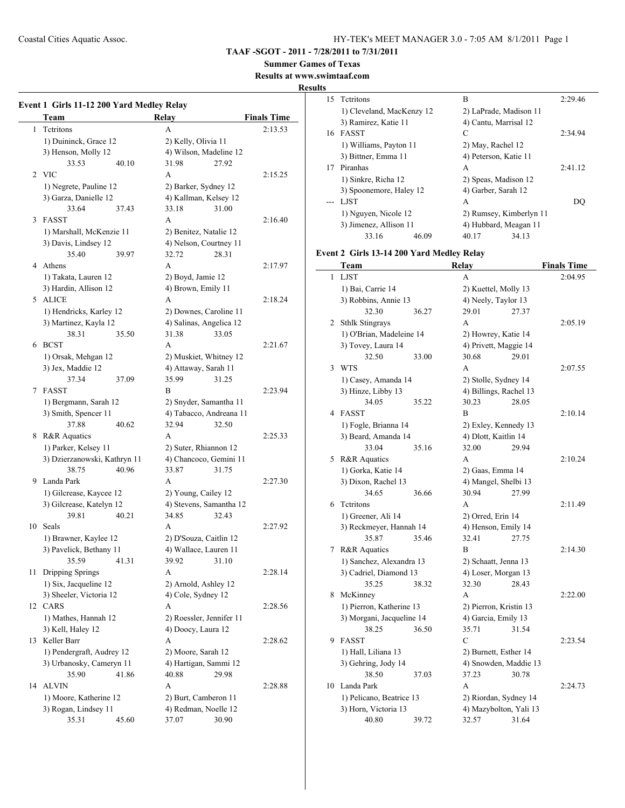**TAAF -SGOT - 2011 - 7/28/2011 to 7/31/2011**

**Summer Games of Texas**

**Results at www.swimtaaf.com**

#### **Results**

|              | Event 1 Girls 11-12 200 Yard Medley Relay<br>Team | Relay                    | <b>Finals Time</b> |
|--------------|---------------------------------------------------|--------------------------|--------------------|
| $\mathbf{1}$ | Tetritons                                         | A                        | 2:13.53            |
|              | 1) Duininck, Grace 12                             | 2) Kelly, Olivia 11      |                    |
|              | 3) Henson, Molly 12                               | 4) Wilson, Madeline 12   |                    |
|              | 33.53<br>40.10                                    | 31.98<br>27.92           |                    |
|              | 2 VIC                                             | A                        | 2:15.25            |
|              | 1) Negrete, Pauline 12                            | 2) Barker, Sydney 12     |                    |
|              | 3) Garza, Danielle 12                             | 4) Kallman, Kelsey 12    |                    |
|              | 33.64<br>37.43                                    | 33.18<br>31.00           |                    |
| 3            | <b>FASST</b>                                      | A                        | 2:16.40            |
|              | 1) Marshall, McKenzie 11                          | 2) Benitez, Natalie 12   |                    |
|              | 3) Davis, Lindsey 12                              | 4) Nelson, Courtney 11   |                    |
|              | 35.40<br>39.97                                    | 32.72<br>28.31           |                    |
| 4            | Athens                                            | A                        | 2:17.97            |
|              | 1) Takata, Lauren 12                              | 2) Boyd, Jamie 12        |                    |
|              | 3) Hardin, Allison 12                             | 4) Brown, Emily 11       |                    |
| 5            | ALICE                                             | A                        | 2:18.24            |
|              | 1) Hendricks, Karley 12                           |                          |                    |
|              |                                                   | 2) Downes, Caroline 11   |                    |
|              | 3) Martinez, Kayla 12<br>38.31                    | 4) Salinas, Angelica 12  |                    |
|              | 35.50<br>6 BCST                                   | 31.38<br>33.05           | 2:21.67            |
|              |                                                   | A                        |                    |
|              | 1) Orsak, Mehgan 12                               | 2) Muskiet, Whitney 12   |                    |
|              | 3) Jex, Maddie 12                                 | 4) Attaway, Sarah 11     |                    |
|              | 37.34<br>37.09                                    | 35.99<br>31.25           |                    |
| 7            | <b>FASST</b>                                      | B                        | 2:23.94            |
|              | 1) Bergmann, Sarah 12                             | 2) Snyder, Samantha 11   |                    |
|              | 3) Smith, Spencer 11                              | 4) Tabacco, Andreana 11  |                    |
|              | 37.88<br>40.62                                    | 32.94<br>32.50           |                    |
| 8            | <b>R&amp;R</b> Aquatics                           | A                        | 2:25.33            |
|              | 1) Parker, Kelsey 11                              | 2) Suter, Rhiannon 12    |                    |
|              | 3) Dzierzanowski, Kathryn 11                      | 4) Chancoco, Gemini 11   |                    |
|              | 38.75<br>40.96                                    | 33.87<br>31.75           |                    |
| 9            | Landa Park                                        | A                        | 2:27.30            |
|              | 1) Gilcrease, Kaycee 12                           | 2) Young, Cailey 12      |                    |
|              | 3) Gilcrease, Katelyn 12                          | 4) Stevens, Samantha 12  |                    |
|              | 39.81<br>40.21                                    | 34.85<br>32.43           |                    |
| 10           | <b>Seals</b>                                      | A                        | 2:27.92            |
|              | 1) Brawner, Kaylee 12                             | 2) D'Souza, Caitlin 12   |                    |
|              | 3) Pavelick, Bethany 11                           | 4) Wallace, Lauren 11    |                    |
|              | 35.59<br>41.31                                    | 39.92<br>31.10           |                    |
| 11           | Dripping Springs                                  | А                        | 2:28.14            |
|              | 1) Six, Jacqueline 12                             | 2) Arnold, Ashley 12     |                    |
|              | 3) Sheeler, Victoria 12                           | 4) Cole, Sydney 12       |                    |
|              | 12 CARS                                           | А                        | 2:28.56            |
|              | 1) Mathes, Hannah 12                              | 2) Roessler, Jennifer 11 |                    |
|              | 3) Kell, Haley 12                                 | 4) Doocy, Laura 12       |                    |
|              | 13 Keller Barr                                    | A                        | 2:28.62            |
|              | 1) Pendergraft, Audrey 12                         | 2) Moore, Sarah 12       |                    |
|              | 3) Urbanosky, Cameryn 11                          | 4) Hartigan, Sammi 12    |                    |
|              | 35.90<br>41.86                                    | 40.88<br>29.98           |                    |
| 14           | <b>ALVIN</b>                                      | A                        | 2:28.88            |
|              | 1) Moore, Katherine 12                            | 2) Burt, Camberon 11     |                    |
|              | 3) Rogan, Lindsey 11                              | 4) Redman, Noelle 12     |                    |
|              |                                                   |                          |                    |

| ЦĶ  |                                           |       |                         |                    |
|-----|-------------------------------------------|-------|-------------------------|--------------------|
| 15  | Tetritons                                 |       | В                       | 2:29.46            |
|     | 1) Cleveland, MacKenzy 12                 |       | 2) LaPrade, Madison 11  |                    |
|     | 3) Ramirez, Katie 11                      |       | 4) Cantu, Marrisal 12   |                    |
|     | 16 FASST                                  |       | С                       | 2:34.94            |
|     | 1) Williams, Payton 11                    |       | 2) May, Rachel 12       |                    |
|     | 3) Bittner, Emma 11                       |       | 4) Peterson, Katie 11   |                    |
| 17  | Piranhas                                  |       | А                       | 2:41.12            |
|     | 1) Sinkre, Richa 12                       |       | 2) Speas, Madison 12    |                    |
|     | 3) Spoonemore, Haley 12                   |       | 4) Garber, Sarah 12     |                    |
| --- | LJST                                      |       | А                       | DQ                 |
|     | 1) Nguyen, Nicole 12                      |       | 2) Rumsey, Kimberlyn 11 |                    |
|     | 3) Jimenez, Allison 11                    |       | 4) Hubbard, Meagan 11   |                    |
|     | 33.16                                     | 46.09 | 40.17<br>34.13          |                    |
|     |                                           |       |                         |                    |
|     | Event 2 Girls 13-14 200 Yard Medley Relay |       |                         |                    |
|     | Team                                      |       | Relay                   | <b>Finals Time</b> |
| 1   | <b>LJST</b>                               |       | A                       | 2:04.95            |
|     | 1) Bai, Carrie 14                         |       | 2) Kuettel, Molly 13    |                    |
|     | 3) Robbins, Annie 13                      |       | 4) Neely, Taylor 13     |                    |
|     | 32.30                                     | 36.27 | 29.01<br>27.37          |                    |
| 2   | <b>Sthlk Stingrays</b>                    |       | А                       | 2:05.19            |
|     | 1) O'Brian, Madeleine 14                  |       | 2) Howrey, Katie 14     |                    |
|     | 3) Tovey, Laura 14                        |       | 4) Privett, Maggie 14   |                    |
|     | 32.50                                     | 33.00 | 30.68<br>29.01          |                    |
| 3   | WTS                                       |       | A                       | 2:07.55            |
|     | 1) Casey, Amanda 14                       |       | 2) Stolle, Sydney 14    |                    |
|     | 3) Hinze, Libby 13                        |       | 4) Billings, Rachel 13  |                    |
|     | 34.05                                     | 35.22 | 30.23<br>28.05          |                    |
| 4   | <b>FASST</b>                              |       | В                       | 2:10.14            |
|     | 1) Fogle, Brianna 14                      |       | 2) Exley, Kennedy 13    |                    |
|     | 3) Beard, Amanda 14                       |       | 4) Dlott, Kaitlin 14    |                    |
|     | 33.04                                     | 35.16 | 32.00<br>29.94          |                    |
| 5   | R&R Aquatics                              |       | A                       | 2:10.24            |
|     | 1) Gorka, Katie 14                        |       | 2) Gaas, Emma 14        |                    |
|     | 3) Dixon, Rachel 13                       |       | 4) Mangel, Shelbi 13    |                    |
|     | 34.65                                     | 36.66 | 30.94<br>27.99          |                    |
| 6   | <b>Tetritons</b>                          |       | А                       | 2:11.49            |
|     | 1) Greener, Ali 14                        |       | 2) Orred, Erin 14       |                    |
|     | 3) Reckmeyer, Hannah 14                   |       | 4) Henson, Emily 14     |                    |
|     | 35.87                                     | 35.46 | 32.41<br>27.75          |                    |
| 7   | R&R Aquatics                              |       | В                       | 2:14.30            |
|     | 1) Sanchez, Alexandra 13                  |       | 2) Schaatt, Jenna 13    |                    |
|     | 3) Cadriel, Diamond 13                    |       | 4) Loser, Morgan 13     |                    |
|     | 35.25                                     | 38.32 | 32.30<br>28.43          |                    |
| 8   | McKinney                                  |       | А                       | 2:22.00            |
|     | 1) Pierron, Katherine 13                  |       | 2) Pierron, Kristin 13  |                    |
|     | 3) Morgani, Jacqueline 14                 |       | 4) Garcia, Emily 13     |                    |
|     | 38.25                                     | 36.50 | 35.71<br>31.54          |                    |
| 9   | FASST                                     |       | С                       | 2:23.54            |
|     | 1) Hall, Liliana 13                       |       | 2) Burnett, Esther 14   |                    |
|     | 3) Gehring, Jody 14                       |       | 4) Snowden, Maddie 13   |                    |
|     | 38.50                                     | 37.03 | 37.23<br>30.78          |                    |
| 10  | Landa Park                                |       | A                       | 2:24.73            |
|     | 1) Pelicano, Beatrice 13                  |       | 2) Riordan, Sydney 14   |                    |
|     | 3) Horn, Victoria 13                      |       | 4) Mazybolton, Yali 13  |                    |
|     | 40.80                                     | 39.72 | 31.64<br>32.57          |                    |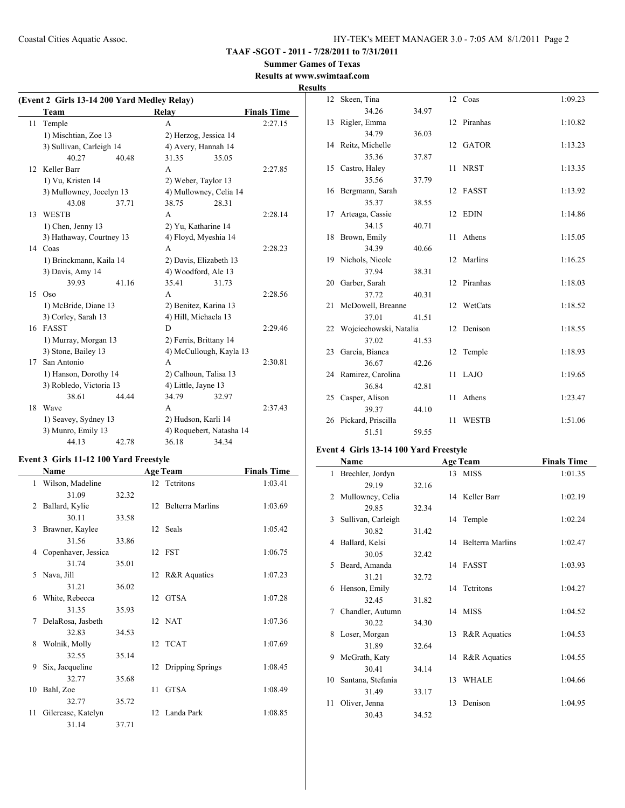#### **Summer Games of Texas Results at www.swimtaaf.com**

# **Results**

| (Event 2 Girls 13-14 200 Yard Medley Relay) |                          |       |                          |       |                    |
|---------------------------------------------|--------------------------|-------|--------------------------|-------|--------------------|
|                                             | Team                     |       | Relay                    |       | <b>Finals Time</b> |
| 11                                          | Temple                   |       | A                        |       | 2:27.15            |
|                                             | 1) Mischtian, Zoe 13     |       | 2) Herzog, Jessica 14    |       |                    |
|                                             | 3) Sullivan, Carleigh 14 |       | 4) Avery, Hannah 14      |       |                    |
|                                             | 40.27                    | 40.48 | 31.35                    | 35.05 |                    |
| 12                                          | Keller Barr              |       | A                        |       | 2:27.85            |
|                                             | 1) Vu, Kristen 14        |       | 2) Weber, Taylor 13      |       |                    |
|                                             | 3) Mullowney, Jocelyn 13 |       | 4) Mullowney, Celia 14   |       |                    |
|                                             | 43.08                    | 37.71 | 38.75                    | 28.31 |                    |
| 13                                          | <b>WESTB</b>             |       | $\mathsf{A}$             |       | 2:28.14            |
|                                             | 1) Chen, Jenny 13        |       | 2) Yu, Katharine 14      |       |                    |
|                                             | 3) Hathaway, Courtney 13 |       | 4) Floyd, Myeshia 14     |       |                    |
|                                             | 14 Coas                  |       | A                        |       | 2:28.23            |
|                                             | 1) Brinckmann, Kaila 14  |       | 2) Davis, Elizabeth 13   |       |                    |
|                                             | 3) Davis, Amy 14         |       | 4) Woodford, Ale 13      |       |                    |
|                                             | 39.93                    | 41.16 | 35.41                    | 31.73 |                    |
| 15                                          | Oso                      |       | A                        |       | 2:28.56            |
|                                             | 1) McBride, Diane 13     |       | 2) Benitez, Karina 13    |       |                    |
|                                             | 3) Corley, Sarah 13      |       | 4) Hill, Michaela 13     |       |                    |
|                                             | 16 FASST                 |       | D                        |       | 2:29.46            |
|                                             | 1) Murray, Morgan 13     |       | 2) Ferris, Brittany 14   |       |                    |
|                                             | 3) Stone, Bailey 13      |       | 4) McCullough, Kayla 13  |       |                    |
| 17                                          | San Antonio              |       | A                        |       | 2:30.81            |
|                                             | 1) Hanson, Dorothy 14    |       | 2) Calhoun, Talisa 13    |       |                    |
|                                             | 3) Robledo, Victoria 13  |       | 4) Little, Jayne 13      |       |                    |
|                                             | 38.61                    | 44.44 | 34.79                    | 32.97 |                    |
| 18                                          | Wave                     |       | A                        |       | 2:37.43            |
|                                             | 1) Seavey, Sydney 13     |       | 2) Hudson, Karli 14      |       |                    |
|                                             | 3) Munro, Emily 13       |       | 4) Roquebert, Natasha 14 |       |                    |
|                                             | 44.13                    | 42.78 | 36.18                    | 34.34 |                    |

# **Event 3 Girls 11-12 100 Yard Freestyle**

|              | Name                |       |    | <b>Age Team</b>     | <b>Finals Time</b> |
|--------------|---------------------|-------|----|---------------------|--------------------|
| 1            | Wilson, Madeline    |       |    | 12 Tetritons        | 1:03.41            |
|              | 31.09               | 32.32 |    |                     |                    |
| 2            | Ballard, Kylie      |       |    | 12 Belterra Marlins | 1:03.69            |
|              | 30.11               | 33.58 |    |                     |                    |
| $\mathbf{3}$ | Brawner, Kaylee     |       |    | 12 Seals            | 1:05.42            |
|              | 31.56               | 33.86 |    |                     |                    |
| 4            | Copenhaver, Jessica |       |    | 12 FST              | 1:06.75            |
|              | 31.74               | 35.01 |    |                     |                    |
| 5            | Nava, Jill          |       |    | 12 R&R Aquatics     | 1:07.23            |
|              | 31.21               | 36.02 |    |                     |                    |
| 6            | White, Rebecca      |       |    | 12 GTSA             | 1:07.28            |
|              | 31.35               | 35.93 |    |                     |                    |
| 7            | DelaRosa, Jasbeth   |       |    | 12 NAT              | 1:07.36            |
|              | 32.83               | 34.53 |    |                     |                    |
| 8            | Wolnik, Molly       |       |    | 12 TCAT             | 1:07.69            |
|              | 32.55               | 35.14 |    |                     |                    |
| 9            | Six, Jacqueline     |       |    | 12 Dripping Springs | 1:08.45            |
|              | 32.77               | 35.68 |    |                     |                    |
| 10           | Bahl, Zoe           |       | 11 | <b>GTSA</b>         | 1:08.49            |
|              | 32.77               | 35.72 |    |                     |                    |
| 11           | Gilcrease, Katelyn  |       | 12 | Landa Park          | 1:08.85            |
|              | 31.14               | 37.71 |    |                     |                    |

| 12 | Skeen, Tina               |       |    | 12 Coas      | 1:09.23 |
|----|---------------------------|-------|----|--------------|---------|
|    | 34.26                     | 34.97 |    |              |         |
|    | 13 Rigler, Emma           |       |    | 12 Piranhas  | 1:10.82 |
|    | 34.79                     | 36.03 |    |              |         |
|    | 14 Reitz, Michelle        |       |    | 12 GATOR     | 1:13.23 |
|    | 35.36                     | 37.87 |    |              |         |
|    | 15 Castro, Haley          |       | 11 | <b>NRST</b>  | 1:13.35 |
|    | 35.56                     | 37.79 |    |              |         |
|    | 16 Bergmann, Sarah        |       |    | 12 FASST     | 1:13.92 |
|    | 35.37                     | 38.55 |    |              |         |
| 17 | Arteaga, Cassie           |       |    | 12 EDIN      | 1:14.86 |
|    | 34.15                     | 40.71 |    |              |         |
|    | 18 Brown, Emily           |       | 11 | Athens       | 1:15.05 |
|    | 34.39                     | 40.66 |    |              |         |
|    | 19 Nichols, Nicole        |       |    | 12 Marlins   | 1:16.25 |
|    | 37.94                     | 38.31 |    |              |         |
|    | 20 Garber, Sarah          |       |    | 12 Piranhas  | 1:18.03 |
|    | 37.72                     | 40.31 |    |              |         |
|    | 21 McDowell, Breanne      |       |    | 12 WetCats   | 1:18.52 |
|    | 37.01                     | 41.51 |    |              |         |
|    | 22 Wojciechowski, Natalia |       |    | 12 Denison   | 1:18.55 |
|    | 37.02                     | 41.53 |    |              |         |
|    | 23 Garcia, Bianca         |       |    | 12 Temple    | 1:18.93 |
|    | 36.67                     | 42.26 |    |              |         |
|    | 24 Ramirez, Carolina      |       |    | 11 LAJO      | 1:19.65 |
|    | 36.84                     | 42.81 |    |              |         |
|    | 25 Casper, Alison         |       | 11 | Athens       | 1:23.47 |
|    | 39.37                     | 44.10 |    |              |         |
|    | 26 Pickard, Priscilla     |       | 11 | <b>WESTB</b> | 1:51.06 |
|    | 51.51                     | 59.55 |    |              |         |

# **Event 4 Girls 13-14 100 Yard Freestyle**

|    | Name               |       |    | <b>Age Team</b>     | <b>Finals Time</b> |
|----|--------------------|-------|----|---------------------|--------------------|
| 1  | Brechler, Jordyn   |       |    | 13 MISS             | 1:01.35            |
|    | 29.19              | 32.16 |    |                     |                    |
| 2  | Mullowney, Celia   |       |    | 14 Keller Barr      | 1:02.19            |
|    | 29.85              | 32.34 |    |                     |                    |
| 3  | Sullivan, Carleigh |       |    | 14 Temple           | 1:02.24            |
|    | 30.82              | 31.42 |    |                     |                    |
| 4  | Ballard, Kelsi     |       |    | 14 Belterra Marlins | 1:02.47            |
|    | 30.05              | 32.42 |    |                     |                    |
| 5  | Beard, Amanda      |       |    | 14 FASST            | 1:03.93            |
|    | 31.21              | 32.72 |    |                     |                    |
| 6  | Henson, Emily      |       |    | 14 Tetritons        | 1:04.27            |
|    | 32.45              | 31.82 |    |                     |                    |
| 7  | Chandler, Autumn   |       |    | 14 MISS             | 1:04.52            |
|    | 30.22              | 34.30 |    |                     |                    |
| 8  | Loser, Morgan      |       |    | 13 R&R Aquatics     | 1:04.53            |
|    | 31.89              | 32.64 |    |                     |                    |
| 9  | McGrath, Katy      |       |    | 14 R&R Aquatics     | 1:04.55            |
|    | 30.41              | 34.14 |    |                     |                    |
| 10 | Santana, Stefania  |       | 13 | <b>WHALE</b>        | 1:04.66            |
|    | 31.49              | 33.17 |    |                     |                    |
| 11 | Oliver, Jenna      |       | 13 | Denison             | 1:04.95            |
|    | 30.43              | 34.52 |    |                     |                    |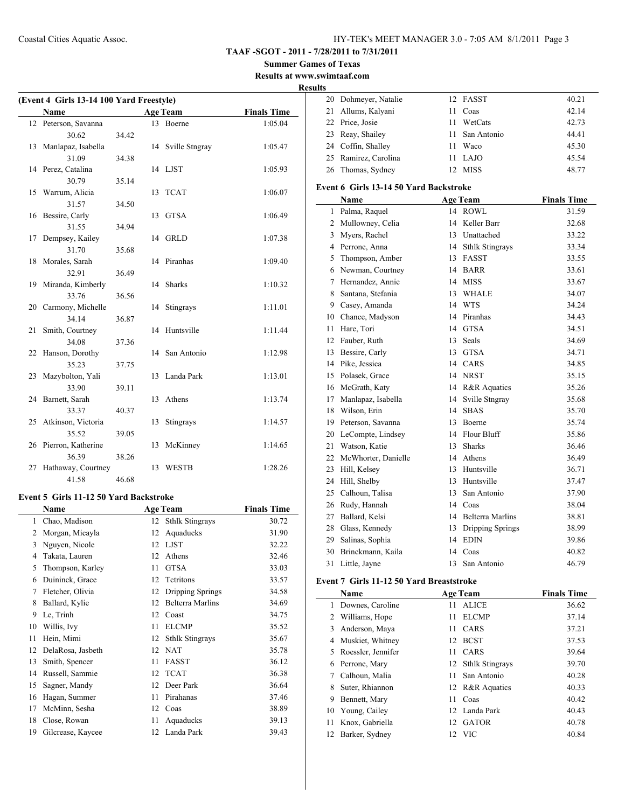**TAAF -SGOT - 2011 - 7/28/2011 to 7/31/2011**

**Summer Games of Texas Results at www.swimtaaf.com**

**Results**

| (Event 4 Girls 13-14 100 Yard Freestyle) |                       |       |    |                   |                    |
|------------------------------------------|-----------------------|-------|----|-------------------|--------------------|
|                                          | <b>Name</b>           |       |    | <b>Age Team</b>   | <b>Finals Time</b> |
|                                          | 12 Peterson, Savanna  |       |    | 13 Boerne         | 1:05.04            |
|                                          | 30.62                 | 34.42 |    |                   |                    |
| 13                                       | Manlapaz, Isabella    |       |    | 14 Sville Stngray | 1:05.47            |
|                                          | 31.09                 | 34.38 |    |                   |                    |
|                                          | 14 Perez, Catalina    |       |    | 14 LJST           | 1:05.93            |
|                                          | 30.79                 | 35.14 |    |                   |                    |
|                                          | 15 Warrum, Alicia     |       | 13 | <b>TCAT</b>       | 1:06.07            |
|                                          | 31.57                 | 34.50 |    |                   |                    |
|                                          | 16 Bessire, Carly     |       |    | 13 GTSA           | 1:06.49            |
|                                          | 31.55                 | 34.94 |    |                   |                    |
| 17                                       | Dempsey, Kailey       |       |    | 14 GRLD           | 1:07.38            |
|                                          | 31.70                 | 35.68 |    |                   |                    |
| 18                                       | Morales, Sarah        |       |    | 14 Piranhas       | 1:09.40            |
|                                          | 32.91                 | 36.49 |    |                   |                    |
| 19                                       | Miranda, Kimberly     |       |    | 14 Sharks         | 1:10.32            |
|                                          | 33.76                 | 36.56 |    |                   |                    |
|                                          | 20 Carmony, Michelle  |       |    | 14 Stingrays      | 1:11.01            |
|                                          | 34.14                 | 36.87 |    |                   |                    |
| 21                                       | Smith, Courtney       |       | 14 | Huntsville        | 1:11.44            |
|                                          | 34.08                 | 37.36 |    |                   |                    |
| 22                                       | Hanson, Dorothy       |       |    | 14 San Antonio    | 1:12.98            |
|                                          | 35.23                 | 37.75 |    |                   |                    |
| 23                                       | Mazybolton, Yali      |       | 13 | Landa Park        | 1:13.01            |
|                                          | 33.90                 | 39.11 |    |                   |                    |
| 24                                       | Barnett, Sarah        |       | 13 | Athens            | 1:13.74            |
|                                          | 33.37                 | 40.37 |    |                   |                    |
|                                          | 25 Atkinson, Victoria |       | 13 | Stingrays         | 1:14.57            |
|                                          | 35.52                 | 39.05 |    |                   |                    |
|                                          | 26 Pierron, Katherine |       | 13 | McKinney          | 1:14.65            |
|                                          | 36.39                 | 38.26 |    |                   |                    |
| 27                                       | Hathaway, Courtney    |       | 13 | <b>WESTB</b>      | 1:28.26            |
|                                          | 41.58                 | 46.68 |    |                   |                    |

# **Event 5 Girls 11-12 50 Yard Backstroke**

|    | Name              |    | <b>Age Team</b>        | <b>Finals Time</b> |
|----|-------------------|----|------------------------|--------------------|
| 1  | Chao, Madison     | 12 | <b>Sthlk Stingrays</b> | 30.72              |
| 2  | Morgan, Micayla   | 12 | Aquaducks              | 31.90              |
| 3  | Nguyen, Nicole    | 12 | <b>LJST</b>            | 32.22              |
| 4  | Takata, Lauren    | 12 | Athens                 | 32.46              |
| 5  | Thompson, Karley  | 11 | <b>GTSA</b>            | 33.03              |
| 6  | Duininck, Grace   | 12 | Tetritons              | 33.57              |
| 7  | Fletcher, Olivia  | 12 | Dripping Springs       | 34.58              |
| 8  | Ballard, Kylie    | 12 | Belterra Marlins       | 34.69              |
| 9  | Le, Trinh         | 12 | Coast                  | 34.75              |
| 10 | Willis, Ivy       | 11 | <b>ELCMP</b>           | 35.52              |
| 11 | Hein, Mimi        | 12 | <b>Sthlk Stingrays</b> | 35.67              |
| 12 | DelaRosa, Jasbeth | 12 | <b>NAT</b>             | 35.78              |
| 13 | Smith, Spencer    | 11 | <b>FASST</b>           | 36.12              |
| 14 | Russell, Sammie   | 12 | <b>TCAT</b>            | 36.38              |
| 15 | Sagner, Mandy     | 12 | Deer Park              | 36.64              |
| 16 | Hagan, Summer     | 11 | Pirahanas              | 37.46              |
| 17 | McMinn, Sesha     | 12 | Coas                   | 38.89              |
| 18 | Close, Rowan      | 11 | Aquaducks              | 39.13              |
| 19 | Gilcrease, Kaycee | 12 | Landa Park             | 39.43              |
|    |                   |    |                        |                    |

|  | 20 Dohmeyer, Natalie |    | 12 FASST       | 40.21 |
|--|----------------------|----|----------------|-------|
|  | 21 Allums, Kalyani   | 11 | Coas           | 42.14 |
|  | 22 Price, Josie      | 11 | WetCats        | 42.73 |
|  | 23 Reay, Shailey     |    | 11 San Antonio | 44.41 |
|  | 24 Coffin, Shalley   | 11 | Waco           | 45.30 |
|  | 25 Ramirez, Carolina | 11 | LAJO           | 45.54 |
|  | 26 Thomas, Sydney    |    | 12 MISS        | 48.77 |
|  |                      |    |                |       |

#### **Event 6 Girls 13-14 50 Yard Backstroke**

|    | Name                |    | <b>Age Team</b>         | <b>Finals Time</b> |
|----|---------------------|----|-------------------------|--------------------|
| 1  | Palma, Raquel       | 14 | <b>ROWL</b>             | 31.59              |
| 2  | Mullowney, Celia    | 14 | Keller Barr             | 32.68              |
| 3  | Myers, Rachel       | 13 | Unattached              | 33.22              |
| 4  | Perrone, Anna       | 14 | <b>Sthlk Stingrays</b>  | 33.34              |
| 5  | Thompson, Amber     | 13 | <b>FASST</b>            | 33.55              |
| 6  | Newman, Courtney    | 14 | <b>BARR</b>             | 33.61              |
| 7  | Hernandez, Annie    | 14 | <b>MISS</b>             | 33.67              |
| 8  | Santana, Stefania   | 13 | <b>WHALE</b>            | 34.07              |
| 9  | Casey, Amanda       | 14 | <b>WTS</b>              | 34.24              |
| 10 | Chance, Madyson     | 14 | Piranhas                | 34.43              |
| 11 | Hare, Tori          | 14 | <b>GTSA</b>             | 34.51              |
| 12 | Fauber, Ruth        | 13 | Seals                   | 34.69              |
| 13 | Bessire, Carly      | 13 | <b>GTSA</b>             | 34.71              |
| 14 | Pike, Jessica       | 14 | CARS                    | 34.85              |
| 15 | Polasek, Grace      | 14 | <b>NRST</b>             | 35.15              |
| 16 | McGrath, Katy       | 14 | R&R Aquatics            | 35.26              |
| 17 | Manlapaz, Isabella  | 14 | Sville Stngray          | 35.68              |
| 18 | Wilson, Erin        | 14 | <b>SBAS</b>             | 35.70              |
| 19 | Peterson, Savanna   | 13 | Boerne                  | 35.74              |
| 20 | LeCompte, Lindsey   | 14 | Flour Bluff             | 35.86              |
| 21 | Watson, Katie       | 13 | <b>Sharks</b>           | 36.46              |
| 22 | McWhorter, Danielle | 14 | Athens                  | 36.49              |
| 23 | Hill, Kelsev        | 13 | Huntsville              | 36.71              |
| 24 | Hill, Shelby        | 13 | Huntsville              | 37.47              |
| 25 | Calhoun, Talisa     | 13 | San Antonio             | 37.90              |
| 26 | Rudy, Hannah        | 14 | Coas                    | 38.04              |
| 27 | Ballard, Kelsi      | 14 | <b>Belterra Marlins</b> | 38.81              |
| 28 | Glass, Kennedy      | 13 | Dripping Springs        | 38.99              |
| 29 | Salinas, Sophia     | 14 | <b>EDIN</b>             | 39.86              |
| 30 | Brinckmann, Kaila   | 14 | Coas                    | 40.82              |
| 31 | Little, Jayne       | 13 | San Antonio             | 46.79              |

### **Event 7 Girls 11-12 50 Yard Breaststroke**

|    | Name               |     | <b>Age Team</b>    | <b>Finals Time</b> |
|----|--------------------|-----|--------------------|--------------------|
|    | Downes, Caroline   | 11  | <b>ALICE</b>       | 36.62              |
|    | 2 Williams, Hope   | 11  | <b>ELCMP</b>       | 37.14              |
| 3  | Anderson, Maya     | 11  | CARS               | 37.21              |
| 4  | Muskiet, Whitney   |     | 12 BCST            | 37.53              |
| 5. | Roessler, Jennifer | 11  | <b>CARS</b>        | 39.64              |
| 6  | Perrone, Mary      |     | 12 Sthlk Stingrays | 39.70              |
|    | Calhoun, Malia     | 11. | San Antonio        | 40.28              |
| 8  | Suter, Rhiannon    |     | 12 R&R Aquatics    | 40.33              |
| 9  | Bennett, Mary      | 11  | Coas               | 40.42              |
| 10 | Young, Cailey      |     | 12 Landa Park      | 40.43              |
| 11 | Knox, Gabriella    |     | 12 GATOR           | 40.78              |
| 12 | Barker, Sydney     |     | 12 VIC             | 40.84              |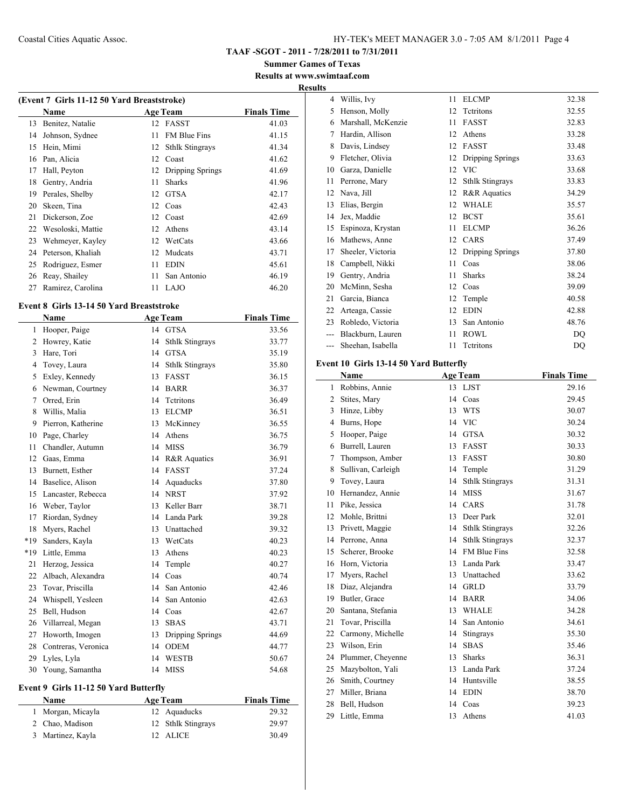**Summer Games of Texas Results at www.swimtaaf.com**

#### **Results**

| (Event 7 Girls 11-12 50 Yard Breaststroke) |                   |    |                        |                    |  |  |
|--------------------------------------------|-------------------|----|------------------------|--------------------|--|--|
|                                            | Name              |    | <b>Age Team</b>        | <b>Finals Time</b> |  |  |
| 13                                         | Benitez, Natalie  | 12 | <b>FASST</b>           | 41.03              |  |  |
| 14                                         | Johnson, Sydnee   | 11 | <b>FM Blue Fins</b>    | 41.15              |  |  |
| 15                                         | Hein, Mimi        | 12 | <b>Sthlk Stingrays</b> | 41.34              |  |  |
| 16                                         | Pan, Alicia       | 12 | Coast                  | 41.62              |  |  |
| 17                                         | Hall, Peyton      | 12 | Dripping Springs       | 41.69              |  |  |
| 18                                         | Gentry, Andria    | 11 | <b>Sharks</b>          | 41.96              |  |  |
| 19                                         | Perales, Shelby   | 12 | <b>GTSA</b>            | 42.17              |  |  |
| 20                                         | Skeen, Tina       | 12 | Coas                   | 42.43              |  |  |
| 21                                         | Dickerson, Zoe    | 12 | Coast                  | 42.69              |  |  |
| 22                                         | Wesoloski, Mattie | 12 | Athens                 | 43.14              |  |  |
| 23                                         | Wehmeyer, Kayley  | 12 | WetCats                | 43.66              |  |  |
| 24                                         | Peterson, Khaliah | 12 | Mudcats                | 43.71              |  |  |
| 25                                         | Rodriguez, Esmer  | 11 | <b>EDIN</b>            | 45.61              |  |  |
| 26                                         | Reay, Shailey     | 11 | San Antonio            | 46.19              |  |  |
| 27                                         | Ramirez, Carolina | 11 | LAJO                   | 46.20              |  |  |
|                                            |                   |    |                        |                    |  |  |

#### **Event 8 Girls 13-14 50 Yard Breaststroke**

 $\overline{\phantom{0}}$ 

|     | Name                |    | <b>Age Team</b>         | <b>Finals Time</b> |
|-----|---------------------|----|-------------------------|--------------------|
| 1   | Hooper, Paige       | 14 | <b>GTSA</b>             | 33.56              |
| 2   | Howrey, Katie       | 14 | <b>Sthlk Stingrays</b>  | 33.77              |
| 3   | Hare, Tori          | 14 | <b>GTSA</b>             | 35.19              |
| 4   | Tovey, Laura        | 14 | <b>Sthlk Stingrays</b>  | 35.80              |
| 5   | Exley, Kennedy      | 13 | <b>FASST</b>            | 36.15              |
| 6   | Newman, Courtney    | 14 | <b>BARR</b>             | 36.37              |
| 7   | Orred, Erin         | 14 | Tetritons               | 36.49              |
| 8   | Willis, Malia       | 13 | <b>ELCMP</b>            | 36.51              |
| 9   | Pierron, Katherine  | 13 | McKinney                | 36.55              |
| 10  | Page, Charley       | 14 | Athens                  | 36.75              |
| 11  | Chandler, Autumn    | 14 | <b>MISS</b>             | 36.79              |
| 12  | Gaas, Emma          | 14 | <b>R&amp;R</b> Aquatics | 36.91              |
| 13  | Burnett, Esther     | 14 | <b>FASST</b>            | 37.24              |
| 14  | Baselice, Alison    | 14 | Aquaducks               | 37.80              |
| 15  | Lancaster, Rebecca  | 14 | <b>NRST</b>             | 37.92              |
| 16  | Weber, Taylor       | 13 | Keller Barr             | 38.71              |
| 17  | Riordan, Sydney     | 14 | Landa Park              | 39.28              |
| 18  | Myers, Rachel       | 13 | Unattached              | 39.32              |
| *19 | Sanders, Kayla      | 13 | WetCats                 | 40.23              |
| *19 | Little, Emma        | 13 | Athens                  | 40.23              |
| 21  | Herzog, Jessica     | 14 | Temple                  | 40.27              |
| 22  | Albach, Alexandra   | 14 | Coas                    | 40.74              |
| 23  | Tovar, Priscilla    | 14 | San Antonio             | 42.46              |
| 24  | Whispell, Yesleen   | 14 | San Antonio             | 42.63              |
| 25  | Bell, Hudson        | 14 | Coas                    | 42.67              |
| 26  | Villarreal, Megan   | 13 | <b>SBAS</b>             | 43.71              |
| 27  | Howorth, Imogen     | 13 | Dripping Springs        | 44.69              |
| 28  | Contreras, Veronica | 14 | <b>ODEM</b>             | 44.77              |
| 29  | Lyles, Lyla         | 14 | <b>WESTB</b>            | 50.67              |
| 30  | Young, Samantha     | 14 | <b>MISS</b>             | 54.68              |

#### **Event 9 Girls 11-12 50 Yard Butterfly**

| <b>Name</b>       | <b>Age Team</b>    | <b>Finals Time</b> |  |
|-------------------|--------------------|--------------------|--|
| 1 Morgan, Micayla | 12 Aquaducks       | 29.32              |  |
| 2 Chao, Madison   | 12 Sthlk Stingrays | 29.97              |  |
| 3 Martinez, Kayla | 12 ALICE           | 30.49              |  |

| 4     | Willis, Ivy        | 11 | <b>ELCMP</b>            | 32.38 |
|-------|--------------------|----|-------------------------|-------|
| 5     | Henson, Molly      | 12 | Tetritons               | 32.55 |
| 6     | Marshall, McKenzie | 11 | <b>FASST</b>            | 32.83 |
| 7     | Hardin, Allison    | 12 | Athens                  | 33.28 |
| 8     | Davis, Lindsey     | 12 | <b>FASST</b>            | 33.48 |
| 9     | Fletcher, Olivia   | 12 | Dripping Springs        | 33.63 |
| 10    | Garza, Danielle    | 12 | <b>VIC</b>              | 33.68 |
| 11    | Perrone, Mary      | 12 | <b>Sthlk Stingrays</b>  | 33.83 |
| 12    | Nava, Jill         | 12 | <b>R&amp;R</b> Aquatics | 34.29 |
| 13    | Elias, Bergin      | 12 | <b>WHALE</b>            | 35.57 |
| 14    | Jex, Maddie        | 12 | <b>BCST</b>             | 35.61 |
| 15    | Espinoza, Krystan  | 11 | <b>ELCMP</b>            | 36.26 |
| 16    | Mathews, Anne      | 12 | CARS                    | 37.49 |
| 17    | Sheeler, Victoria  | 12 | Dripping Springs        | 37.80 |
| 18    | Campbell, Nikki    | 11 | Coas                    | 38.06 |
| 19    | Gentry, Andria     | 11 | <b>Sharks</b>           | 38.24 |
| 20    | McMinn, Sesha      | 12 | Coas                    | 39.09 |
| 21    | Garcia, Bianca     | 12 | Temple                  | 40.58 |
| 22    | Arteaga, Cassie    | 12 | <b>EDIN</b>             | 42.88 |
| 23    | Robledo, Victoria  | 13 | San Antonio             | 48.76 |
| $---$ | Blackburn, Lauren  | 11 | ROWL                    | DQ    |
| ---   | Sheehan, Isabella  | 11 | Tetritons               | DQ    |

#### **Event 10 Girls 13-14 50 Yard Butterfly**

|              | Name               |    | <b>Age Team</b>        | <b>Finals Time</b> |
|--------------|--------------------|----|------------------------|--------------------|
| $\mathbf{1}$ | Robbins, Annie     | 13 | <b>LJST</b>            | 29.16              |
| 2            | Stites, Mary       | 14 | Coas                   | 29.45              |
| 3            | Hinze, Libby       | 13 | <b>WTS</b>             | 30.07              |
| 4            | Burns, Hope        | 14 | <b>VIC</b>             | 30.24              |
| 5            | Hooper, Paige      | 14 | <b>GTSA</b>            | 30.32              |
| 6            | Burrell, Lauren    | 13 | <b>FASST</b>           | 30.33              |
| 7            | Thompson, Amber    | 13 | <b>FASST</b>           | 30.80              |
| 8            | Sullivan, Carleigh | 14 | Temple                 | 31.29              |
| 9            | Tovey, Laura       | 14 | <b>Sthlk Stingrays</b> | 31.31              |
| 10           | Hernandez, Annie   | 14 | <b>MISS</b>            | 31.67              |
| 11           | Pike, Jessica      | 14 | CARS                   | 31.78              |
| 12           | Mohle, Brittni     | 13 | Deer Park              | 32.01              |
| 13           | Privett, Maggie    | 14 | <b>Sthlk Stingrays</b> | 32.26              |
| 14           | Perrone, Anna      | 14 | <b>Sthlk Stingrays</b> | 32.37              |
| 15           | Scherer, Brooke    | 14 | <b>FM Blue Fins</b>    | 32.58              |
| 16           | Horn, Victoria     | 13 | Landa Park             | 33.47              |
| 17           | Myers, Rachel      | 13 | Unattached             | 33.62              |
| 18           | Diaz, Alejandra    | 14 | <b>GRLD</b>            | 33.79              |
| 19           | Butler, Grace      | 14 | <b>BARR</b>            | 34.06              |
| 20           | Santana, Stefania  | 13 | <b>WHALE</b>           | 34.28              |
| 21           | Tovar, Priscilla   | 14 | San Antonio            | 34.61              |
| 22           | Carmony, Michelle  | 14 | Stingrays              | 35.30              |
| 23           | Wilson, Erin       | 14 | <b>SBAS</b>            | 35.46              |
| 24           | Plummer, Cheyenne  | 13 | <b>Sharks</b>          | 36.31              |
| 25           | Mazybolton, Yali   | 13 | Landa Park             | 37.24              |
| 26           | Smith, Courtney    | 14 | Huntsville             | 38.55              |
| 27           | Miller, Briana     | 14 | <b>EDIN</b>            | 38.70              |
| 28           | Bell, Hudson       | 14 | Coas                   | 39.23              |
| 29           | Little, Emma       | 13 | Athens                 | 41.03              |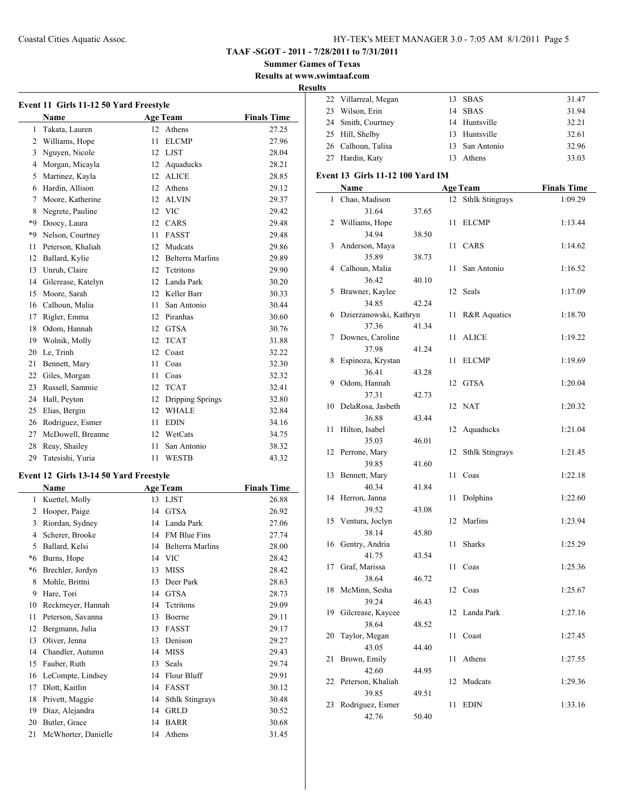**Summer Games of Texas**

**Results at www.swimtaaf.com**

#### **Results**

| Event 11 Girls 11-12 50 Yard Freestyle |                    |    |                         |                    |  |  |
|----------------------------------------|--------------------|----|-------------------------|--------------------|--|--|
|                                        | Name               |    | <b>Age Team</b>         | <b>Finals Time</b> |  |  |
| $\mathbf{1}$                           | Takata, Lauren     | 12 | Athens                  | 27.25              |  |  |
| $\overline{2}$                         | Williams, Hope     | 11 | <b>ELCMP</b>            | 27.96              |  |  |
| 3                                      | Nguyen, Nicole     | 12 | <b>LJST</b>             | 28.04              |  |  |
| 4                                      | Morgan, Micayla    | 12 | Aquaducks               | 28.21              |  |  |
| 5                                      | Martinez, Kayla    | 12 | <b>ALICE</b>            | 28.85              |  |  |
| 6                                      | Hardin, Allison    | 12 | Athens                  | 29.12              |  |  |
| 7                                      | Moore, Katherine   | 12 | <b>ALVIN</b>            | 29.37              |  |  |
| 8                                      | Negrete, Pauline   | 12 | <b>VIC</b>              | 29.42              |  |  |
| $*9$                                   | Doocy, Laura       | 12 | CARS                    | 29.48              |  |  |
| *9                                     | Nelson, Courtney   | 11 | <b>FASST</b>            | 29.48              |  |  |
| 11                                     | Peterson, Khaliah  | 12 | Mudcats                 | 29.86              |  |  |
| 12                                     | Ballard, Kylie     | 12 | <b>Belterra Marlins</b> | 29.89              |  |  |
| 13                                     | Unruh, Claire      | 12 | <b>Tetritons</b>        | 29.90              |  |  |
| 14                                     | Gilcrease, Katelyn | 12 | Landa Park              | 30.20              |  |  |
| 15                                     | Moore, Sarah       | 12 | Keller Barr             | 30.33              |  |  |
| 16                                     | Calhoun, Malia     | 11 | San Antonio             | 30.44              |  |  |
| 17                                     | Rigler, Emma       | 12 | Piranhas                | 30.60              |  |  |
| 18                                     | Odom, Hannah       | 12 | <b>GTSA</b>             | 30.76              |  |  |
| 19                                     | Wolnik, Molly      | 12 | <b>TCAT</b>             | 31.88              |  |  |
| 20                                     | Le, Trinh          | 12 | Coast                   | 32.22              |  |  |
| 21                                     | Bennett, Mary      | 11 | Coas                    | 32.30              |  |  |
| 22                                     | Giles, Morgan      | 11 | Coas                    | 32.32              |  |  |
| 23                                     | Russell, Sammie    | 12 | <b>TCAT</b>             | 32.41              |  |  |
| 24                                     | Hall, Peyton       | 12 | Dripping Springs        | 32.80              |  |  |
| 25                                     | Elias, Bergin      | 12 | <b>WHALE</b>            | 32.84              |  |  |
| 26                                     | Rodriguez, Esmer   | 11 | <b>EDIN</b>             | 34.16              |  |  |
| 27                                     | McDowell, Breanne  | 12 | WetCats                 | 34.75              |  |  |
| 28                                     | Reay, Shailey      | 11 | San Antonio             | 38.32              |  |  |
| 29                                     | Tatesishi, Yuria   | 11 | <b>WESTB</b>            | 43.32              |  |  |

#### **Event 12 Girls 13-14 50 Yard Freestyle**

|      | <b>Name</b>         |    | <b>Age Team</b>        | <b>Finals Time</b> |
|------|---------------------|----|------------------------|--------------------|
| 1    | Kuettel, Molly      | 13 | LJST                   | 26.88              |
| 2    | Hooper, Paige       | 14 | <b>GTSA</b>            | 26.92              |
| 3    | Riordan, Sydney     | 14 | Landa Park             | 27.06              |
| 4    | Scherer, Brooke     | 14 | FM Blue Fins           | 27.74              |
| 5    | Ballard, Kelsi      | 14 | Belterra Marlins       | 28.00              |
| $*6$ | Burns, Hope         | 14 | <b>VIC</b>             | 28.42              |
| $*6$ | Brechler, Jordyn    | 13 | <b>MISS</b>            | 28.42              |
| 8    | Mohle, Brittni      | 13 | Deer Park              | 28.63              |
| 9    | Hare, Tori          | 14 | <b>GTSA</b>            | 28.73              |
| 10   | Reckmeyer, Hannah   | 14 | Tetritons              | 29.09              |
| 11   | Peterson, Savanna   | 13 | Boerne                 | 29.11              |
| 12   | Bergmann, Julia     | 13 | FASST                  | 29.17              |
| 13   | Oliver, Jenna       | 13 | Denison                | 29.27              |
| 14   | Chandler, Autumn    | 14 | <b>MISS</b>            | 29.43              |
| 15   | Fauber, Ruth        | 13 | Seals                  | 29.74              |
| 16   | LeCompte, Lindsey   | 14 | <b>Flour Bluff</b>     | 29.91              |
| 17   | Dlott, Kaitlin      | 14 | FASST                  | 30.12              |
| 18   | Privett, Maggie     | 14 | <b>Sthlk Stingrays</b> | 30.48              |
| 19   | Diaz, Alejandra     | 14 | <b>GRLD</b>            | 30.52              |
| 20   | Butler, Grace       | 14 | <b>BARR</b>            | 30.68              |
| 21   | McWhorter, Danielle | 14 | Athens                 | 31.45              |

| 22 Villarreal, Megan | 13 SBAS        | 31.47 |
|----------------------|----------------|-------|
| 23 Wilson, Erin      | 14 SBAS        | 31.94 |
| 24 Smith, Courtney   | 14 Huntsville  | 32.21 |
| 25 Hill, Shelby      | 13 Huntsville  | 32.61 |
| 26 Calhoun, Talisa   | 13 San Antonio | 32.96 |
| 27 Hardin, Katy      | 13 Athens      | 33.03 |
|                      |                |       |

#### **Event 13 Girls 11-12 100 Yard IM**

|    | Name                   |       |    | <b>Age Team</b>        | <b>Finals Time</b> |
|----|------------------------|-------|----|------------------------|--------------------|
| 1  | Chao, Madison          |       | 12 | <b>Sthlk Stingrays</b> | 1:09.29            |
|    | 31.64                  | 37.65 |    |                        |                    |
| 2  | Williams, Hope         |       | 11 | <b>ELCMP</b>           | 1:13.44            |
|    | 34.94                  | 38.50 |    |                        |                    |
| 3  | Anderson, Maya         |       | 11 | CARS                   | 1:14.62            |
|    | 35.89                  | 38.73 |    |                        |                    |
|    | 4 Calhoun, Malia       |       | 11 | San Antonio            | 1:16.52            |
|    | 36.42                  | 40.10 |    |                        |                    |
| 5  | Brawner, Kaylee        |       |    | 12 Seals               | 1:17.09            |
|    | 34.85                  | 42.24 |    |                        |                    |
| 6  | Dzierzanowski, Kathryn |       | 11 | R&R Aquatics           | 1:18.70            |
|    | 37.36                  | 41.34 |    |                        |                    |
| 7  | Downes, Caroline       |       | 11 | ALICE                  | 1:19.22            |
|    | 37.98                  | 41.24 |    |                        |                    |
| 8  | Espinoza, Krystan      |       | 11 | <b>ELCMP</b>           | 1:19.69            |
|    | 36.41                  | 43.28 |    |                        |                    |
| 9. | Odom, Hannah           |       |    | 12 GTSA                | 1:20.04            |
|    | 37.31                  | 42.73 |    |                        |                    |
| 10 | DelaRosa, Jasbeth      |       |    | 12 NAT                 | 1:20.32            |
|    | 36.88                  | 43.44 |    |                        |                    |
| 11 | Hilton, Isabel         |       | 12 | Aquaducks              | 1:21.04            |
|    | 35.03                  | 46.01 |    |                        |                    |
|    | 12 Perrone, Mary       |       | 12 | <b>Sthlk Stingrays</b> | 1:21.45            |
|    | 39.85                  | 41.60 |    |                        |                    |
|    | 13 Bennett, Mary       |       | 11 | Coas                   | 1:22.18            |
|    | 40.34                  | 41.84 |    |                        |                    |
| 14 | Herron, Janna          |       | 11 | Dolphins               | 1:22.60            |
|    | 39.52                  | 43.08 |    |                        |                    |
| 15 | Ventura, Joclyn        |       |    | 12 Marlins             | 1:23.94            |
|    | 38.14                  | 45.80 |    |                        |                    |
| 16 | Gentry, Andria         |       | 11 | <b>Sharks</b>          | 1:25.29            |
| 17 | 41.75                  | 43.54 |    | Coas                   |                    |
|    | Graf, Marissa<br>38.64 |       | 11 |                        | 1:25.36            |
| 18 | McMinn, Sesha          | 46.72 |    | 12 Coas                | 1:25.67            |
|    | 39.24                  | 46.43 |    |                        |                    |
|    | 19 Gilcrease, Kaycee   |       | 12 | Landa Park             | 1:27.16            |
|    | 38.64                  | 48.52 |    |                        |                    |
|    | 20 Taylor, Megan       |       |    | 11 Coast               | 1:27.45            |
|    | 43.05                  | 44.40 |    |                        |                    |
| 21 | Brown, Emily           |       | 11 | Athens                 | 1:27.55            |
|    | 42.60                  | 44.95 |    |                        |                    |
| 22 | Peterson, Khaliah      |       | 12 | Mudcats                | 1:29.36            |
|    | 39.85                  | 49.51 |    |                        |                    |
| 23 | Rodriguez, Esmer       |       | 11 | <b>EDIN</b>            | 1:33.16            |
|    | 42.76                  | 50.40 |    |                        |                    |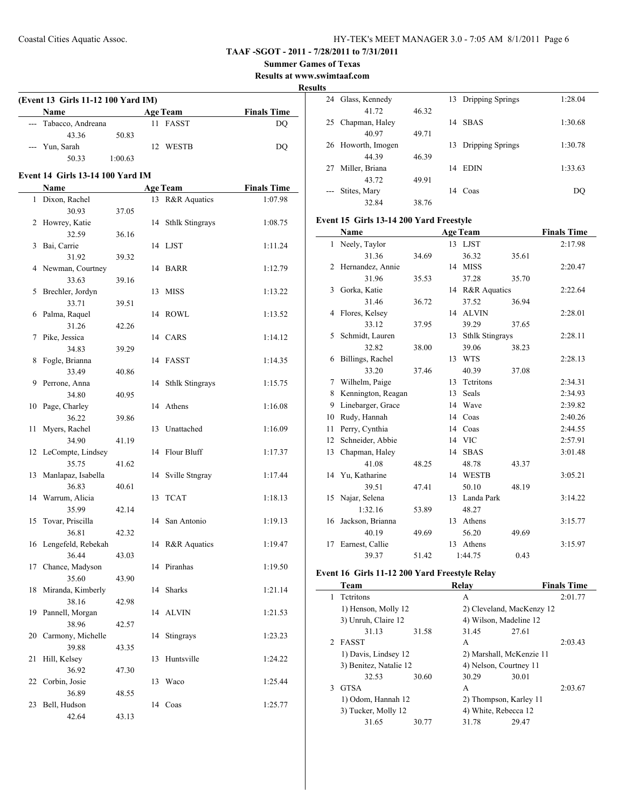**Summer Games of Texas**

**Results at www.swimtaaf.com**

#### **Results**

| (Event 13 Girls 11-12 100 Yard IM) |         |     |                 |                    |  |  |
|------------------------------------|---------|-----|-----------------|--------------------|--|--|
| Name                               |         |     | <b>Age Team</b> | <b>Finals Time</b> |  |  |
| --- Tabacco, Andreana              |         |     | 11 FASST        | DO                 |  |  |
| 43.36                              | 50.83   |     |                 |                    |  |  |
| --- Yun, Sarah                     |         | 12. | WESTB           | DO                 |  |  |
| 50.33                              | 1:00.63 |     |                 |                    |  |  |

### **Event 14 Girls 13-14 100 Yard IM**

|    | <b>Name</b>            |       |    | <b>Age Team</b>        | <b>Finals Time</b> |
|----|------------------------|-------|----|------------------------|--------------------|
| 1  | Dixon, Rachel          |       | 13 | R&R Aquatics           | 1:07.98            |
|    | 30.93                  | 37.05 |    |                        |                    |
| 2  | Howrey, Katie          |       | 14 | <b>Sthlk Stingrays</b> | 1:08.75            |
|    | 32.59                  | 36.16 |    |                        |                    |
| 3  | Bai, Carrie            |       |    | 14 LJST                | 1:11.24            |
|    | 31.92                  | 39.32 |    |                        |                    |
| 4  | Newman, Courtney       |       | 14 | <b>BARR</b>            | 1:12.79            |
|    | 33.63                  | 39.16 |    |                        |                    |
| 5  | Brechler, Jordyn       |       | 13 | <b>MISS</b>            | 1:13.22            |
|    | 33.71                  | 39.51 |    |                        |                    |
| 6  | Palma, Raquel          |       | 14 | <b>ROWL</b>            | 1:13.52            |
|    | 31.26                  | 42.26 |    |                        |                    |
| 7  | Pike, Jessica          |       |    | 14 CARS                | 1:14.12            |
|    | 34.83                  | 39.29 |    |                        |                    |
| 8  | Fogle, Brianna         |       | 14 | <b>FASST</b>           | 1:14.35            |
|    | 33.49                  | 40.86 |    |                        |                    |
| 9  | Perrone, Anna          |       | 14 | <b>Sthlk Stingrays</b> | 1:15.75            |
| 10 | 34.80<br>Page, Charley | 40.95 | 14 | Athens                 | 1:16.08            |
|    | 36.22                  | 39.86 |    |                        |                    |
| 11 | Myers, Rachel          |       | 13 | Unattached             | 1:16.09            |
|    | 34.90                  | 41.19 |    |                        |                    |
| 12 | LeCompte, Lindsey      |       | 14 | Flour Bluff            | 1:17.37            |
|    | 35.75                  | 41.62 |    |                        |                    |
| 13 | Manlapaz, Isabella     |       | 14 | Sville Stngray         | 1:17.44            |
|    | 36.83                  | 40.61 |    |                        |                    |
| 14 | Warrum, Alicia         |       | 13 | <b>TCAT</b>            | 1:18.13            |
|    | 35.99                  | 42.14 |    |                        |                    |
| 15 | Tovar, Priscilla       |       | 14 | San Antonio            | 1:19.13            |
|    | 36.81                  | 42.32 |    |                        |                    |
| 16 | Lengefeld, Rebekah     |       | 14 | R&R Aquatics           | 1:19.47            |
|    | 36.44                  | 43.03 |    |                        |                    |
| 17 | Chance, Madyson        |       | 14 | Piranhas               | 1:19.50            |
|    | 35.60                  | 43.90 |    |                        |                    |
| 18 | Miranda, Kimberly      |       | 14 | Sharks                 | 1:21.14            |
|    | 38.16                  | 42.98 |    |                        |                    |
| 19 | Pannell, Morgan        |       |    | 14 ALVIN               | 1:21.53            |
|    | 38.96                  | 42.57 |    |                        |                    |
|    | 20 Carmony, Michelle   |       |    | 14 Stingrays           | 1:23.23            |
|    | 39.88                  | 43.35 |    |                        |                    |
| 21 | Hill, Kelsey           |       | 13 | Huntsville             | 1:24.22            |
|    | 36.92<br>Corbin, Josie | 47.30 |    | Waco                   |                    |
| 22 | 36.89                  |       | 13 |                        | 1:25.44            |
| 23 | Bell, Hudson           | 48.55 | 14 | Coas                   | 1:25.77            |
|    | 42.64                  | 43.13 |    |                        |                    |
|    |                        |       |    |                        |                    |

| 24 | Glass, Kennedy  |       |    | 13 Dripping Springs | 1:28.04 |
|----|-----------------|-------|----|---------------------|---------|
|    | 41.72           | 46.32 |    |                     |         |
| 25 | Chapman, Haley  |       | 14 | <b>SBAS</b>         | 1:30.68 |
|    | 40.97           | 49.71 |    |                     |         |
| 26 | Howorth, Imogen |       |    | 13 Dripping Springs | 1:30.78 |
|    | 44.39           | 46.39 |    |                     |         |
| 27 | Miller, Briana  |       | 14 | <b>EDIN</b>         | 1:33.63 |
|    | 43.72           | 49.91 |    |                     |         |
|    | Stites, Mary    |       | 14 | Coas                | DO      |
|    | 32.84           | 38.76 |    |                     |         |

# **Event 15 Girls 13-14 200 Yard Freestyle**

|    | Name               |       |    | <b>Age Team</b>        |       | <b>Finals Time</b> |
|----|--------------------|-------|----|------------------------|-------|--------------------|
| 1  | Neely, Taylor      |       |    | 13 LJST                |       | 2:17.98            |
|    | 31.36              | 34.69 |    | 36.32                  | 35.61 |                    |
|    | 2 Hernandez, Annie |       |    | 14 MISS                |       | 2:20.47            |
|    | 31.96              | 35.53 |    | 37.28                  | 35.70 |                    |
|    | 3 Gorka, Katie     |       |    | 14 R&R Aquatics        |       | 2:22.64            |
|    | 31.46              | 36.72 |    | 37.52                  | 36.94 |                    |
| 4  | Flores, Kelsey     |       | 14 | <b>ALVIN</b>           |       | 2:28.01            |
|    | 33.12              | 37.95 |    | 39.29                  | 37.65 |                    |
| 5  | Schmidt, Lauren    |       | 13 | <b>Sthlk Stingrays</b> |       | 2:28.11            |
|    | 32.82              | 38.00 |    | 39.06                  | 38.23 |                    |
| 6  | Billings, Rachel   |       | 13 | <b>WTS</b>             |       | 2:28.13            |
|    | 33.20              | 37.46 |    | 40.39                  | 37.08 |                    |
| 7  | Wilhelm, Paige     |       | 13 | Tetritons              |       | 2:34.31            |
| 8  | Kennington, Reagan |       | 13 | Seals                  |       | 2:34.93            |
| 9  | Linebarger, Grace  |       | 14 | Wave                   |       | 2:39.82            |
| 10 | Rudy, Hannah       |       | 14 | Coas                   |       | 2:40.26            |
| 11 | Perry, Cynthia     |       |    | 14 Coas                |       | 2:44.55            |
| 12 | Schneider, Abbie   |       |    | 14 VIC                 |       | 2:57.91            |
| 13 | Chapman, Haley     |       | 14 | <b>SBAS</b>            |       | 3:01.48            |
|    | 41.08              | 48.25 |    | 48.78                  | 43.37 |                    |
|    | 14 Yu, Katharine   |       | 14 | <b>WESTB</b>           |       | 3:05.21            |
|    | 39.51              | 47.41 |    | 50.10                  | 48.19 |                    |
| 15 | Najar, Selena      |       | 13 | Landa Park             |       | 3:14.22            |
|    | 1:32.16            | 53.89 |    | 48.27                  |       |                    |
| 16 | Jackson, Brianna   |       | 13 | Athens                 |       | 3:15.77            |
|    | 40.19              | 49.69 |    | 56.20                  | 49.69 |                    |
| 17 | Earnest, Callie    |       |    | 13 Athens              |       | 3:15.97            |
|    | 39.37              | 51.42 |    | 1:44.75                | 0.43  |                    |

#### **Event 16 Girls 11-12 200 Yard Freestyle Relay**

|    | Team                   |       | Relav                     |       | <b>Finals Time</b> |
|----|------------------------|-------|---------------------------|-------|--------------------|
| 1. | Tetritons              |       | А                         |       | 2:01.77            |
|    | 1) Henson, Molly 12    |       | 2) Cleveland, MacKenzy 12 |       |                    |
|    | 3) Unruh, Claire 12    |       | 4) Wilson, Madeline 12    |       |                    |
|    | 31.13                  | 31.58 | 31.45                     | 27.61 |                    |
|    | 2 FASST                |       | A                         |       | 2:03.43            |
|    | 1) Davis, Lindsey 12   |       | 2) Marshall, McKenzie 11  |       |                    |
|    | 3) Benitez, Natalie 12 |       | 4) Nelson, Courtney 11    |       |                    |
|    | 32.53                  | 30.60 | 30.29                     | 30.01 |                    |
| 3  | <b>GTSA</b>            |       | A                         |       | 2:03.67            |
|    | 1) Odom, Hannah 12     |       | 2) Thompson, Karley 11    |       |                    |
|    | 3) Tucker, Molly 12    |       | 4) White, Rebecca 12      |       |                    |
|    | 31.65                  | 30.77 | 31.78                     | 29.47 |                    |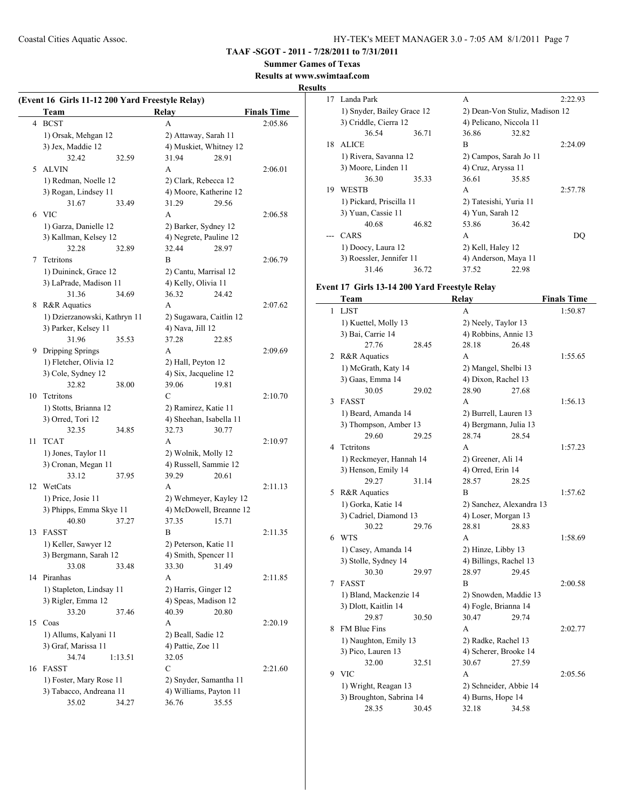**TAAF -SGOT - 2011 - 7/28/2011 to 7/31/2011**

#### **Summer Games of Texas**

**Results at www.swimtaaf.com**

#### **Results**

|    | Team                         | Relay<br><b>Finals Time</b> |         |
|----|------------------------------|-----------------------------|---------|
| 4  | <b>BCST</b>                  | A                           | 2:05.86 |
|    | 1) Orsak, Mehgan 12          | 2) Attaway, Sarah 11        |         |
|    | 3) Jex, Maddie 12            | 4) Muskiet, Whitney 12      |         |
|    | 32.42<br>32.59               | 31.94<br>28.91              |         |
| 5  | <b>ALVIN</b>                 | А                           | 2:06.01 |
|    | 1) Redman, Noelle 12         | 2) Clark, Rebecca 12        |         |
|    | 3) Rogan, Lindsey 11         | 4) Moore, Katherine 12      |         |
|    | 31.67<br>33.49               | 31.29<br>29.56              |         |
|    | 6 VIC                        | A                           | 2:06.58 |
|    | 1) Garza, Danielle 12        | 2) Barker, Sydney 12        |         |
|    | 3) Kallman, Kelsey 12        | 4) Negrete, Pauline 12      |         |
|    | 32.28<br>32.89               | 32.44<br>28.97              |         |
|    |                              |                             |         |
| 7  | Tetritons                    | B                           | 2:06.79 |
|    | 1) Duininck, Grace 12        | 2) Cantu, Marrisal 12       |         |
|    | 3) LaPrade, Madison 11       | 4) Kelly, Olivia 11         |         |
|    | 31.36<br>34.69               | 36.32<br>24.42              |         |
| 8  | R&R Aquatics                 | A                           | 2:07.62 |
|    | 1) Dzierzanowski, Kathryn 11 | 2) Sugawara, Caitlin 12     |         |
|    | 3) Parker, Kelsey 11         | 4) Nava, Jill 12            |         |
|    | 31.96<br>35.53               | 37.28<br>22.85              |         |
| 9  | Dripping Springs             | A                           | 2:09.69 |
|    | 1) Fletcher, Olivia 12       | 2) Hall, Peyton 12          |         |
|    | 3) Cole, Sydney 12           | 4) Six, Jacqueline 12       |         |
|    | 32.82<br>38.00               | 19.81<br>39.06              |         |
|    | 10 Tetritons                 | C                           | 2:10.70 |
|    | 1) Stotts, Brianna 12        | 2) Ramirez, Katie 11        |         |
|    | 3) Orred, Tori 12            | 4) Sheehan, Isabella 11     |         |
|    | 32.35<br>34.85               | 32.73<br>30.77              |         |
| 11 | <b>TCAT</b>                  | A                           | 2:10.97 |
|    | 1) Jones, Taylor 11          | 2) Wolnik, Molly 12         |         |
|    | 3) Cronan, Megan 11          | 4) Russell, Sammie 12       |         |
|    | 33.12<br>37.95               | 39.29<br>20.61              |         |
| 12 | WetCats                      | A                           | 2:11.13 |
|    | 1) Price, Josie 11           | 2) Wehmeyer, Kayley 12      |         |
|    | 3) Phipps, Emma Skye 11      | 4) McDowell, Breanne 12     |         |
|    | 40.80<br>37.27               | 37.35<br>15.71              |         |
| 13 | FASST                        | B                           | 2:11.35 |
|    | 1) Keller, Sawyer 12         | 2) Peterson, Katie 11       |         |
|    | 3) Bergmann, Sarah 12        | 4) Smith, Spencer 11        |         |
|    | 33.08<br>33.48               | 33.30<br>31.49              |         |
|    | 14 Piranhas                  | A                           | 2:11.85 |
|    | 1) Stapleton, Lindsay 11     | 2) Harris, Ginger 12        |         |
|    | 3) Rigler, Emma 12           | 4) Speas, Madison 12        |         |
|    | 33.20<br>37.46               | 40.39<br>20.80              |         |
| 15 | Coas                         | А                           | 2:20.19 |
|    |                              |                             |         |
|    | 1) Allums, Kalyani 11        | 2) Beall, Sadie 12          |         |
|    | 3) Graf, Marissa 11          | 4) Pattie, Zoe 11           |         |
|    | 34.74<br>1:13.51             | 32.05                       |         |
| 16 | FASST                        | $\mathbf C$                 | 2:21.60 |
|    | 1) Foster, Mary Rose 11      | 2) Snyder, Samantha 11      |         |
|    | 3) Tabacco, Andreana 11      | 4) Williams, Payton 11      |         |
|    | 35.02<br>34.27               | 36.76<br>35.55              |         |

|    | 17 Landa Park              |       | A                       |                                | 2:22.93 |
|----|----------------------------|-------|-------------------------|--------------------------------|---------|
|    | 1) Snyder, Bailey Grace 12 |       |                         | 2) Dean-Von Stuliz, Madison 12 |         |
|    | 3) Criddle, Cierra 12      |       | 4) Pelicano, Niccola 11 |                                |         |
|    | 36.54                      | 36.71 | 36.86                   | 32.82                          |         |
| 18 | <b>ALICE</b>               |       | B                       |                                | 2:24.09 |
|    | 1) Rivera, Savanna 12      |       | 2) Campos, Sarah Jo 11  |                                |         |
|    | 3) Moore, Linden 11        |       | 4) Cruz, Aryssa 11      |                                |         |
|    | 36.30                      | 35.33 | 36.61                   | 35.85                          |         |
| 19 | <b>WESTB</b>               |       | A                       |                                | 2:57.78 |
|    | 1) Pickard, Priscilla 11   |       | 2) Tatesishi, Yuria 11  |                                |         |
|    | 3) Yuan, Cassie 11         |       | 4) Yun, Sarah 12        |                                |         |
|    | 40.68                      | 46.82 | 53.86                   | 36.42                          |         |
|    | CARS                       |       | A                       |                                | 1)()    |
|    | 1) Doocy, Laura 12         |       | 2) Kell, Haley 12       |                                |         |
|    | 3) Roessler, Jennifer 11   |       | 4) Anderson, Maya 11    |                                |         |
|    | 31.46                      | 36.72 | 37.52                   | 22.98                          |         |
|    |                            |       |                         |                                |         |

# **Event 17 Girls 13-14 200 Yard Freestyle Relay**

|   | Team                     |       | Relay                    |       | <b>Finals Time</b> |
|---|--------------------------|-------|--------------------------|-------|--------------------|
| 1 | <b>LJST</b>              |       | A                        |       | 1:50.87            |
|   | 1) Kuettel, Molly 13     |       | 2) Neely, Taylor 13      |       |                    |
|   | 3) Bai, Carrie 14        |       | 4) Robbins, Annie 13     |       |                    |
|   | 27.76                    | 28.45 | 28.18                    | 26.48 |                    |
|   | 2 R&R Aquatics           |       | А                        |       | 1:55.65            |
|   | 1) McGrath, Katy 14      |       | 2) Mangel, Shelbi 13     |       |                    |
|   | 3) Gaas, Emma 14         |       | 4) Dixon, Rachel 13      |       |                    |
|   | 30.05                    | 29.02 | 28.90                    | 27.68 |                    |
| 3 | FASST                    |       | А                        |       | 1:56.13            |
|   | 1) Beard, Amanda 14      |       | 2) Burrell, Lauren 13    |       |                    |
|   | 3) Thompson, Amber 13    |       | 4) Bergmann, Julia 13    |       |                    |
|   | 29.60                    | 29.25 | 28.74                    | 28.54 |                    |
| 4 | <b>Tetritons</b>         |       | A                        |       | 1:57.23            |
|   | 1) Reckmeyer, Hannah 14  |       | 2) Greener, Ali 14       |       |                    |
|   | 3) Henson, Emily 14      |       | 4) Orred, Erin 14        |       |                    |
|   | 29.27                    | 31.14 | 28.57                    | 28.25 |                    |
|   | 5 R&R Aquatics           |       | B                        |       | 1:57.62            |
|   | 1) Gorka, Katie 14       |       | 2) Sanchez, Alexandra 13 |       |                    |
|   | 3) Cadriel, Diamond 13   |       | 4) Loser, Morgan 13      |       |                    |
|   | 30.22                    | 29.76 | 28.81                    | 28.83 |                    |
| 6 | <b>WTS</b>               |       | A                        |       | 1:58.69            |
|   | 1) Casey, Amanda 14      |       | 2) Hinze, Libby 13       |       |                    |
|   | 3) Stolle, Sydney 14     |       | 4) Billings, Rachel 13   |       |                    |
|   | 30.30                    | 29.97 | 28.97                    | 29.45 |                    |
| 7 | <b>FASST</b>             |       | B                        |       | 2:00.58            |
|   | 1) Bland, Mackenzie 14   |       | 2) Snowden, Maddie 13    |       |                    |
|   | 3) Dlott, Kaitlin 14     |       | 4) Fogle, Brianna 14     |       |                    |
|   | 29.87                    | 30.50 | 30.47                    | 29.74 |                    |
| 8 | FM Blue Fins             |       | A                        |       | 2:02.77            |
|   | 1) Naughton, Emily 13    |       | 2) Radke, Rachel 13      |       |                    |
|   | 3) Pico, Lauren 13       |       | 4) Scherer, Brooke 14    |       |                    |
|   | 32.00                    | 32.51 | 30.67                    | 27.59 |                    |
|   | 9 VIC                    |       | A                        |       | 2:05.56            |
|   | 1) Wright, Reagan 13     |       | 2) Schneider, Abbie 14   |       |                    |
|   | 3) Broughton, Sabrina 14 |       | 4) Burns, Hope 14        |       |                    |
|   | 28.35                    | 30.45 | 32.18                    | 34.58 |                    |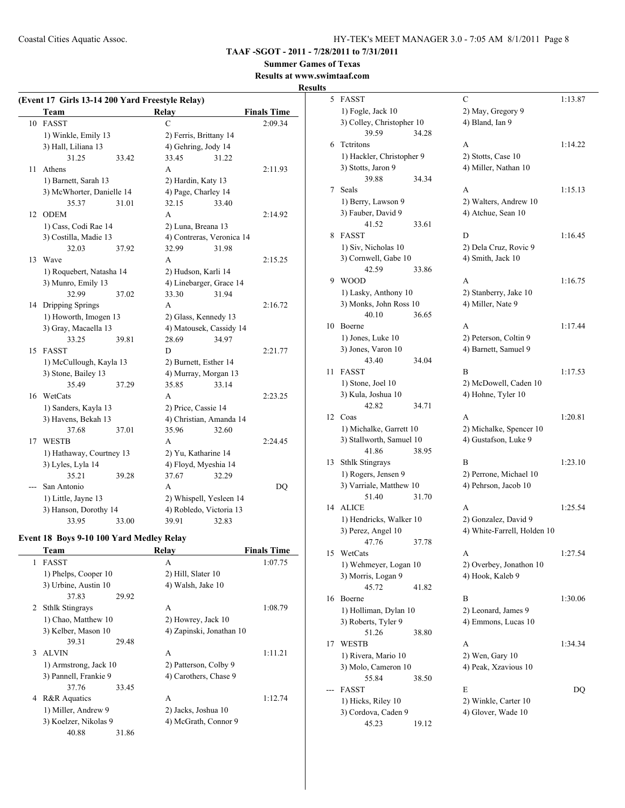**TAAF -SGOT - 2011 - 7/28/2011 to 7/31/2011**

**Summer Games of Texas Results at www.swimtaaf.com**

# **Results**

| (Event 17 Girls 13-14 200 Yard Freestyle Relay) |                                          |       |                           |       |                    |  |
|-------------------------------------------------|------------------------------------------|-------|---------------------------|-------|--------------------|--|
|                                                 | Team                                     |       | <b>Relay</b>              |       | <b>Finals Time</b> |  |
|                                                 | 10 FASST                                 |       | C                         |       | 2:09.34            |  |
|                                                 | 1) Winkle, Emily 13                      |       | 2) Ferris, Brittany 14    |       |                    |  |
|                                                 | 3) Hall, Liliana 13                      |       | 4) Gehring, Jody 14       |       |                    |  |
|                                                 | 31.25                                    | 33.42 | 33.45                     | 31.22 |                    |  |
| 11                                              | Athens                                   |       | A                         |       | 2:11.93            |  |
|                                                 | 1) Barnett, Sarah 13                     |       | 2) Hardin, Katy 13        |       |                    |  |
|                                                 | 3) McWhorter, Danielle 14                |       | 4) Page, Charley 14       |       |                    |  |
|                                                 | 35.37                                    | 31.01 | 32.15                     | 33.40 |                    |  |
| 12                                              | <b>ODEM</b>                              |       | A                         |       | 2:14.92            |  |
|                                                 | 1) Cass, Codi Rae 14                     |       | 2) Luna, Breana 13        |       |                    |  |
|                                                 | 3) Costilla, Madie 13                    |       | 4) Contreras, Veronica 14 |       |                    |  |
|                                                 | 32.03                                    | 37.92 | 32.99                     | 31.98 |                    |  |
| 13                                              | Wave                                     |       | A                         |       | 2:15.25            |  |
|                                                 | 1) Roquebert, Natasha 14                 |       | 2) Hudson, Karli 14       |       |                    |  |
|                                                 | 3) Munro, Emily 13                       |       | 4) Linebarger, Grace 14   |       |                    |  |
|                                                 | 32.99                                    | 37.02 | 33.30                     | 31.94 |                    |  |
| 14                                              | Dripping Springs                         |       | A                         |       | 2:16.72            |  |
|                                                 | 1) Howorth, Imogen 13                    |       | 2) Glass, Kennedy 13      |       |                    |  |
|                                                 | 3) Gray, Macaella 13                     |       | 4) Matousek, Cassidy 14   |       |                    |  |
|                                                 | 33.25                                    | 39.81 | 28.69                     | 34.97 |                    |  |
|                                                 | 15 FASST                                 |       | D                         |       | 2:21.77            |  |
|                                                 | 1) McCullough, Kayla 13                  |       | 2) Burnett, Esther 14     |       |                    |  |
|                                                 | 3) Stone, Bailey 13                      |       | 4) Murray, Morgan 13      |       |                    |  |
|                                                 | 35.49                                    | 37.29 | 35.85                     | 33.14 |                    |  |
| 16                                              | WetCats                                  |       | A                         |       | 2:23.25            |  |
|                                                 | 1) Sanders, Kayla 13                     |       | 2) Price, Cassie 14       |       |                    |  |
|                                                 | 3) Havens, Bekah 13                      |       | 4) Christian, Amanda 14   |       |                    |  |
|                                                 | 37.68                                    | 37.01 | 35.96                     | 32.60 |                    |  |
|                                                 | 17 WESTB                                 |       | A                         |       | 2:24.45            |  |
|                                                 | 1) Hathaway, Courtney 13                 |       | 2) Yu, Katharine 14       |       |                    |  |
|                                                 | 3) Lyles, Lyla 14                        |       | 4) Floyd, Myeshia 14      |       |                    |  |
|                                                 | 35.21                                    | 39.28 | 37.67                     | 32.29 |                    |  |
|                                                 | San Antonio                              |       | A                         |       | DQ                 |  |
|                                                 | 1) Little, Jayne 13                      |       | 2) Whispell, Yesleen 14   |       |                    |  |
|                                                 | 3) Hanson, Dorothy 14                    |       | 4) Robledo, Victoria 13   |       |                    |  |
|                                                 | 33.95                                    | 33.00 | 39.91                     | 32.83 |                    |  |
|                                                 | Event 18 Boys 9-10 100 Yard Medley Relay |       |                           |       |                    |  |
|                                                 | <u>l'eam</u>                             |       | <b>Relay</b>              |       | <b>Finals Time</b> |  |
| 1                                               | FASST                                    |       | A                         |       | 1:07.75            |  |
|                                                 | 1) Phelps, Cooper 10                     |       | 2) Hill, Slater 10        |       |                    |  |
|                                                 | 3) Urbine, Austin 10                     |       | 4) Walsh, Jake 10         |       |                    |  |
|                                                 | 37.83                                    | 29.92 |                           |       |                    |  |
| 2                                               | <b>Sthlk Stingrays</b>                   |       | A                         |       | 1:08.79            |  |
|                                                 | 1) Chao, Matthew 10                      |       | 2) Howrey, Jack 10        |       |                    |  |
|                                                 | 3) Kelber, Mason 10                      |       | 4) Zapinski, Jonathan 10  |       |                    |  |
|                                                 | 39.31                                    | 29.48 |                           |       |                    |  |
| 3                                               | <b>ALVIN</b>                             |       | A                         |       | 1:11.21            |  |
|                                                 | 1) Armstrong, Jack 10                    |       | 2) Patterson, Colby 9     |       |                    |  |

3) Pannell, Frankie 9 4) Carothers, Chase 9

1) Miller, Andrew 9 2) Jacks, Joshua 10 3) Koelzer, Nikolas 9 4) McGrath, Connor 9

4 R&R Aquatics A 1:12.74

37.76 33.45

40.88 31.86

|    | 5 FASST                                      |       | С                                          | 1:13.87 |
|----|----------------------------------------------|-------|--------------------------------------------|---------|
|    | 1) Fogle, Jack 10                            |       | 2) May, Gregory 9                          |         |
|    | 3) Colley, Christopher 10                    |       | 4) Bland, Ian 9                            |         |
|    | 39.59                                        | 34.28 |                                            |         |
| 6  | <b>Tetritons</b>                             |       | A                                          | 1:14.22 |
|    | 1) Hackler, Christopher 9                    |       | 2) Stotts, Case 10                         |         |
|    | 3) Stotts, Jaron 9                           |       | 4) Miller, Nathan 10                       |         |
|    | 39.88                                        | 34.34 |                                            |         |
| 7  | Seals                                        |       | A                                          | 1:15.13 |
|    | 1) Berry, Lawson 9                           |       | 2) Walters, Andrew 10                      |         |
|    | 3) Fauber, David 9                           |       | 4) Atchue, Sean 10                         |         |
|    | 41.52                                        | 33.61 |                                            |         |
| 8  | <b>FASST</b>                                 |       | D                                          | 1:16.45 |
|    | 1) Siv, Nicholas 10                          |       | 2) Dela Cruz, Rovic 9                      |         |
|    | 3) Cornwell, Gabe 10                         |       | 4) Smith, Jack 10                          |         |
|    | 42.59                                        | 33.86 |                                            |         |
| 9  | <b>WOOD</b>                                  |       | A                                          | 1:16.75 |
|    | 1) Lasky, Anthony 10                         |       | 2) Stanberry, Jake 10                      |         |
|    | 3) Monks, John Ross 10                       |       | 4) Miller, Nate 9                          |         |
| 10 | 40.10<br>Boerne                              | 36.65 | A                                          | 1:17.44 |
|    | 1) Jones, Luke 10                            |       | 2) Peterson, Coltin 9                      |         |
|    | 3) Jones, Varon 10                           |       | 4) Barnett, Samuel 9                       |         |
|    | 43.40                                        | 34.04 |                                            |         |
| 11 | <b>FASST</b>                                 |       | В                                          | 1:17.53 |
|    | 1) Stone, Joel 10                            |       | 2) McDowell, Caden 10                      |         |
|    | 3) Kula, Joshua 10                           |       | 4) Hohne, Tyler 10                         |         |
|    | 42.82                                        | 34.71 |                                            |         |
| 12 | Coas                                         |       | A                                          | 1:20.81 |
|    | 1) Michalke, Garrett 10                      |       | 2) Michalke, Spencer 10                    |         |
|    | 3) Stallworth, Samuel 10                     |       | 4) Gustafson, Luke 9                       |         |
|    | 41.86                                        | 38.95 |                                            |         |
| 13 | <b>Sthlk Stingrays</b>                       |       | B                                          | 1:23.10 |
|    | 1) Rogers, Jensen 9                          |       | 2) Perrone, Michael 10                     |         |
|    | 3) Varriale, Matthew 10                      |       | 4) Pehrson, Jacob 10                       |         |
|    | 51.40                                        | 31.70 |                                            |         |
| 14 | <b>ALICE</b>                                 |       | А                                          | 1:25.54 |
|    | 1) Hendricks, Walker 10                      |       | 2) Gonzalez, David 9                       |         |
|    | 3) Perez, Angel 10                           |       | 4) White-Farrell, Holden 10                |         |
|    | 47.76                                        | 37.78 |                                            |         |
| 15 | WetCats                                      |       | A                                          | 1:27.54 |
|    | 1) Wehmeyer, Logan 10                        |       | 2) Overbey, Jonathon 10                    |         |
|    | 3) Morris, Logan 9                           |       | 4) Hook, Kaleb 9                           |         |
| 16 | 45.72<br>Boerne                              | 41.82 | В                                          |         |
|    |                                              |       |                                            | 1:30.06 |
|    | 1) Holliman, Dylan 10<br>3) Roberts, Tyler 9 |       | 2) Leonard, James 9<br>4) Emmons, Lucas 10 |         |
|    | 51.26                                        | 38.80 |                                            |         |
| 17 | WESTB                                        |       | A                                          | 1:34.34 |
|    | 1) Rivera, Mario 10                          |       | 2) Wen, Gary 10                            |         |
|    | 3) Molo, Cameron 10                          |       | 4) Peak, Xzavious 10                       |         |
|    | 55.84                                        | 38.50 |                                            |         |
|    | FASST                                        |       | E                                          | DQ      |
|    | 1) Hicks, Riley 10                           |       | 2) Winkle, Carter 10                       |         |
|    | 3) Cordova, Caden 9                          |       | 4) Glover, Wade 10                         |         |
|    | 45.23                                        | 19.12 |                                            |         |
|    |                                              |       |                                            |         |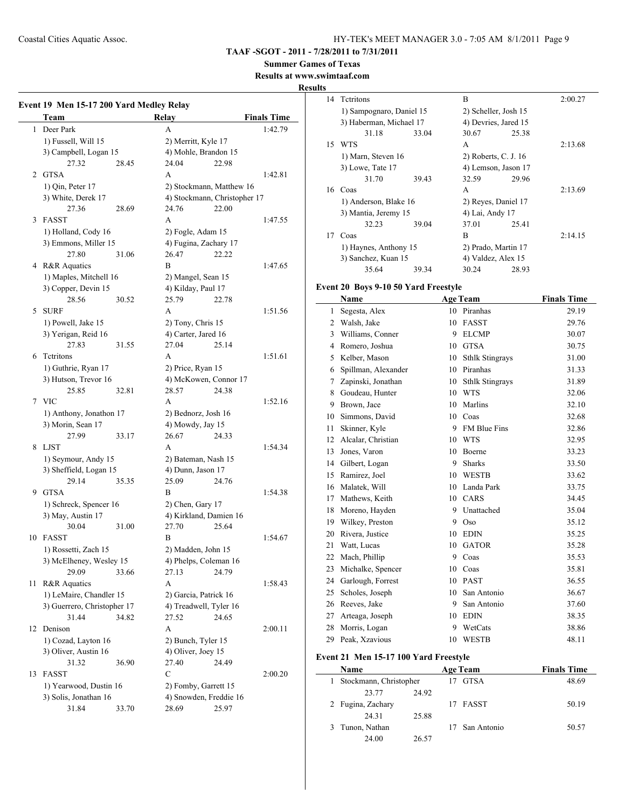**TAAF -SGOT - 2011 - 7/28/2011 to 7/31/2011**

**Summer Games of Texas**

**Results at www.swimtaaf.com**

#### **Results**

|                | Team                                 | Event 19 Men 15-17 200 Yard Medley Relay | <b>Relay</b>                    | <b>Finals Time</b>           |
|----------------|--------------------------------------|------------------------------------------|---------------------------------|------------------------------|
| $\mathbf{1}$   | Deer Park                            |                                          | A                               | 1:42.79                      |
|                | 1) Fussell, Will 15                  |                                          | 2) Merritt, Kyle 17             |                              |
|                | 3) Campbell, Logan 15                |                                          | 4) Mohle, Brandon 15            |                              |
|                | 27.32                                | 28.45                                    | 24.04                           | 22.98                        |
| $\overline{2}$ | <b>GTSA</b>                          |                                          | A                               | 1:42.81                      |
|                | 1) Qin, Peter 17                     |                                          | 2) Stockmann, Matthew 16        |                              |
|                | 3) White, Derek 17                   |                                          |                                 | 4) Stockmann, Christopher 17 |
|                | 27.36                                | 28.69                                    | 24.76                           | 22.00                        |
| 3              | <b>FASST</b>                         |                                          | A                               | 1:47.55                      |
|                | 1) Holland, Cody 16                  |                                          | 2) Fogle, Adam 15               |                              |
|                | 3) Emmons, Miller 15                 |                                          | 4) Fugina, Zachary 17           |                              |
|                | 27.80                                | 31.06                                    | 26.47                           | 22.22                        |
|                | 4 R&R Aquatics                       |                                          | B                               | 1:47.65                      |
|                | 1) Maples, Mitchell 16               |                                          | 2) Mangel, Sean 15              |                              |
|                | 3) Copper, Devin 15                  |                                          | 4) Kilday, Paul 17              |                              |
|                | 28.56                                | 30.52                                    | 25.79                           | 22.78                        |
| 5              | <b>SURF</b>                          |                                          | A                               | 1:51.56                      |
|                | 1) Powell, Jake 15                   |                                          | 2) Tony, Chris 15               |                              |
|                | 3) Yerigan, Reid 16                  |                                          | 4) Carter, Jared 16             |                              |
|                | 27.83                                | 31.55                                    | 27.04                           | 25.14                        |
| 6              | Tetritons                            |                                          | A                               | 1:51.61                      |
|                | 1) Guthrie, Ryan 17                  |                                          | 2) Price, Ryan 15               |                              |
|                | 3) Hutson, Trevor 16                 |                                          | 4) McKowen, Connor 17           |                              |
|                | 25.85                                | 32.81                                    | 28.57                           | 24.38                        |
|                | 7 VIC                                |                                          | A                               | 1:52.16                      |
|                | 1) Anthony, Jonathon 17              |                                          | 2) Bednorz, Josh 16             |                              |
|                | 3) Morin, Sean 17                    |                                          | 4) Mowdy, Jay 15                |                              |
|                | 27.99                                | 33.17                                    | 26.67                           | 24.33                        |
| 8              | LJST                                 |                                          | A                               | 1:54.34                      |
|                | 1) Seymour, Andy 15                  |                                          | 2) Bateman, Nash 15             |                              |
|                | 3) Sheffield, Logan 15               |                                          | 4) Dunn, Jason 17               |                              |
|                | 29.14                                | 35.35                                    | 25.09                           | 24.76                        |
|                | 9 GTSA                               |                                          | В                               | 1:54.38                      |
|                | 1) Schreck, Spencer 16               |                                          | 2) Chen, Gary 17                |                              |
|                | 3) May, Austin 17                    |                                          | 4) Kirkland, Damien 16          |                              |
|                | 30.04                                | 31.00                                    | 27.70                           | 25.64                        |
|                | 10 FASST                             |                                          | B                               | 1:54.67                      |
|                | 1) Rossetti, Zach 15                 |                                          | 2) Madden, John 15              |                              |
|                | 3) McElheney, Wesley 15              |                                          | 4) Phelps, Coleman 16           |                              |
|                | 29.09                                | 33.66                                    | 27.13                           | 24.79                        |
| 11             | R&R Aquatics                         |                                          | A                               | 1:58.43                      |
|                |                                      |                                          |                                 |                              |
|                | 1) LeMaire, Chandler 15              |                                          | 2) Garcia, Patrick 16           |                              |
|                | 3) Guerrero, Christopher 17<br>31.44 |                                          | 4) Treadwell, Tyler 16<br>27.52 | 24.65                        |
|                |                                      | 34.82                                    |                                 |                              |
| 12             | Denison                              |                                          | A                               | 2:00.11                      |
|                | 1) Cozad, Layton 16                  |                                          | 2) Bunch, Tyler 15              |                              |
|                | 3) Oliver, Austin 16                 |                                          | 4) Oliver, Joey 15              |                              |
|                | 31.32                                | 36.90                                    | 27.40                           | 24.49                        |
| 13             | FASST                                |                                          | $\mathbf C$                     | 2:00.20                      |
|                | 1) Yearwood, Dustin 16               |                                          | 2) Fomby, Garrett 15            |                              |
|                | 3) Solis, Jonathan 16                |                                          | 4) Snowden, Freddie 16          |                              |
|                | 31.84                                | 33.70                                    | 28.69                           | 25.97                        |

| 14 | <b>Tetritons</b>         |       | B                    |       | 2:00.27 |
|----|--------------------------|-------|----------------------|-------|---------|
|    | 1) Sampognaro, Daniel 15 |       | 2) Scheller, Josh 15 |       |         |
|    | 3) Haberman, Michael 17  |       | 4) Devries, Jared 15 |       |         |
|    | 31.18                    | 33.04 | 30.67                | 25.38 |         |
| 15 | <b>WTS</b>               |       | A                    |       | 2:13.68 |
|    | 1) Marn, Steven 16       |       | 2) Roberts, C. J. 16 |       |         |
|    | 3) Lowe, Tate 17         |       | 4) Lemson, Jason 17  |       |         |
|    | 31.70                    | 39.43 | 32.59                | 29.96 |         |
| 16 | Coas                     |       | A                    |       | 2:13.69 |
|    | 1) Anderson, Blake 16    |       | 2) Reyes, Daniel 17  |       |         |
|    | 3) Mantia, Jeremy 15     |       | 4) Lai, Andy 17      |       |         |
|    | 32.23                    | 39.04 | 37.01                | 25.41 |         |
| 17 | Coas                     |       | B                    |       | 2:14.15 |
|    | 1) Haynes, Anthony 15    |       | 2) Prado, Martin 17  |       |         |
|    | 3) Sanchez, Kuan 15      |       | 4) Valdez, Alex 15   |       |         |
|    | 35.64                    | 39.34 | 30.24                | 28.93 |         |
|    |                          |       |                      |       |         |

# **Event 20 Boys 9-10 50 Yard Freestyle**

|                | Name                                  |                 | <b>Age Team</b>        | <b>Finals Time</b> |  |  |  |
|----------------|---------------------------------------|-----------------|------------------------|--------------------|--|--|--|
| 1              | Segesta, Alex                         | 10              | Piranhas               | 29.19              |  |  |  |
| $\overline{c}$ | Walsh, Jake                           | 10              | <b>FASST</b>           | 29.76              |  |  |  |
| 3              | Williams, Conner                      | 9               | <b>ELCMP</b>           | 30.07              |  |  |  |
| 4              | Romero, Joshua                        | 10              | <b>GTSA</b>            | 30.75              |  |  |  |
| 5              | Kelber, Mason                         | 10              | <b>Sthlk Stingrays</b> | 31.00              |  |  |  |
| 6              | Spillman, Alexander                   | 10              | Piranhas               | 31.33              |  |  |  |
| 7              | Zapinski, Jonathan                    | 10              | <b>Sthlk Stingrays</b> | 31.89              |  |  |  |
| 8              | Goudeau, Hunter                       | 10              | <b>WTS</b>             | 32.06              |  |  |  |
| 9              | Brown, Jace                           | 10              | Marlins                | 32.10              |  |  |  |
| 10             | Simmons, David                        | 10              | Coas                   | 32.68              |  |  |  |
| 11             | Skinner, Kyle                         | 9               | <b>FM Blue Fins</b>    | 32.86              |  |  |  |
| 12             | Alcalar, Christian                    | 10              | <b>WTS</b>             | 32.95              |  |  |  |
| 13             | Jones, Varon                          | 10              | <b>Boerne</b>          | 33.23              |  |  |  |
| 14             | Gilbert, Logan                        | 9               | <b>Sharks</b>          | 33.50              |  |  |  |
| 15             | Ramirez, Joel                         | 10              | <b>WESTB</b>           | 33.62              |  |  |  |
| 16             | Malatek, Will                         | 10              | Landa Park             | 33.75              |  |  |  |
| 17             | Mathews, Keith                        | 10 <sup>1</sup> | CARS                   | 34.45              |  |  |  |
| 18             | Moreno, Hayden                        | 9               | Unattached             | 35.04              |  |  |  |
| 19             | Wilkey, Preston                       | 9               | Oso                    | 35.12              |  |  |  |
| 20             | Rivera, Justice                       | 10              | <b>EDIN</b>            | 35.25              |  |  |  |
| 21             | Watt, Lucas                           | 10              | <b>GATOR</b>           | 35.28              |  |  |  |
| 22             | Mach, Phillip                         | 9               | Coas                   | 35.53              |  |  |  |
| 23             | Michalke, Spencer                     | 10              | Coas                   | 35.81              |  |  |  |
| 24             | Garlough, Forrest                     | 10              | <b>PAST</b>            | 36.55              |  |  |  |
| 25             | Scholes, Joseph                       | 10              | San Antonio            | 36.67              |  |  |  |
| 26             | Reeves, Jake                          | 9               | San Antonio            | 37.60              |  |  |  |
| 27             | Arteaga, Joseph                       | 10              | <b>EDIN</b>            | 38.35              |  |  |  |
| 28             | Morris, Logan                         | 9               | WetCats                | 38.86              |  |  |  |
| 29             | Peak, Xzavious                        | 10              | <b>WESTB</b>           | 48.11              |  |  |  |
|                | Event 21 Men 15-17 100 Yard Freestyle |                 |                        |                    |  |  |  |

| <b>Name</b>            |       | <b>Age Team</b> | <b>Finals Time</b> |
|------------------------|-------|-----------------|--------------------|
| Stockmann, Christopher |       | <b>GTSA</b>     | 48.69              |
| 23.77                  | 24.92 |                 |                    |
| 2 Fugina, Zachary      |       | 17 FASST        | 50.19              |
| 24 31                  | 25.88 |                 |                    |
| 3 Tunon, Nathan        |       | San Antonio     | 50.57              |
| 24.00                  | 26.57 |                 |                    |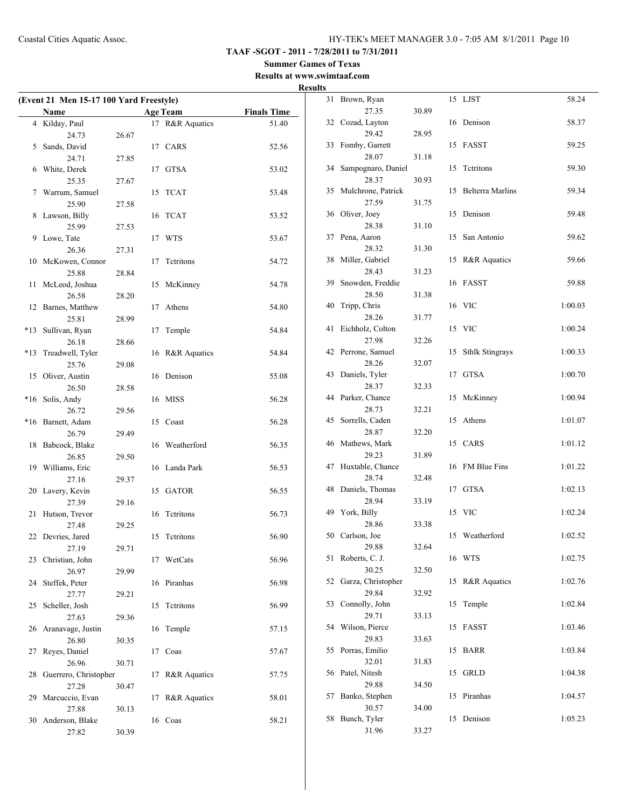**TAAF -SGOT - 2011 - 7/28/2011 to 7/31/2011**

**Summer Games of Texas Results at www.swimtaaf.com**

# **Results**

| (Event 21 Men 15-17 100 Yard Freestyle) |                            |       |    |                         |                    |  |  |
|-----------------------------------------|----------------------------|-------|----|-------------------------|--------------------|--|--|
|                                         | Name                       |       |    | <b>Age Team</b>         | <b>Finals Time</b> |  |  |
|                                         | 4 Kilday, Paul             |       |    | 17 R&R Aquatics         | 51.40              |  |  |
|                                         | 24.73                      | 26.67 |    |                         |                    |  |  |
| 5                                       | Sands, David               |       |    | 17 CARS                 | 52.56              |  |  |
|                                         | 24.71                      | 27.85 |    |                         |                    |  |  |
| 6                                       | White, Derek               |       | 17 | <b>GTSA</b>             | 53.02              |  |  |
|                                         | 25.35                      | 27.67 |    |                         |                    |  |  |
| 7                                       | Warrum, Samuel             |       | 15 | <b>TCAT</b>             | 53.48              |  |  |
|                                         | 25.90                      | 27.58 |    |                         |                    |  |  |
| 8                                       | Lawson, Billy              |       | 16 | <b>TCAT</b>             | 53.52              |  |  |
|                                         | 25.99                      | 27.53 |    |                         |                    |  |  |
| 9                                       | Lowe, Tate                 |       | 17 | <b>WTS</b>              | 53.67              |  |  |
|                                         | 26.36                      | 27.31 |    |                         |                    |  |  |
| 10                                      | McKowen, Connor            |       | 17 | Tetritons               | 54.72              |  |  |
|                                         | 25.88                      | 28.84 |    |                         |                    |  |  |
| 11                                      | McLeod, Joshua             |       | 15 | McKinney                | 54.78              |  |  |
|                                         | 26.58                      | 28.20 |    |                         |                    |  |  |
| 12                                      | Barnes, Matthew            |       | 17 | Athens                  | 54.80              |  |  |
|                                         | 25.81                      | 28.99 |    |                         |                    |  |  |
| *13                                     | Sullivan, Ryan<br>26.18    |       | 17 | Temple                  | 54.84              |  |  |
| *13                                     | Treadwell, Tyler           | 28.66 |    | R&R Aquatics            | 54.84              |  |  |
|                                         | 25.76                      | 29.08 | 16 |                         |                    |  |  |
| 15                                      | Oliver, Austin             |       | 16 | Denison                 | 55.08              |  |  |
|                                         | 26.50                      | 28.58 |    |                         |                    |  |  |
| $*16$                                   | Solis, Andy                |       |    | 16 MISS                 | 56.28              |  |  |
|                                         | 26.72                      | 29.56 |    |                         |                    |  |  |
| *16                                     | Barnett, Adam              |       |    | 15 Coast                | 56.28              |  |  |
|                                         | 26.79                      | 29.49 |    |                         |                    |  |  |
| 18                                      | Babcock, Blake             |       | 16 | Weatherford             | 56.35              |  |  |
|                                         | 26.85                      | 29.50 |    |                         |                    |  |  |
| 19                                      | Williams, Eric             |       | 16 | Landa Park              | 56.53              |  |  |
|                                         | 27.16                      | 29.37 |    |                         |                    |  |  |
| 20                                      | Lavery, Kevin              |       | 15 | GATOR                   | 56.55              |  |  |
|                                         | 27.39                      | 29.16 |    |                         |                    |  |  |
| 21                                      | Hutson, Trevor             |       | 16 | Tetritons               | 56.73              |  |  |
|                                         | 27.48                      | 29.25 |    |                         |                    |  |  |
|                                         | 22 Devries, Jared<br>27.19 | 29.71 |    | 15 Tetritons            | 56.90              |  |  |
| 23                                      | Christian, John            |       | 17 | WetCats                 | 56.96              |  |  |
|                                         | 26.97                      | 29.99 |    |                         |                    |  |  |
| 24                                      | Steffek, Peter             |       | 16 | Piranhas                | 56.98              |  |  |
|                                         | 27.77                      | 29.21 |    |                         |                    |  |  |
| 25                                      | Scheller, Josh             |       | 15 | Tetritons               | 56.99              |  |  |
|                                         | 27.63                      | 29.36 |    |                         |                    |  |  |
| 26                                      | Aranavage, Justin          |       | 16 | Temple                  | 57.15              |  |  |
|                                         | 26.80                      | 30.35 |    |                         |                    |  |  |
| 27                                      | Reyes, Daniel              |       | 17 | Coas                    | 57.67              |  |  |
|                                         | 26.96                      | 30.71 |    |                         |                    |  |  |
| 28                                      | Guerrero, Christopher      |       | 17 | <b>R&amp;R</b> Aquatics | 57.75              |  |  |
|                                         | 27.28                      | 30.47 |    |                         |                    |  |  |
| 29                                      | Marcuccio, Evan            |       | 17 | R&R Aquatics            | 58.01              |  |  |
|                                         | 27.88                      | 30.13 |    |                         |                    |  |  |
| 30                                      | Anderson, Blake<br>27.82   | 30.39 | 16 | Coas                    | 58.21              |  |  |
|                                         |                            |       |    |                         |                    |  |  |

| 31 | Brown, Ryan              |       | 15 | LJST                    | 58.24   |
|----|--------------------------|-------|----|-------------------------|---------|
|    | 27.35                    | 30.89 |    |                         |         |
| 32 | Cozad, Layton            |       | 16 | Denison                 | 58.37   |
|    | 29.42                    | 28.95 |    |                         |         |
| 33 | Fomby, Garrett           |       | 15 | FASST                   | 59.25   |
|    | 28.07                    | 31.18 |    |                         |         |
| 34 | Sampognaro, Daniel       |       | 15 | Tetritons               | 59.30   |
|    | 28.37                    | 30.93 |    |                         |         |
| 35 | Mulchrone, Patrick       |       | 15 | <b>Belterra Marlins</b> | 59.34   |
|    | 27.59                    | 31.75 |    |                         |         |
| 36 | Oliver, Joey             |       | 15 | Denison                 | 59.48   |
|    | 28.38                    | 31.10 |    |                         |         |
| 37 | Pena, Aaron              |       | 15 | San Antonio             | 59.62   |
|    | 28.32                    | 31.30 |    |                         |         |
| 38 | Miller, Gabriel<br>28.43 | 31.23 | 15 | R&R Aquatics            | 59.66   |
| 39 | Snowden, Freddie         |       | 16 | FASST                   | 59.88   |
|    | 28.50                    | 31.38 |    |                         |         |
| 40 | Tripp, Chris             |       | 16 | <b>VIC</b>              | 1:00.03 |
|    | 28.26                    | 31.77 |    |                         |         |
| 41 | Eichholz, Colton         |       | 15 | <b>VIC</b>              | 1:00.24 |
|    | 27.98                    | 32.26 |    |                         |         |
| 42 | Perrone, Samuel          |       | 15 | <b>Sthlk Stingrays</b>  | 1:00.33 |
|    | 28.26                    | 32.07 |    |                         |         |
| 43 | Daniels, Tyler           |       | 17 | <b>GTSA</b>             | 1:00.70 |
|    | 28.37                    | 32.33 |    |                         |         |
| 44 | Parker, Chance           |       | 15 | McKinney                | 1:00.94 |
|    | 28.73                    | 32.21 |    |                         |         |
| 45 | Sorrells, Caden          |       | 15 | Athens                  | 1:01.07 |
|    | 28.87                    | 32.20 |    |                         |         |
| 46 | Mathews, Mark            |       | 15 | CARS                    | 1:01.12 |
|    | 29.23                    | 31.89 |    |                         |         |
| 47 | Huxtable, Chance         |       | 16 | FM Blue Fins            | 1:01.22 |
|    | 28.74                    | 32.48 |    |                         |         |
| 48 | Daniels, Thomas          |       | 17 | <b>GTSA</b>             | 1:02.13 |
|    | 28.94                    | 33.19 |    |                         |         |
| 49 | York, Billy              |       | 15 | <b>VIC</b>              | 1:02.24 |
|    | 28.86                    | 33.38 |    |                         |         |
| 50 | Carlson, Joe             |       | 15 | Weatherford             | 1:02.52 |
|    | 29.88                    | 32.64 |    |                         |         |
| 51 | Roberts, C. J.           |       |    | 16 WTS                  | 1:02.75 |
|    | 30.25                    | 32.50 |    |                         |         |
| 52 | Garza, Christopher       |       | 15 | R&R Aquatics            | 1:02.76 |
|    | 29.84                    | 32.92 |    |                         |         |
| 53 | Connolly, John           |       | 15 | Temple                  | 1:02.84 |
| 54 | 29.71<br>Wilson, Pierce  | 33.13 | 15 | FASST                   | 1:03.46 |
|    | 29.83                    | 33.63 |    |                         |         |
| 55 | Porras, Emilio           |       | 15 | <b>BARR</b>             | 1:03.84 |
|    | 32.01                    | 31.83 |    |                         |         |
| 56 | Patel, Nitesh            |       | 15 | <b>GRLD</b>             | 1:04.38 |
|    | 29.88                    | 34.50 |    |                         |         |
| 57 | Banko, Stephen           |       | 15 | Piranhas                | 1:04.57 |
|    | 30.57                    | 34.00 |    |                         |         |
| 58 | Bunch, Tyler             |       | 15 | Denison                 | 1:05.23 |
|    | 31.96                    | 33.27 |    |                         |         |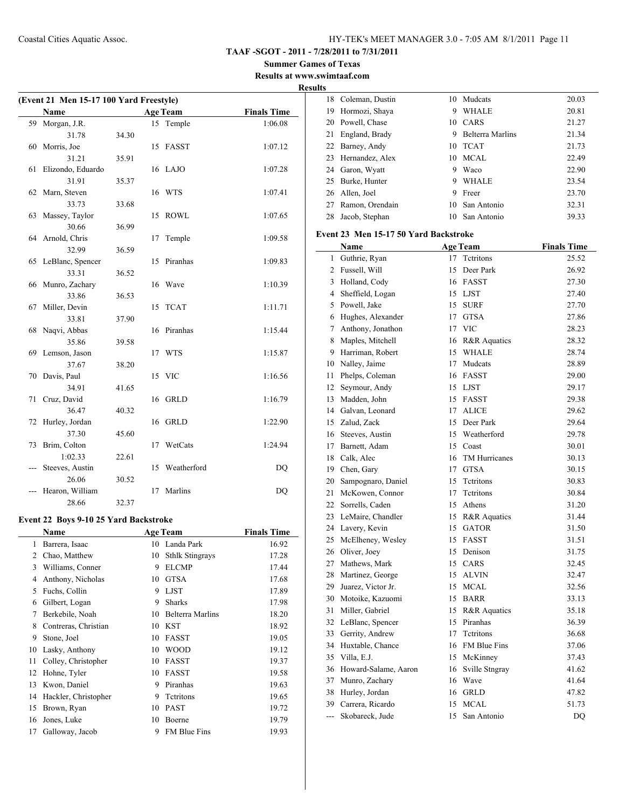**TAAF -SGOT - 2011 - 7/28/2011 to 7/31/2011**

**Summer Games of Texas Results at www.swimtaaf.com**

#### **Results**

| (Event 21 Men 15-17 100 Yard Freestyle) |                   |       |    |                 |                    |
|-----------------------------------------|-------------------|-------|----|-----------------|--------------------|
|                                         | Name              |       |    | <b>Age Team</b> | <b>Finals Time</b> |
| 59                                      | Morgan, J.R.      |       |    | 15 Temple       | 1:06.08            |
|                                         | 31.78             | 34.30 |    |                 |                    |
| 60                                      | Morris, Joe       |       | 15 | FASST           | 1:07.12            |
|                                         | 31.21             | 35.91 |    |                 |                    |
| 61                                      | Elizondo, Eduardo |       |    | 16 LAJO         | 1:07.28            |
|                                         | 31.91             | 35.37 |    |                 |                    |
| 62                                      | Marn, Steven      |       |    | 16 WTS          | 1:07.41            |
|                                         | 33.73             | 33.68 |    |                 |                    |
| 63                                      | Massey, Taylor    |       | 15 | <b>ROWL</b>     | 1:07.65            |
|                                         | 30.66             | 36.99 |    |                 |                    |
|                                         | 64 Arnold, Chris  |       | 17 | Temple          | 1:09.58            |
|                                         | 32.99             | 36.59 |    |                 |                    |
| 65                                      | LeBlanc, Spencer  |       | 15 | Piranhas        | 1:09.83            |
|                                         | 33.31             | 36.52 |    |                 |                    |
| 66                                      | Munro, Zachary    |       | 16 | Wave            | 1:10.39            |
|                                         | 33.86             | 36.53 |    |                 |                    |
| 67                                      | Miller, Devin     |       | 15 | <b>TCAT</b>     | 1:11.71            |
|                                         | 33.81             | 37.90 |    |                 |                    |
| 68                                      | Naqvi, Abbas      |       | 16 | Piranhas        | 1:15.44            |
|                                         | 35.86             | 39.58 |    |                 |                    |
| 69                                      | Lemson, Jason     |       |    | 17 WTS          | 1:15.87            |
|                                         | 37.67             | 38.20 |    |                 |                    |
| 70                                      | Davis, Paul       |       |    | 15 VIC          | 1:16.56            |
|                                         | 34.91             | 41.65 |    |                 |                    |
| 71                                      | Cruz, David       |       |    | 16 GRLD         | 1:16.79            |
|                                         | 36.47             | 40.32 |    |                 |                    |
| 72                                      | Hurley, Jordan    |       | 16 | GRLD            | 1:22.90            |
|                                         | 37.30             | 45.60 |    |                 |                    |
| 73                                      | Brim, Colton      |       | 17 | WetCats         | 1:24.94            |
|                                         | 1:02.33           | 22.61 |    |                 |                    |
|                                         | Steeves, Austin   |       | 15 | Weatherford     | DQ                 |
|                                         | 26.06             | 30.52 |    |                 |                    |
|                                         | Hearon, William   |       | 17 | Marlins         | DQ                 |
|                                         | 28.66             | 32.37 |    |                 |                    |

#### **Event 22 Boys 9-10 25 Yard Backstroke**

|    | Name                 |    | <b>Age Team</b>        | <b>Finals Time</b> |
|----|----------------------|----|------------------------|--------------------|
| 1  | Barrera, Isaac       | 10 | Landa Park             | 16.92              |
| 2  | Chao, Matthew        | 10 | <b>Sthlk Stingrays</b> | 17.28              |
| 3  | Williams, Conner     | 9  | <b>ELCMP</b>           | 17.44              |
| 4  | Anthony, Nicholas    | 10 | <b>GTSA</b>            | 17.68              |
| 5  | Fuchs, Collin        | 9  | <b>LJST</b>            | 17.89              |
| 6  | Gilbert, Logan       | 9  | <b>Sharks</b>          | 17.98              |
| 7  | Berkebile, Noah      | 10 | Belterra Marlins       | 18.20              |
| 8  | Contreras, Christian | 10 | <b>KST</b>             | 18.92              |
| 9  | Stone, Joel          | 10 | <b>FASST</b>           | 19.05              |
| 10 | Lasky, Anthony       | 10 | <b>WOOD</b>            | 19.12              |
| 11 | Colley, Christopher  | 10 | <b>FASST</b>           | 19.37              |
| 12 | Hohne, Tyler         | 10 | <b>FASST</b>           | 19.58              |
| 13 | Kwon, Daniel         | 9  | Piranhas               | 19.63              |
| 14 | Hackler, Christopher | 9  | Tetritons              | 19.65              |
| 15 | Brown, Ryan          | 10 | <b>PAST</b>            | 19.72              |
| 16 | Jones, Luke          | 10 | Boerne                 | 19.79              |
| 17 | Galloway, Jacob      | 9  | <b>FM Blue Fins</b>    | 19.93              |

| 18                                    | Coleman, Dustin                        | 10 | Mudcats                | 20.03              |  |  |
|---------------------------------------|----------------------------------------|----|------------------------|--------------------|--|--|
| 19                                    | Hormozi, Shaya                         | 9  | <b>WHALE</b>           | 20.81              |  |  |
| 20                                    | Powell, Chase                          |    | 10 CARS                | 21.27              |  |  |
| 21                                    | England, Brady                         |    | 9 Belterra Marlins     | 21.34              |  |  |
|                                       | 22 Barney, Andy                        | 10 | <b>TCAT</b>            | 21.73              |  |  |
| 23                                    | Hernandez, Alex                        |    | 10 MCAL                | 22.49              |  |  |
|                                       | 24 Garon, Wyatt                        | 9  | Waco                   | 22.90              |  |  |
| 25                                    | Burke, Hunter                          | 9  | <b>WHALE</b>           | 23.54              |  |  |
| 26                                    | Allen, Joel                            | 9  | Freer                  | 23.70              |  |  |
| 27                                    | Ramon, Orendain                        | 10 | San Antonio            | 32.31              |  |  |
| 28                                    | Jacob, Stephan                         | 10 | San Antonio            | 39.33              |  |  |
|                                       |                                        |    |                        |                    |  |  |
| Event 23 Men 15-17 50 Yard Backstroke |                                        |    |                        |                    |  |  |
|                                       | Name                                   |    | <b>Age Team</b>        | <b>Finals Time</b> |  |  |
| 1                                     | Guthrie, Ryan                          | 17 | Tetritons              | 25.52              |  |  |
|                                       | 2 Fussell, Will                        |    | 15 Deer Park           | 26.92              |  |  |
| 3                                     | Holland, Cody                          |    | 16 FASST               | 27.30              |  |  |
|                                       | 4 Sheffield, Logan                     |    | 15 LJST                | 27.40              |  |  |
|                                       | 5 Powell, Jake                         | 15 | <b>SURF</b>            | 27.70              |  |  |
|                                       | 6 Hughes, Alexander                    | 17 | <b>GTSA</b>            | 27.86              |  |  |
| 7                                     | Anthony, Jonathon                      |    | 17 VIC                 | 28.23              |  |  |
| 8                                     | Maples, Mitchell                       |    | 16 R&R Aquatics        | 28.32              |  |  |
| 9                                     | Harriman, Robert                       | 15 | <b>WHALE</b>           | 28.74              |  |  |
| 10                                    | Nalley, Jaime                          | 17 | Mudcats                | 28.89              |  |  |
| 11                                    | Phelps, Coleman                        | 16 | FASST                  | 29.00              |  |  |
| 12                                    | Seymour, Andy                          |    | 15 LJST                | 29.17              |  |  |
| 13                                    | Madden, John                           |    | 15 FASST               | 29.38              |  |  |
|                                       | 14 Galvan, Leonard                     | 17 | <b>ALICE</b>           | 29.62              |  |  |
|                                       | 15 Zalud, Zack                         |    | 15 Deer Park           | 29.64              |  |  |
|                                       | 16 Steeves, Austin                     | 15 | Weatherford            | 29.78              |  |  |
|                                       | 17 Barnett, Adam                       | 15 | Coast                  | 30.01              |  |  |
|                                       | 18 Calk, Alec                          | 16 | TM Hurricanes          | 30.13              |  |  |
|                                       | 19 Chen, Gary                          | 17 | <b>GTSA</b>            | 30.15              |  |  |
| 20                                    | Sampognaro, Daniel                     | 15 | Tetritons              | 30.83              |  |  |
| 21                                    | McKowen, Connor                        | 17 | Tetritons              | 30.84              |  |  |
| 22                                    | Sorrells, Caden                        | 15 | Athens                 | 31.20              |  |  |
| 23                                    | LeMaire, Chandler                      | 15 | R&R Aquatics           | 31.44              |  |  |
| 24                                    | Lavery, Kevin                          | 15 | <b>GATOR</b>           | 31.50              |  |  |
| 25                                    | McElheney, Wesley                      |    | 15 FASST               | 31.51              |  |  |
| 26                                    | Oliver, Joey                           | 15 | Denison                | 31.75              |  |  |
| 27                                    | Mathews, Mark                          | 15 | CARS                   | 32.45              |  |  |
| 28                                    | Martinez, George                       | 15 | $\operatorname{ALVIN}$ | 32.47              |  |  |
| 29                                    | Juarez, Victor Jr.                     | 15 | <b>MCAL</b>            | 32.56              |  |  |
|                                       |                                        | 15 | <b>BARR</b>            |                    |  |  |
| 31                                    | 30 Motoike, Kazuomi<br>Miller, Gabriel |    |                        | 33.13              |  |  |
|                                       |                                        | 15 | R&R Aquatics           | 35.18              |  |  |
| 32                                    | LeBlanc, Spencer                       | 15 | Piranhas               | 36.39              |  |  |
| 33                                    | Gerrity, Andrew                        | 17 | Tetritons              | 36.68              |  |  |
| 34                                    | Huxtable, Chance                       | 16 | FM Blue Fins           | 37.06              |  |  |
| 35                                    | Villa, E.J.                            | 15 | McKinney               | 37.43              |  |  |
| 36                                    | Howard-Salame, Aaron                   | 16 | Sville Stngray         | 41.62              |  |  |
| 37                                    | Munro, Zachary                         | 16 | Wave                   | 41.64              |  |  |
| 38                                    | Hurley, Jordan                         | 16 | <b>GRLD</b>            | 47.82              |  |  |
| 39                                    | Carrera, Ricardo                       | 15 | <b>MCAL</b>            | 51.73              |  |  |
| ---                                   | Skobareck, Jude                        | 15 | San Antonio            | DQ                 |  |  |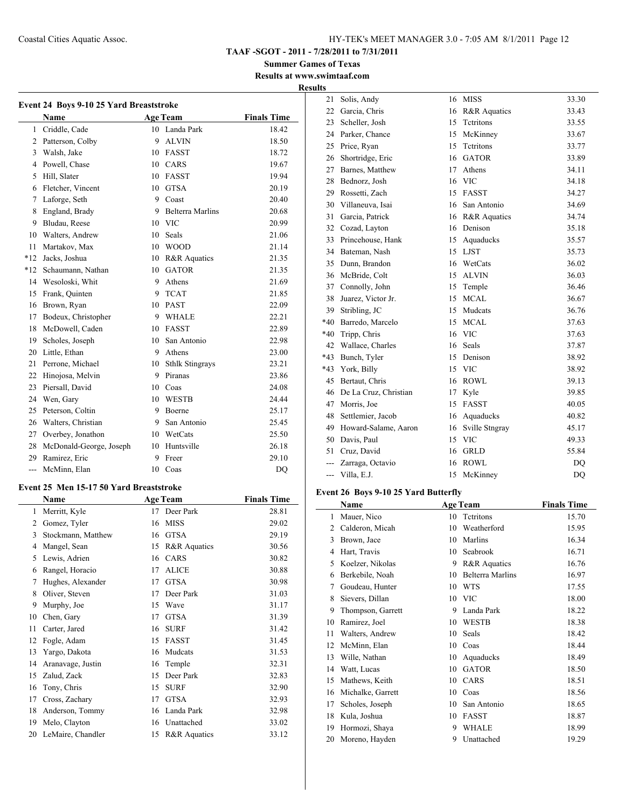**TAAF -SGOT - 2011 - 7/28/2011 to 7/31/2011**

**Summer Games of Texas Results at www.swimtaaf.com**

**Results**

|                | Event 24 Boys 9-10 25 Yard Breaststroke |    |                    |                    |  |  |
|----------------|-----------------------------------------|----|--------------------|--------------------|--|--|
|                | Name                                    |    | <b>Age Team</b>    | <b>Finals Time</b> |  |  |
| 1              | Criddle, Cade                           |    | 10 Landa Park      | 18.42              |  |  |
| $\overline{2}$ | Patterson, Colby                        | 9  | <b>ALVIN</b>       | 18.50              |  |  |
| 3              | Walsh, Jake                             |    | 10 FASST           | 18.72              |  |  |
| 4              | Powell, Chase                           |    | 10 CARS            | 19.67              |  |  |
| 5              | Hill, Slater                            |    | 10 FASST           | 19.94              |  |  |
| 6              | Fletcher, Vincent                       |    | 10 GTSA            | 20.19              |  |  |
| 7              | Laforge, Seth                           |    | 9 Coast            | 20.40              |  |  |
| 8              | England, Brady                          |    | 9 Belterra Marlins | 20.68              |  |  |
|                | 9 Bludau, Reese                         |    | 10 VIC             | 20.99              |  |  |
|                | 10 Walters, Andrew                      |    | 10 Seals           | 21.06              |  |  |
| 11             | Martakov, Max                           |    | 10 WOOD            | 21.14              |  |  |
| $*12$          | Jacks, Joshua                           |    | 10 R&R Aquatics    | 21.35              |  |  |
|                | *12 Schaumann, Nathan                   |    | 10 GATOR           | 21.35              |  |  |
| 14             | Wesoloski, Whit                         | 9  | Athens             | 21.69              |  |  |
| 15             | Frank, Quinten                          |    | 9 TCAT             | 21.85              |  |  |
| 16             | Brown, Ryan                             |    | 10 PAST            | 22.09              |  |  |
| 17             | Bodeux, Christopher                     |    | 9 WHALE            | 22.21              |  |  |
| 18             | McDowell, Caden                         |    | 10 FASST           | 22.89              |  |  |
| 19             | Scholes, Joseph                         |    | 10 San Antonio     | 22.98              |  |  |
| 20             | Little, Ethan                           |    | 9 Athens           | 23.00              |  |  |
| 21             | Perrone, Michael                        |    | 10 Sthlk Stingrays | 23.21              |  |  |
| 22             | Hinojosa, Melvin                        |    | 9 Piranas          | 23.86              |  |  |
| 23             | Piersall, David                         |    | 10 Coas            | 24.08              |  |  |
| 24             | Wen, Gary                               |    | 10 WESTB           | 24.44              |  |  |
| 25             | Peterson, Coltin                        | 9. | Boerne             | 25.17              |  |  |
| 26             | Walters, Christian                      |    | 9 San Antonio      | 25.45              |  |  |
| 27             | Overbey, Jonathon                       |    | 10 WetCats         | 25.50              |  |  |
| 28             | McDonald-George, Joseph                 |    | 10 Huntsville      | 26.18              |  |  |
| 29             | Ramirez, Eric                           | 9  | Freer              | 29.10              |  |  |
|                | --- McMinn, Elan                        |    | 10 Coas            | DQ                 |  |  |
|                |                                         |    |                    |                    |  |  |
|                | Event 25 Men 15-17 50 Yard Breaststroke |    |                    |                    |  |  |
|                | Name                                    |    | <b>Age Team</b>    | <b>Finals Time</b> |  |  |
| 1              | Merritt, Kyle                           | 17 | Deer Park          | 28.81              |  |  |
|                | 2 Gomez, Tyler                          |    | 16 MISS            | 29.02              |  |  |
| 3              | Stockmann, Matthew                      |    | 16 GTSA            | 29.19              |  |  |
| 4              | Mangel, Sean                            | 15 | R&R Aquatics       | 30.56              |  |  |
| 5              | Lewis, Adrien                           |    | 16 CARS            | 30.82              |  |  |
| 6              | Rangel, Horacio                         | 17 | ALICE              | 30.88              |  |  |
| 7              | Hughes, Alexander                       | 17 | <b>GTSA</b>        | 30.98              |  |  |
| 8              | Oliver, Steven                          | 17 | Deer Park          | 31.03              |  |  |
| 9              | Murphy, Joe                             | 15 | Wave               | 31.17              |  |  |
| 10             | Chen, Gary                              | 17 | GTSA               | 31.39              |  |  |
| 11             | Carter, Jared                           | 16 | SURF               | 31.42              |  |  |
| 12             | Fogle, Adam                             | 15 | FASST              | 31.45              |  |  |
| 13             | Yargo, Dakota                           | 16 | Mudcats            | 31.53              |  |  |
| 14             | Aranavage, Justin                       | 16 | Temple             | 32.31              |  |  |
| 15             | Zalud, Zack                             | 15 | Deer Park          | 32.83              |  |  |
| 16             | Tony, Chris                             | 15 | <b>SURF</b>        | 32.90              |  |  |
| 17             | Cross, Zachary                          | 17 | <b>GTSA</b>        | 32.93              |  |  |
| 18             | Anderson, Tommy                         | 16 | Landa Park         | 32.98              |  |  |
| 19             | Melo, Clayton                           | 16 | Unattached         | 33.02              |  |  |
| 20             | LeMaire, Chandler                       | 15 | R&R Aquatics       | 33.12              |  |  |

| 21             | Solis, Andy           | 16 | <b>MISS</b>      | 33.30 |
|----------------|-----------------------|----|------------------|-------|
| 22             | Garcia, Chris         | 16 | R&R Aquatics     | 33.43 |
| 23             | Scheller, Josh        | 15 | Tetritons        | 33.55 |
| 24             | Parker, Chance        | 15 | McKinney         | 33.67 |
| 25             | Price, Ryan           | 15 | <b>Tetritons</b> | 33.77 |
| 26             | Shortridge, Eric      | 16 | <b>GATOR</b>     | 33.89 |
| 27             | Barnes, Matthew       | 17 | Athens           | 34.11 |
| 28             | Bednorz, Josh         | 16 | <b>VIC</b>       | 34.18 |
| 29             | Rossetti, Zach        | 15 | <b>FASST</b>     | 34.27 |
| 30             | Villaneuva, Isai      | 16 | San Antonio      | 34.69 |
| 31             | Garcia, Patrick       | 16 | R&R Aquatics     | 34.74 |
| 32             | Cozad, Layton         | 16 | Denison          | 35.18 |
| 33             | Princehouse, Hank     | 15 | Aquaducks        | 35.57 |
| 34             | Bateman, Nash         | 15 | <b>LJST</b>      | 35.73 |
| 35             | Dunn, Brandon         | 16 | WetCats          | 36.02 |
| 36             | McBride, Colt         | 15 | <b>ALVIN</b>     | 36.03 |
| 37             | Connolly, John        | 15 | Temple           | 36.46 |
| 38             | Juarez, Victor Jr.    | 15 | <b>MCAL</b>      | 36.67 |
| 39             | Stribling, JC         | 15 | Mudcats          | 36.76 |
| $*40$          | Barredo, Marcelo      | 15 | <b>MCAL</b>      | 37.63 |
| $*40$          | Tripp, Chris          | 16 | <b>VIC</b>       | 37.63 |
| 42             | Wallace, Charles      | 16 | <b>Seals</b>     | 37.87 |
| $*43$          | Bunch, Tyler          | 15 | Denison          | 38.92 |
| $*43$          | York, Billy           | 15 | <b>VIC</b>       | 38.92 |
| 45             | Bertaut, Chris        | 16 | <b>ROWL</b>      | 39.13 |
| 46             | De La Cruz, Christian | 17 | Kyle             | 39.85 |
| 47             | Morris, Joe           | 15 | <b>FASST</b>     | 40.05 |
| 48             | Settlemier, Jacob     | 16 | Aquaducks        | 40.82 |
| 49             | Howard-Salame, Aaron  | 16 | Sville Stngray   | 45.17 |
| 50             | Davis, Paul           | 15 | <b>VIC</b>       | 49.33 |
| 51             | Cruz, David           | 16 | <b>GRLD</b>      | 55.84 |
| $\overline{a}$ | Zarraga, Octavio      | 16 | <b>ROWL</b>      | DQ    |
| ---            | Villa, E.J.           | 15 | McKinney         | DO    |

# **Event 26 Boys 9-10 25 Yard Butterfly**

|    | Name              |    | <b>Age Team</b>         | <b>Finals Time</b> |
|----|-------------------|----|-------------------------|--------------------|
| 1  | Mauer, Nico       | 10 | Tetritons               | 15.70              |
| 2  | Calderon, Micah   | 10 | Weatherford             | 15.95              |
| 3  | Brown, Jace       | 10 | Marlins                 | 16.34              |
| 4  | Hart, Travis      | 10 | Seabrook                | 16.71              |
| 5  | Koelzer, Nikolas  | 9  | R&R Aquatics            | 16.76              |
| 6  | Berkebile, Noah   | 10 | <b>Belterra Marlins</b> | 16.97              |
| 7  | Goudeau, Hunter   | 10 | <b>WTS</b>              | 17.55              |
| 8  | Sievers, Dillan   | 10 | <b>VIC</b>              | 18.00              |
| 9  | Thompson, Garrett | 9  | Landa Park              | 18.22              |
| 10 | Ramirez, Joel     | 10 | <b>WESTB</b>            | 18.38              |
| 11 | Walters, Andrew   | 10 | Seals                   | 18.42              |
| 12 | McMinn, Elan      | 10 | Coas                    | 18.44              |
| 13 | Wille, Nathan     | 10 | Aquaducks               | 18.49              |
| 14 | Watt, Lucas       | 10 | <b>GATOR</b>            | 18.50              |
| 15 | Mathews, Keith    | 10 | CARS                    | 18.51              |
| 16 | Michalke, Garrett | 10 | Coas                    | 18.56              |
| 17 | Scholes, Joseph   | 10 | San Antonio             | 18.65              |
| 18 | Kula, Joshua      | 10 | FASST                   | 18.87              |
| 19 | Hormozi, Shaya    | 9  | <b>WHALE</b>            | 18.99              |
| 20 | Moreno, Hayden    | 9  | Unattached              | 19.29              |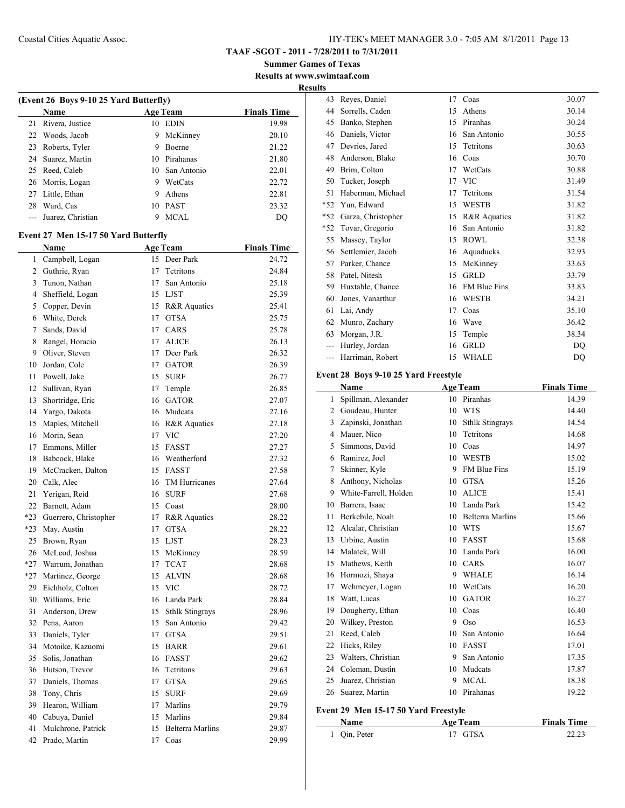**Summer Games of Texas Results at www.swimtaaf.com**

**Results**

|                | (Event 26 Boys 9-10 25 Yard Butterfly)<br>Name |    | <b>Age Team</b>         | <b>Finals Time</b> |
|----------------|------------------------------------------------|----|-------------------------|--------------------|
| 21             | Rivera, Justice                                |    | 10 EDIN                 | 19.98              |
| 22             | Woods, Jacob                                   | 9  | McKinney                | 20.10              |
| 23             | Roberts, Tyler                                 | 9  | Boerne                  | 21.22              |
| 24             | Suarez, Martin                                 |    | 10 Pirahanas            | 21.80              |
| 25             | Reed, Caleb                                    |    | 10 San Antonio          | 22.01              |
| 26             | Morris, Logan                                  |    | 9 WetCats               | 22.72              |
| 27             | Little, Ethan                                  |    | 9 Athens                | 22.81              |
| 28             | Ward, Cas                                      |    | 10 PAST                 | 23.32              |
| $\overline{a}$ | Juarez, Christian                              | 9  | <b>MCAL</b>             | DQ                 |
|                |                                                |    |                         |                    |
|                | Event 27 Men 15-17 50 Yard Butterfly<br>Name   |    | <b>Age Team</b>         | <b>Finals Time</b> |
| 1              | Campbell, Logan                                | 15 | Deer Park               | 24.72              |
|                |                                                |    |                         |                    |
| 2              | Guthrie, Ryan                                  | 17 | Tetritons               | 24.84              |
| 3              | Tunon, Nathan                                  | 17 | San Antonio             | 25.18              |
| 4              | Sheffield, Logan                               |    | 15 LJST                 | 25.39              |
| 5              | Copper, Devin                                  |    | 15 R&R Aquatics         | 25.41              |
| 6              | White, Derek                                   | 17 | <b>GTSA</b>             | 25.75              |
| 7              | Sands, David                                   | 17 | CARS                    | 25.78              |
| 8              | Rangel, Horacio                                | 17 | ALICE                   | 26.13              |
| 9              | Oliver, Steven                                 | 17 | Deer Park               | 26.32              |
| 10             | Jordan, Cole                                   | 17 | <b>GATOR</b>            | 26.39              |
| 11             | Powell, Jake                                   | 15 | SURF                    | 26.77              |
| 12             | Sullivan, Ryan                                 | 17 | Temple                  | 26.85              |
| 13             | Shortridge, Eric                               |    | 16 GATOR                | 27.07              |
| 14             | Yargo, Dakota                                  |    | 16 Mudcats              | 27.16              |
| 15             | Maples, Mitchell                               |    | 16 R&R Aquatics         | 27.18              |
| 16             | Morin, Sean                                    |    | 17 VIC                  | 27.20              |
| 17             | Emmons, Miller                                 | 15 | <b>FASST</b>            | 27.27              |
| 18             | Babcock, Blake                                 |    | 16 Weatherford          | 27.32              |
| 19             | McCracken, Dalton                              | 15 | FASST                   | 27.58              |
| 20             | Calk, Alec                                     | 16 | TM Hurricanes           | 27.64              |
| 21             | Yerigan, Reid                                  | 16 | <b>SURF</b>             | 27.68              |
| 22             | Barnett, Adam                                  |    | 15 Coast                | 28.00              |
| $*23$          | Guerrero, Christopher                          | 17 | R&R Aquatics            | 28.22              |
| *23            | May, Austin                                    | 17 | <b>GTSA</b>             | 28.22              |
|                | 25 Brown, Ryan                                 |    | 15 LJST                 | 28.23              |
|                | 26 McLeod, Joshua                              | 15 | McKinney                | 28.59              |
| *27            | Warrum, Jonathan                               | 17 | <b>TCAT</b>             | 28.68              |
| *27            | Martinez, George                               | 15 | <b>ALVIN</b>            | 28.68              |
| 29             | Eichholz, Colton                               |    | 15 VIC                  | 28.72              |
| 30             | Williams, Eric                                 |    | 16 Landa Park           | 28.84              |
| 31             | Anderson, Drew                                 | 15 | <b>Sthlk Stingrays</b>  | 28.96              |
| 32             | Pena, Aaron                                    | 15 | San Antonio             | 29.42              |
|                |                                                |    |                         |                    |
| 33             | Daniels, Tyler                                 | 17 | <b>GTSA</b>             | 29.51              |
| 34             | Motoike, Kazuomi                               | 15 | <b>BARR</b>             | 29.61              |
| 35             | Solis, Jonathan                                | 16 | FASST                   | 29.62              |
| 36             | Hutson, Trevor                                 | 16 | Tetritons               | 29.63              |
| 37             | Daniels, Thomas                                | 17 | <b>GTSA</b>             | 29.65              |
| 38             | Tony, Chris                                    | 15 | <b>SURF</b>             | 29.69              |
| 39             | Hearon, William                                | 17 | Marlins                 | 29.79              |
| 40             | Cabuya, Daniel                                 | 15 | Marlins                 | 29.84              |
| 41             | Mulchrone, Patrick                             | 15 | <b>Belterra Marlins</b> | 29.87              |
| 42             | Prado, Martin                                  | 17 | Coas                    | 29.99              |
|                |                                                |    |                         |                    |

| ıэ    |                    |    |              |       |
|-------|--------------------|----|--------------|-------|
| 43    | Reyes, Daniel      | 17 | Coas         | 30.07 |
| 44    | Sorrells, Caden    | 15 | Athens       | 30.14 |
| 45    | Banko, Stephen     | 15 | Piranhas     | 30.24 |
| 46    | Daniels, Victor    | 16 | San Antonio  | 30.55 |
| 47    | Devries, Jared     | 15 | Tetritons    | 30.63 |
| 48    | Anderson, Blake    | 16 | Coas         | 30.70 |
| 49    | Brim, Colton       | 17 | WetCats      | 30.88 |
| 50    | Tucker, Joseph     | 17 | <b>VIC</b>   | 31.49 |
| 51    | Haberman, Michael  | 17 | Tetritons    | 31.54 |
| $*52$ | Yun, Edward        | 15 | <b>WESTB</b> | 31.82 |
| $*52$ | Garza, Christopher | 15 | R&R Aquatics | 31.82 |
| $*52$ | Tovar, Gregorio    | 16 | San Antonio  | 31.82 |
| 55    | Massey, Taylor     | 15 | <b>ROWL</b>  | 32.38 |
| 56    | Settlemier, Jacob  | 16 | Aquaducks    | 32.93 |
| 57    | Parker, Chance     | 15 | McKinney     | 33.63 |
| 58    | Patel, Nitesh      | 15 | <b>GRLD</b>  | 33.79 |
| 59    | Huxtable, Chance   | 16 | FM Blue Fins | 33.83 |
| 60    | Jones, Vanarthur   | 16 | <b>WESTB</b> | 34.21 |
| 61    | Lai, Andy          | 17 | Coas         | 35.10 |
| 62    | Munro, Zachary     | 16 | Wave         | 36.42 |
| 63    | Morgan, J.R.       | 15 | Temple       | 38.34 |
| ---   | Hurley, Jordan     | 16 | <b>GRLD</b>  | DO    |
| ---   | Harriman, Robert   | 15 | <b>WHALE</b> | DQ    |
|       |                    |    |              |       |

#### **Event 28 Boys 9-10 25 Yard Freestyle**

|    | Name                  |    | <b>Age Team</b>         | <b>Finals Time</b> |
|----|-----------------------|----|-------------------------|--------------------|
| 1  | Spillman, Alexander   | 10 | Piranhas                | 14.39              |
| 2  | Goudeau, Hunter       | 10 | <b>WTS</b>              | 14.40              |
| 3  | Zapinski, Jonathan    | 10 | <b>Sthlk Stingrays</b>  | 14.54              |
| 4  | Mauer, Nico           | 10 | <b>Tetritons</b>        | 14.68              |
| 5  | Simmons, David        | 10 | Coas                    | 14.97              |
| 6  | Ramirez, Joel         | 10 | <b>WESTB</b>            | 15.02              |
| 7  | Skinner, Kyle         | 9  | FM Blue Fins            | 15.19              |
| 8  | Anthony, Nicholas     | 10 | <b>GTSA</b>             | 15.26              |
| 9  | White-Farrell, Holden | 10 | <b>ALICE</b>            | 15.41              |
| 10 | Barrera, Isaac        | 10 | Landa Park              | 15.42              |
| 11 | Berkebile, Noah       | 10 | <b>Belterra Marlins</b> | 15.66              |
| 12 | Alcalar, Christian    | 10 | <b>WTS</b>              | 15.67              |
| 13 | Urbine, Austin        | 10 | <b>FASST</b>            | 15.68              |
| 14 | Malatek, Will         | 10 | Landa Park              | 16.00              |
| 15 | Mathews, Keith        | 10 | CARS                    | 16.07              |
| 16 | Hormozi, Shaya        | 9  | <b>WHALE</b>            | 16.14              |
| 17 | Wehmeyer, Logan       | 10 | WetCats                 | 16.20              |
| 18 | Watt, Lucas           | 10 | <b>GATOR</b>            | 16.27              |
| 19 | Dougherty, Ethan      | 10 | Coas                    | 16.40              |
| 20 | Wilkey, Preston       | 9  | Oso                     | 16.53              |
| 21 | Reed, Caleb           | 10 | San Antonio             | 16.64              |
| 22 | Hicks, Riley          | 10 | <b>FASST</b>            | 17.01              |
| 23 | Walters, Christian    | 9  | San Antonio             | 17.35              |
| 24 | Coleman, Dustin       | 10 | Mudcats                 | 17.87              |
| 25 | Juarez, Christian     | 9  | <b>MCAL</b>             | 18.38              |
| 26 | Suarez, Martin        | 10 | Pirahanas               | 19.22              |
|    |                       |    |                         |                    |

#### **Event 29 Men 15-17 50 Yard Freestyle**

| <b>Name</b>  | <b>Age Team</b> | <b>Finals Time</b> |
|--------------|-----------------|--------------------|
| 1 Qin, Peter | 17 GTSA         | 22.23              |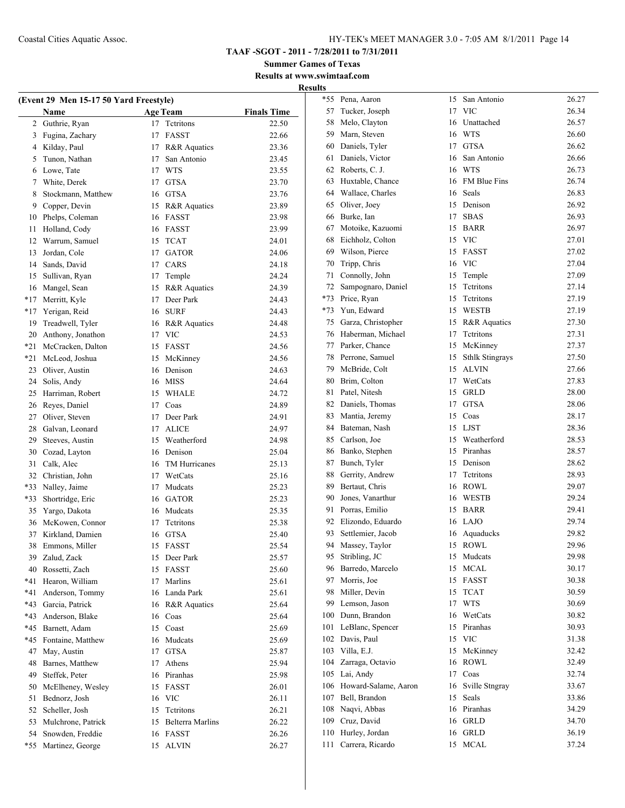**Summer Games of Texas Results at www.swimtaaf.com**

|          |                                        |    |                                 |                    | <b>Results</b> |
|----------|----------------------------------------|----|---------------------------------|--------------------|----------------|
|          | (Event 29 Men 15-17 50 Yard Freestyle) |    |                                 |                    | $*$            |
|          | Name                                   |    | <b>Age Team</b>                 | <b>Finals Time</b> |                |
|          | 2 Guthrie, Ryan                        |    | 17 Tetritons<br>17 FASST        | 22.50<br>22.66     |                |
|          | 3 Fugina, Zachary                      |    |                                 |                    |                |
|          | 4 Kilday, Paul                         |    | 17 R&R Aquatics                 | 23.36              |                |
|          | 5 Tunon, Nathan                        |    | 17 San Antonio                  | 23.45              |                |
|          | 6 Lowe, Tate                           |    | 17 WTS                          | 23.55<br>23.70     | t              |
|          | 7 White, Derek<br>Stockmann, Matthew   |    | 17 GTSA<br>16 GTSA              | 23.76              | t              |
| 8        |                                        |    |                                 |                    | t              |
|          | 9 Copper, Devin                        |    | 15 R&R Aquatics<br>16 FASST     | 23.89              |                |
|          | 10 Phelps, Coleman                     |    | 16 FASST                        | 23.98<br>23.99     |                |
| 11       | Holland, Cody<br>12 Warrum, Samuel     |    | 15 TCAT                         | 24.01              |                |
| 13       | Jordan, Cole                           |    |                                 |                    |                |
|          | 14 Sands, David                        |    | 17 GATOR<br>17 CARS             | 24.06<br>24.18     |                |
| 15       | Sullivan, Ryan                         |    | 17 Temple                       | 24.24              |                |
|          |                                        |    |                                 |                    |                |
| $*17$    | 16 Mangel, Sean                        |    | 15 R&R Aquatics<br>17 Deer Park | 24.39<br>24.43     | $*$            |
|          | Merritt, Kyle                          |    | 16 SURF                         | 24.43              | $*$            |
|          | *17 Yerigan, Reid                      |    |                                 |                    |                |
| 19<br>20 | Treadwell, Tyler                       |    | 16 R&R Aquatics<br>17 VIC       | 24.48              |                |
| $*21$    | Anthony, Jonathon<br>McCracken, Dalton |    | 15 FASST                        | 24.53              |                |
| $*21$    | McLeod, Joshua                         |    | 15 McKinney                     | 24.56              |                |
|          | 23 Oliver, Austin                      |    | 16 Denison                      | 24.56<br>24.63     |                |
|          | 24 Solis, Andy                         |    | 16 MISS                         | 24.64              | ξ              |
|          | 25 Harriman, Robert                    |    | 15 WHALE                        | 24.72              | ξ              |
|          | 26 Reyes, Daniel                       |    | 17 Coas                         | 24.89              | ξ              |
|          | 27 Oliver, Steven                      |    | 17 Deer Park                    | 24.91              | ξ              |
| 28       | Galvan, Leonard                        |    | 17 ALICE                        | 24.97              | ξ              |
| 29       | Steeves, Austin                        |    | 15 Weatherford                  | 24.98              | ξ              |
|          | 30 Cozad, Layton                       |    | 16 Denison                      | 25.04              | ξ              |
| 31       | Calk, Alec                             |    | 16 TM Hurricanes                | 25.13              | ξ              |
|          | 32 Christian, John                     |    | 17 WetCats                      | 25.16              | ξ              |
|          | *33 Nalley, Jaime                      |    | 17 Mudcats                      | 25.23              |                |
|          | *33 Shortridge, Eric                   |    | 16 GATOR                        | 25.23              |                |
|          | 35 Yargo, Dakota                       |    | 16 Mudcats                      | 25.35              |                |
|          | 36 McKowen, Connor                     |    | 17 Tetritons                    | 25.38              |                |
| 37       | Kirkland, Damien                       |    | 16 GTSA                         | 25.40              | C              |
|          | 38 Emmons, Miller                      |    | 15 FASST                        | 25.54              |                |
| 39       | Zalud, Zack                            |    | 15 Deer Park                    | 25.57              |                |
| 40       | Rossetti, Zach                         |    | 15 FASST                        | 25.60              |                |
| *41      | Hearon, William                        | 17 | Marlins                         | 25.61              | Ç              |
| *41      | Anderson, Tommy                        |    | 16 Landa Park                   | 25.61              | ì              |
| $*43$    | Garcia, Patrick                        |    | 16 R&R Aquatics                 | 25.64              | Ç              |
| $*43$    | Anderson, Blake                        |    | 16 Coas                         | 25.64              | 10             |
| *45      | Barnett, Adam                          |    | 15 Coast                        | 25.69              | 1 <sup>1</sup> |
| $*45$    | Fontaine, Matthew                      |    | 16 Mudcats                      | 25.69              | 1 <sup>1</sup> |
| 47       | May, Austin                            |    | 17 GTSA                         | 25.87              | 10             |
| 48       | Barnes, Matthew                        |    | 17 Athens                       | 25.94              | 10             |
| 49       | Steffek, Peter                         |    | 16 Piranhas                     | 25.98              | 10             |
| 50       | McElheney, Wesley                      |    | 15 FASST                        | 26.01              | 10             |
| 51       | Bednorz, Josh                          |    | 16 VIC                          | 26.11              | 10             |
| 52       | Scheller, Josh                         |    | 15 Tetritons                    | 26.21              | 10             |
| 53       | Mulchrone, Patrick                     |    | 15 Belterra Marlins             | 26.22              | 10             |
| 54       | Snowden, Freddie                       |    | 16 FASST                        | 26.26              | 11             |
|          | *55 Martinez, George                   |    | 15 ALVIN                        | 26.27              | 11             |
|          |                                        |    |                                 |                    |                |

| $\cdot$ |                      |    |                        |       |
|---------|----------------------|----|------------------------|-------|
| *55     | Pena, Aaron          | 15 | San Antonio            | 26.27 |
| 57      | Tucker, Joseph       | 17 | <b>VIC</b>             | 26.34 |
| 58      | Melo, Clayton        | 16 | Unattached             | 26.57 |
| 59      | Marn, Steven         | 16 | <b>WTS</b>             | 26.60 |
| 60      | Daniels, Tyler       | 17 | <b>GTSA</b>            | 26.62 |
| 61      | Daniels, Victor      | 16 | San Antonio            | 26.66 |
| 62      | Roberts, C. J.       | 16 | <b>WTS</b>             | 26.73 |
| 63      | Huxtable, Chance     | 16 | FM Blue Fins           | 26.74 |
| 64      | Wallace, Charles     | 16 | Seals                  | 26.83 |
| 65      | Oliver, Joey         | 15 | Denison                | 26.92 |
| 66      | Burke, Ian           | 17 | <b>SBAS</b>            | 26.93 |
| 67      | Motoike, Kazuomi     | 15 | <b>BARR</b>            | 26.97 |
| 68      | Eichholz, Colton     | 15 | <b>VIC</b>             | 27.01 |
| 69      | Wilson, Pierce       | 15 | FASST                  | 27.02 |
| 70      | Tripp, Chris         | 16 | <b>VIC</b>             | 27.04 |
| 71      | Connolly, John       | 15 | Temple                 | 27.09 |
| 72      | Sampognaro, Daniel   | 15 | Tetritons              | 27.14 |
| $*73$   | Price, Ryan          | 15 | Tetritons              | 27.19 |
| $*73$   | Yun, Edward          | 15 | WESTB                  | 27.19 |
| 75      | Garza, Christopher   | 15 | R&R Aquatics           | 27.30 |
| 76      | Haberman, Michael    | 17 | Tetritons              | 27.31 |
| 77      | Parker, Chance       | 15 | McKinney               | 27.37 |
| 78      | Perrone, Samuel      | 15 | <b>Sthlk Stingrays</b> | 27.50 |
| 79      | McBride, Colt        | 15 | <b>ALVIN</b>           | 27.66 |
| 80      | Brim, Colton         | 17 | WetCats                | 27.83 |
| 81      | Patel, Nitesh        | 15 | <b>GRLD</b>            | 28.00 |
| 82      | Daniels, Thomas      | 17 | <b>GTSA</b>            | 28.06 |
| 83      | Mantia, Jeremy       | 15 | Coas                   | 28.17 |
| 84      | Bateman, Nash        | 15 | <b>LJST</b>            | 28.36 |
| 85      | Carlson, Joe         | 15 | Weatherford            | 28.53 |
| 86      | Banko, Stephen       | 15 | Piranhas               | 28.57 |
| 87      | Bunch, Tyler         | 15 | Denison                | 28.62 |
| 88      | Gerrity, Andrew      | 17 | Tetritons              | 28.93 |
| 89      | Bertaut, Chris       | 16 | <b>ROWL</b>            | 29.07 |
| 90      | Jones, Vanarthur     | 16 | <b>WESTB</b>           | 29.24 |
| 91      | Porras, Emilio       | 15 | <b>BARR</b>            | 29.41 |
| 92      | Elizondo, Eduardo    | 16 | LAJO                   | 29.74 |
| 93      | Settlemier, Jacob    | 16 | Aquaducks              | 29.82 |
|         | 94 Massey, Taylor    |    | 15 ROWL                | 29.96 |
| 95      | Stribling, JC        | 15 | Mudcats                | 29.98 |
| 96      | Barredo, Marcelo     | 15 | MCAL                   | 30.17 |
| 97      | Morris, Joe          | 15 | FASST                  | 30.38 |
| 98      | Miller, Devin        | 15 | <b>TCAT</b>            | 30.59 |
| 99      | Lemson, Jason        | 17 | WTS                    | 30.69 |
| 100     | Dunn, Brandon        | 16 | WetCats                | 30.82 |
| 101     | LeBlanc, Spencer     | 15 | Piranhas               | 30.93 |
| 102     | Davis, Paul          | 15 | <b>VIC</b>             | 31.38 |
| 103     | Villa, E.J.          | 15 | McKinney               | 32.42 |
| 104     | Zarraga, Octavio     | 16 | <b>ROWL</b>            | 32.49 |
| 105     | Lai, Andy            | 17 | Coas                   | 32.74 |
| 106     | Howard-Salame, Aaron | 16 | Sville Stngray         | 33.67 |
| 107     | Bell, Brandon        | 15 | Seals                  | 33.86 |
| 108     | Naqvi, Abbas         | 16 | Piranhas               | 34.29 |
| 109     | Cruz, David          | 16 | <b>GRLD</b>            | 34.70 |
| 110     | Hurley, Jordan       | 16 | <b>GRLD</b>            | 36.19 |
| 111     | Carrera, Ricardo     | 15 | MCAL                   | 37.24 |
|         |                      |    |                        |       |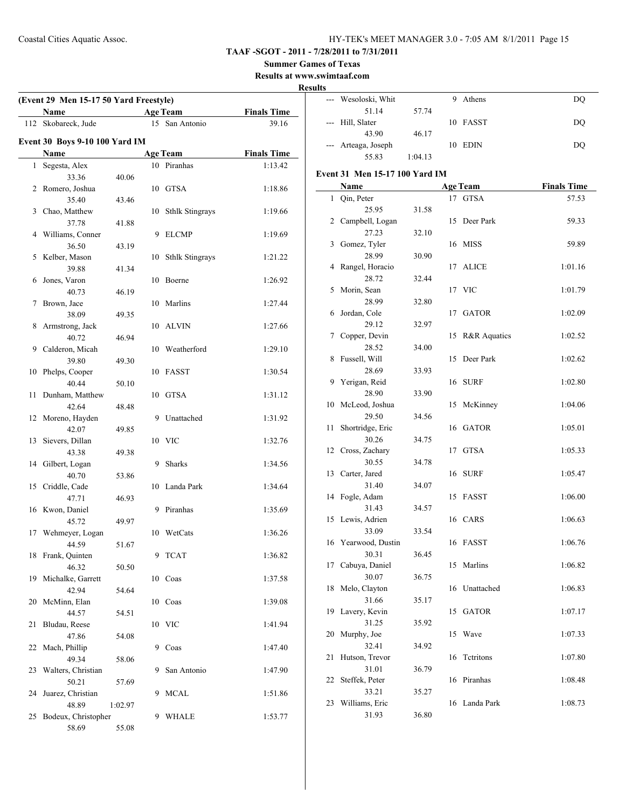#### **Summer Games of Texas**

**Results at www.swimtaaf.com**

#### **Results**

| (Event 29 Men 15-17 50 Yard Freestyle) |                                |         |    |                        |                    |  |
|----------------------------------------|--------------------------------|---------|----|------------------------|--------------------|--|
|                                        | Name                           |         |    | <b>Age Team</b>        | <b>Finals Time</b> |  |
| 112                                    | Skobareck, Jude                |         |    | 15 San Antonio         | 39.16              |  |
|                                        | Event 30 Boys 9-10 100 Yard IM |         |    |                        |                    |  |
|                                        | Name                           |         |    | <b>Age Team</b>        | <b>Finals Time</b> |  |
| 1                                      | Segesta, Alex                  |         |    | 10 Piranhas            | 1:13.42            |  |
|                                        | 33.36                          | 40.06   |    |                        |                    |  |
| 2                                      | Romero, Joshua                 |         |    | 10 GTSA                | 1:18.86            |  |
|                                        | 35.40                          | 43.46   |    |                        |                    |  |
| 3                                      | Chao, Matthew                  |         | 10 | <b>Sthlk Stingrays</b> | 1:19.66            |  |
|                                        | 37.78                          | 41.88   |    |                        |                    |  |
| 4                                      | Williams, Conner               |         | 9  | <b>ELCMP</b>           | 1:19.69            |  |
|                                        | 36.50                          | 43.19   |    |                        |                    |  |
| 5                                      | Kelber, Mason                  |         | 10 | <b>Sthlk Stingrays</b> | 1:21.22            |  |
|                                        | 39.88                          | 41.34   |    |                        |                    |  |
| 6                                      | Jones, Varon                   |         | 10 | Boerne                 | 1:26.92            |  |
|                                        | 40.73                          | 46.19   |    |                        |                    |  |
| 7                                      | Brown, Jace                    |         | 10 | Marlins                | 1:27.44            |  |
|                                        | 38.09                          | 49.35   |    |                        |                    |  |
| 8                                      | Armstrong, Jack                |         |    | 10 ALVIN               | 1:27.66            |  |
|                                        | 40.72                          | 46.94   |    |                        |                    |  |
| 9                                      | Calderon, Micah                |         |    | 10 Weatherford         | 1:29.10            |  |
|                                        | 39.80                          | 49.30   |    |                        |                    |  |
| 10                                     | Phelps, Cooper                 |         |    | 10 FASST               | 1:30.54            |  |
|                                        | 40.44                          | 50.10   |    |                        |                    |  |
| 11                                     | Dunham, Matthew                |         |    | 10 GTSA                | 1:31.12            |  |
|                                        | 42.64                          | 48.48   |    |                        |                    |  |
| 12                                     | Moreno, Hayden                 |         | 9  | Unattached             | 1:31.92            |  |
|                                        | 42.07                          | 49.85   |    |                        |                    |  |
| 13                                     | Sievers, Dillan                |         |    | 10 VIC                 | 1:32.76            |  |
|                                        | 43.38                          | 49.38   |    |                        |                    |  |
| 14                                     | Gilbert, Logan                 |         | 9  | <b>Sharks</b>          | 1:34.56            |  |
|                                        | 40.70                          | 53.86   |    |                        |                    |  |
| 15                                     | Criddle, Cade                  |         | 10 | Landa Park             | 1:34.64            |  |
|                                        | 47.71                          | 46.93   |    |                        |                    |  |
|                                        | 16 Kwon, Daniel                |         | 9  | Piranhas               | 1:35.69            |  |
|                                        | 45.72                          | 49.97   |    |                        |                    |  |
| 17                                     | Wehmeyer, Logan                |         |    | 10 WetCats             | 1:36.26            |  |
|                                        | 44.59                          | 51.67   |    |                        |                    |  |
| 18                                     | Frank, Quinten                 |         | 9  | <b>TCAT</b>            | 1:36.82            |  |
|                                        | 46.32                          | 50.50   |    |                        |                    |  |
| 19                                     | Michalke, Garrett              |         |    | 10 Coas                | 1:37.58            |  |
|                                        | 42.94                          | 54.64   |    |                        |                    |  |
| 20                                     | McMinn, Elan                   |         |    | 10 Coas                | 1:39.08            |  |
|                                        | 44.57                          | 54.51   |    |                        |                    |  |
| 21                                     | Bludau, Reese                  |         |    | 10 VIC                 | 1:41.94            |  |
|                                        | 47.86                          | 54.08   |    |                        |                    |  |
| 22                                     | Mach, Phillip                  |         | 9  | Coas                   | 1:47.40            |  |
|                                        | 49.34                          | 58.06   |    |                        |                    |  |
| 23                                     | Walters, Christian             |         | 9  | San Antonio            | 1:47.90            |  |
|                                        | 50.21                          | 57.69   |    |                        |                    |  |
| 24                                     | Juarez, Christian              |         | 9  | <b>MCAL</b>            | 1:51.86            |  |
|                                        | 48.89                          | 1:02.97 | 9  | WHALE                  |                    |  |
| 25                                     | Bodeux, Christopher<br>58.69   | 55.08   |    |                        | 1:53.77            |  |
|                                        |                                |         |    |                        |                    |  |

| w |                     |         |    |          |    |
|---|---------------------|---------|----|----------|----|
|   | --- Wesoloski, Whit |         | 9  | Athens   | DQ |
|   | 51.14               | 57.74   |    |          |    |
|   | --- Hill, Slater    |         |    | 10 FASST | DQ |
|   | 43.90               | 46.17   |    |          |    |
|   | --- Arteaga, Joseph |         | 10 | EDIN     | DQ |
|   | 55.83               | 1:04.13 |    |          |    |

#### **Event 31 Men 15-17 100 Yard IM**

|    | <b>Name</b>               |       |    | <b>Age Team</b> | <b>Finals Time</b> |
|----|---------------------------|-------|----|-----------------|--------------------|
| 1  | Qin, Peter                |       |    | 17 GTSA         | 57.53              |
|    | 25.95                     | 31.58 |    |                 |                    |
| 2  | Campbell, Logan           |       |    | 15 Deer Park    | 59.33              |
|    | 27.23                     | 32.10 |    |                 |                    |
| 3  | Gomez, Tyler              |       |    | 16 MISS         | 59.89              |
|    | 28.99                     | 30.90 |    |                 |                    |
| 4  | Rangel, Horacio           |       |    | 17 ALICE        | 1:01.16            |
|    | 28.72                     | 32.44 |    |                 |                    |
| 5  | Morin, Sean               |       |    | 17 VIC          | 1:01.79            |
|    | 28.99                     | 32.80 |    |                 |                    |
| 6  | Jordan, Cole              |       | 17 | <b>GATOR</b>    | 1:02.09            |
|    | 29.12                     | 32.97 |    |                 |                    |
| 7  | Copper, Devin             |       |    | 15 R&R Aquatics | 1:02.52            |
|    | 28.52                     | 34.00 |    |                 |                    |
| 8  | Fussell, Will             |       | 15 | Deer Park       | 1:02.62            |
|    | 28.69                     | 33.93 |    |                 |                    |
| 9  | Yerigan, Reid             |       |    | 16 SURF         | 1:02.80            |
|    | 28.90                     | 33.90 |    |                 |                    |
| 10 | McLeod, Joshua            |       |    | 15 McKinney     | 1:04.06            |
|    | 29.50                     | 34.56 |    |                 |                    |
| 11 | Shortridge, Eric<br>30.26 |       |    | 16 GATOR        | 1:05.01            |
| 12 |                           | 34.75 | 17 | <b>GTSA</b>     |                    |
|    | Cross, Zachary<br>30.55   | 34.78 |    |                 | 1:05.33            |
|    | 13 Carter, Jared          |       | 16 | <b>SURF</b>     | 1:05.47            |
|    | 31.40                     | 34.07 |    |                 |                    |
| 14 | Fogle, Adam               |       |    | 15 FASST        | 1:06.00            |
|    | 31.43                     | 34.57 |    |                 |                    |
| 15 | Lewis, Adrien             |       |    | 16 CARS         | 1:06.63            |
|    | 33.09                     | 33.54 |    |                 |                    |
|    | 16 Yearwood, Dustin       |       |    | 16 FASST        | 1:06.76            |
|    | 30.31                     | 36.45 |    |                 |                    |
| 17 | Cabuya, Daniel            |       |    | 15 Marlins      | 1:06.82            |
|    | 30.07                     | 36.75 |    |                 |                    |
| 18 | Melo, Clayton             |       |    | 16 Unattached   | 1:06.83            |
|    | 31.66                     | 35.17 |    |                 |                    |
| 19 | Lavery, Kevin             |       |    | 15 GATOR        | 1:07.17            |
|    | 31.25                     | 35.92 |    |                 |                    |
|    | 20 Murphy, Joe            |       |    | 15 Wave         | 1:07.33            |
|    | 32.41                     | 34.92 |    |                 |                    |
| 21 | Hutson, Trevor            |       |    | 16 Tetritons    | 1:07.80            |
|    | 31.01                     | 36.79 |    |                 |                    |
| 22 | Steffek, Peter            |       | 16 | Piranhas        | 1:08.48            |
|    | 33.21                     | 35.27 |    |                 |                    |
| 23 | Williams, Eric            |       |    | 16 Landa Park   | 1:08.73            |
|    | 31.93                     | 36.80 |    |                 |                    |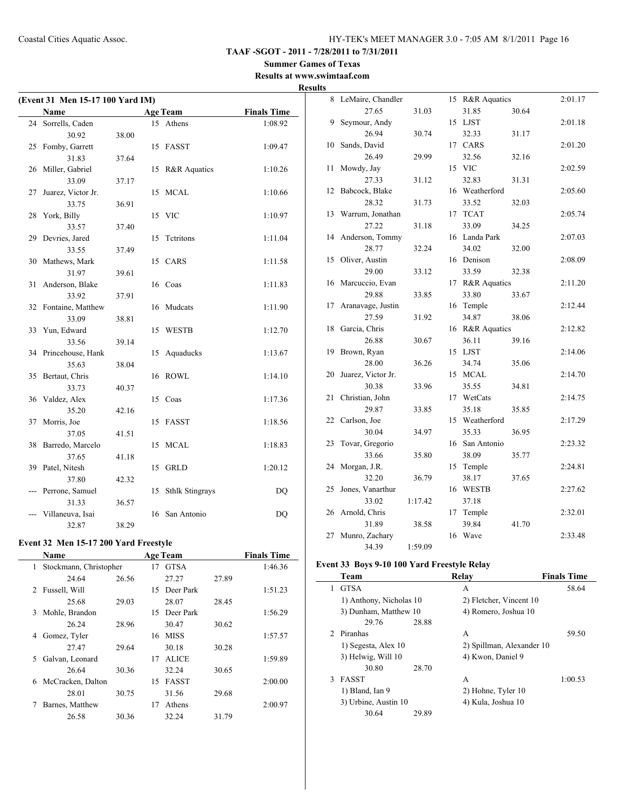**TAAF -SGOT - 2011 - 7/28/2011 to 7/31/2011**

**Summer Games of Texas Results at www.swimtaaf.com**

# **Results**

| (Event 31 Men 15-17 100 Yard IM) |                          |       |    |                        |                    |  |  |
|----------------------------------|--------------------------|-------|----|------------------------|--------------------|--|--|
|                                  | Name                     |       |    | <b>Age Team</b>        | <b>Finals Time</b> |  |  |
| 24                               | Sorrells, Caden          |       |    | 15 Athens              | 1:08.92            |  |  |
|                                  | 30.92                    | 38.00 |    |                        |                    |  |  |
| 25                               | Fomby, Garrett           |       | 15 | <b>FASST</b>           | 1:09.47            |  |  |
|                                  | 31.83                    | 37.64 |    |                        |                    |  |  |
| 26                               | Miller, Gabriel          |       | 15 | R&R Aquatics           | 1:10.26            |  |  |
|                                  | 33.09                    | 37.17 |    |                        |                    |  |  |
| 27                               | Juarez, Victor Jr.       |       | 15 | MCAL                   | 1:10.66            |  |  |
|                                  | 33.75                    | 36.91 |    |                        |                    |  |  |
| 28                               | York, Billy              |       |    | 15 VIC                 | 1:10.97            |  |  |
|                                  | 33.57                    | 37.40 |    |                        |                    |  |  |
| 29                               | Devries, Jared           |       | 15 | Tetritons              | 1:11.04            |  |  |
|                                  | 33.55                    | 37.49 |    |                        |                    |  |  |
| 30                               | Mathews, Mark            |       |    | 15 CARS                | 1:11.58            |  |  |
|                                  | 31.97                    | 39.61 |    |                        |                    |  |  |
| 31                               | Anderson, Blake          |       |    | 16 Coas                | 1:11.83            |  |  |
|                                  | 33.92                    | 37.91 |    |                        |                    |  |  |
| 32                               | Fontaine, Matthew        |       | 16 | Mudcats                | 1:11.90            |  |  |
|                                  | 33.09                    | 38.81 |    |                        |                    |  |  |
| 33                               | Yun, Edward              |       | 15 | <b>WESTB</b>           | 1:12.70            |  |  |
|                                  | 33.56                    | 39.14 |    |                        |                    |  |  |
| 34                               | Princehouse, Hank        |       | 15 | Aquaducks              | 1:13.67            |  |  |
|                                  | 35.63                    | 38.04 |    |                        |                    |  |  |
| 35                               | Bertaut, Chris           |       | 16 | <b>ROWL</b>            | 1:14.10            |  |  |
|                                  | 33.73                    | 40.37 |    |                        |                    |  |  |
| 36                               | Valdez, Alex             |       |    | 15 Coas                | 1:17.36            |  |  |
|                                  | 35.20                    | 42.16 |    |                        |                    |  |  |
| 37                               | Morris, Joe              |       | 15 | <b>FASST</b>           | 1:18.56            |  |  |
|                                  | 37.05                    | 41.51 |    |                        |                    |  |  |
| 38                               | Barredo, Marcelo         |       | 15 | <b>MCAL</b>            | 1:18.83            |  |  |
|                                  | 37.65                    | 41.18 |    |                        |                    |  |  |
| 39                               | Patel, Nitesh<br>37.80   |       | 15 | <b>GRLD</b>            | 1:20.12            |  |  |
|                                  |                          | 42.32 |    |                        |                    |  |  |
|                                  | Perrone, Samuel<br>31.33 | 36.57 | 15 | <b>Sthlk Stingrays</b> | DQ                 |  |  |
|                                  | Villaneuva, Isai         |       | 16 | San Antonio            | DQ                 |  |  |
|                                  | 32.87                    | 38.29 |    |                        |                    |  |  |
|                                  |                          |       |    |                        |                    |  |  |

#### **Event 32 Men 15-17 200 Yard Freestyle**

|    | <b>Name</b>            |       |    | <b>Age Team</b> |       | <b>Finals Time</b> |
|----|------------------------|-------|----|-----------------|-------|--------------------|
| 1  | Stockmann, Christopher |       | 17 | <b>GTSA</b>     |       | 1:46.36            |
|    | 24.64                  | 26.56 |    | 27.27           | 27.89 |                    |
| 2  | Fussell, Will          |       | 15 | Deer Park       |       | 1:51.23            |
|    | 25.68                  | 29.03 |    | 28.07           | 28.45 |                    |
| 3  | Mohle, Brandon         |       | 15 | Deer Park       |       | 1:56.29            |
|    | 26.24                  | 28.96 |    | 30.47           | 30.62 |                    |
| 4  | Gomez, Tyler           |       | 16 | <b>MISS</b>     |       | 1:57.57            |
|    | 27.47                  | 29.64 |    | 30.18           | 30.28 |                    |
| 5. | Galvan, Leonard        |       | 17 | <b>ALICE</b>    |       | 1:59.89            |
|    | 26.64                  | 30.36 |    | 32.24           | 30.65 |                    |
| 6  | McCracken, Dalton      |       | 15 | <b>FASST</b>    |       | 2:00.00            |
|    | 28.01                  | 30.75 |    | 31.56           | 29.68 |                    |
| 7  | Barnes, Matthew        |       | 17 | Athens          |       | 2:00.97            |
|    | 26.58                  | 30.36 |    | 32.24           | 31.79 |                    |
|    |                        |       |    |                 |       |                    |

|    | 8 LeMaire, Chandler     |         |    | 15 R&R Aquatics |       | 2:01.17 |
|----|-------------------------|---------|----|-----------------|-------|---------|
|    | 27.65                   | 31.03   |    | 31.85           | 30.64 |         |
| 9  | Seymour, Andy           |         |    | 15 LJST         |       | 2:01.18 |
|    | 26.94                   | 30.74   |    | 32.33           | 31.17 |         |
| 10 | Sands, David            |         |    | 17 CARS         |       | 2:01.20 |
|    | 26.49                   | 29.99   |    | 32.56           | 32.16 |         |
| 11 | Mowdy, Jay              |         |    | 15 VIC          |       | 2:02.59 |
|    | 27.33                   | 31.12   |    | 32.83           | 31.31 |         |
| 12 | Babcock, Blake          |         |    | 16 Weatherford  |       | 2:05.60 |
|    | 28.32                   | 31.73   |    | 33.52           | 32.03 |         |
| 13 | Warrum, Jonathan        |         | 17 | <b>TCAT</b>     |       | 2:05.74 |
|    | 27.22                   | 31.18   |    | 33.09           | 34.25 |         |
| 14 | Anderson, Tommy         |         |    | 16 Landa Park   |       | 2:07.03 |
|    | 28.77                   | 32.24   |    | 34.02           | 32.00 |         |
| 15 | Oliver, Austin          |         |    | 16 Denison      |       | 2:08.09 |
|    | 29.00                   | 33.12   |    | 33.59           | 32.38 |         |
| 16 | Marcuccio, Evan         |         |    | 17 R&R Aquatics |       | 2:11.20 |
|    | 29.88                   | 33.85   |    | 33.80           | 33.67 |         |
| 17 | Aranavage, Justin       |         |    | 16 Temple       |       | 2:12.44 |
|    | 27.59                   | 31.92   |    | 34.87           | 38.06 |         |
| 18 | Garcia, Chris           |         |    | 16 R&R Aquatics |       | 2:12.82 |
|    | 26.88                   | 30.67   |    | 36.11           | 39.16 |         |
| 19 | Brown, Ryan             |         |    | 15 LJST         |       | 2:14.06 |
|    | 28.00                   | 36.26   |    | 34.74           | 35.06 |         |
| 20 | Juarez, Victor Jr.      |         | 15 | <b>MCAL</b>     |       | 2:14.70 |
|    | 30.38                   | 33.96   |    | 35.55           | 34.81 |         |
| 21 | Christian, John         |         | 17 | WetCats         |       | 2:14.75 |
|    | 29.87                   | 33.85   |    | 35.18           | 35.85 |         |
| 22 | Carlson, Joe            |         |    | 15 Weatherford  |       | 2:17.29 |
|    | 30.04                   | 34.97   |    | 35.33           | 36.95 |         |
| 23 | Tovar, Gregorio         |         |    | 16 San Antonio  |       | 2:23.32 |
|    | 33.66                   | 35.80   |    | 38.09           | 35.77 |         |
| 24 | Morgan, J.R.            |         | 15 | Temple          |       | 2:24.81 |
|    | 32.20                   | 36.79   |    | 38.17           | 37.65 |         |
| 25 | Jones, Vanarthur        |         |    | 16 WESTB        |       | 2:27.62 |
|    | 33.02                   | 1:17.42 |    | 37.18           |       |         |
| 26 | Arnold, Chris           |         |    | 17 Temple       |       | 2:32.01 |
|    |                         |         |    |                 |       |         |
|    | 31.89                   | 38.58   |    | 39.84           | 41.70 |         |
| 27 | Munro, Zachary<br>34.39 | 1:59.09 | 16 | Wave            |       | 2:33.48 |

#### **Event 33 Boys 9-10 100 Yard Freestyle Relay**

|             | Team                    | Relav                     | <b>Finals Time</b> |
|-------------|-------------------------|---------------------------|--------------------|
| 1           | <b>GTSA</b>             | А                         | 58.64              |
|             | 1) Anthony, Nicholas 10 | 2) Fletcher, Vincent 10   |                    |
|             | 3) Dunham, Matthew 10   | 4) Romero, Joshua 10      |                    |
|             | 29.76                   | 28.88                     |                    |
| $2^{\circ}$ | Piranhas                | А                         | 59.50              |
|             | 1) Segesta, Alex 10     | 2) Spillman, Alexander 10 |                    |
|             | 3) Helwig, Will 10      | 4) Kwon, Daniel 9         |                    |
|             | 30.80                   | 28.70                     |                    |
| 3           | <b>FASST</b>            | A                         | 1:00.53            |
|             | 1) Bland, Ian 9         | 2) Hohne, Tyler 10        |                    |
|             | 3) Urbine, Austin 10    | 4) Kula, Joshua 10        |                    |
|             | 30.64                   | 29.89                     |                    |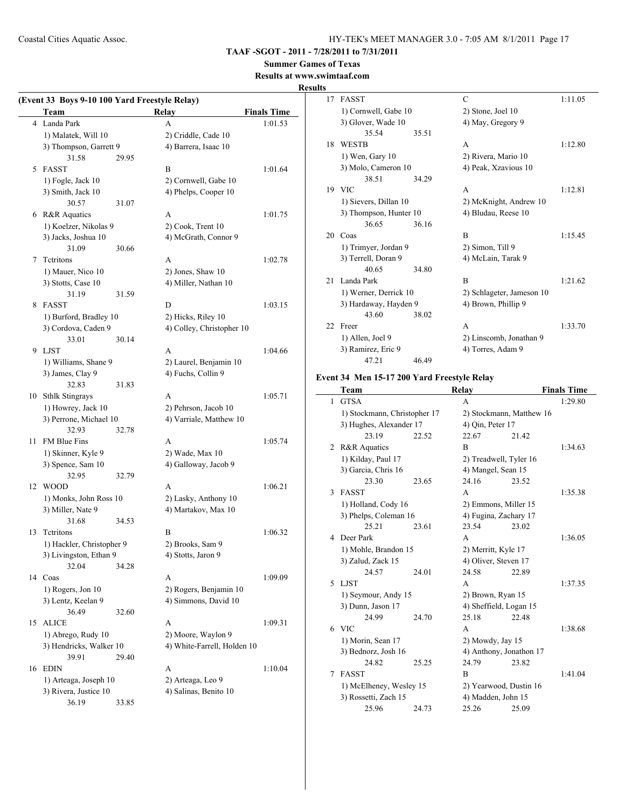# **TAAF -SGOT - 2011 - 7/28/2011 to 7/31/2011**

# **Summer Games of Texas**

**Results at www.swimtaaf.com**

#### **Results**

 $\frac{1}{2}$ 

|    | (Event 33 Boys 9-10 100 Yard Freestyle Relay)<br>Team |       | Relay                       | <b>Finals Time</b> |
|----|-------------------------------------------------------|-------|-----------------------------|--------------------|
|    | 4 Landa Park                                          |       | A                           | 1:01.53            |
|    | 1) Malatek, Will 10                                   |       | 2) Criddle, Cade 10         |                    |
|    | 3) Thompson, Garrett 9                                |       | 4) Barrera, Isaac 10        |                    |
|    | 31.58                                                 | 29.95 |                             |                    |
|    | 5 FASST                                               |       | B                           | 1:01.64            |
|    | 1) Fogle, Jack 10                                     |       | 2) Cornwell, Gabe 10        |                    |
|    | 3) Smith, Jack 10                                     |       | 4) Phelps, Cooper 10        |                    |
|    | 30.57                                                 | 31.07 |                             |                    |
|    | 6 R&R Aquatics                                        |       | A                           | 1:01.75            |
|    | 1) Koelzer, Nikolas 9                                 |       | 2) Cook, Trent 10           |                    |
|    | 3) Jacks, Joshua 10                                   |       | 4) McGrath, Connor 9        |                    |
|    | 31.09                                                 | 30.66 |                             |                    |
| 7  | Tetritons                                             |       | A                           | 1:02.78            |
|    | 1) Mauer, Nico 10                                     |       | 2) Jones, Shaw 10           |                    |
|    | 3) Stotts, Case 10                                    |       | 4) Miller, Nathan 10        |                    |
|    | 31.19                                                 | 31.59 |                             |                    |
| 8  | <b>FASST</b>                                          |       | D                           | 1:03.15            |
|    | 1) Burford, Bradley 10                                |       | 2) Hicks, Riley 10          |                    |
|    | 3) Cordova, Caden 9                                   |       | 4) Colley, Christopher 10   |                    |
|    | 33.01                                                 | 30.14 |                             |                    |
| 9  | LJST                                                  |       | A                           | 1:04.66            |
|    | 1) Williams, Shane 9                                  |       | 2) Laurel, Benjamin 10      |                    |
|    | 3) James, Clay 9                                      |       | 4) Fuchs, Collin 9          |                    |
|    | 32.83                                                 | 31.83 |                             |                    |
| 10 | <b>Sthlk Stingrays</b>                                |       | A                           | 1:05.71            |
|    | 1) Howrey, Jack 10                                    |       | 2) Pehrson, Jacob 10        |                    |
|    | 3) Perrone, Michael 10                                |       | 4) Varriale, Matthew 10     |                    |
|    | 32.93                                                 | 32.78 |                             |                    |
| 11 | FM Blue Fins                                          |       | A                           | 1:05.74            |
|    | 1) Skinner, Kyle 9                                    |       | 2) Wade, Max 10             |                    |
|    | 3) Spence, Sam 10                                     |       | 4) Galloway, Jacob 9        |                    |
|    | 32.95                                                 | 32.79 |                             |                    |
| 12 | <b>WOOD</b>                                           |       | A                           | 1:06.21            |
|    | 1) Monks, John Ross 10                                |       | 2) Lasky, Anthony 10        |                    |
|    | 3) Miller, Nate 9                                     |       | 4) Martakov, Max 10         |                    |
|    | 31.68                                                 | 34.53 |                             |                    |
| 13 | Tetritons                                             |       | B                           | 1:06.32            |
|    | 1) Hackler, Christopher 9                             |       | 2) Brooks, Sam 9            |                    |
|    | 3) Livingston, Ethan 9                                |       | 4) Stotts, Jaron 9          |                    |
|    | 32.04                                                 | 34.28 |                             |                    |
| 14 | Coas                                                  |       | A                           | 1:09.09            |
|    | 1) Rogers, Jon 10                                     |       | 2) Rogers, Benjamin 10      |                    |
|    | 3) Lentz, Keelan 9                                    |       | 4) Simmons, David 10        |                    |
|    | 36.49                                                 | 32.60 |                             |                    |
| 15 | <b>ALICE</b>                                          |       | A                           | 1:09.31            |
|    | 1) Abrego, Rudy 10                                    |       | 2) Moore, Waylon 9          |                    |
|    | 3) Hendricks, Walker 10                               |       | 4) White-Farrell, Holden 10 |                    |
|    | 39.91                                                 | 29.40 |                             |                    |
| 16 | <b>EDIN</b>                                           |       | A                           | 1:10.04            |
|    | 1) Arteaga, Joseph 10                                 |       | 2) Arteaga, Leo 9           |                    |
|    | 3) Rivera, Justice 10                                 |       | 4) Salinas, Benito 10       |                    |
|    | 36.19                                                 | 33.85 |                             |                    |

| ì   |                        |       |                           |         |  |
|-----|------------------------|-------|---------------------------|---------|--|
| 17  | <b>FASST</b>           |       | C                         | 1:11.05 |  |
|     | 1) Cornwell, Gabe 10   |       | 2) Stone, Joel 10         |         |  |
|     | 3) Glover, Wade 10     |       | 4) May, Gregory 9         |         |  |
|     | 35.54                  | 35.51 |                           |         |  |
| 18  | <b>WESTB</b>           |       | A                         | 1:12.80 |  |
|     | 1) Wen, Gary 10        |       | 2) Rivera, Mario 10       |         |  |
|     | 3) Molo, Cameron 10    |       | 4) Peak, Xzavious 10      |         |  |
|     | 38.51                  | 34.29 |                           |         |  |
|     | 19 VIC                 |       | A                         | 1:12.81 |  |
|     | 1) Sievers, Dillan 10  |       | 2) McKnight, Andrew 10    |         |  |
|     | 3) Thompson, Hunter 10 |       | 4) Bludau, Reese 10       |         |  |
|     | 36.65                  | 36.16 |                           |         |  |
| 20  | Coas                   |       | B                         | 1:15.45 |  |
|     | 1) Trimyer, Jordan 9   |       | 2) Simon, Till 9          |         |  |
|     | 3) Terrell, Doran 9    |       | 4) McLain, Tarak 9        |         |  |
|     | 40.65                  | 34.80 |                           |         |  |
| 21  | Landa Park             |       | B                         | 1:21.62 |  |
|     | 1) Werner, Derrick 10  |       | 2) Schlageter, Jameson 10 |         |  |
|     | 3) Hardaway, Hayden 9  |       | 4) Brown, Phillip 9       |         |  |
|     | 43.60                  | 38.02 |                           |         |  |
| 22. | Freer                  |       | A                         | 1:33.70 |  |
|     | 1) Allen, Joel 9       |       | 2) Linscomb, Jonathan 9   |         |  |
|     | 3) Ramirez, Eric 9     |       | 4) Torres, Adam 9         |         |  |
|     | 47.21                  | 46.49 |                           |         |  |

#### **Event 34 Men 15-17 200 Yard Freestyle Relay**

|   | Team                         |       | <b>Relay</b>             |       | <b>Finals Time</b> |
|---|------------------------------|-------|--------------------------|-------|--------------------|
| 1 | <b>GTSA</b>                  |       | A                        |       | 1:29.80            |
|   | 1) Stockmann, Christopher 17 |       | 2) Stockmann, Matthew 16 |       |                    |
|   | 3) Hughes, Alexander 17      |       | 4) Qin, Peter 17         |       |                    |
|   | 23.19                        | 22.52 | 22.67                    | 21.42 |                    |
| 2 | R&R Aquatics                 |       | B                        |       | 1:34.63            |
|   | 1) Kilday, Paul 17           |       | 2) Treadwell, Tyler 16   |       |                    |
|   | 3) Garcia, Chris 16          |       | 4) Mangel, Sean 15       |       |                    |
|   | 23.30                        | 23.65 | 24.16                    | 23.52 |                    |
| 3 | <b>FASST</b>                 |       | A                        |       | 1:35.38            |
|   | 1) Holland, Cody 16          |       | 2) Emmons, Miller 15     |       |                    |
|   | 3) Phelps, Coleman 16        |       | 4) Fugina, Zachary 17    |       |                    |
|   | 25.21                        | 23.61 | 23.54                    | 23.02 |                    |
| 4 | Deer Park                    |       | A                        |       | 1:36.05            |
|   | 1) Mohle, Brandon 15         |       | 2) Merritt, Kyle 17      |       |                    |
|   | 3) Zalud, Zack 15            |       | 4) Oliver, Steven 17     |       |                    |
|   | 24.57                        | 24.01 | 24.58                    | 22.89 |                    |
| 5 | <b>LIST</b>                  |       | A                        |       | 1:37.35            |
|   | 1) Seymour, Andy 15          |       | 2) Brown, Ryan 15        |       |                    |
|   | 3) Dunn, Jason 17            |       | 4) Sheffield, Logan 15   |       |                    |
|   | 24.99                        | 24.70 | 25.18                    | 22.48 |                    |
| 6 | <b>VIC</b>                   |       | A                        |       | 1:38.68            |
|   | 1) Morin, Sean 17            |       | 2) Mowdy, Jay 15         |       |                    |
|   | 3) Bednorz, Josh 16          |       | 4) Anthony, Jonathon 17  |       |                    |
|   | 24.82                        | 25.25 | 24.79                    | 23.82 |                    |
| 7 | <b>FASST</b>                 |       | B                        |       | 1:41.04            |
|   | 1) McElheney, Wesley 15      |       | 2) Yearwood, Dustin 16   |       |                    |
|   | 3) Rossetti, Zach 15         |       | 4) Madden, John 15       |       |                    |
|   | 25.96                        | 24.73 | 25.26                    | 25.09 |                    |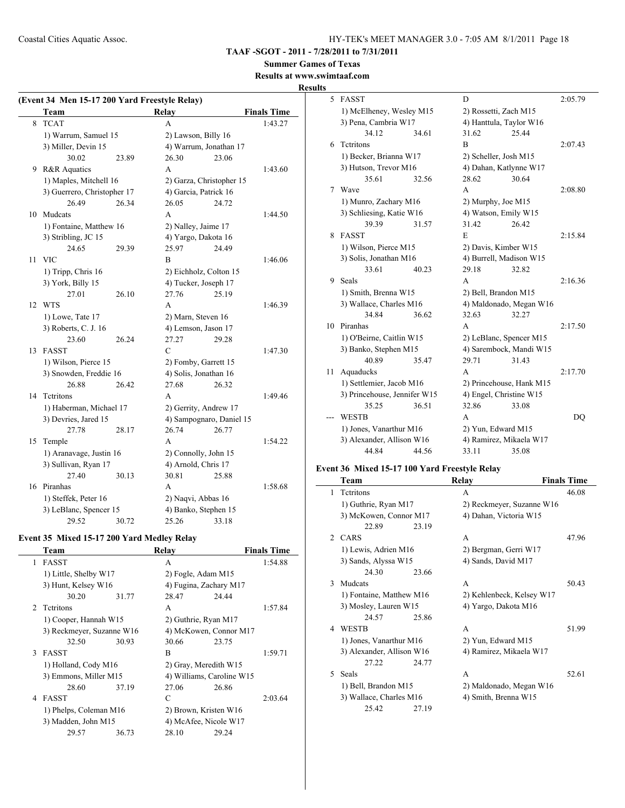**TAAF -SGOT - 2011 - 7/28/2011 to 7/31/2011**

**Summer Games of Texas**

### **Results at www.swimtaaf.com**

**Results**

|    | (Event 34 Men 15-17 200 Yard Freestyle Relay) |       |                          |       |                    |
|----|-----------------------------------------------|-------|--------------------------|-------|--------------------|
|    | Team                                          |       | Relay                    |       | <b>Finals Time</b> |
| 8  | <b>TCAT</b>                                   |       | A                        |       | 1:43.27            |
|    | 1) Warrum, Samuel 15                          |       | 2) Lawson, Billy 16      |       |                    |
|    | 3) Miller, Devin 15                           |       | 4) Warrum, Jonathan 17   |       |                    |
|    | 30.02                                         | 23.89 | 26.30                    | 23.06 |                    |
| 9  | R&R Aquatics                                  |       | A                        |       | 1:43.60            |
|    | 1) Maples, Mitchell 16                        |       | 2) Garza, Christopher 15 |       |                    |
|    | 3) Guerrero, Christopher 17                   |       | 4) Garcia, Patrick 16    |       |                    |
|    | 26.49                                         | 26.34 | 26.05                    | 24.72 |                    |
| 10 | Mudcats                                       |       | A                        |       | 1:44.50            |
|    | 1) Fontaine, Matthew 16                       |       | 2) Nalley, Jaime 17      |       |                    |
|    | 3) Stribling, JC 15                           |       | 4) Yargo, Dakota 16      |       |                    |
|    | 24.65                                         | 29.39 | 25.97                    | 24.49 |                    |
| 11 | <b>VIC</b>                                    |       | B                        |       | 1:46.06            |
|    | 1) Tripp, Chris 16                            |       | 2) Eichholz, Colton 15   |       |                    |
|    | 3) York, Billy 15                             |       | 4) Tucker, Joseph 17     |       |                    |
|    | 27.01                                         | 26.10 | 27.76                    | 25.19 |                    |
| 12 | <b>WTS</b>                                    |       | A                        |       | 1:46.39            |
|    | 1) Lowe, Tate 17                              |       | 2) Marn, Steven 16       |       |                    |
|    | 3) Roberts, C. J. 16                          |       | 4) Lemson, Jason 17      |       |                    |
|    | 23.60                                         | 26.24 | 27.27                    | 29.28 |                    |
| 13 | <b>FASST</b>                                  |       | $\mathcal{C}$            |       | 1:47.30            |
|    | 1) Wilson, Pierce 15                          |       | 2) Fomby, Garrett 15     |       |                    |
|    | 3) Snowden, Freddie 16                        |       | 4) Solis, Jonathan 16    |       |                    |
|    | 26.88                                         | 26.42 | 27.68                    | 26.32 |                    |
| 14 | Tetritons                                     |       | A                        |       | 1:49.46            |
|    | 1) Haberman, Michael 17                       |       | 2) Gerrity, Andrew 17    |       |                    |
|    | 3) Devries, Jared 15                          |       | 4) Sampognaro, Daniel 15 |       |                    |
|    | 27.78                                         | 28.17 | 26.74                    | 26.77 |                    |
| 15 | Temple                                        |       | A                        |       | 1:54.22            |
|    | 1) Aranavage, Justin 16                       |       | 2) Connolly, John 15     |       |                    |
|    | 3) Sullivan, Ryan 17                          |       | 4) Arnold, Chris 17      |       |                    |
|    | 27.40                                         | 30.13 | 30.81                    | 25.88 |                    |
|    | 16 Piranhas                                   |       | A                        |       | 1:58.68            |
|    | 1) Steffek, Peter 16                          |       | 2) Naqvi, Abbas 16       |       |                    |
|    | 3) LeBlanc, Spencer 15                        |       | 4) Banko, Stephen 15     |       |                    |
|    | 29.52                                         | 30.72 | 25.26                    | 33.18 |                    |
|    | Event 35 Mixed 15-17 200 Yard Medley Relay    |       |                          |       |                    |

|   | Team                      |       | Relav                     |       | <b>Finals Time</b> |
|---|---------------------------|-------|---------------------------|-------|--------------------|
| 1 | <b>FASST</b>              |       | A                         |       | 1:54.88            |
|   | 1) Little, Shelby W17     |       | 2) Fogle, Adam M15        |       |                    |
|   | 3) Hunt, Kelsey W16       |       | 4) Fugina, Zachary M17    |       |                    |
|   | 30.20                     | 31.77 | 28.47                     | 24.44 |                    |
|   | 2 Tetritons               |       | A                         |       | 1:57.84            |
|   | 1) Cooper, Hannah W15     |       | 2) Guthrie, Ryan M17      |       |                    |
|   | 3) Reckmeyer, Suzanne W16 |       | 4) McKowen, Connor M17    |       |                    |
|   | 32.50                     | 30.93 | 30.66                     | 23.75 |                    |
| 3 | <b>FASST</b>              |       | B                         |       | 1:59.71            |
|   | 1) Holland, Cody M16      |       | 2) Gray, Meredith W15     |       |                    |
|   | 3) Emmons, Miller M15     |       | 4) Williams, Caroline W15 |       |                    |
|   | 28.60                     | 37.19 | 27.06                     | 26.86 |                    |
| 4 | <b>FASST</b>              |       | C                         |       | 2:03.64            |
|   | 1) Phelps, Coleman M16    |       | 2) Brown, Kristen W16     |       |                    |
|   | 3) Madden, John M15       |       | 4) McAfee, Nicole W17     |       |                    |
|   | 29.57                     | 36.73 | 28.10                     | 29.24 |                    |
|   |                           |       |                           |       |                    |

| 5  | FASST                        |       | D                       |                          | 2:05.79 |
|----|------------------------------|-------|-------------------------|--------------------------|---------|
|    | 1) McElheney, Wesley M15     |       | 2) Rossetti, Zach M15   |                          |         |
|    | 3) Pena, Cambria W17         |       | 4) Hanttula, Taylor W16 |                          |         |
|    | 34.12                        | 34.61 | 31.62                   | 25.44                    |         |
| 6  | Tetritons                    |       | B                       |                          | 2:07.43 |
|    | 1) Becker, Brianna W17       |       | 2) Scheller, Josh M15   |                          |         |
|    | 3) Hutson, Trevor M16        |       | 4) Dahan, Katlynne W17  |                          |         |
|    | 35.61                        | 32.56 | 28.62                   | 30.64                    |         |
| 7  | Wave                         |       | A                       |                          | 2:08.80 |
|    | 1) Munro, Zachary M16        |       | 2) Murphy, Joe M15      |                          |         |
|    | 3) Schliesing, Katie W16     |       | 4) Watson, Emily W15    |                          |         |
|    | 39.39                        | 31.57 | 31.42                   | 26.42                    |         |
| 8  | <b>FASST</b>                 |       | E                       |                          | 2:15.84 |
|    | 1) Wilson, Pierce M15        |       | 2) Davis, Kimber W15    |                          |         |
|    | 3) Solis, Jonathan M16       |       | 4) Burrell, Madison W15 |                          |         |
|    | 33.61                        | 40.23 | 29.18                   | 32.82                    |         |
| 9  | Seals                        |       | A                       |                          | 2:16.36 |
|    | 1) Smith, Brenna W15         |       | 2) Bell, Brandon M15    |                          |         |
|    | 3) Wallace, Charles M16      |       | 4) Maldonado, Megan W16 |                          |         |
|    | 34.84                        | 36.62 | 32.63                   | 32.27                    |         |
| 10 | Piranhas                     |       | A                       |                          | 2:17.50 |
|    | 1) O'Beirne, Caitlin W15     |       |                         | 2) LeBlanc, Spencer M15  |         |
|    | 3) Banko, Stephen M15        |       |                         | 4) Sarembock, Mandi W15  |         |
|    | 40.89                        | 35.47 | 29.71                   | 31.43                    |         |
| 11 | Aquaducks                    |       | A                       |                          | 2:17.70 |
|    | 1) Settlemier, Jacob M16     |       |                         | 2) Princehouse, Hank M15 |         |
|    | 3) Princehouse, Jennifer W15 |       | 4) Engel, Christine W15 |                          |         |
|    | 35.25                        | 36.51 | 32.86                   | 33.08                    |         |
|    | <b>WESTB</b>                 |       | A                       |                          | DO      |
|    | 1) Jones, Vanarthur M16      |       | 2) Yun, Edward M15      |                          |         |
|    | 3) Alexander, Allison W16    |       |                         | 4) Ramirez, Mikaela W17  |         |
|    | 44.84                        | 44.56 | 33.11                   | 35.08                    |         |

#### **Event 36 Mixed 15-17 100 Yard Freestyle Relay**

|               | Team                      |       | Relay                     | <b>Finals Time</b> |  |
|---------------|---------------------------|-------|---------------------------|--------------------|--|
| 1             | Tetritons                 |       | A                         | 46.08              |  |
|               | 1) Guthrie, Ryan M17      |       | 2) Reckmeyer, Suzanne W16 |                    |  |
|               | 3) McKowen, Connor M17    |       | 4) Dahan, Victoria W15    |                    |  |
|               | 22.89                     | 23.19 |                           |                    |  |
| $\mathcal{D}$ | CARS                      |       | A                         | 47.96              |  |
|               | 1) Lewis, Adrien M16      |       | 2) Bergman, Gerri W17     |                    |  |
|               | 3) Sands, Alyssa W15      |       | 4) Sands, David M17       |                    |  |
|               | 24.30                     | 23.66 |                           |                    |  |
| 3             | Mudcats                   |       | A                         | 50.43              |  |
|               | 1) Fontaine, Matthew M16  |       | 2) Kehlenbeck, Kelsey W17 |                    |  |
|               | 3) Mosley, Lauren W15     |       | 4) Yargo, Dakota M16      |                    |  |
|               | 24.57                     | 25.86 |                           |                    |  |
| 4             | <b>WESTB</b>              |       | A                         | 51.99              |  |
|               | 1) Jones, Vanarthur M16   |       | 2) Yun, Edward M15        |                    |  |
|               | 3) Alexander, Allison W16 |       | 4) Ramirez, Mikaela W17   |                    |  |
|               | 27.22                     | 24.77 |                           |                    |  |
| 5.            | <b>Seals</b>              |       | A                         | 52.61              |  |
|               | 1) Bell, Brandon M15      |       | 2) Maldonado, Megan W16   |                    |  |
|               | 3) Wallace, Charles M16   |       | 4) Smith, Brenna W15      |                    |  |
|               | 25.42                     | 27.19 |                           |                    |  |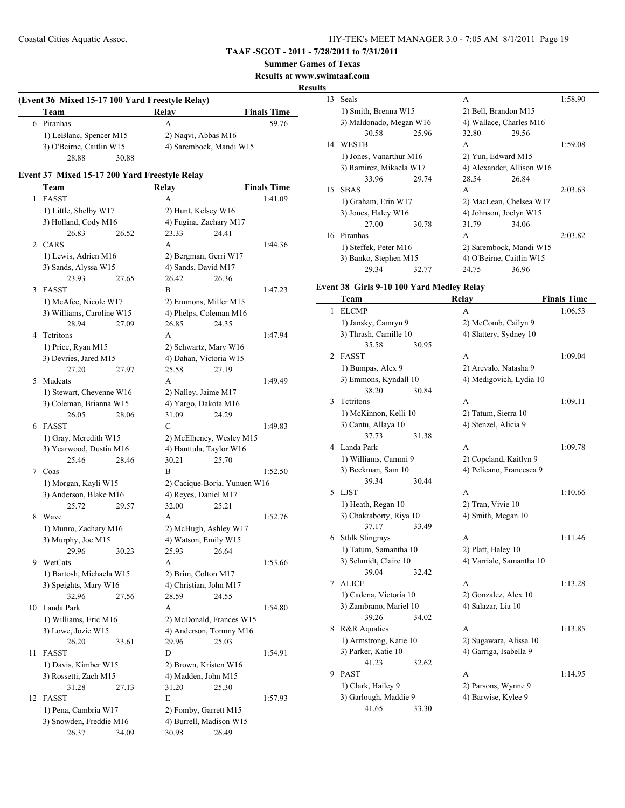**Summer Games of Texas**

**Results at www.swimtaaf.com**

#### **Results**

### **(Event 36 Mixed 15-17 100 Yard Freestyle Relay) Team Relay Finals Time** 6 Piranhas A 59.76 1) LeBlanc, Spencer M15 2) Naqvi, Abbas M16 3) O'Beirne, Caitlin W15 4) Sarembock, Mandi W15 28.88 30.88

# **Event 37 Mixed 15-17 200 Yard Freestyle Relay**

|    | Team                      |       | Relay                        |       | <b>Finals Time</b> |
|----|---------------------------|-------|------------------------------|-------|--------------------|
| 1  | <b>FASST</b>              |       | A                            |       | 1:41.09            |
|    | 1) Little, Shelby W17     |       | 2) Hunt, Kelsey W16          |       |                    |
|    | 3) Holland, Cody M16      |       | 4) Fugina, Zachary M17       |       |                    |
|    | 26.83                     | 26.52 | 23.33                        | 24.41 |                    |
|    | 2 CARS                    |       | A                            |       | 1:44.36            |
|    | 1) Lewis, Adrien M16      |       | 2) Bergman, Gerri W17        |       |                    |
|    | 3) Sands, Alyssa W15      |       | 4) Sands, David M17          |       |                    |
|    | 23.93                     | 27.65 | 26.42                        | 26.36 |                    |
| 3  | <b>FASST</b>              |       | B                            |       | 1:47.23            |
|    | 1) McAfee, Nicole W17     |       | 2) Emmons, Miller M15        |       |                    |
|    | 3) Williams, Caroline W15 |       | 4) Phelps, Coleman M16       |       |                    |
|    | 28.94                     | 27.09 | 26.85                        | 24.35 |                    |
| 4  | Tetritons                 |       | A                            |       | 1:47.94            |
|    | 1) Price, Ryan M15        |       | 2) Schwartz, Mary W16        |       |                    |
|    | 3) Devries, Jared M15     |       | 4) Dahan, Victoria W15       |       |                    |
|    | 27.20                     | 27.97 | 25.58                        | 27.19 |                    |
| 5  | Mudcats                   |       | A                            |       | 1:49.49            |
|    | 1) Stewart, Cheyenne W16  |       | 2) Nalley, Jaime M17         |       |                    |
|    | 3) Coleman, Brianna W15   |       | 4) Yargo, Dakota M16         |       |                    |
|    | 26.05                     | 28.06 | 31.09                        | 24.29 |                    |
| 6  | <b>FASST</b>              |       | C                            |       | 1:49.83            |
|    | 1) Gray, Meredith W15     |       | 2) McElheney, Wesley M15     |       |                    |
|    | 3) Yearwood, Dustin M16   |       | 4) Hanttula, Taylor W16      |       |                    |
|    | 25.46                     | 28.46 | 30.21                        | 25.70 |                    |
|    | 7 Coas                    |       | B                            |       | 1:52.50            |
|    | 1) Morgan, Kayli W15      |       | 2) Cacique-Borja, Yunuen W16 |       |                    |
|    | 3) Anderson, Blake M16    |       | 4) Reyes, Daniel M17         |       |                    |
|    | 25.72                     | 29.57 | 32.00                        | 25.21 |                    |
| 8  | Wave                      |       | A                            |       | 1:52.76            |
|    | 1) Munro, Zachary M16     |       | 2) McHugh, Ashley W17        |       |                    |
|    | 3) Murphy, Joe M15        |       | 4) Watson, Emily W15         |       |                    |
|    | 29.96                     | 30.23 | 25.93                        | 26.64 |                    |
| 9  | WetCats                   |       | A                            |       | 1:53.66            |
|    | 1) Bartosh, Michaela W15  |       | 2) Brim, Colton M17          |       |                    |
|    | 3) Speights, Mary W16     |       | 4) Christian, John M17       |       |                    |
|    | 32.96                     | 27.56 | 28.59                        | 24.55 |                    |
| 10 | Landa Park                |       | А                            |       | 1:54.80            |
|    | 1) Williams, Eric M16     |       | 2) McDonald, Frances W15     |       |                    |
|    | 3) Lowe, Jozie W15        |       | 4) Anderson, Tommy M16       |       |                    |
|    | 26.20                     | 33.61 | 29.96 25.03                  |       |                    |
| 11 | FASST                     |       | D                            |       | 1:54.91            |
|    | 1) Davis, Kimber W15      |       | 2) Brown, Kristen W16        |       |                    |
|    | 3) Rossetti, Zach M15     |       | 4) Madden, John M15          |       |                    |
|    | 31.28                     | 27.13 | 31.20                        | 25.30 |                    |
| 12 | FASST                     |       | E                            |       | 1:57.93            |
|    | 1) Pena, Cambria W17      |       | 2) Fomby, Garrett M15        |       |                    |
|    | 3) Snowden, Freddie M16   |       | 4) Burrell, Madison W15      |       |                    |
|    | 26.37                     | 34.09 | 30.98                        | 26.49 |                    |

| 13 | <b>Seals</b>            |       | A                         |       | 1:58.90 |
|----|-------------------------|-------|---------------------------|-------|---------|
|    | 1) Smith, Brenna W15    |       | 2) Bell, Brandon M15      |       |         |
|    | 3) Maldonado, Megan W16 |       | 4) Wallace, Charles M16   |       |         |
|    | 30.58                   | 25.96 | 32.80                     | 29.56 |         |
| 14 | <b>WESTB</b>            |       | A                         |       | 1:59.08 |
|    | 1) Jones, Vanarthur M16 |       | 2) Yun, Edward M15        |       |         |
|    | 3) Ramirez, Mikaela W17 |       | 4) Alexander, Allison W16 |       |         |
|    | 33.96                   | 29.74 | 28.54                     | 26.84 |         |
| 15 | <b>SBAS</b>             |       | A                         |       | 2:03.63 |
|    | 1) Graham, Erin W17     |       | 2) MacLean, Chelsea W17   |       |         |
|    | 3) Jones, Haley W16     |       | 4) Johnson, Joelyn W15    |       |         |
|    | 27.00                   | 30.78 | 31.79                     | 34.06 |         |
| 16 | Piranhas                |       | A                         |       | 2:03.82 |
|    | 1) Steffek, Peter M16   |       | 2) Sarembock, Mandi W15   |       |         |
|    | 3) Banko, Stephen M15   |       | 4) O'Beirne, Caitlin W15  |       |         |
|    | 29.34                   | 32.77 | 24.75                     | 36.96 |         |
|    |                         |       |                           |       |         |

# **Event 38 Girls 9-10 100 Yard Medley Relay**

|   | Team                    |       | Relay                    | <b>Finals Time</b> |
|---|-------------------------|-------|--------------------------|--------------------|
| 1 | <b>ELCMP</b>            |       | A                        | 1:06.53            |
|   | 1) Jansky, Camryn 9     |       | 2) McComb, Cailyn 9      |                    |
|   | 3) Thrash, Camille 10   |       | 4) Slattery, Sydney 10   |                    |
|   | 35.58                   | 30.95 |                          |                    |
| 2 | <b>FASST</b>            |       | A                        | 1:09.04            |
|   | 1) Bumpas, Alex 9       |       | 2) Arevalo, Natasha 9    |                    |
|   | 3) Emmons, Kyndall 10   |       | 4) Medigovich, Lydia 10  |                    |
|   | 38.20                   | 30.84 |                          |                    |
| 3 | Tetritons               |       | A                        | 1:09.11            |
|   | 1) McKinnon, Kelli 10   |       | 2) Tatum, Sierra 10      |                    |
|   | 3) Cantu, Allaya 10     |       | 4) Stenzel, Alicia 9     |                    |
|   | 37.73                   | 31.38 |                          |                    |
| 4 | Landa Park              |       | A                        | 1:09.78            |
|   | 1) Williams, Cammi 9    |       | 2) Copeland, Kaitlyn 9   |                    |
|   | 3) Beckman, Sam 10      |       | 4) Pelicano, Francesca 9 |                    |
|   | 39.34                   | 30.44 |                          |                    |
| 5 | <b>LJST</b>             |       | A                        | 1:10.66            |
|   | 1) Heath, Regan 10      |       | 2) Tran, Vivie 10        |                    |
|   | 3) Chakraborty, Riya 10 |       | 4) Smith, Megan 10       |                    |
|   | 37.17                   | 33.49 |                          |                    |
| 6 | <b>Sthlk Stingrays</b>  |       | A                        | 1:11.46            |
|   | 1) Tatum, Samantha 10   |       | 2) Platt, Haley 10       |                    |
|   | 3) Schmidt, Claire 10   |       | 4) Varriale, Samantha 10 |                    |
|   | 39.04                   | 32.42 |                          |                    |
| 7 | <b>ALICE</b>            |       | A                        | 1:13.28            |
|   | 1) Cadena, Victoria 10  |       | 2) Gonzalez, Alex 10     |                    |
|   | 3) Zambrano, Mariel 10  |       | 4) Salazar, Lia 10       |                    |
|   | 39.26                   | 34.02 |                          |                    |
| 8 | R&R Aquatics            |       | A                        | 1:13.85            |
|   | 1) Armstrong, Katie 10  |       | 2) Sugawara, Alissa 10   |                    |
|   | 3) Parker, Katie 10     |       | 4) Garriga, Isabella 9   |                    |
|   | 41.23                   | 32.62 |                          |                    |
| 9 | <b>PAST</b>             |       | A                        | 1:14.95            |
|   | 1) Clark, Hailey 9      |       | 2) Parsons, Wynne 9      |                    |
|   | 3) Garlough, Maddie 9   |       | 4) Barwise, Kylee 9      |                    |
|   | 41.65                   | 33.30 |                          |                    |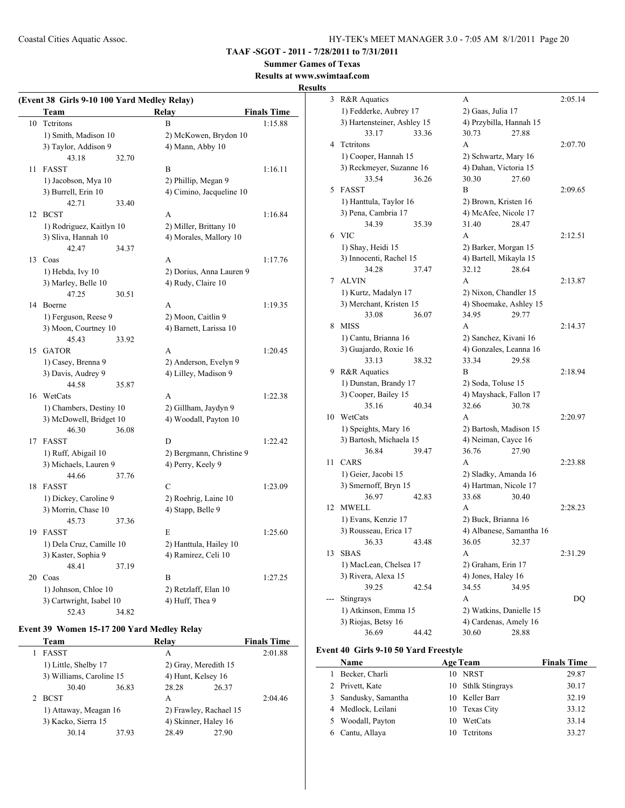**TAAF -SGOT - 2011 - 7/28/2011 to 7/31/2011**

# **Summer Games of Texas**

**Results at www.swimtaaf.com**

#### **Results**

| (Event 38 Girls 9-10 100 Yard Medley Relay) |                          |                     |                          |                    |  |
|---------------------------------------------|--------------------------|---------------------|--------------------------|--------------------|--|
|                                             | Team                     |                     | <b>Relay</b>             | <b>Finals Time</b> |  |
| 10                                          | Tetritons                |                     | B                        | 1:15.88            |  |
|                                             | 1) Smith, Madison 10     |                     | 2) McKowen, Brydon 10    |                    |  |
|                                             | 3) Taylor, Addison 9     |                     | 4) Mann, Abby 10         |                    |  |
|                                             | 43.18                    | 32.70               |                          |                    |  |
| 11                                          | <b>FASST</b>             |                     | B                        | 1:16.11            |  |
|                                             | 1) Jacobson, Mya 10      |                     | 2) Phillip, Megan 9      |                    |  |
|                                             | 3) Burrell, Erin 10      |                     | 4) Cimino, Jacqueline 10 |                    |  |
|                                             | 42.71                    | 33.40               |                          |                    |  |
|                                             | 12 BCST                  |                     | A                        | 1:16.84            |  |
|                                             | 1) Rodriguez, Kaitlyn 10 |                     | 2) Miller, Brittany 10   |                    |  |
|                                             | 3) Sliva, Hannah 10      |                     | 4) Morales, Mallory 10   |                    |  |
|                                             | 42.47                    | 34.37               |                          |                    |  |
| 13                                          | Coas                     |                     | A                        | 1:17.76            |  |
|                                             | 1) Hebda, Ivy 10         |                     | 2) Dorius, Anna Lauren 9 |                    |  |
|                                             | 3) Marley, Belle 10      |                     | 4) Rudy, Claire 10       |                    |  |
|                                             | 47.25                    | 30.51               |                          |                    |  |
|                                             | 14 Boerne                |                     | A                        | 1:19.35            |  |
|                                             | 1) Ferguson, Reese 9     |                     | 2) Moon, Caitlin 9       |                    |  |
|                                             | 3) Moon, Courtney 10     |                     | 4) Barnett, Larissa 10   |                    |  |
|                                             | 45.43                    | 33.92               |                          |                    |  |
| 15                                          | <b>GATOR</b>             |                     | A                        | 1:20.45            |  |
|                                             | 1) Casey, Brenna 9       |                     | 2) Anderson, Evelyn 9    |                    |  |
|                                             | 3) Davis, Audrey 9       |                     | 4) Lilley, Madison 9     |                    |  |
|                                             | 44.58                    | 35.87               |                          |                    |  |
|                                             | 16 WetCats               |                     | A                        | 1:22.38            |  |
|                                             | 1) Chambers, Destiny 10  |                     | 2) Gillham, Jaydyn 9     |                    |  |
|                                             | 3) McDowell, Bridget 10  |                     | 4) Woodall, Payton 10    |                    |  |
|                                             | 46.30                    | 36.08               |                          |                    |  |
| 17                                          | <b>FASST</b>             |                     | D                        | 1:22.42            |  |
|                                             | 1) Ruff, Abigail 10      |                     | 2) Bergmann, Christine 9 |                    |  |
|                                             | 3) Michaels, Lauren 9    |                     | 4) Perry, Keely 9        |                    |  |
|                                             | 44.66                    | 37.76               |                          |                    |  |
| 18                                          | <b>FASST</b>             |                     | $\mathcal{C}$            | 1:23.09            |  |
|                                             | 1) Dickey, Caroline 9    |                     | 2) Roehrig, Laine 10     |                    |  |
|                                             | 3) Morrin, Chase 10      |                     | 4) Stapp, Belle 9        |                    |  |
|                                             | 45.73                    | 37.36               |                          |                    |  |
|                                             | 19 FASST                 |                     | E                        | 1:25.60            |  |
|                                             | 1) Dela Cruz, Camille 10 |                     | 2) Hanttula, Hailey 10   |                    |  |
|                                             | 3) Kaster, Sophia 9      | 4) Ramirez, Celi 10 |                          |                    |  |
|                                             | 48.41                    | 37.19               |                          |                    |  |
|                                             | 20 Coas                  |                     | B                        | 1:27.25            |  |
|                                             | 1) Johnson, Chloe 10     |                     | 2) Retzlaff, Elan 10     |                    |  |
|                                             | 3) Cartwright, Isabel 10 |                     | 4) Huff, Thea 9          |                    |  |
|                                             | 52.43                    | 34.82               |                          |                    |  |

# **Event 39 Women 15-17 200 Yard Medley Relay**

|  | Team                                         |       | Relay                  |       | <b>Finals Time</b> |
|--|----------------------------------------------|-------|------------------------|-------|--------------------|
|  | <b>FASST</b>                                 |       | A                      |       | 2:01.88            |
|  | 1) Little, Shelby 17                         |       | 2) Gray, Meredith 15   |       |                    |
|  | 3) Williams, Caroline 15                     |       | 4) Hunt, Kelsey 16     |       |                    |
|  | 30.40                                        | 36.83 | 28.28                  | 26.37 |                    |
|  | <b>BCST</b>                                  |       | A                      |       | 2:04.46            |
|  | 1) Attaway, Meagan 16<br>3) Kacko, Sierra 15 |       | 2) Frawley, Rachael 15 |       |                    |
|  |                                              |       | 4) Skinner, Haley 16   |       |                    |
|  | 30.14                                        | 37.93 | 28.49                  | 27.90 |                    |

| 3  | R&R Aquatics                | A                        | 2:05.14 |
|----|-----------------------------|--------------------------|---------|
|    | 1) Fedderke, Aubrey 17      | 2) Gaas, Julia 17        |         |
|    | 3) Hartensteiner, Ashley 15 | 4) Przybilla, Hannah 15  |         |
|    | 33.17<br>33.36              | 30.73<br>27.88           |         |
| 4  | Tetritons                   | A                        | 2:07.70 |
|    | 1) Cooper, Hannah 15        | 2) Schwartz, Mary 16     |         |
|    | 3) Reckmeyer, Suzanne 16    | 4) Dahan, Victoria 15    |         |
|    | 33.54<br>36.26              | 30.30<br>27.60           |         |
| 5  | <b>FASST</b>                | B                        | 2:09.65 |
|    | 1) Hanttula, Taylor 16      | 2) Brown, Kristen 16     |         |
|    | 3) Pena, Cambria 17         | 4) McAfee, Nicole 17     |         |
|    | 34.39<br>35.39              | 31.40<br>28.47           |         |
| 6  | <b>VIC</b>                  | A                        | 2:12.51 |
|    | 1) Shay, Heidi 15           | 2) Barker, Morgan 15     |         |
|    | 3) Innocenti, Rachel 15     | 4) Bartell, Mikayla 15   |         |
|    | 34.28<br>37.47              | 28.64<br>32.12           |         |
| 7  | <b>ALVIN</b>                | A                        | 2:13.87 |
|    | 1) Kurtz, Madalyn 17        | 2) Nixon, Chandler 15    |         |
|    | 3) Merchant, Kristen 15     | 4) Shoemake, Ashley 15   |         |
|    | 33.08<br>36.07              | 34.95<br>29.77           |         |
| 8  | <b>MISS</b>                 | A                        | 2:14.37 |
|    | 1) Cantu, Brianna 16        | 2) Sanchez, Kivani 16    |         |
|    | 3) Guajardo, Roxie 16       | 4) Gonzales, Leanna 16   |         |
|    | 33.13<br>38.32              | 33.34<br>29.58           |         |
| 9  | R&R Aquatics                | B                        | 2:18.94 |
|    | 1) Dunstan, Brandy 17       | 2) Soda, Toluse 15       |         |
|    | 3) Cooper, Bailey 15        | 4) Mayshack, Fallon 17   |         |
|    | 35.16<br>40.34              | 32.66<br>30.78           |         |
| 10 | WetCats                     | A                        | 2:20.97 |
|    | 1) Speights, Mary 16        | 2) Bartosh, Madison 15   |         |
|    | 3) Bartosh, Michaela 15     | 4) Neiman, Cayce 16      |         |
|    | 36.84<br>39.47              | 36.76<br>27.90           |         |
| 11 | CARS                        | A                        | 2:23.88 |
|    | 1) Geier, Jacobi 15         | 2) Sladky, Amanda 16     |         |
|    | 3) Smernoff, Bryn 15        | 4) Hartman, Nicole 17    |         |
|    | 36.97<br>42.83              | 33.68<br>30.40           |         |
| 12 | MWELL                       | A                        | 2:28.23 |
|    | 1) Evans, Kenzie 17         | 2) Buck, Brianna 16      |         |
|    | 3) Rousseau, Erica 17       | 4) Albanese, Samantha 16 |         |
|    | 36.33<br>43.48              | 36.05<br>32.37           |         |
| 13 | <b>SBAS</b>                 | A                        | 2:31.29 |
|    | 1) MacLean, Chelsea 17      | 2) Graham, Erin 17       |         |
|    | 3) Rivera, Alexa 15         | 4) Jones, Haley 16       |         |
|    | 39.25<br>42.54              | 34.55<br>34.95           |         |
|    | Stingrays                   | A                        | DQ      |
|    | 1) Atkinson, Emma 15        | 2) Watkins, Danielle 15  |         |
|    | 3) Riojas, Betsy 16         | 4) Cardenas, Amely 16    |         |
|    | 36.69<br>44.42              | 30.60<br>28.88           |         |
|    |                             |                          |         |

#### **Event 40 Girls 9-10 50 Yard Freestyle**

|    | Name                 |    | <b>Age Team</b>    | <b>Finals Time</b> |
|----|----------------------|----|--------------------|--------------------|
| 1. | Becker, Charli       | 10 | NRST               | 29.87              |
|    | 2 Privett, Kate      |    | 10 Sthlk Stingrays | 30.17              |
|    | 3 Sandusky, Samantha |    | 10 Keller Barr     | 32.19              |
|    | 4 Medlock, Leilani   |    | 10 Texas City      | 33.12              |
|    | 5 Woodall, Payton    | 10 | WetCats            | 33.14              |
|    | 6 Cantu, Allaya      | 10 | Tetritons          | 33.27              |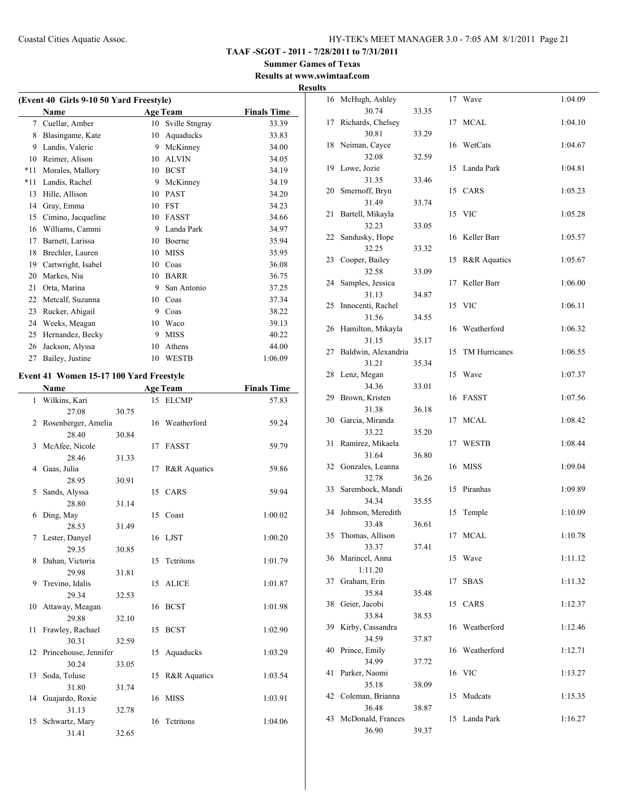**Summer Games of Texas Results at www.swimtaaf.com**

# **Results**

| (Event 40 Girls 9-10 50 Yard Freestyle) |                    |                 |                    |         |  |  |
|-----------------------------------------|--------------------|-----------------|--------------------|---------|--|--|
|                                         | Name               | <b>Age Team</b> | <b>Finals Time</b> |         |  |  |
| 7                                       | Cuellar, Amber     | 10              | Sville Stngray     | 33.39   |  |  |
| 8                                       | Blasingame, Kate   | 10              | Aquaducks          | 33.83   |  |  |
| 9                                       | Landis, Valerie    | 9               | McKinney           | 34.00   |  |  |
| 10                                      | Reimer, Alison     | 10              | <b>ALVIN</b>       | 34.05   |  |  |
| $*11$                                   | Morales, Mallory   | 10              | <b>BCST</b>        | 34.19   |  |  |
| $*11$                                   | Landis, Rachel     | 9               | McKinney           | 34.19   |  |  |
| 13                                      | Hille, Allison     | 10              | <b>PAST</b>        | 34.20   |  |  |
| 14                                      | Gray, Emma         | 10              | <b>FST</b>         | 34.23   |  |  |
| 15                                      | Cimino, Jacqueline | 10              | <b>FASST</b>       | 34.66   |  |  |
| 16                                      | Williams, Cammi    | 9               | Landa Park         | 34.97   |  |  |
| 17                                      | Barnett, Larissa   | 10              | Boerne             | 35.94   |  |  |
| 18                                      | Brechler, Lauren   | 10              | <b>MISS</b>        | 35.95   |  |  |
| 19                                      | Cartwright, Isabel | 10              | Coas               | 36.08   |  |  |
| 20                                      | Markes, Nia        | 10              | <b>BARR</b>        | 36.75   |  |  |
| 21                                      | Orta, Marina       | 9               | San Antonio        | 37.25   |  |  |
| 22                                      | Metcalf, Suzanna   | 10              | Coas               | 37.34   |  |  |
| 23                                      | Rucker, Abigail    | 9               | Coas               | 38.22   |  |  |
| 24                                      | Weeks, Meagan      | 10              | Waco               | 39.13   |  |  |
| 25                                      | Hernandez, Becky   | 9               | <b>MISS</b>        | 40.22   |  |  |
| 26                                      | Jackson, Alyssa    | 10              | Athens             | 44.00   |  |  |
| 27                                      | Bailey, Justine    | 10              | <b>WESTB</b>       | 1:06.09 |  |  |

#### **Event 41 Women 15-17 100 Yard Freestyle**

|              | Name                     |       |    | <b>Age Team</b> | <b>Finals Time</b> |
|--------------|--------------------------|-------|----|-----------------|--------------------|
| $\mathbf{1}$ | Wilkins, Kari            |       |    | 15 ELCMP        | 57.83              |
|              | 27.08                    | 30.75 |    |                 |                    |
| 2            | Rosenberger, Amelia      |       |    | 16 Weatherford  | 59.24              |
|              | 28.40                    | 30.84 |    |                 |                    |
| 3            | McAfee, Nicole           |       | 17 | FASST           | 59.79              |
|              | 28.46                    | 31.33 |    |                 |                    |
| 4            | Gaas, Julia              |       | 17 | R&R Aquatics    | 59.86              |
|              | 28.95                    | 30.91 |    |                 |                    |
| 5            | Sands, Alyssa            |       |    | 15 CARS         | 59.94              |
|              | 28.80                    | 31.14 |    |                 |                    |
| 6            | Ding, May                |       |    | 15 Coast        | 1:00.02            |
|              | 28.53                    | 31.49 |    |                 |                    |
| 7            | Lester, Danyel           |       |    | 16 LJST         | 1:00.20            |
|              | 29.35                    | 30.85 |    |                 |                    |
| 8            | Dahan, Victoria          |       | 15 | Tetritons       | 1:01.79            |
|              | 29.98                    | 31.81 |    |                 |                    |
| 9            | Trevino, Idalis          |       |    | 15 ALICE        | 1:01.87            |
|              | 29.34                    | 32.53 |    |                 |                    |
|              | 10 Attaway, Meagan       |       |    | 16 BCST         | 1:01.98            |
|              | 29.88                    | 32.10 |    |                 |                    |
| 11           | Frawley, Rachael         |       |    | 15 BCST         | 1:02.90            |
|              | 30.31                    | 32.59 |    |                 |                    |
|              | 12 Princehouse, Jennifer |       |    | 15 Aquaducks    | 1:03.29            |
|              | 30.24                    | 33.05 |    |                 |                    |
| 13           | Soda, Toluse             |       | 15 | R&R Aquatics    | 1:03.54            |
|              | 31.80                    | 31.74 |    |                 |                    |
|              | 14 Guajardo, Roxie       |       |    | 16 MISS         | 1:03.91            |
|              | 31.13                    | 32.78 |    |                 |                    |
| 15           | Schwartz, Mary           |       | 16 | Tetritons       | 1:04.06            |
|              | 31.41                    | 32.65 |    |                 |                    |

| 16 | McHugh, Ashley             |       | 17 | Wave                 | 1:04.09 |
|----|----------------------------|-------|----|----------------------|---------|
|    | 30.74                      | 33.35 |    | MCAL                 |         |
| 17 | Richards, Chelsey<br>30.81 | 33.29 | 17 |                      | 1:04.10 |
| 18 | Neiman, Cayce              |       | 16 | WetCats              | 1:04.67 |
|    | 32.08                      | 32.59 |    |                      |         |
| 19 | Lowe, Jozie                |       | 15 | Landa Park           | 1:04.81 |
|    | 31.35                      | 33.46 |    |                      |         |
| 20 | Smernoff, Bryn<br>31.49    |       | 15 | CARS                 | 1:05.23 |
| 21 | Bartell, Mikayla           | 33.74 | 15 | <b>VIC</b>           | 1:05.28 |
|    | 32.23                      | 33.05 |    |                      |         |
| 22 | Sandusky, Hope             |       | 16 | Keller Barr          | 1:05.57 |
|    | 32.25                      | 33.32 |    |                      |         |
| 23 | Cooper, Bailey             |       | 15 | R&R Aquatics         | 1:05.67 |
|    | 32.58                      | 33.09 |    |                      |         |
| 24 | Samples, Jessica           |       | 17 | Keller Barr          | 1:06.00 |
|    | 31.13                      | 34.87 |    |                      |         |
| 25 | Innocenti, Rachel<br>31.56 | 34.55 | 15 | <b>VIC</b>           | 1:06.11 |
| 26 | Hamilton, Mikayla          |       | 16 | Weatherford          | 1:06.32 |
|    | 31.15                      | 35.17 |    |                      |         |
| 27 | Baldwin, Alexandria        |       | 15 | <b>TM Hurricanes</b> | 1:06.55 |
|    | 31.21                      | 35.34 |    |                      |         |
| 28 | Lenz, Megan                |       | 15 | Wave                 | 1:07.37 |
|    | 34.36                      | 33.01 |    |                      |         |
| 29 | Brown, Kristen             |       | 16 | <b>FASST</b>         | 1:07.56 |
| 30 | 31.38<br>Garcia, Miranda   | 36.18 | 17 | MCAL                 | 1:08.42 |
|    | 33.22                      | 35.20 |    |                      |         |
| 31 | Ramirez, Mikaela           |       | 17 | WESTB                | 1:08.44 |
|    | 31.64                      | 36.80 |    |                      |         |
| 32 | Gonzales, Leanna           |       | 16 | <b>MISS</b>          | 1:09.04 |
|    | 32.78                      | 36.26 |    |                      |         |
| 33 | Sarembock, Mandi           |       | 15 | Piranhas             | 1:09.89 |
|    | 34.34                      | 35.55 |    |                      |         |
| 34 | Johnson, Meredith<br>33.48 | 36.61 | 15 | Temple               | 1:10.09 |
| 35 | Thomas, Allison            |       | 17 | <b>MCAL</b>          | 1:10.78 |
|    | 33.37                      | 37.41 |    |                      |         |
| 36 | Marincel, Anna             |       | 15 | Wave                 | 1:11.12 |
|    | 1:11.20                    |       |    |                      |         |
| 37 | Graham, Erin               |       | 17 | <b>SBAS</b>          | 1:11.32 |
|    | 35.84                      | 35.48 |    |                      |         |
| 38 | Geier, Jacobi<br>33.84     |       | 15 | CARS                 | 1:12.37 |
| 39 | Kirby, Cassandra           | 38.53 | 16 | Weatherford          | 1:12.46 |
|    | 34.59                      | 37.87 |    |                      |         |
| 40 | Prince, Emily              |       | 16 | Weatherford          | 1:12.71 |
|    | 34.99                      | 37.72 |    |                      |         |
| 41 | Parker, Naomi              |       | 16 | <b>VIC</b>           | 1:13.27 |
|    | 35.18                      | 38.09 |    |                      |         |
| 42 | Coleman, Brianna           |       | 15 | Mudcats              | 1:15.35 |
| 43 | 36.48<br>McDonald, Frances | 38.87 | 15 | Landa Park           | 1:16.27 |
|    | 36.90                      | 39.37 |    |                      |         |
|    |                            |       |    |                      |         |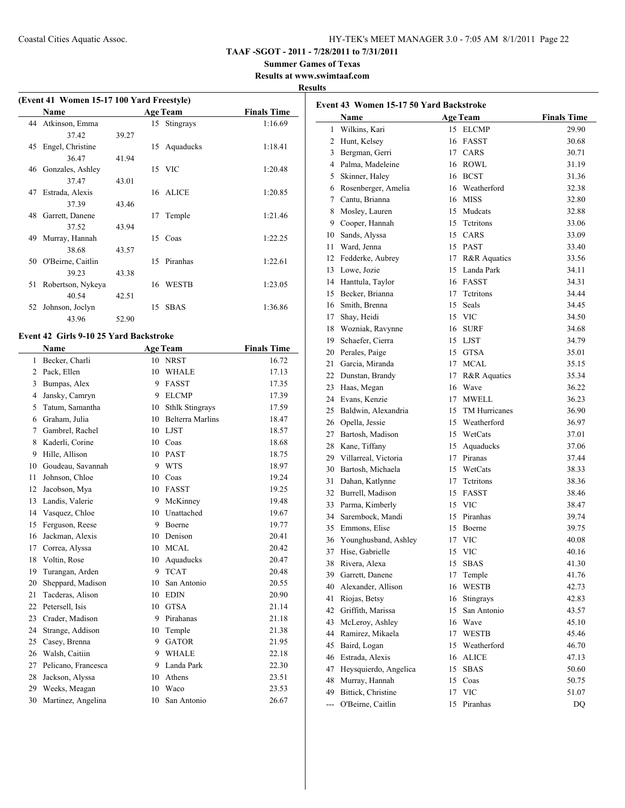**TAAF -SGOT - 2011 - 7/28/2011 to 7/31/2011**

**Summer Games of Texas**

**Results at www.swimtaaf.com**

#### **Results**

|     | (Event 41 Women 15-17 100 Yard Freestyle) |       |    |                 |                    |  |
|-----|-------------------------------------------|-------|----|-----------------|--------------------|--|
|     | Name                                      |       |    | <b>Age Team</b> | <b>Finals Time</b> |  |
|     | 44 Atkinson, Emma                         |       |    | 15 Stingrays    | 1:16.69            |  |
|     | 37.42                                     | 39.27 |    |                 |                    |  |
| 45  | Engel, Christine                          |       |    | 15 Aquaducks    | 1:18.41            |  |
|     | 3647                                      | 41.94 |    |                 |                    |  |
|     | 46 Gonzales, Ashley                       |       |    | 15 VIC          | 1:20.48            |  |
|     | 37.47                                     | 43.01 |    |                 |                    |  |
| 47  | Estrada, Alexis                           |       |    | 16 ALICE        | 1:20.85            |  |
|     | 37.39                                     | 43.46 |    |                 |                    |  |
| 48. | Garrett, Danene                           |       | 17 | Temple          | 1:21.46            |  |
|     | 37.52                                     | 43.94 |    |                 |                    |  |
| 49  | Murray, Hannah                            |       |    | 15 Coas         | 1:22.25            |  |
|     | 38.68                                     | 43.57 |    |                 |                    |  |
|     | 50 O'Beirne, Caitlin                      |       | 15 | Piranhas        | 1:22.61            |  |
|     | 39.23                                     | 43.38 |    |                 |                    |  |
| 51  | Robertson, Nykeya                         |       |    | 16 WESTB        | 1:23.05            |  |
|     | 40.54                                     | 42.51 |    |                 |                    |  |
| 52  | Johnson, Joclyn                           |       | 15 | <b>SBAS</b>     | 1:36.86            |  |
|     | 43.96                                     | 52.90 |    |                 |                    |  |
|     |                                           |       |    |                 |                    |  |

#### **Event 42 Girls 9-10 25 Yard Backstroke**

|                | <b>Name</b>         |    | <b>Age Team</b>         | <b>Finals Time</b> |
|----------------|---------------------|----|-------------------------|--------------------|
| $\mathbf{1}$   | Becker, Charli      | 10 | <b>NRST</b>             | 16.72              |
| $\overline{2}$ | Pack, Ellen         | 10 | <b>WHALE</b>            | 17.13              |
| 3              | Bumpas, Alex        | 9  | <b>FASST</b>            | 17.35              |
| $\overline{4}$ | Jansky, Camryn      | 9  | <b>ELCMP</b>            | 17.39              |
| 5              | Tatum, Samantha     | 10 | <b>Sthlk Stingrays</b>  | 17.59              |
| 6              | Graham, Julia       | 10 | <b>Belterra Marlins</b> | 18.47              |
| 7              | Gambrel, Rachel     | 10 | <b>LJST</b>             | 18.57              |
| 8              | Kaderli, Corine     | 10 | Coas                    | 18.68              |
| 9              | Hille, Allison      | 10 | <b>PAST</b>             | 18.75              |
| 10             | Goudeau, Savannah   | 9  | <b>WTS</b>              | 18.97              |
| 11             | Johnson, Chloe      | 10 | Coas                    | 19.24              |
| 12             | Jacobson, Mya       | 10 | <b>FASST</b>            | 19.25              |
| 13             | Landis, Valerie     | 9  | McKinney                | 19.48              |
| 14             | Vasquez, Chloe      | 10 | Unattached              | 19.67              |
| 15             | Ferguson, Reese     | 9  | Boerne                  | 19.77              |
| 16             | Jackman, Alexis     | 10 | Denison                 | 20.41              |
| 17             | Correa, Alyssa      | 10 | <b>MCAL</b>             | 20.42              |
| 18             | Voltin, Rose        | 10 | Aquaducks               | 20.47              |
| 19             | Turangan, Arden     | 9  | <b>TCAT</b>             | 20.48              |
| 20             | Sheppard, Madison   | 10 | San Antonio             | 20.55              |
| 21             | Tacderas, Alison    | 10 | <b>EDIN</b>             | 20.90              |
| 22             | Petersell, Isis     | 10 | <b>GTSA</b>             | 21.14              |
| 23             | Crader, Madison     | 9  | Pirahanas               | 21.18              |
| 24             | Strange, Addison    | 10 | Temple                  | 21.38              |
| 25             | Casey, Brenna       | 9  | <b>GATOR</b>            | 21.95              |
| 26             | Walsh, Caitiin      | 9  | <b>WHALE</b>            | 22.18              |
| 27             | Pelicano, Francesca | 9  | Landa Park              | 22.30              |
| 28             | Jackson, Alyssa     | 10 | Athens                  | 23.51              |
| 29             | Weeks, Meagan       | 10 | Waco                    | 23.53              |
| 30             | Martinez, Angelina  | 10 | San Antonio             | 26.67              |

|                | Event 43 Women 15-17 50 Yard Backstroke |          |                      |                    |  |  |
|----------------|-----------------------------------------|----------|----------------------|--------------------|--|--|
|                | Name                                    |          | <b>Age Team</b>      | <b>Finals Time</b> |  |  |
| $\mathbf{1}$   | Wilkins, Kari                           | 15       | <b>ELCMP</b>         | 29.90              |  |  |
| $\overline{2}$ | Hunt, Kelsey                            | 16       | FASST                | 30.68              |  |  |
| 3              | Bergman, Gerri                          | 17       | CARS                 | 30.71              |  |  |
|                | 4 Palma, Madeleine                      | 16       | ROWL                 | 31.19              |  |  |
| 5              | Skinner, Haley                          | 16       | <b>BCST</b>          | 31.36              |  |  |
|                | 6 Rosenberger, Amelia                   | 16       | Weatherford          | 32.38              |  |  |
|                | 7 Cantu, Brianna                        | 16       | <b>MISS</b>          | 32.80              |  |  |
| 8              | Mosley, Lauren                          | 15       | Mudcats              | 32.88              |  |  |
|                | 9 Cooper, Hannah                        | 15       | Tetritons            | 33.06              |  |  |
| 10             | Sands, Alyssa                           | 15       | CARS                 | 33.09              |  |  |
| 11             | Ward, Jenna                             |          | 15 PAST              | 33.40              |  |  |
| 12             | Fedderke, Aubrey                        | 17       | R&R Aquatics         | 33.56              |  |  |
| 13             | Lowe, Jozie                             | 15       | Landa Park           | 34.11              |  |  |
|                | 14 Hanttula, Taylor                     |          | 16 FASST             | 34.31              |  |  |
| 15             | Becker, Brianna                         | 17       | Tetritons            | 34.44              |  |  |
|                | 16 Smith, Brenna                        | 15       | Seals                | 34.45              |  |  |
| 17             | Shay, Heidi                             | 15       | <b>VIC</b>           | 34.50              |  |  |
| 18             | Wozniak, Ravynne                        | 16       | <b>SURF</b>          | 34.68              |  |  |
| 19             | Schaefer, Cierra                        | 15       | <b>LJST</b>          | 34.79              |  |  |
| 20             | Perales, Paige                          | 15       | <b>GTSA</b>          | 35.01              |  |  |
| 21             | Garcia, Miranda                         | 17       | <b>MCAL</b>          | 35.15              |  |  |
|                | 22 Dunstan, Brandy                      | 17       | R&R Aquatics         | 35.34              |  |  |
| 23             | Haas, Megan                             | 16       | Wave                 | 36.22              |  |  |
| 24             | Evans, Kenzie                           | 17       | <b>MWELL</b>         | 36.23              |  |  |
| 25             | Baldwin, Alexandria                     | 15       | TM Hurricanes        | 36.90              |  |  |
| 26             | Opella, Jessie                          | 15       | Weatherford          | 36.97              |  |  |
| 27             | Bartosh, Madison                        | 15       | WetCats              | 37.01              |  |  |
|                | 28 Kane, Tiffany                        | 15       | Aquaducks            | 37.06              |  |  |
|                | 29 Villarreal, Victoria                 | 17       | Piranas              | 37.44              |  |  |
| 30             | Bartosh, Michaela                       | 15       | WetCats              | 38.33              |  |  |
| 31             | Dahan, Katlynne                         | 17       | Tetritons            | 38.36              |  |  |
|                | 32 Burrell, Madison                     | 15       | <b>FASST</b>         | 38.46              |  |  |
| 33             | Parma, Kimberly                         | 15       | <b>VIC</b>           | 38.47              |  |  |
|                | 34 Sarembock, Mandi                     | 15       | Piranhas             | 39.74              |  |  |
|                | 35 Emmons, Elise                        | 15       | Boerne               | 39.75              |  |  |
|                | 36 Younghusband, Ashley                 |          | 17 VIC               | 40.08              |  |  |
|                | 37 Hise, Gabrielle                      |          | 15 VIC               | 40.16              |  |  |
| 38             | Rivera, Alexa                           | 15       | <b>SBAS</b>          | 41.30              |  |  |
| 39             | Garrett, Danene                         | 17       | Temple               | 41.76              |  |  |
| 40             | Alexander, Allison                      | 16       | <b>WESTB</b>         | 42.73              |  |  |
| 41             | Riojas, Betsy                           | 16       | Stingrays            | 42.83              |  |  |
| 42             | Griffith, Marissa                       | 15       | San Antonio          | 43.57              |  |  |
| 43             |                                         |          | Wave                 |                    |  |  |
| 44             | McLeroy, Ashley                         | 16       |                      | 45.10              |  |  |
| 45             | Ramirez, Mikaela                        | 17       | WESTB<br>Weatherford | 45.46              |  |  |
| 46             | Baird, Logan<br>Estrada, Alexis         | 15<br>16 | <b>ALICE</b>         | 46.70<br>47.13     |  |  |
| 47             | Heysquierdo, Angelica                   |          |                      |                    |  |  |
| 48             | Murray, Hannah                          | 15       | SBAS<br>Coas         | 50.60              |  |  |
| 49             | Bittick, Christine                      | 15<br>17 | <b>VIC</b>           | 50.75<br>51.07     |  |  |
| $\overline{a}$ | O'Beirne, Caitlin                       | 15       | Piranhas             | DQ                 |  |  |
|                |                                         |          |                      |                    |  |  |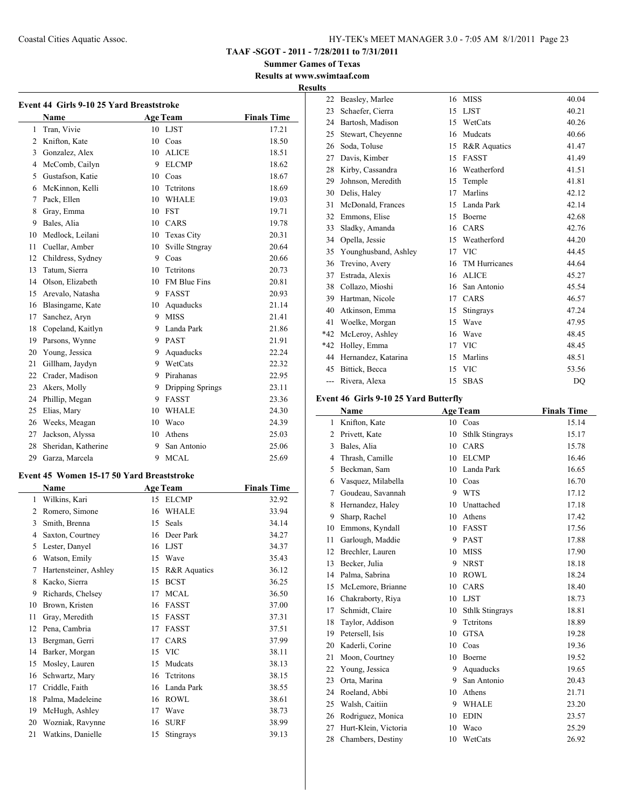**TAAF -SGOT - 2011 - 7/28/2011 to 7/31/2011**

**Summer Games of Texas Results at www.swimtaaf.com**

#### **Results**

|                | Name                |    | <b>Age Team</b>     | <b>Finals Time</b> |
|----------------|---------------------|----|---------------------|--------------------|
| 1              | Tran, Vivie         |    | 10 LJST             | 17.21              |
| $\overline{2}$ | Knifton, Kate       | 10 | Coas                | 18.50              |
| 3              | Gonzalez, Alex      | 10 | <b>ALICE</b>        | 18.51              |
| $\overline{4}$ | McComb, Cailyn      | 9  | <b>ELCMP</b>        | 18.62              |
| 5              | Gustafson, Katie    | 10 | Coas                | 18.67              |
| 6              | McKinnon, Kelli     | 10 | Tetritons           | 18.69              |
| 7              | Pack, Ellen         | 10 | <b>WHALE</b>        | 19.03              |
| 8              | Gray, Emma          | 10 | <b>FST</b>          | 19.71              |
| 9              | Bales, Alia         | 10 | CARS                | 19.78              |
| 10             | Medlock, Leilani    | 10 | <b>Texas City</b>   | 20.31              |
| 11             | Cuellar, Amber      | 10 | Sville Stngray      | 20.64              |
| 12             | Childress, Sydney   | 9. | Coas                | 20.66              |
| 13             | Tatum, Sierra       | 10 | <b>Tetritons</b>    | 20.73              |
| 14             | Olson, Elizabeth    | 10 | <b>FM Blue Fins</b> | 20.81              |
| 15             | Arevalo, Natasha    | 9  | <b>FASST</b>        | 20.93              |
| 16             | Blasingame, Kate    | 10 | Aquaducks           | 21.14              |
| 17             | Sanchez, Aryn       | 9. | <b>MISS</b>         | 21.41              |
| 18             | Copeland, Kaitlyn   | 9  | Landa Park          | 21.86              |
| 19             | Parsons, Wynne      | 9. | <b>PAST</b>         | 21.91              |
| 20             | Young, Jessica      | 9  | Aquaducks           | 22.24              |
| 21             | Gillham, Jaydyn     | 9  | WetCats             | 22.32              |
| 22             | Crader, Madison     | 9  | Pirahanas           | 22.95              |
| 23             | Akers, Molly        | 9  | Dripping Springs    | 23.11              |
| 24             | Phillip, Megan      | 9  | <b>FASST</b>        | 23.36              |
| 25             | Elias, Mary         | 10 | <b>WHALE</b>        | 24.30              |
| 26             | Weeks, Meagan       | 10 | Waco                | 24.39              |
| 27             | Jackson, Alyssa     | 10 | Athens              | 25.03              |
| 28             | Sheridan, Katherine | 9  | San Antonio         | 25.06              |
| 29             | Garza, Marcela      | 9  | <b>MCAL</b>         | 25.69              |

#### **Event 45 Women 15-17 50 Yard Breaststroke**

|                | Name                  |    | <b>Age Team</b> | <b>Finals Time</b> |
|----------------|-----------------------|----|-----------------|--------------------|
| 1              | Wilkins, Kari         | 15 | <b>ELCMP</b>    | 32.92              |
| $\overline{c}$ | Romero, Simone        | 16 | <b>WHALE</b>    | 33.94              |
| 3              | Smith, Brenna         | 15 | Seals           | 34.14              |
| 4              | Saxton, Courtney      | 16 | Deer Park       | 34.27              |
| 5              | Lester, Danyel        | 16 | <b>LJST</b>     | 34.37              |
| 6              | Watson, Emily         | 15 | Wave            | 35.43              |
| 7              | Hartensteiner, Ashley | 15 | R&R Aquatics    | 36.12              |
| 8              | Kacko, Sierra         | 15 | <b>BCST</b>     | 36.25              |
| 9              | Richards, Chelsey     | 17 | <b>MCAL</b>     | 36.50              |
| 10             | Brown, Kristen        | 16 | FASST           | 37.00              |
| 11             | Gray, Meredith        | 15 | FASST           | 37.31              |
| 12             | Pena, Cambria         | 17 | <b>FASST</b>    | 37.51              |
| 13             | Bergman, Gerri        | 17 | CARS            | 37.99              |
| 14             | Barker, Morgan        | 15 | <b>VIC</b>      | 38.11              |
| 15             | Mosley, Lauren        | 15 | Mudcats         | 38.13              |
| 16             | Schwartz, Mary        | 16 | Tetritons       | 38.15              |
| 17             | Criddle, Faith        | 16 | Landa Park      | 38.55              |
| 18             | Palma, Madeleine      | 16 | <b>ROWL</b>     | 38.61              |
| 19             | McHugh, Ashley        | 17 | Wave            | 38.73              |
| 20             | Wozniak, Ravynne      | 16 | <b>SURF</b>     | 38.99              |
| 21             | Watkins, Danielle     | 15 | Stingrays       | 39.13              |

| 22             | Beasley, Marlee      | 16 | <b>MISS</b>   | 40.04 |
|----------------|----------------------|----|---------------|-------|
| 23             | Schaefer, Cierra     | 15 | <b>LJST</b>   | 40.21 |
| 24             | Bartosh, Madison     | 15 | WetCats       | 40.26 |
| 25             | Stewart, Cheyenne    | 16 | Mudcats       | 40.66 |
| 26             | Soda, Toluse         | 15 | R&R Aquatics  | 41.47 |
|                |                      |    |               |       |
| 27             | Davis, Kimber        | 15 | <b>FASST</b>  | 41.49 |
| 28             | Kirby, Cassandra     | 16 | Weatherford   | 41.51 |
| 29             | Johnson, Meredith    | 15 | Temple        | 41.81 |
| 30             | Delis, Haley         | 17 | Marlins       | 42.12 |
| 31             | McDonald, Frances    | 15 | Landa Park    | 42.14 |
| 32             | Emmons, Elise        | 15 | Boerne        | 42.68 |
| 33             | Sladky, Amanda       | 16 | CARS          | 42.76 |
| 34             | Opella, Jessie       | 15 | Weatherford   | 44.20 |
| 35             | Younghusband, Ashley | 17 | <b>VIC</b>    | 44.45 |
| 36             | Trevino, Avery       | 16 | TM Hurricanes | 44.64 |
| 37             | Estrada, Alexis      | 16 | <b>ALICE</b>  | 45.27 |
| 38             | Collazo, Mioshi      | 16 | San Antonio   | 45.54 |
| 39             | Hartman, Nicole      | 17 | CARS          | 46.57 |
| 40             | Atkinson, Emma       | 15 | Stingrays     | 47.24 |
| 41             | Woelke, Morgan       | 15 | Wave          | 47.95 |
| $*42$          | McLeroy, Ashley      | 16 | Wave          | 48.45 |
| $*42$          | Holley, Emma         | 17 | <b>VIC</b>    | 48.45 |
| 44             | Hernandez, Katarina  | 15 | Marlins       | 48.51 |
| 45             | Bittick, Becca       | 15 | <b>VIC</b>    | 53.56 |
| $\overline{a}$ | Rivera, Alexa        | 15 | <b>SBAS</b>   | DO    |

# **Event 46 Girls 9-10 25 Yard Butterfly**

|              | Name                 |    | <b>Age Team</b>        | <b>Finals Time</b> |
|--------------|----------------------|----|------------------------|--------------------|
| $\mathbf{1}$ | Knifton, Kate        |    | 10 Coas                | 15.14              |
| 2            | Privett, Kate        | 10 | <b>Sthlk Stingrays</b> | 15.17              |
| 3            | Bales, Alia          | 10 | CARS                   | 15.78              |
| 4            | Thrash, Camille      | 10 | <b>ELCMP</b>           | 16.46              |
| 5            | Beckman, Sam         | 10 | Landa Park             | 16.65              |
| 6            | Vasquez, Milabella   | 10 | Coas                   | 16.70              |
| 7            | Goudeau, Savannah    | 9  | <b>WTS</b>             | 17.12              |
| 8            | Hernandez, Haley     | 10 | Unattached             | 17.18              |
| 9            | Sharp, Rachel        | 10 | Athens                 | 17.42              |
| 10           | Emmons, Kyndall      | 10 | <b>FASST</b>           | 17.56              |
| 11           | Garlough, Maddie     | 9  | <b>PAST</b>            | 17.88              |
| 12           | Brechler, Lauren     | 10 | <b>MISS</b>            | 17.90              |
| 13           | Becker, Julia        | 9  | <b>NRST</b>            | 18.18              |
| 14           | Palma, Sabrina       | 10 | <b>ROWL</b>            | 18.24              |
| 15           | McLemore, Brianne    | 10 | CARS                   | 18.40              |
| 16           | Chakraborty, Riya    | 10 | <b>LJST</b>            | 18.73              |
| 17           | Schmidt, Claire      | 10 | <b>Sthlk Stingrays</b> | 18.81              |
| 18           | Taylor, Addison      | 9  | Tetritons              | 18.89              |
| 19           | Petersell, Isis      | 10 | <b>GTSA</b>            | 19.28              |
| 20           | Kaderli, Corine      | 10 | Coas                   | 19.36              |
| 21           | Moon, Courtney       | 10 | <b>Boerne</b>          | 19.52              |
| 22           | Young, Jessica       | 9  | Aquaducks              | 19.65              |
| 23           | Orta, Marina         | 9  | San Antonio            | 20.43              |
| 24           | Roeland, Abbi        | 10 | Athens                 | 21.71              |
| 25           | Walsh, Caitiin       | 9  | <b>WHALE</b>           | 23.20              |
| 26           | Rodriguez, Monica    | 10 | <b>EDIN</b>            | 23.57              |
| 27           | Hurt-Klein, Victoria | 10 | Waco                   | 25.29              |
| 28           | Chambers, Destiny    | 10 | WetCats                | 26.92              |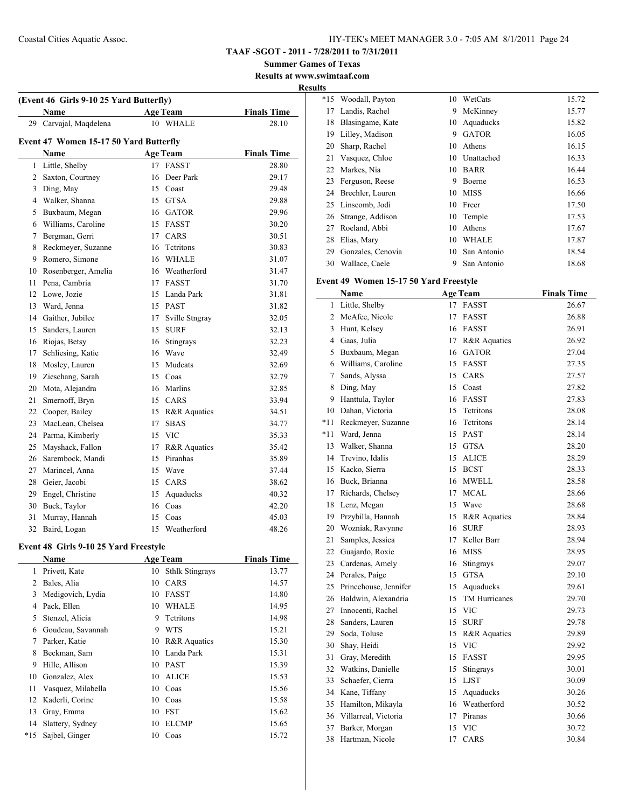**TAAF -SGOT - 2011 - 7/28/2011 to 7/31/2011**

**Summer Games of Texas Results at www.swimtaaf.com**

**Results**

|    | (Event 46 Girls 9-10 25 Yard Butterfly) |    |                   |                    |
|----|-----------------------------------------|----|-------------------|--------------------|
|    | Name                                    |    | <b>Age Team</b>   | <b>Finals Time</b> |
| 29 | Carvajal, Maqdelena                     |    | 10 WHALE          | 28.10              |
|    | Event 47 Women 15-17 50 Yard Butterfly  |    |                   |                    |
|    | Name                                    |    | <b>Age Team</b>   | <b>Finals Time</b> |
| 1  | Little, Shelby                          | 17 | <b>FASST</b>      | 28.80              |
|    | 2 Saxton, Courtney                      | 16 | Deer Park         | 29.17              |
|    | 3 Ding, May                             |    | 15 Coast          | 29.48              |
|    | 4 Walker, Shanna                        |    | 15 GTSA           | 29.88              |
|    | 5 Buxbaum, Megan                        |    | 16 GATOR          | 29.96              |
|    | 6 Williams, Caroline                    |    | 15 FASST          | 30.20              |
| 7  | Bergman, Gerri                          |    | 17 CARS           | 30.51              |
| 8  | Reckmeyer, Suzanne                      |    | 16 Tetritons      | 30.83              |
| 9  | Romero, Simone                          |    | 16 WHALE          | 31.07              |
| 10 | Rosenberger, Amelia                     |    | 16 Weatherford    | 31.47              |
| 11 | Pena, Cambria                           |    | 17 FASST          | 31.70              |
| 12 | Lowe, Jozie                             |    | 15 Landa Park     | 31.81              |
|    | 13 Ward, Jenna                          |    | 15 PAST           | 31.82              |
|    | 14 Gaither, Jubilee                     |    | 17 Sville Stngray | 32.05              |
| 15 | Sanders, Lauren                         |    | 15 SURF           | 32.13              |
|    | 16 Riojas, Betsy                        |    | 16 Stingrays      | 32.23              |
| 17 | Schliesing, Katie                       |    | 16 Wave           | 32.49              |
| 18 | Mosley, Lauren                          |    | 15 Mudcats        | 32.69              |
| 19 | Zieschang, Sarah                        |    | 15 Coas           | 32.79              |
| 20 | Mota, Alejandra                         |    | 16 Marlins        | 32.85              |
| 21 | Smernoff, Bryn                          |    | 15 CARS           | 33.94              |
|    | 22 Cooper, Bailey                       |    | 15 R&R Aquatics   | 34.51              |
| 23 | MacLean, Chelsea                        | 17 | <b>SBAS</b>       | 34.77              |
| 24 | Parma, Kimberly                         |    | 15 VIC            | 35.33              |
| 25 | Mayshack, Fallon                        |    | 17 R&R Aquatics   | 35.42              |
| 26 | Sarembock, Mandi                        |    | 15 Piranhas       | 35.89              |
| 27 | Marincel, Anna                          |    | 15 Wave           | 37.44              |
| 28 | Geier, Jacobi                           |    | 15 CARS           | 38.62              |
| 29 | Engel, Christine                        | 15 | Aquaducks         | 40.32              |
| 30 | Buck, Taylor                            |    | 16 Coas           | 42.20              |
| 31 | Murray, Hannah                          | 15 | Coas              | 45.03              |
| 32 | Baird, Logan                            | 15 | Weatherford       | 48.26              |

# **Event 48 Girls 9-10 25 Yard Freestyle**

 $\overline{a}$ 

|     | Name               |    | <b>Age Team</b>        | <b>Finals Time</b> |
|-----|--------------------|----|------------------------|--------------------|
| 1   | Privett, Kate      | 10 | <b>Sthlk Stingrays</b> | 13.77              |
| 2   | Bales, Alia        | 10 | CARS                   | 14.57              |
| 3   | Medigovich, Lydia  | 10 | <b>FASST</b>           | 14.80              |
| 4   | Pack, Ellen        | 10 | <b>WHALE</b>           | 14.95              |
| 5   | Stenzel, Alicia    | 9  | Tetritons              | 14.98              |
| 6   | Goudeau, Savannah  | 9  | <b>WTS</b>             | 15.21              |
| 7   | Parker, Katie      | 10 | R&R Aquatics           | 15.30              |
| 8   | Beckman, Sam       | 10 | Landa Park             | 15.31              |
| 9   | Hille, Allison     | 10 | <b>PAST</b>            | 15.39              |
| 10  | Gonzalez, Alex     | 10 | <b>ALICE</b>           | 15.53              |
| 11  | Vasquez, Milabella | 10 | Coas                   | 15.56              |
| 12  | Kaderli, Corine    | 10 | Coas                   | 15.58              |
| 13  | Gray, Emma         | 10 | <b>FST</b>             | 15.62              |
| 14  | Slattery, Sydney   | 10 | <b>ELCMP</b>           | 15.65              |
| *15 | Sajbel, Ginger     | 10 | Coas                   | 15.72              |
|     |                    |    |                        |                    |

| ıэ    |                   |    |              |       |
|-------|-------------------|----|--------------|-------|
| $*15$ | Woodall, Payton   | 10 | WetCats      | 15.72 |
| 17    | Landis, Rachel    | 9  | McKinney     | 15.77 |
| 18    | Blasingame, Kate  | 10 | Aquaducks    | 15.82 |
| 19    | Lilley, Madison   | 9  | <b>GATOR</b> | 16.05 |
| 20    | Sharp, Rachel     | 10 | Athens       | 16.15 |
| 21    | Vasquez, Chloe    | 10 | Unattached   | 16.33 |
| 22    | Markes, Nia       | 10 | <b>BARR</b>  | 16.44 |
| 23    | Ferguson, Reese   | 9  | Boerne       | 16.53 |
| 24    | Brechler, Lauren  | 10 | <b>MISS</b>  | 16.66 |
| 25    | Linscomb, Jodi    | 10 | Freer        | 17.50 |
| 26    | Strange, Addison  | 10 | Temple       | 17.53 |
| 27    | Roeland, Abbi     | 10 | Athens       | 17.67 |
| 28    | Elias, Mary       | 10 | WHALE        | 17.87 |
| 29    | Gonzales, Cenovia | 10 | San Antonio  | 18.54 |
| 30    | Wallace, Caele    | 9  | San Antonio  | 18.68 |

# **Event 49 Women 15-17 50 Yard Freestyle**

|       | Name                  |    | Age Team             | <b>Finals Time</b> |
|-------|-----------------------|----|----------------------|--------------------|
| 1     | Little, Shelby        | 17 | <b>FASST</b>         | 26.67              |
| 2     | McAfee, Nicole        | 17 | <b>FASST</b>         | 26.88              |
| 3     | Hunt, Kelsey          |    | 16 FASST             | 26.91              |
|       | 4 Gaas, Julia         | 17 | R&R Aquatics         | 26.92              |
| 5     | Buxbaum, Megan        | 16 | <b>GATOR</b>         | 27.04              |
| 6     | Williams, Caroline    | 15 | <b>FASST</b>         | 27.35              |
| 7     | Sands, Alyssa         | 15 | CARS                 | 27.57              |
| 8     | Ding, May             | 15 | Coast                | 27.82              |
| 9     | Hanttula, Taylor      | 16 | <b>FASST</b>         | 27.83              |
| 10    | Dahan, Victoria       | 15 | Tetritons            | 28.08              |
| $*11$ | Reckmeyer, Suzanne    | 16 | Tetritons            | 28.14              |
| *11   | Ward, Jenna           | 15 | <b>PAST</b>          | 28.14              |
| 13    | Walker, Shanna        | 15 | <b>GTSA</b>          | 28.20              |
| 14    | Trevino, Idalis       | 15 | <b>ALICE</b>         | 28.29              |
| 15    | Kacko, Sierra         | 15 | <b>BCST</b>          | 28.33              |
| 16    | Buck, Brianna         | 16 | <b>MWELL</b>         | 28.58              |
| 17    | Richards, Chelsey     | 17 | <b>MCAL</b>          | 28.66              |
| 18    | Lenz, Megan           | 15 | Wave                 | 28.68              |
| 19    | Przybilla, Hannah     | 15 | R&R Aquatics         | 28.84              |
| 20    | Wozniak, Ravynne      | 16 | <b>SURF</b>          | 28.93              |
| 21    | Samples, Jessica      | 17 | Keller Barr          | 28.94              |
| 22    | Guajardo, Roxie       | 16 | <b>MISS</b>          | 28.95              |
|       | 23 Cardenas, Amely    | 16 | Stingrays            | 29.07              |
|       | 24 Perales, Paige     | 15 | <b>GTSA</b>          | 29.10              |
| 25    | Princehouse, Jennifer | 15 | Aquaducks            | 29.61              |
| 26    | Baldwin, Alexandria   | 15 | <b>TM Hurricanes</b> | 29.70              |
| 27    | Innocenti, Rachel     | 15 | <b>VIC</b>           | 29.73              |
| 28    | Sanders, Lauren       | 15 | <b>SURF</b>          | 29.78              |
| 29    | Soda, Toluse          | 15 | R&R Aquatics         | 29.89              |
| 30    | Shay, Heidi           | 15 | <b>VIC</b>           | 29.92              |
| 31    | Gray, Meredith        | 15 | <b>FASST</b>         | 29.95              |
| 32    | Watkins, Danielle     | 15 | Stingrays            | 30.01              |
| 33    | Schaefer, Cierra      | 15 | <b>LJST</b>          | 30.09              |
|       | 34 Kane, Tiffany      | 15 | Aquaducks            | 30.26              |
| 35    | Hamilton, Mikayla     |    | 16 Weatherford       | 30.52              |
| 36    | Villarreal, Victoria  | 17 | Piranas              | 30.66              |
| 37    | Barker, Morgan        | 15 | <b>VIC</b>           | 30.72              |
| 38    | Hartman, Nicole       | 17 | CARS                 | 30.84              |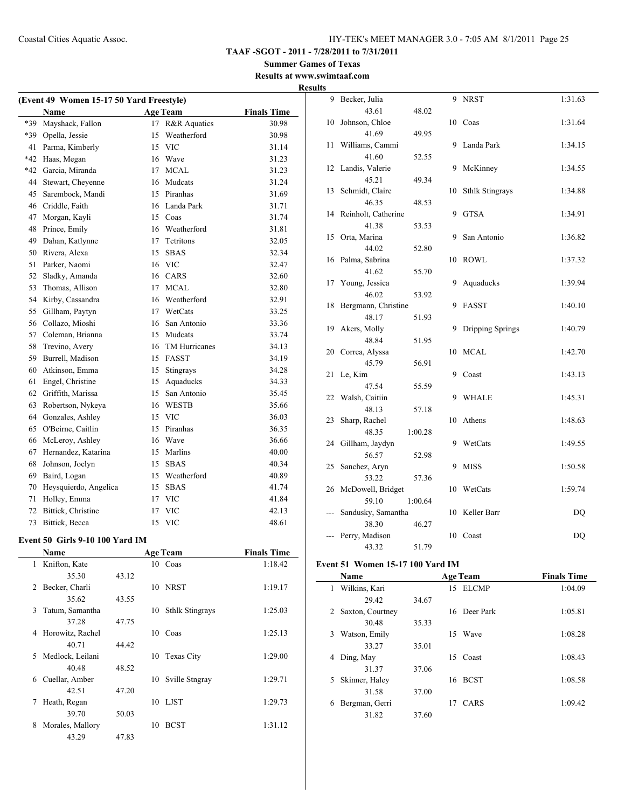**Summer Games of Texas Results at www.swimtaaf.com**

|     |                                          |                  |                    | <b>Results</b> |
|-----|------------------------------------------|------------------|--------------------|----------------|
|     | (Event 49 Women 15-17 50 Yard Freestyle) |                  |                    |                |
|     | <b>Name</b>                              | <b>Age Team</b>  | <b>Finals Time</b> |                |
| *39 | Mayshack, Fallon                         | 17 R&R Aquatics  | 30.98              | 1              |
|     | *39 Opella, Jessie                       | 15 Weatherford   | 30.98              |                |
| 41  | Parma, Kimberly                          | 15 VIC           | 31.14              | 1              |
|     | *42 Haas, Megan                          | 16 Wave          | 31.23              |                |
|     | *42 Garcia, Miranda                      | 17 MCAL          | 31.23              | 1              |
|     | 44 Stewart, Cheyenne                     | 16 Mudcats       | 31.24              |                |
| 45  | Sarembock, Mandi                         | 15 Piranhas      | 31.69              | 1              |
|     | 46 Criddle, Faith                        | 16 Landa Park    | 31.71              |                |
|     | 47 Morgan, Kayli                         | 15 Coas          | 31.74              | 1              |
|     | 48 Prince, Emily                         | 16 Weatherford   | 31.81              |                |
|     | 49 Dahan, Katlynne                       | 17 Tetritons     | 32.05              | 1              |
|     | 50 Rivera, Alexa                         | 15 SBAS          | 32.34              |                |
| 51  | Parker, Naomi                            | 16 VIC           | 32.47              | 1              |
| 52  | Sladky, Amanda                           | 16 CARS          | 32.60              |                |
| 53  | Thomas, Allison                          | 17 MCAL          | 32.80              | 1              |
|     | 54 Kirby, Cassandra                      | 16 Weatherford   | 32.91              |                |
| 55  | Gillham, Paytyn                          | 17 WetCats       | 33.25              | 1              |
|     | 56 Collazo, Mioshi                       | 16 San Antonio   | 33.36              |                |
| 57  | Coleman, Brianna                         | 15 Mudeats       | 33.74              | 1              |
| 58  | Trevino, Avery                           | 16 TM Hurricanes | 34.13              | 2              |
| 59  | Burrell, Madison                         | 15 FASST         | 34.19              |                |
| 60  | Atkinson, Emma                           | 15 Stingrays     | 34.28              | 2              |
| 61  | Engel, Christine                         | 15 Aquaducks     | 34.33              |                |
| 62  | Griffith, Marissa                        | 15 San Antonio   | 35.45              | 2              |
| 63  | Robertson, Nykeya                        | 16 WESTB         | 35.66              |                |
| 64  | Gonzales, Ashley                         | 15 VIC           | 36.03              | 2              |
| 65  | O'Beirne, Caitlin                        | 15 Piranhas      | 36.35              |                |
| 66  | McLeroy, Ashley                          | 16 Wave          | 36.66              | 2              |
| 67  | Hernandez, Katarina                      | 15 Marlins       | 40.00              |                |
| 68  | Johnson, Joclyn                          | 15 SBAS          | 40.34              | 2              |
| 69  | Baird, Logan                             | 15 Weatherford   | 40.89              |                |
| 70  | Heysquierdo, Angelica                    | 15 SBAS          | 41.74              | 2              |
| 71  | Holley, Emma                             | 17 VIC           | 41.84              |                |
| 72  | Bittick, Christine                       | 17 VIC           | 42.13              |                |
| 73  | Bittick, Becca                           | 15 VIC           | 48.61              |                |

#### **Event 50 Girls 9-10 100 Yard IM**

|   | <b>Name</b>      |       |    | <b>Age Team</b>        | <b>Finals Time</b> |
|---|------------------|-------|----|------------------------|--------------------|
| 1 | Knifton, Kate    |       |    | 10 Coas                | 1:18.42            |
|   | 35.30            | 43.12 |    |                        |                    |
| 2 | Becker, Charli   |       | 10 | <b>NRST</b>            | 1:19.17            |
|   | 35.62            | 43.55 |    |                        |                    |
| 3 | Tatum, Samantha  |       | 10 | <b>Sthlk Stingrays</b> | 1:25.03            |
|   | 37.28            | 47.75 |    |                        |                    |
| 4 | Horowitz, Rachel |       | 10 | Coas                   | 1:25.13            |
|   | 40.71            | 44.42 |    |                        |                    |
| 5 | Medlock, Leilani |       | 10 | <b>Texas City</b>      | 1:29.00            |
|   | 40.48            | 48.52 |    |                        |                    |
| 6 | Cuellar, Amber   |       | 10 | Sville Stngray         | 1:29.71            |
|   | 42.51            | 47.20 |    |                        |                    |
| 7 | Heath, Regan     |       | 10 | LJST                   | 1:29.73            |
|   | 39.70            | 50.03 |    |                        |                    |
| 8 | Morales, Mallory |       | 10 | <b>BCST</b>            | 1:31.12            |
|   | 43.29            | 47.83 |    |                        |                    |

| 9     | Becker, Julia          |         |    | 9 NRST                 | 1:31.63 |
|-------|------------------------|---------|----|------------------------|---------|
|       | 43.61                  | 48.02   |    |                        |         |
| 10    | Johnson, Chloe         |         |    | 10 Coas                | 1:31.64 |
|       | 41.69                  | 49.95   |    |                        |         |
| 11    | Williams, Cammi        |         | 9  | Landa Park             | 1:34.15 |
|       | 41.60                  | 52.55   |    |                        |         |
| 12    | Landis, Valerie        |         | 9  | McKinney               | 1:34.55 |
|       | 45.21                  | 49.34   |    |                        |         |
| 13    | Schmidt, Claire        |         | 10 | <b>Sthlk Stingrays</b> | 1:34.88 |
|       | 46.35                  | 48.53   |    |                        |         |
| 14    | Reinholt, Catherine    |         | 9  | <b>GTSA</b>            | 1:34.91 |
|       | 41.38                  | 53.53   |    |                        |         |
| 15    | Orta, Marina           |         | 9  | San Antonio            | 1:36.82 |
|       | 44.02                  | 52.80   |    |                        |         |
| 16    | Palma, Sabrina         |         | 10 | <b>ROWL</b>            | 1:37.32 |
|       | 41.62                  | 55.70   |    |                        |         |
| 17    | Young, Jessica         |         | 9  | Aquaducks              | 1:39.94 |
|       | 46.02                  | 53.92   |    |                        |         |
| 18    | Bergmann, Christine    |         | 9  | <b>FASST</b>           | 1:40.10 |
|       | 48.17                  | 51.93   |    |                        |         |
| 19    | Akers, Molly           |         | 9  | Dripping Springs       | 1:40.79 |
|       | 48.84                  | 51.95   |    |                        |         |
| 20    | Correa, Alyssa         |         | 10 | <b>MCAL</b>            | 1:42.70 |
|       | 45.79                  | 56.91   |    |                        |         |
| 21    | Le, Kim                |         | 9  | Coast                  | 1:43.13 |
|       | 47.54                  | 55.59   |    |                        |         |
| 22    | Walsh, Caitiin         |         | 9  | <b>WHALE</b>           | 1:45.31 |
|       | 48.13                  | 57.18   |    | Athens                 |         |
| 23    | Sharp, Rachel<br>48.35 | 1:00.28 | 10 |                        | 1:48.63 |
| 24    | Gillham, Jaydyn        |         | 9  | WetCats                | 1:49.55 |
|       | 56.57                  | 52.98   |    |                        |         |
| 25    | Sanchez, Aryn          |         | 9  | <b>MISS</b>            | 1:50.58 |
|       | 53.22                  | 57.36   |    |                        |         |
| 26    | McDowell, Bridget      |         | 10 | WetCats                | 1:59.74 |
|       | 59.10                  | 1:00.64 |    |                        |         |
| $---$ |                        |         | 10 | Keller Barr            | DO      |
|       | 38.30                  | 46.27   |    |                        |         |
|       | Perry, Madison         |         | 10 | Coast                  | DO      |
|       | 43.32                  | 51.79   |    |                        |         |
|       | Sandusky, Samantha     |         |    |                        |         |

# **Event 51 Women 15-17 100 Yard IM**

|    | Name             |       | <b>Age Team</b> | <b>Finals Time</b> |
|----|------------------|-------|-----------------|--------------------|
| 1. | Wilkins, Kari    |       | 15 ELCMP        | 1:04.09            |
|    | 29.42            | 34.67 |                 |                    |
| 2  | Saxton, Courtney |       | 16 Deer Park    | 1:05.81            |
|    | 30.48            | 35.33 |                 |                    |
| 3  | Watson, Emily    |       | Wave<br>15      | 1:08.28            |
|    | 33.27            | 35.01 |                 |                    |
| 4  | Ding, May        |       | Coast<br>15     | 1:08.43            |
|    | 31.37            | 37.06 |                 |                    |
| 5  | Skinner, Haley   |       | 16 BCST         | 1:08.58            |
|    | 31.58            | 37.00 |                 |                    |
| 6  | Bergman, Gerri   |       | CARS<br>17      | 1:09.42            |
|    | 31.82            | 37.60 |                 |                    |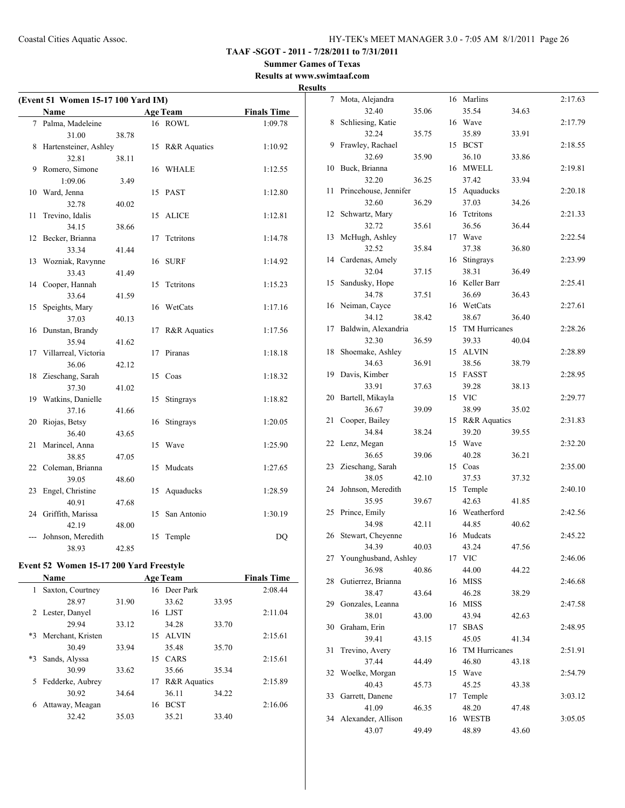#### **Summer Games of Texas Results at www.swimtaaf.com**

**Results**

| (Event 51 Women 15-17 100 Yard IM) |                       |       |    |                 |                    |  |
|------------------------------------|-----------------------|-------|----|-----------------|--------------------|--|
|                                    | Name                  |       |    | <b>Age Team</b> | <b>Finals Time</b> |  |
|                                    | 7 Palma, Madeleine    |       |    | 16 ROWL         | 1:09.78            |  |
|                                    | 31.00                 | 38.78 |    |                 |                    |  |
| 8                                  | Hartensteiner, Ashley |       | 15 | R&R Aquatics    | 1:10.92            |  |
|                                    | 32.81                 | 38.11 |    |                 |                    |  |
| 9                                  | Romero, Simone        |       | 16 | WHALE           | 1:12.55            |  |
|                                    | 1:09.06               | 3.49  |    |                 |                    |  |
| 10                                 | Ward, Jenna           |       | 15 | <b>PAST</b>     | 1:12.80            |  |
|                                    | 32.78                 | 40.02 |    |                 |                    |  |
| 11                                 | Trevino, Idalis       |       | 15 | <b>ALICE</b>    | 1:12.81            |  |
|                                    | 34.15                 | 38.66 |    |                 |                    |  |
| 12                                 | Becker, Brianna       |       | 17 | Tetritons       | 1:14.78            |  |
|                                    | 33.34                 | 41.44 |    |                 |                    |  |
| 13                                 | Wozniak, Ravynne      |       | 16 | <b>SURF</b>     | 1:14.92            |  |
|                                    | 33.43                 | 41.49 |    |                 |                    |  |
| 14                                 | Cooper, Hannah        |       | 15 | Tetritons       | 1:15.23            |  |
|                                    | 33.64                 | 41.59 |    |                 |                    |  |
| 15                                 | Speights, Mary        |       | 16 | WetCats         | 1:17.16            |  |
|                                    | 37.03                 | 40.13 |    |                 |                    |  |
| 16                                 | Dunstan, Brandy       |       | 17 | R&R Aquatics    | 1:17.56            |  |
|                                    | 35.94                 | 41.62 |    |                 |                    |  |
| 17                                 | Villarreal, Victoria  |       | 17 | Piranas         | 1:18.18            |  |
|                                    | 36.06                 | 42.12 |    |                 |                    |  |
| 18                                 | Zieschang, Sarah      |       | 15 | Coas            | 1:18.32            |  |
|                                    | 37.30                 | 41.02 |    |                 |                    |  |
| 19                                 | Watkins, Danielle     |       | 15 | Stingrays       | 1:18.82            |  |
|                                    | 37.16                 | 41.66 |    |                 |                    |  |
| 20                                 | Riojas, Betsy         |       | 16 | Stingrays       | 1:20.05            |  |
|                                    | 36.40                 | 43.65 |    |                 |                    |  |
| 21                                 | Marincel, Anna        |       | 15 | Wave            | 1:25.90            |  |
|                                    | 38.85                 | 47.05 |    |                 |                    |  |
| 22                                 | Coleman, Brianna      |       | 15 | Mudcats         | 1:27.65            |  |
|                                    | 39.05                 | 48.60 |    |                 |                    |  |
| 23                                 | Engel, Christine      |       | 15 | Aquaducks       | 1:28.59            |  |
|                                    | 40.91                 | 47.68 |    |                 |                    |  |
| 24                                 | Griffith, Marissa     |       | 15 | San Antonio     | 1:30.19            |  |
|                                    | 42.19                 | 48.00 |    |                 |                    |  |
|                                    | Johnson, Meredith     |       | 15 | Temple          | DQ                 |  |
|                                    | 38.93                 | 42.85 |    |                 |                    |  |

#### **Event 52 Women 15-17 200 Yard Freestyle**

|      | <b>Name</b>       |       |     | <b>Age Team</b>         |       | <b>Finals Time</b> |
|------|-------------------|-------|-----|-------------------------|-------|--------------------|
| 1    | Saxton, Courtney  |       |     | 16 Deer Park            |       | 2:08.44            |
|      | 28.97             | 31.90 |     | 33.62                   | 33.95 |                    |
|      | 2 Lester, Danyel  |       | 16  | LJST                    |       | 2:11.04            |
|      | 29.94             | 33.12 |     | 34.28                   | 33.70 |                    |
| $*3$ | Merchant, Kristen |       | 15. | <b>ALVIN</b>            |       | 2:15.61            |
|      | 30.49             | 33.94 |     | 35.48                   | 35.70 |                    |
| $*3$ | Sands, Alyssa     |       | 15  | CARS                    |       | 2:15.61            |
|      | 30.99             | 33.62 |     | 35.66                   | 35.34 |                    |
| 5    | Fedderke, Aubrey  |       | 17  | <b>R&amp;R</b> Aquatics |       | 2:15.89            |
|      | 30.92             | 34.64 |     | 36.11                   | 34.22 |                    |
| 6    | Attaway, Meagan   |       | 16  | <b>BCST</b>             |       | 2:16.06            |
|      | 32.42             | 35.03 |     | 35.21                   | 33.40 |                    |
|      |                   |       |     |                         |       |                    |

| 7  | Mota, Alejandra             |       |    | 16 Marlins        |       | 2:17.63 |
|----|-----------------------------|-------|----|-------------------|-------|---------|
|    | 32.40                       | 35.06 |    | 35.54             | 34.63 |         |
| 8  | Schliesing, Katie           |       |    | 16 Wave           |       | 2:17.79 |
|    | 32.24                       | 35.75 |    | 35.89             | 33.91 |         |
| 9  | Frawley, Rachael            |       | 15 | <b>BCST</b>       |       | 2:18.55 |
|    | 32.69                       | 35.90 |    | 36.10             | 33.86 |         |
| 10 | Buck, Brianna               |       |    | 16 MWELL          |       | 2:19.81 |
|    | 32.20                       | 36.25 |    | 37.42             | 33.94 |         |
| 11 | Princehouse, Jennifer       |       |    | 15 Aquaducks      |       | 2:20.18 |
|    | 32.60                       | 36.29 |    | 37.03             | 34.26 |         |
| 12 | Schwartz, Mary              |       |    | 16 Tetritons      |       | 2:21.33 |
|    | 32.72                       | 35.61 |    | 36.56             | 36.44 |         |
|    | McHugh, Ashley              |       | 17 | Wave              |       | 2:22.54 |
| 13 | 32.52                       |       |    |                   |       |         |
|    |                             | 35.84 |    | 37.38             | 36.80 |         |
| 14 | Cardenas, Amely             |       |    | 16 Stingrays      |       | 2:23.99 |
|    | 32.04                       | 37.15 |    | 38.31             | 36.49 |         |
| 15 | Sandusky, Hope              |       |    | 16 Keller Barr    |       | 2:25.41 |
|    | 34.78                       | 37.51 |    | 36.69             | 36.43 |         |
| 16 | Neiman, Cayce               |       |    | 16 WetCats        |       | 2:27.61 |
|    | 34.12                       | 38.42 |    | 38.67             | 36.40 |         |
| 17 | Baldwin, Alexandria         |       | 15 | TM Hurricanes     |       | 2:28.26 |
|    | 32.30                       | 36.59 |    | 39.33             | 40.04 |         |
| 18 | Shoemake, Ashley            |       | 15 | <b>ALVIN</b>      |       | 2:28.89 |
|    | 34.63                       | 36.91 |    | 38.56             | 38.79 |         |
| 19 | Davis, Kimber               |       |    | 15 FASST          |       | 2:28.95 |
|    | 33.91                       | 37.63 |    | 39.28             | 38.13 |         |
| 20 | Bartell, Mikayla            |       |    | 15 VIC            |       | 2:29.77 |
|    | 36.67                       | 39.09 |    | 38.99             | 35.02 |         |
| 21 | Cooper, Bailey              |       | 15 | R&R Aquatics      |       | 2:31.83 |
|    |                             |       |    |                   |       |         |
|    | 34.84                       | 38.24 |    | 39.20             | 39.55 |         |
| 22 | Lenz, Megan                 |       |    | 15 Wave           |       | 2:32.20 |
|    | 36.65                       | 39.06 |    | 40.28             | 36.21 |         |
| 23 | Zieschang, Sarah            |       |    | 15 Coas           |       | 2:35.00 |
|    | 38.05                       | 42.10 |    | 37.53             | 37.32 |         |
| 24 |                             |       | 15 |                   |       | 2:40.10 |
|    | Johnson, Meredith<br>35.95  | 39.67 |    | Temple<br>42.63   | 41.85 |         |
| 25 |                             |       |    | 16 Weatherford    |       | 2:42.56 |
|    | Prince, Emily<br>34.98      | 42.11 |    | 44.85             | 40.62 |         |
| 26 |                             |       |    |                   |       | 2:45.22 |
|    | Stewart, Cheyenne           |       |    | 16 Mudcats        |       |         |
|    | 34.39                       | 40.03 |    | 43.24             | 47.56 |         |
| 27 | Younghusband, Ashley        |       |    | 17 VIC            |       | 2:46.06 |
|    | 36.98                       | 40.86 |    | 44.00             | 44.22 |         |
| 28 | Gutierrez, Brianna          |       |    | 16 MISS           |       | 2:46.68 |
|    | 38.47                       | 43.64 |    | 46.28             | 38.29 |         |
| 29 | Gonzales, Leanna            |       |    | 16 MISS           |       | 2:47.58 |
|    | 38.01                       | 43.00 |    | 43.94             | 42.63 |         |
| 30 | Graham, Erin                |       | 17 | <b>SBAS</b>       |       | 2:48.95 |
|    | 39.41                       | 43.15 |    | 45.05             | 41.34 |         |
| 31 | Trevino, Avery              |       | 16 | TM Hurricanes     |       | 2:51.91 |
|    | 37.44                       | 44.49 |    | 46.80             | 43.18 |         |
| 32 | Woelke, Morgan              |       | 15 | Wave              |       | 2:54.79 |
|    | 40.43                       | 45.73 |    | 45.25             | 43.38 |         |
| 33 | Garrett, Danene             |       | 17 | Temple            |       | 3:03.12 |
|    | 41.09                       | 46.35 |    | 48.20             | 47.48 |         |
| 34 | Alexander, Allison<br>43.07 | 49.49 |    | 16 WESTB<br>48.89 | 43.60 | 3:05.05 |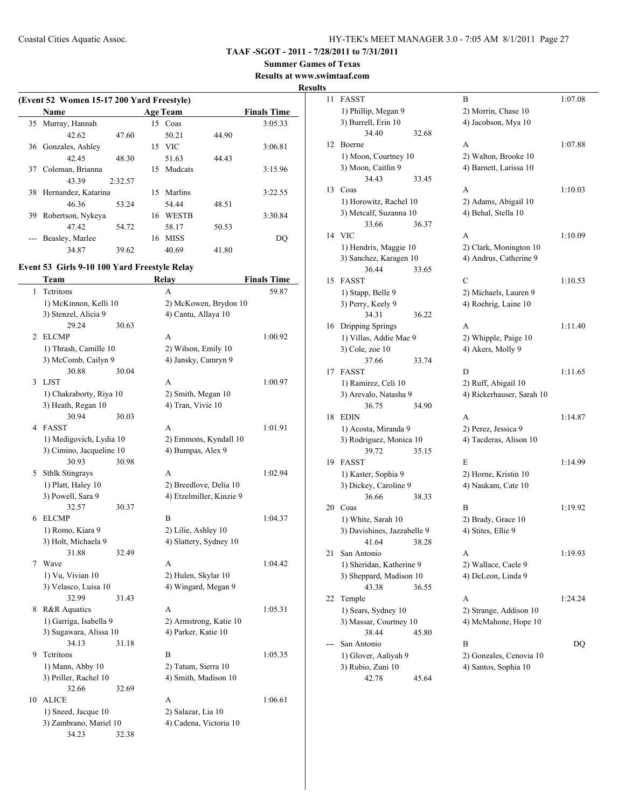**TAAF -SGOT - 2011 - 7/28/2011 to 7/31/2011**

**Summer Games of Texas**

**Results at www.swimtaaf.com**

#### **Results**

|    | (Event 52 Women 15-17 200 Yard Freestyle) |         |    |                 |       |                    |  |  |
|----|-------------------------------------------|---------|----|-----------------|-------|--------------------|--|--|
|    | Name                                      |         |    | <b>Age Team</b> |       | <b>Finals Time</b> |  |  |
|    | 35 Murray, Hannah                         |         |    | 15 Coas         |       | 3:05.33            |  |  |
|    | 42.62                                     | 47.60   |    | 50.21           | 44.90 |                    |  |  |
| 36 | Gonzales, Ashley                          |         |    | 15 VIC          |       | 3:06.81            |  |  |
|    | 42.45                                     | 48.30   |    | 51.63           | 44.43 |                    |  |  |
| 37 | Coleman, Brianna                          |         | 15 | Mudcats         |       | 3:15.96            |  |  |
|    | 43.39                                     | 2:32.57 |    |                 |       |                    |  |  |
| 38 | Hernandez, Katarina                       |         | 15 | Marlins         |       | 3:22.55            |  |  |
|    | 46.36                                     | 53.24   |    | 54.44           | 48.51 |                    |  |  |
| 39 | Robertson, Nykeya                         |         | 16 | <b>WESTB</b>    |       | 3:30.84            |  |  |
|    | 47.42                                     | 54.72   |    | 58.17           | 50.53 |                    |  |  |
|    | Beasley, Marlee                           |         | 16 | <b>MISS</b>     |       | DO                 |  |  |
|    | 34.87                                     | 39.62   |    | 40.69           | 41.80 |                    |  |  |

#### **Event 53 Girls 9-10 100 Yard Freestyle Relay**

|    | Team                     |       | Relay                    | <b>Finals Time</b> |
|----|--------------------------|-------|--------------------------|--------------------|
| 1  | Tetritons                |       | A                        | 59.87              |
|    | 1) McKinnon, Kelli 10    |       | 2) McKowen, Brydon 10    |                    |
|    | 3) Stenzel, Alicia 9     |       | 4) Cantu, Allaya 10      |                    |
|    | 29.24                    | 30.63 |                          |                    |
| 2  | <b>ELCMP</b>             |       | A                        | 1:00.92            |
|    | 1) Thrash, Camille 10    |       | 2) Wilson, Emily 10      |                    |
|    | 3) McComb, Cailyn 9      |       | 4) Jansky, Camryn 9      |                    |
|    | 30.88                    | 30.04 |                          |                    |
| 3  | <b>LJST</b>              |       | A                        | 1:00.97            |
|    | 1) Chakraborty, Riya 10  |       | 2) Smith, Megan 10       |                    |
|    | 3) Heath, Regan 10       |       | 4) Tran, Vivie 10        |                    |
|    | 30.94                    | 30.03 |                          |                    |
| 4  | <b>FASST</b>             |       | A                        | 1:01.91            |
|    | 1) Medigovich, Lydia 10  |       | 2) Emmons, Kyndall 10    |                    |
|    | 3) Cimino, Jacqueline 10 |       | 4) Bumpas, Alex 9        |                    |
|    | 30.93                    | 30.98 |                          |                    |
|    | 5 Sthlk Stingrays        |       | A                        | 1:02.94            |
|    | 1) Platt, Haley 10       |       | 2) Breedlove, Delia 10   |                    |
|    | 3) Powell, Sara 9        |       | 4) Etzelmiller, Kinzie 9 |                    |
|    | 32.57                    | 30.37 |                          |                    |
|    | 6 ELCMP                  |       | $\overline{B}$           | 1:04.37            |
|    | 1) Romo, Kiara 9         |       | 2) Lilie, Ashley 10      |                    |
|    | 3) Holt, Michaela 9      |       | 4) Slattery, Sydney 10   |                    |
|    | 31.88                    | 32.49 |                          |                    |
| 7  | Wave                     |       | A                        | 1:04.42            |
|    | 1) Vu, Vivian 10         |       | 2) Hulen, Skylar 10      |                    |
|    | 3) Velasco, Luisa 10     |       | 4) Wingard, Megan 9      |                    |
|    | 32.99                    | 31.43 |                          |                    |
| 8  | R&R Aquatics             |       | A                        | 1:05.31            |
|    | 1) Garriga, Isabella 9   |       | 2) Armstrong, Katie 10   |                    |
|    | 3) Sugawara, Alissa 10   |       | 4) Parker, Katie 10      |                    |
|    | 34.13                    | 31.18 |                          |                    |
| 9  | Tetritons                |       | B                        | 1:05.35            |
|    | 1) Mann, Abby 10         |       | 2) Tatum, Sierra 10      |                    |
|    | 3) Priller, Rachel 10    |       | 4) Smith, Madison 10     |                    |
|    | 32.66                    | 32.69 |                          |                    |
| 10 | <b>ALICE</b>             |       | A                        | 1:06.61            |
|    | 1) Sneed, Jacque 10      |       | 2) Salazar, Lia 10       |                    |
|    | 3) Zambrano, Mariel 10   |       | 4) Cadena, Victoria 10   |                    |
|    | 34.23                    | 32.38 |                          |                    |

| 11 | <b>FASST</b>                            | В                         | 1:07.08 |
|----|-----------------------------------------|---------------------------|---------|
|    | 1) Phillip, Megan 9                     | 2) Morrin, Chase 10       |         |
|    | 3) Burrell, Erin 10                     | 4) Jacobson, Mya 10       |         |
|    | 34.40<br>32.68                          |                           |         |
| 12 | Boerne                                  | А                         | 1:07.88 |
|    | 1) Moon, Courtney 10                    | 2) Walton, Brooke 10      |         |
|    | 3) Moon, Caitlin 9<br>34.43<br>33.45    | 4) Barnett, Larissa 10    |         |
| 13 | Coas                                    | A                         | 1:10.03 |
|    | 1) Horowitz, Rachel 10                  | 2) Adams, Abigail 10      |         |
|    | 3) Metcalf, Suzanna 10                  | 4) Behal, Stella 10       |         |
|    | 33.66<br>36.37                          |                           |         |
| 14 | <b>VIC</b>                              | A                         | 1:10.09 |
|    | 1) Hendrix, Maggie 10                   | 2) Clark, Monington 10    |         |
|    | 3) Sanchez, Karagen 10                  | 4) Andrus, Catherine 9    |         |
|    | 36.44<br>33.65                          |                           |         |
| 15 | <b>FASST</b>                            | C                         | 1:10.53 |
|    | 1) Stapp, Belle 9                       | 2) Michaels, Lauren 9     |         |
|    | 3) Perry, Keely 9                       | 4) Roehrig, Laine 10      |         |
|    | 36.22<br>34.31                          |                           |         |
| 16 | Dripping Springs                        | А                         | 1:11.40 |
|    | 1) Villas, Addie Mae 9                  | 2) Whipple, Paige 10      |         |
|    | 3) Cole, zoe 10                         | 4) Akers, Molly 9         |         |
|    | 37.66<br>33.74                          |                           |         |
| 17 | <b>FASST</b>                            | D                         | 1:11.65 |
|    | 1) Ramirez, Celi 10                     | 2) Ruff, Abigail 10       |         |
|    | 3) Arevalo, Natasha 9<br>36.75<br>34.90 | 4) Rickerhauser, Sarah 10 |         |
| 18 | <b>EDIN</b>                             | А                         | 1:14.87 |
|    | 1) Acosta, Miranda 9                    | 2) Perez, Jessica 9       |         |
|    | 3) Rodriguez, Monica 10                 | 4) Tacderas, Alison 10    |         |
|    | 39.72<br>35.15                          |                           |         |
| 19 | <b>FASST</b>                            | E                         | 1:14.99 |
|    | 1) Kaster, Sophia 9                     | 2) Horne, Kristin 10      |         |
|    | 3) Dickey, Caroline 9                   | 4) Naukam, Cate 10        |         |
|    | 36.66<br>38.33                          |                           |         |
| 20 | Coas                                    | B                         | 1:19.92 |
|    | 1) White, Sarah 10                      | 2) Brady, Grace 10        |         |
|    | 3) Davishines, Jazzabelle 9             | 4) Stites, Ellie 9        |         |
|    | 41.64<br>38.28                          |                           |         |
| 21 | San Antonio                             | A                         | 1:19.93 |
|    | 1) Sheridan, Katherine 9                | 2) Wallace, Caele 9       |         |
|    | 3) Sheppard, Madison 10                 | 4) DeLeon, Linda 9        |         |
|    | 43.38<br>36.55                          |                           |         |
| 22 | Temple                                  | A                         | 1:24.24 |
|    | 1) Sears, Sydney 10                     | 2) Strange, Addison 10    |         |
|    | 3) Massar, Courtney 10                  | 4) McMahone, Hope 10      |         |
|    | 38.44<br>45.80                          | B                         |         |
|    | San Antonio<br>1) Glover, Aaliyah 9     | 2) Gonzales, Cenovia 10   | DQ      |
|    | 3) Rubio, Zuni 10                       | 4) Santos, Sophia 10      |         |
|    | 42.78<br>45.64                          |                           |         |
|    |                                         |                           |         |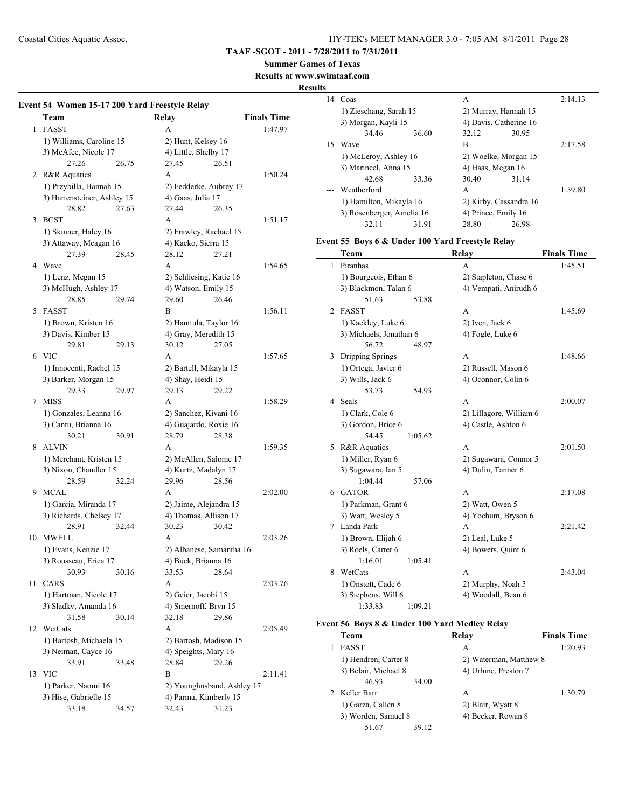#### **TAAF -SGOT - 2011 - 7/28/2011 to 7/31/2011**

**Summer Games of Texas**

**Results at www.swimtaaf.com**

#### **Results**

|    | Team                         | Relay                      | <b>Finals Time</b> |
|----|------------------------------|----------------------------|--------------------|
|    | 1 FASST                      | A                          | 1:47.97            |
|    | 1) Williams, Caroline 15     | 2) Hunt, Kelsey 16         |                    |
|    | 3) McAfee, Nicole 17         | 4) Little, Shelby 17       |                    |
|    | 27.26<br>26.75               | 27.45<br>26.51             |                    |
|    | 2 R&R Aquatics               | A                          | 1:50.24            |
|    | 1) Przybilla, Hannah 15      | 2) Fedderke, Aubrey 17     |                    |
|    | 3) Hartensteiner, Ashley 15  | 4) Gaas, Julia 17          |                    |
|    | 28.82<br>27.63               | 27.44<br>26.35             |                    |
|    | 3 BCST                       | A                          | 1:51.17            |
|    | 1) Skinner, Haley 16         | 2) Frawley, Rachael 15     |                    |
|    | 3) Attaway, Meagan 16        | 4) Kacko, Sierra 15        |                    |
|    | 27.39<br>28.45               | 28.12<br>27.21             |                    |
| 4  | Wave                         | A                          | 1:54.65            |
|    | 1) Lenz, Megan 15            | 2) Schliesing, Katie 16    |                    |
|    | 3) McHugh, Ashley 17         | 4) Watson, Emily 15        |                    |
|    | 28.85<br>29.74               | 29.60<br>26.46             |                    |
| 5. | <b>FASST</b>                 | B                          | 1:56.11            |
|    |                              |                            |                    |
|    | 1) Brown, Kristen 16         | 2) Hanttula, Taylor 16     |                    |
|    | 3) Davis, Kimber 15<br>29.13 | 4) Gray, Meredith 15       |                    |
|    | 29.81                        | 30.12<br>27.05             |                    |
| 6  | <b>VIC</b>                   | A                          | 1:57.65            |
|    | 1) Innocenti, Rachel 15      | 2) Bartell, Mikayla 15     |                    |
|    | 3) Barker, Morgan 15         | 4) Shay, Heidi 15          |                    |
|    | 29.33<br>29.97               | 29.13<br>29.22             |                    |
| 7  | MISS                         | A                          | 1:58.29            |
|    | 1) Gonzales, Leanna 16       | 2) Sanchez, Kivani 16      |                    |
|    | 3) Cantu, Brianna 16         | 4) Guajardo, Roxie 16      |                    |
|    | 30.21<br>30.91               | 28.79<br>28.38             |                    |
| 8  | <b>ALVIN</b>                 | A                          | 1:59.35            |
|    | 1) Merchant, Kristen 15      | 2) McAllen, Salome 17      |                    |
|    | 3) Nixon, Chandler 15        | 4) Kurtz, Madalyn 17       |                    |
|    | 28.59<br>32.24               | 29.96<br>28.56             |                    |
| 9. | MCAL                         | A                          | 2:02.00            |
|    | 1) Garcia, Miranda 17        | 2) Jaime, Alejandra 15     |                    |
|    | 3) Richards, Chelsey 17      | 4) Thomas, Allison 17      |                    |
|    | 28.91<br>32.44               | 30.23<br>30.42             |                    |
| 10 | MWELL                        | А                          | 2:03.26            |
|    | 1) Evans, Kenzie 17          | 2) Albanese, Samantha 16   |                    |
|    | 3) Rousseau, Erica 17        | 4) Buck, Brianna 16        |                    |
|    | 30.93<br>30.16               | 33.53<br>28.64             |                    |
| 11 | CARS                         | A                          | 2:03.76            |
|    | 1) Hartman, Nicole 17        | 2) Geier, Jacobi 15        |                    |
|    | 3) Sladky, Amanda 16         | 4) Smernoff, Bryn 15       |                    |
|    | 31.58<br>30.14               | 32.18<br>29.86             |                    |
| 12 | WetCats                      | A                          | 2:05.49            |
|    | 1) Bartosh, Michaela 15      | 2) Bartosh, Madison 15     |                    |
|    | 3) Neiman, Cayce 16          | 4) Speights, Mary 16       |                    |
|    | 33.91<br>33.48               | 28.84<br>29.26             |                    |
| 13 | <b>VIC</b>                   | B                          | 2:11.41            |
|    | 1) Parker, Naomi 16          | 2) Younghusband, Ashley 17 |                    |
|    | 3) Hise, Gabrielle 15        | 4) Parma, Kimberly 15      |                    |
|    |                              |                            |                    |

|    | 14 Coas                   |       | A     |                        | 2:14.13 |
|----|---------------------------|-------|-------|------------------------|---------|
|    | 1) Zieschang, Sarah 15    |       |       | 2) Murray, Hannah 15   |         |
|    | 3) Morgan, Kayli 15       |       |       | 4) Davis, Catherine 16 |         |
|    | 34.46                     | 36.60 | 32.12 | 30.95                  |         |
| 15 | Wave                      |       | B     |                        | 2:17.58 |
|    | 1) McLeroy, Ashley 16     |       |       | 2) Woelke, Morgan 15   |         |
|    | 3) Marincel, Anna 15      |       |       | 4) Haas, Megan 16      |         |
|    | 42.68                     | 33.36 | 30.40 | 31.14                  |         |
|    | Weatherford               |       | A     |                        | 1:59.80 |
|    | 1) Hamilton, Mikayla 16   |       |       | 2) Kirby, Cassandra 16 |         |
|    | 3) Rosenberger, Amelia 16 |       |       | 4) Prince, Emily 16    |         |
|    | 32.11                     | 31.91 | 28.80 | 26.98                  |         |

# **Event 55 Boys 6 & Under 100 Yard Freestyle Relay**

|                | Team                    | Relay                   | <b>Finals Time</b> |
|----------------|-------------------------|-------------------------|--------------------|
| 1              | Piranhas                | A                       | 1:45.51            |
|                | 1) Bourgeois, Ethan 6   | 2) Stapleton, Chase 6   |                    |
|                | 3) Blackmon, Talan 6    | 4) Vempati, Anirudh 6   |                    |
|                | 51.63                   | 53.88                   |                    |
| $\mathfrak{D}$ | <b>FASST</b>            | A                       | 1:45.69            |
|                | 1) Kackley, Luke 6      | 2) Iven, Jack 6         |                    |
|                | 3) Michaels, Jonathan 6 | 4) Fogle, Luke 6        |                    |
|                | 56.72                   | 48.97                   |                    |
| 3              | Dripping Springs        | A                       | 1:48.66            |
|                | 1) Ortega, Javier 6     | 2) Russell, Mason 6     |                    |
|                | 3) Wills, Jack 6        | 4) Oconnor, Colin 6     |                    |
|                | 53.73                   | 54.93                   |                    |
| 4              | Seals                   | A                       | 2:00.07            |
|                | 1) Clark, Cole 6        | 2) Lillagore, William 6 |                    |
|                | 3) Gordon, Brice 6      | 4) Castle, Ashton 6     |                    |
|                | 54.45                   | 1:05.62                 |                    |
| 5              | R&R Aquatics            | A                       | 2:01.50            |
|                | 1) Miller, Ryan 6       | 2) Sugawara, Connor 5   |                    |
|                | 3) Sugawara, Ian 5      | 4) Dulin, Tanner 6      |                    |
|                | 1:04.44                 | 57.06                   |                    |
| 6              | <b>GATOR</b>            | A                       | 2:17.08            |
|                | 1) Parkman, Grant 6     | 2) Watt, Owen 5         |                    |
|                | 3) Watt, Wesley 5       | 4) Yochum, Bryson 6     |                    |
| 7              | Landa Park              | A                       | 2:21.42            |
|                | 1) Brown, Elijah 6      | 2) Leal, Luke 5         |                    |
|                | 3) Roels, Carter 6      | 4) Bowers, Quint 6      |                    |
|                | 1:16.01                 | 1:05.41                 |                    |
| 8              | WetCats                 | A                       | 2:43.04            |
|                | 1) Onstott, Cade 6      | 2) Murphy, Noah 5       |                    |
|                | 3) Stephens, Will 6     | 4) Woodall, Beau 6      |                    |
|                | 1:33.83                 | 1:09.21                 |                    |

# **Event 56 Boys 8 & Under 100 Yard Medley Relay**

| Team                 | Relay                  | <b>Finals Time</b> |
|----------------------|------------------------|--------------------|
| <b>FASST</b>         | A                      | 1:20.93            |
| 1) Hendren, Carter 8 | 2) Waterman, Matthew 8 |                    |
| 3) Belair, Michael 8 | 4) Urbine, Preston 7   |                    |
| 46.93                | 34.00                  |                    |
| 2 Keller Barr        | A                      | 1:30.79            |
| 1) Garza, Callen 8   | 2) Blair, Wyatt 8      |                    |
| 3) Worden, Samuel 8  | 4) Becker, Rowan 8     |                    |
| 51.67                | 39.12                  |                    |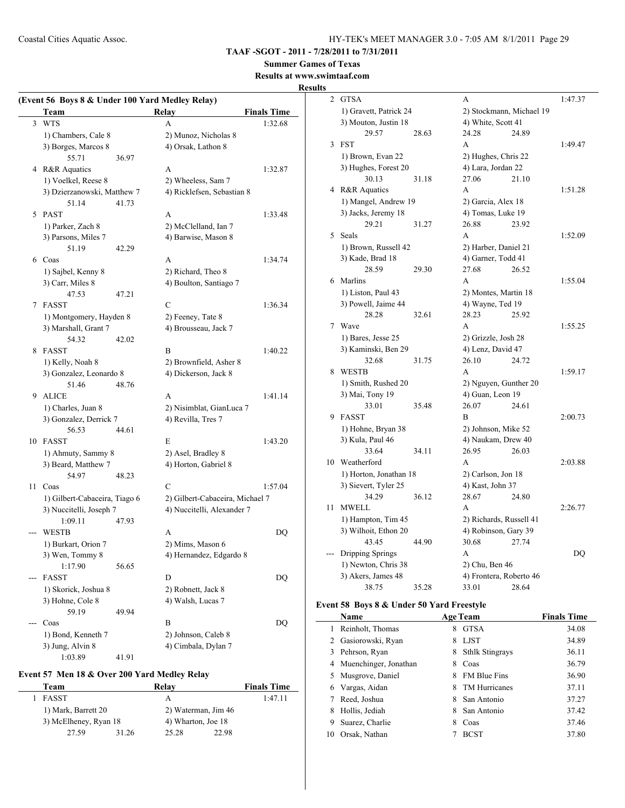#### **TAAF -SGOT - 2011 - 7/28/2011 to 7/31/2011**

# **Summer Games of Texas**

# **Results at www.swimtaaf.com**

#### **Results**

| (Event 56 Boys 8 & Under 100 Yard Medley Relay) |                               |       |                                 |                    |
|-------------------------------------------------|-------------------------------|-------|---------------------------------|--------------------|
|                                                 | Team                          |       | Relay                           | <b>Finals Time</b> |
|                                                 | 3 WTS                         |       | A                               | 1:32.68            |
|                                                 | 1) Chambers, Cale 8           |       | 2) Munoz, Nicholas 8            |                    |
|                                                 | 3) Borges, Marcos 8           |       | 4) Orsak, Lathon 8              |                    |
|                                                 | 55.71                         | 36.97 |                                 |                    |
|                                                 | 4 R&R Aquatics                |       | A                               | 1:32.87            |
|                                                 | 1) Voelkel, Reese 8           |       | 2) Wheeless, Sam 7              |                    |
|                                                 | 3) Dzierzanowski, Matthew 7   |       | 4) Ricklefsen, Sebastian 8      |                    |
|                                                 | 51.14                         | 41.73 |                                 |                    |
|                                                 | 5 PAST                        |       | A                               | 1:33.48            |
|                                                 | 1) Parker, Zach 8             |       | 2) McClelland, Ian 7            |                    |
|                                                 | 3) Parsons, Miles 7           |       | 4) Barwise, Mason 8             |                    |
|                                                 | 51.19                         | 42.29 |                                 |                    |
|                                                 | 6 Coas                        |       | A                               | 1:34.74            |
|                                                 | 1) Sajbel, Kenny 8            |       | 2) Richard, Theo 8              |                    |
|                                                 | 3) Carr, Miles 8              |       | 4) Boulton, Santiago 7          |                    |
|                                                 | 47.53                         | 47.21 |                                 |                    |
| 7                                               | FASST                         |       | C                               | 1:36.34            |
|                                                 | 1) Montgomery, Hayden 8       |       | 2) Feeney, Tate 8               |                    |
|                                                 | 3) Marshall, Grant 7          |       | 4) Brousseau, Jack 7            |                    |
|                                                 | 54.32                         | 42.02 |                                 |                    |
| 8                                               | FASST                         |       | B                               | 1:40.22            |
|                                                 | 1) Kelly, Noah 8              |       | 2) Brownfield, Asher 8          |                    |
|                                                 | 3) Gonzalez, Leonardo 8       |       | 4) Dickerson, Jack 8            |                    |
|                                                 | 51.46                         | 48.76 |                                 |                    |
| 9                                               | ALICE                         |       | A                               | 1:41.14            |
|                                                 | 1) Charles, Juan 8            |       | 2) Nisimblat, GianLuca 7        |                    |
|                                                 | 3) Gonzalez, Derrick 7        |       | 4) Revilla, Tres 7              |                    |
|                                                 | 56.53                         | 44.61 |                                 |                    |
|                                                 | 10 FASST                      |       | E                               | 1:43.20            |
|                                                 | 1) Ahmuty, Sammy 8            |       | 2) Asel, Bradley 8              |                    |
|                                                 | 3) Beard, Matthew 7           |       | 4) Horton, Gabriel 8            |                    |
|                                                 | 54.97                         | 48.23 |                                 |                    |
| 11                                              | Coas                          |       | C                               | 1:57.04            |
|                                                 | 1) Gilbert-Cabaceira, Tiago 6 |       | 2) Gilbert-Cabaceira, Michael 7 |                    |
|                                                 | 3) Nuccitelli, Joseph 7       |       | 4) Nuccitelli, Alexander 7      |                    |
|                                                 | 1:09.11                       | 47.93 |                                 |                    |
|                                                 | <b>WESTB</b>                  |       | A                               | DQ                 |
|                                                 | 1) Burkart, Orion 7           |       | 2) Mims, Mason 6                |                    |
|                                                 | 3) Wen, Tommy 8               |       | 4) Hernandez, Edgardo 8         |                    |
|                                                 | 1:17.90                       | 56.65 |                                 |                    |
| $---$                                           | <b>FASST</b>                  |       | D                               | DQ                 |
|                                                 | 1) Skorick, Joshua 8          |       | 2) Robnett, Jack 8              |                    |
|                                                 | 3) Hohne, Cole 8              |       | 4) Walsh, Lucas 7               |                    |
|                                                 | 59.19                         | 49.94 |                                 |                    |
|                                                 | Coas                          |       | В                               | DQ                 |
|                                                 | 1) Bond, Kenneth 7            |       | 2) Johnson, Caleb 8             |                    |
|                                                 | 3) Jung, Alvin 8              |       | 4) Cimbala, Dylan 7             |                    |
|                                                 | 1:03.89                       | 41.91 |                                 |                    |

#### **Event 57 Men 18 & Over 200 Yard Medley Relay**

| Team                  |       | Relav               |       | <b>Finals Time</b> |
|-----------------------|-------|---------------------|-------|--------------------|
| <b>FASST</b>          |       | А                   |       | 1:47.11            |
| 1) Mark, Barrett 20   |       | 2) Waterman, Jim 46 |       |                    |
| 3) McElheney, Ryan 18 |       | 4) Wharton, Joe 18  |       |                    |
| 27.59                 | 31.26 | 25.28               | 22.98 |                    |

| 2  | <b>GTSA</b>            |       | A                        |       | 1:47.37 |
|----|------------------------|-------|--------------------------|-------|---------|
|    | 1) Gravett, Patrick 24 |       | 2) Stockmann, Michael 19 |       |         |
|    | 3) Mouton, Justin 18   |       | 4) White, Scott 41       |       |         |
|    | 29.57                  | 28.63 | 24.28                    | 24.89 |         |
| 3  | <b>FST</b>             |       | A                        |       | 1:49.47 |
|    | 1) Brown, Evan 22      |       | 2) Hughes, Chris 22      |       |         |
|    | 3) Hughes, Forest 20   |       | 4) Lara, Jordan 22       |       |         |
|    | 30.13                  | 31.18 | 27.06                    | 21.10 |         |
|    | 4 R&R Aquatics         |       | A                        |       | 1:51.28 |
|    | 1) Mangel, Andrew 19   |       | 2) Garcia, Alex 18       |       |         |
|    | 3) Jacks, Jeremy 18    |       | 4) Tomas, Luke 19        |       |         |
|    | 29.21                  | 31.27 | 26.88                    | 23.92 |         |
| 5  | Seals                  |       | A                        |       | 1:52.09 |
|    | 1) Brown, Russell 42   |       | 2) Harber, Daniel 21     |       |         |
|    | 3) Kade, Brad 18       |       | 4) Garner, Todd 41       |       |         |
|    | 28.59                  | 29.30 | 27.68                    | 26.52 |         |
| 6  | Marlins                |       | A                        |       | 1:55.04 |
|    | 1) Liston, Paul 43     |       | 2) Montes, Martin 18     |       |         |
|    | 3) Powell, Jaime 44    |       | 4) Wayne, Ted 19         |       |         |
|    | 28.28                  | 32.61 | 28.23                    | 25.92 |         |
| 7  | Wave                   |       | A                        |       | 1:55.25 |
|    | 1) Bares, Jesse 25     |       | 2) Grizzle, Josh 28      |       |         |
|    | 3) Kaminski, Ben 29    |       | 4) Lenz, David 47        |       |         |
|    | 32.68                  | 31.75 | 26.10                    | 24.72 |         |
| 8  | <b>WESTB</b>           |       | A                        |       | 1:59.17 |
|    | 1) Smith, Rushed 20    |       | 2) Nguyen, Gunther 20    |       |         |
|    | 3) Mai, Tony 19        |       | 4) Guan, Leon 19         |       |         |
|    | 33.01                  | 35.48 | 26.07                    | 24.61 |         |
| 9  | FASST                  |       | B                        |       | 2:00.73 |
|    | 1) Hohne, Bryan 38     |       | 2) Johnson, Mike 52      |       |         |
|    | 3) Kula, Paul 46       |       | 4) Naukam, Drew 40       |       |         |
|    | 33.64                  | 34.11 | 26.95                    | 26.03 |         |
| 10 | Weatherford            |       | A                        |       | 2:03.88 |
|    | 1) Horton, Jonathan 18 |       | 2) Carlson, Jon 18       |       |         |
|    | 3) Sievert, Tyler 25   |       | 4) Kast, John 37         |       |         |
|    | 34.29                  | 36.12 | 28.67                    | 24.80 |         |
| 11 | <b>MWELL</b>           |       | A                        |       | 2:26.77 |
|    | 1) Hampton, Tim 45     |       | 2) Richards, Russell 41  |       |         |
|    | 3) Wilhoit, Ethon 20   |       | 4) Robinson, Gary 39     |       |         |
|    | 43.45                  | 44.90 | 30.68                    | 27.74 |         |
|    | Dripping Springs       |       | A                        |       | DQ      |
|    | 1) Newton, Chris 38    |       | 2) Chu, Ben 46           |       |         |
|    | 3) Akers, James 48     |       | 4) Frontera, Roberto 46  |       |         |
|    | 38.75                  | 35.28 | 33.01                    | 28.64 |         |

# **Event 58 Boys 8 & Under 50 Yard Freestyle**

 $\overline{\phantom{a}}$ 

|    | Name                  |    | <b>Age Team</b>        | <b>Finals Time</b> |
|----|-----------------------|----|------------------------|--------------------|
|    | Reinholt, Thomas      | 8  | <b>GTSA</b>            | 34.08              |
| 2  | Gasiorowski, Ryan     | 8  | <b>LJST</b>            | 34.89              |
| 3  | Pehrson, Ryan         | 8  | <b>Sthlk Stingrays</b> | 36.11              |
| 4  | Muenchinger, Jonathan | 8  | Coas                   | 36.79              |
| 5  | Musgrove, Daniel      | 8  | <b>FM Blue Fins</b>    | 36.90              |
| 6  | Vargas, Aidan         | 8  | TM Hurricanes          | 37.11              |
| 7  | Reed, Joshua          | 8. | San Antonio            | 37.27              |
| 8  | Hollis, Jediah        | 8  | San Antonio            | 37.42              |
| 9  | Suarez, Charlie       | 8  | Coas                   | 37.46              |
| 10 | Orsak, Nathan         |    | <b>BCST</b>            | 37.80              |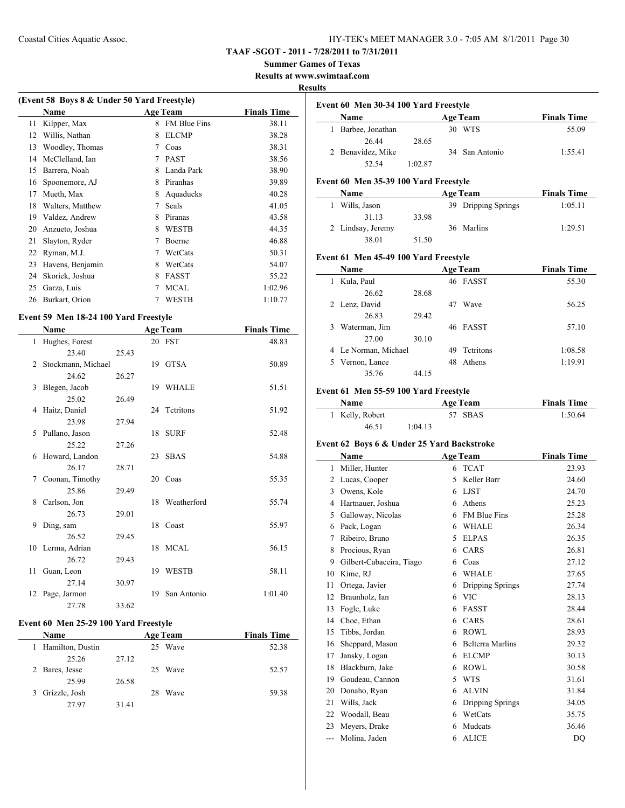#### **TAAF -SGOT - 2011 - 7/28/2011 to 7/31/2011**

**Summer Games of Texas**

**Results at www.swimtaaf.com**

#### **Results**

| (Event 58 Boys 8 & Under 50 Yard Freestyle) |                  |   |                     |                    |  |  |
|---------------------------------------------|------------------|---|---------------------|--------------------|--|--|
|                                             | <b>Name</b>      |   | <b>Age Team</b>     | <b>Finals Time</b> |  |  |
| 11                                          | Kilpper, Max     | 8 | <b>FM Blue Fins</b> | 38.11              |  |  |
| 12                                          | Willis, Nathan   | 8 | <b>ELCMP</b>        | 38.28              |  |  |
| 13                                          | Woodley, Thomas  | 7 | Coas                | 38.31              |  |  |
| 14                                          | McClelland, Ian  | 7 | <b>PAST</b>         | 38.56              |  |  |
| 15                                          | Barrera, Noah    | 8 | Landa Park          | 38.90              |  |  |
| 16                                          | Spoonemore, AJ   | 8 | Piranhas            | 39.89              |  |  |
| 17                                          | Mueth, Max       | 8 | Aquaducks           | 40.28              |  |  |
| 18                                          | Walters, Matthew | 7 | <b>Seals</b>        | 41.05              |  |  |
| 19                                          | Valdez, Andrew   | 8 | Piranas             | 43.58              |  |  |
| 20                                          | Anzueto, Joshua  | 8 | WESTB               | 44.35              |  |  |
| 21                                          | Slayton, Ryder   | 7 | Boerne              | 46.88              |  |  |
| 22                                          | Ryman, M.J.      | 7 | WetCats             | 50.31              |  |  |
| 23                                          | Havens, Benjamin | 8 | WetCats             | 54.07              |  |  |
| 24                                          | Skorick, Joshua  | 8 | <b>FASST</b>        | 55.22              |  |  |
| 25                                          | Garza, Luis      | 7 | <b>MCAL</b>         | 1:02.96            |  |  |
| 26                                          | Burkart, Orion   |   | <b>WESTB</b>        | 1:10.77            |  |  |
|                                             |                  |   |                     |                    |  |  |

#### **Event 59 Men 18-24 100 Yard Freestyle**

|      | Name               |       |    | <b>Age Team</b> | <b>Finals Time</b> |
|------|--------------------|-------|----|-----------------|--------------------|
| 1    | Hughes, Forest     |       |    | 20 FST          | 48.83              |
|      | 23.40              | 25.43 |    |                 |                    |
| 2    | Stockmann, Michael |       |    | 19 GTSA         | 50.89              |
|      | 24.62              | 26.27 |    |                 |                    |
| 3    | Blegen, Jacob      |       |    | 19 WHALE        | 51.51              |
|      | 25.02              | 26.49 |    |                 |                    |
| 4    | Haitz, Daniel      |       |    | 24 Tetritons    | 51.92              |
|      | 23.98              | 27.94 |    |                 |                    |
| 5    | Pullano, Jason     |       |    | 18 SURF         | 52.48              |
|      | 25.22              | 27.26 |    |                 |                    |
| 6    | Howard, Landon     |       | 23 | <b>SBAS</b>     | 54.88              |
|      | 26.17              | 28.71 |    |                 |                    |
| 7    | Coonan, Timothy    |       |    | 20 Coas         | 55.35              |
|      | 25.86              | 29.49 |    |                 |                    |
| 8    | Carlson, Jon       |       | 18 | Weatherford     | 55.74              |
|      | 26.73              | 29.01 |    |                 |                    |
| 9    | Ding, sam          |       |    | 18 Coast        | 55.97              |
|      | 26.52              | 29.45 |    |                 |                    |
|      | 10 Lerma, Adrian   |       |    | 18 MCAL         | 56.15              |
|      | 26.72              | 29.43 |    |                 |                    |
| 11 - | Guan, Leon         |       | 19 | WESTB           | 58.11              |
|      | 27.14              | 30.97 |    |                 |                    |
| 12   | Page, Jarmon       |       | 19 | San Antonio     | 1:01.40            |
|      | 27.78              | 33.62 |    |                 |                    |

#### **Event 60 Men 25-29 100 Yard Freestyle**

|   | Name             |       |    | <b>Age Team</b> | <b>Finals Time</b> |
|---|------------------|-------|----|-----------------|--------------------|
| L | Hamilton, Dustin |       | 25 | Wave            | 52.38              |
|   | 25.26            | 27.12 |    |                 |                    |
|   | 2 Bares, Jesse   |       |    | 25 Wave         | 52.57              |
|   | 25.99            | 26.58 |    |                 |                    |
| 3 | Grizzle, Josh    |       | 28 | Wave            | 59.38              |
|   | 27.97            | 31.41 |    |                 |                    |
|   |                  |       |    |                 |                    |

| <b>Name</b>       |         |     | <b>Age Team</b> | <b>Finals Time</b> |
|-------------------|---------|-----|-----------------|--------------------|
| Barbee, Jonathan  |         | 30. | <b>WTS</b>      | 55.09              |
| 26.44             | 28.65   |     |                 |                    |
| 2 Benavidez, Mike |         |     | 34 San Antonio  | 1:55.41            |
| 52.54             | 1:02.87 |     |                 |                    |

#### **Event 60 Men 35-39 100 Yard Freestyle**

| Name                         |       | <b>Age Team</b>     | <b>Finals Time</b> |
|------------------------------|-------|---------------------|--------------------|
| Wills, Jason<br>$\mathbf{L}$ |       | 39 Dripping Springs | 1:05.11            |
| 31.13                        | 33.98 |                     |                    |
| 2 Lindsay, Jeremy            |       | 36 Marlins          | 1:29.51            |
| 38.01                        | 51.50 |                     |                    |

#### **Event 61 Men 45-49 100 Yard Freestyle**

|    | Name                 |       |    | <b>Age Team</b>  | <b>Finals Time</b> |
|----|----------------------|-------|----|------------------|--------------------|
|    | Kula, Paul           |       |    | 46 FASST         | 55.30              |
|    | 26.62                | 28.68 |    |                  |                    |
|    | 2 Lenz, David        |       | 47 | Wave             | 56.25              |
|    | 26.83                | 29.42 |    |                  |                    |
| 3. | Waterman, Jim        |       |    | 46 FASST         | 57.10              |
|    | 27.00                | 30.10 |    |                  |                    |
|    | 4 Le Norman, Michael |       | 49 | <b>Tetritons</b> | 1:08.58            |
|    | 5 Vernon, Lance      |       | 48 | Athens           | 1:19.91            |
|    | 35.76                | 44.15 |    |                  |                    |

#### **Event 61 Men 55-59 100 Yard Freestyle**

| Name            | <b>Age Team</b> | <b>Finals Time</b> |
|-----------------|-----------------|--------------------|
| 1 Kelly, Robert | 57 SBAS         | 1:50.64            |
| 46.51           | 1:04.13         |                    |

#### **Event 62 Boys 6 & Under 25 Yard Backstroke**

|       | Name                     |   | <b>Age Team</b>         | <b>Finals Time</b> |
|-------|--------------------------|---|-------------------------|--------------------|
| 1     | Miller, Hunter           | 6 | <b>TCAT</b>             | 23.93              |
| 2     | Lucas, Cooper            | 5 | Keller Barr             | 24.60              |
| 3     | Owens, Kole              | 6 | <b>LJST</b>             | 24.70              |
| 4     | Hartnauer, Joshua        | 6 | Athens                  | 25.23              |
| 5     | Galloway, Nicolas        | 6 | <b>FM Blue Fins</b>     | 25.28              |
| 6     | Pack, Logan              | 6 | <b>WHALE</b>            | 26.34              |
| 7     | Ribeiro, Bruno           | 5 | <b>ELPAS</b>            | 26.35              |
| 8     | Procious, Ryan           | 6 | CARS                    | 26.81              |
| 9     | Gilbert-Cabaceira, Tiago | 6 | Coas                    | 27.12              |
| 10    | Kime, RJ                 | 6 | <b>WHALE</b>            | 27.65              |
| 11    | Ortega, Javier           | 6 | Dripping Springs        | 27.74              |
| 12    | Braunholz, Ian           | 6 | <b>VIC</b>              | 28.13              |
| 13    | Fogle, Luke              | 6 | <b>FASST</b>            | 28.44              |
| 14    | Choe, Ethan              | 6 | CARS                    | 28.61              |
| 15    | Tibbs, Jordan            | 6 | <b>ROWL</b>             | 28.93              |
| 16    | Sheppard, Mason          | 6 | <b>Belterra Marlins</b> | 29.32              |
| 17    | Jansky, Logan            | 6 | <b>ELCMP</b>            | 30.13              |
| 18    | Blackburn, Jake          | 6 | <b>ROWL</b>             | 30.58              |
| 19    | Goudeau, Cannon          | 5 | <b>WTS</b>              | 31.61              |
| 20    | Donaho, Ryan             | 6 | <b>ALVIN</b>            | 31.84              |
| 21    | Wills, Jack              | 6 | Dripping Springs        | 34.05              |
| 22    | Woodall, Beau            | 6 | WetCats                 | 35.75              |
| 23    | Meyers, Drake            | 6 | Mudcats                 | 36.46              |
| $---$ | Molina, Jaden            | 6 | <b>ALICE</b>            | DO                 |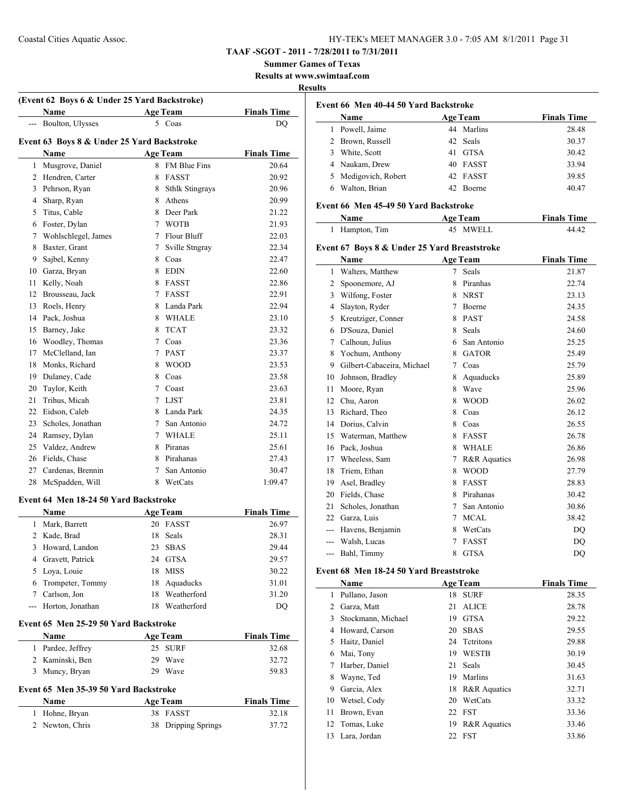**TAAF -SGOT - 2011 - 7/28/2011 to 7/31/2011**

**Summer Games of Texas**

**Results at www.swimtaaf.com**

#### **Results**

 $\overline{a}$ 

|     | (Event 62 Boys 6 & Under 25 Yard Backstroke)<br>Name |    | <b>Age Team</b>   | <b>Finals Time</b> |
|-----|------------------------------------------------------|----|-------------------|--------------------|
| --- | Boulton, Ulysses                                     |    | 5 Coas            | DQ                 |
|     | Event 63 Boys 8 & Under 25 Yard Backstroke           |    |                   |                    |
|     | Name                                                 |    | <b>Age Team</b>   | <b>Finals Time</b> |
| 1   | Musgrove, Daniel                                     |    | 8 FM Blue Fins    | 20.64              |
|     | 2 Hendren, Carter                                    |    | 8 FASST           | 20.92              |
| 3   | Pehrson, Ryan                                        |    | 8 Sthlk Stingrays | 20.96              |
|     | 4 Sharp, Ryan                                        |    | 8 Athens          | 20.99              |
| 5   | Titus, Cable                                         |    | 8 Deer Park       | 21.22              |
|     | 6 Foster, Dylan                                      |    | 7 WOTB            | 21.93              |
| 7   | Wohlschlegel, James                                  |    | 7 Flour Bluff     | 22.03              |
| 8   | Baxter, Grant                                        |    | 7 Sville Stngray  | 22.34              |
|     | 9 Sajbel, Kenny                                      |    | 8 Coas            | 22.47              |
|     | 10 Garza, Bryan                                      |    | 8 EDIN            | 22.60              |
| 11  | Kelly, Noah                                          |    | 8 FASST           | 22.86              |
|     | 12 Brousseau, Jack                                   |    | 7 FASST           | 22.91              |
|     | 13 Roels, Henry                                      |    | 8 Landa Park      | 22.94              |
|     | 14 Pack, Joshua                                      |    | 8 WHALE           | 23.10              |
|     | 15 Barney, Jake                                      |    | 8 TCAT            | 23.32              |
|     | 16 Woodley, Thomas                                   |    | 7 Coas            | 23.36              |
|     | 17 McClelland, Ian                                   |    | 7 PAST            | 23.37              |
|     | 18 Monks, Richard                                    |    | 8 WOOD            | 23.53              |
|     | 19 Dulaney, Cade                                     |    | 8 Coas            | 23.58              |
|     | 20 Taylor, Keith                                     |    | 7 Coast           | 23.63              |
|     | 21 Trihus, Micah                                     |    | 7 LJST            | 23.81              |
|     | 22 Eidson, Caleb                                     |    | 8 Landa Park      | 24.35              |
|     | 23 Scholes, Jonathan                                 |    | 7 San Antonio     | 24.72              |
|     | 24 Ramsey, Dylan                                     |    | 7 WHALE           | 25.11              |
|     | 25 Valdez, Andrew                                    |    | 8 Piranas         |                    |
|     |                                                      |    |                   | 25.61              |
|     | 26 Fields, Chase                                     |    | 8 Pirahanas       | 27.43              |
|     | 27 Cardenas, Brennin                                 |    | 7 San Antonio     | 30.47              |
| 28  | McSpadden, Will                                      |    | 8 WetCats         | 1:09.47            |
|     | Event 64 Men 18-24 50 Yard Backstroke                |    |                   |                    |
|     | Name                                                 |    | <b>Age Team</b>   | <b>Finals Time</b> |
| 1   | Mark, Barrett                                        |    | 20 FASST          | 26.97              |
| 2   | Kade, Brad                                           | 18 | Seals             | 28.31              |
| 3   | Howard, Landon                                       | 23 | <b>SBAS</b>       | 29.44              |
| 4   | Gravett, Patrick                                     |    | 24 GTSA           | 29.57              |
|     | 5 Loya, Louie                                        |    | 18 MISS           | 30.22              |
|     | 6 Trompeter, Tommy                                   |    | 18 Aquaducks      | 31.01              |
|     | 7 Carlson, Jon                                       |    | 18 Weatherford    | 31.20              |
| --- | Horton, Jonathan                                     |    | 18 Weatherford    | DQ                 |
|     | Event 65 Men 25-29 50 Yard Backstroke                |    |                   |                    |
|     | Name                                                 |    | <b>Age Team</b>   | <b>Finals Time</b> |
|     | 1 Pardee, Jeffrey                                    |    | 25 SURF           | 32.68              |
|     | 2 Kaminski, Ben                                      |    | 29 Wave           | 32.72              |
|     | 3 Muncy, Bryan                                       |    | 29 Wave           | 59.83              |
|     | Event 65 Men 35-39 50 Yard Backstroke                |    |                   |                    |
|     | Name                                                 |    | <b>Age Team</b>   | <b>Finals Time</b> |
|     |                                                      |    |                   |                    |
| 1   | Hohne, Bryan                                         | 38 | FASST             | 32.18              |

|   | Event 66 Men 40-44 50 Yard Backstroke |  |                 |                    |  |
|---|---------------------------------------|--|-----------------|--------------------|--|
|   | <b>Name</b>                           |  | <b>Age Team</b> | <b>Finals Time</b> |  |
|   | Powell, Jaime                         |  | 44 Marlins      | 28.48              |  |
|   | 2 Brown, Russell                      |  | 42 Seals        | 30.37              |  |
| 3 | White, Scott                          |  | 41 GTSA         | 30.42              |  |
|   | 4 Naukam, Drew                        |  | 40 FASST        | 33.94              |  |
|   | 5 Medigovich, Robert                  |  | 42 FASST        | 39.85              |  |
|   | Walton, Brian                         |  | 42 Boerne       | 40.47              |  |

#### **Event 66 Men 45-49 50 Yard Backstroke**

| Name           | <b>Age Team</b> | <b>Finals Time</b> |
|----------------|-----------------|--------------------|
| 1 Hampton, Tim | 45 MWELL        | 44 42              |

# **Event 67 Boys 8 & Under 25 Yard Breaststroke**

|       | Name                       |   | <b>Age Team</b> | <b>Finals Time</b> |
|-------|----------------------------|---|-----------------|--------------------|
| 1     | Walters, Matthew           | 7 | <b>Seals</b>    | 21.87              |
| 2     | Spoonemore, AJ             | 8 | Piranhas        | 22.74              |
| 3     | Wilfong, Foster            | 8 | <b>NRST</b>     | 23.13              |
| 4     | Slayton, Ryder             | 7 | Boerne          | 24.35              |
| 5     | Kreutziger, Conner         | 8 | <b>PAST</b>     | 24.58              |
| 6     | D'Souza, Daniel            | 8 | <b>Seals</b>    | 24.60              |
| 7     | Calhoun, Julius            | 6 | San Antonio     | 25.25              |
| 8     | Yochum, Anthony            | 8 | <b>GATOR</b>    | 25.49              |
| 9     | Gilbert-Cabaceira, Michael | 7 | Coas            | 25.79              |
| 10    | Johnson, Bradley           | 8 | Aquaducks       | 25.89              |
| 11    | Moore, Ryan                | 8 | Wave            | 25.96              |
| 12    | Chu, Aaron                 | 8 | <b>WOOD</b>     | 26.02              |
| 13    | Richard, Theo              | 8 | Coas            | 26.12              |
| 14    | Dorius, Calvin             | 8 | Coas            | 26.55              |
| 15    | Waterman, Matthew          | 8 | <b>FASST</b>    | 26.78              |
| 16    | Pack, Joshua               | 8 | <b>WHALE</b>    | 26.86              |
| 17    | Wheeless, Sam              | 7 | R&R Aquatics    | 26.98              |
| 18    | Triem, Ethan               | 8 | <b>WOOD</b>     | 27.79              |
| 19    | Asel, Bradley              | 8 | <b>FASST</b>    | 28.83              |
| 20    | Fields, Chase              | 8 | Pirahanas       | 30.42              |
| 21    | Scholes, Jonathan          | 7 | San Antonio     | 30.86              |
| 22    | Garza, Luis                | 7 | <b>MCAL</b>     | 38.42              |
| $---$ | Havens, Benjamin           | 8 | WetCats         | DO                 |
| $---$ | Walsh, Lucas               | 7 | <b>FASST</b>    | DQ                 |
| ---   | Bahl, Timmy                | 8 | <b>GTSA</b>     | DQ                 |
|       |                            |   |                 |                    |

#### **Event 68 Men 18-24 50 Yard Breaststroke**

 $\frac{1}{2}$ 

|    | Name               |    | <b>Age Team</b> | <b>Finals Time</b> |
|----|--------------------|----|-----------------|--------------------|
| 1  | Pullano, Jason     | 18 | <b>SURF</b>     | 28.35              |
| 2  | Garza, Matt        | 21 | <b>ALICE</b>    | 28.78              |
| 3  | Stockmann, Michael | 19 | <b>GTSA</b>     | 29.22              |
| 4  | Howard, Carson     | 20 | <b>SBAS</b>     | 29.55              |
| 5  | Haitz, Daniel      |    | 24 Tetritons    | 29.88              |
| 6  | Mai, Tony          | 19 | <b>WESTB</b>    | 30.19              |
| 7  | Harber, Daniel     | 21 | Seals           | 30.45              |
| 8  | Wayne, Ted         | 19 | Marlins         | 31.63              |
| 9  | Garcia, Alex       | 18 | R&R Aquatics    | 32.71              |
| 10 | Wetsel, Cody       | 20 | WetCats         | 33.32              |
| 11 | Brown, Evan        | 22 | <b>FST</b>      | 33.36              |
|    | 12 Tomas, Luke     | 19 | R&R Aquatics    | 33.46              |
|    | 13 Lara, Jordan    | 22 | <b>FST</b>      | 33.86              |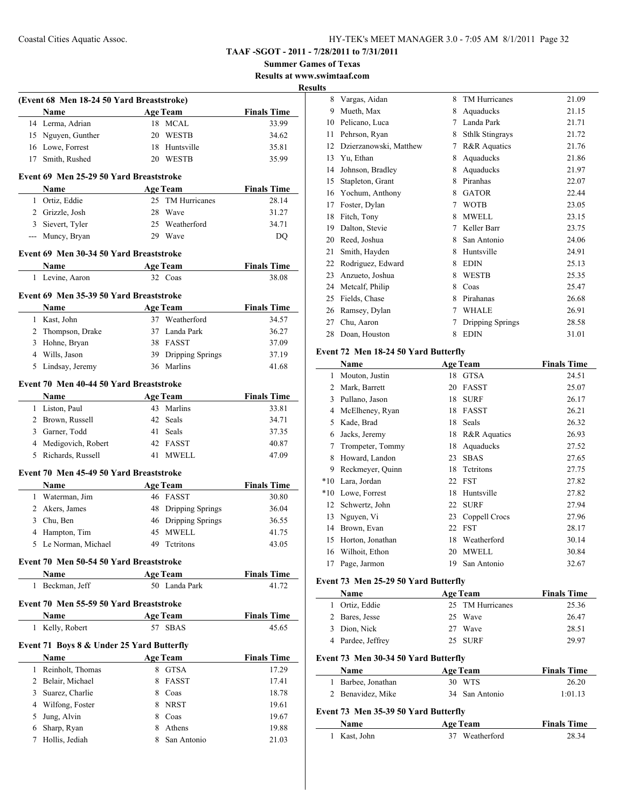**Summer Games of Texas Results at www.swimtaaf.com**

**Results**

|   | (Event 68 Men 18-24 50 Yard Breaststroke) |                 |                     |                    |
|---|-------------------------------------------|-----------------|---------------------|--------------------|
|   | Name                                      |                 | <b>Age Team</b>     | <b>Finals Time</b> |
|   | 14 Lerma, Adrian                          |                 | 18 MCAL             | 33.99              |
|   | 15 Nguyen, Gunther                        |                 | 20 WESTB            | 34.62              |
|   | 16 Lowe, Forrest                          |                 | 18 Huntsville       | 35.81              |
|   | 17 Smith, Rushed                          |                 | 20 WESTB            | 35.99              |
|   | Event 69 Men 25-29 50 Yard Breaststroke   |                 |                     |                    |
|   | Name                                      |                 | <b>Age Team</b>     | <b>Finals Time</b> |
|   | 1 Ortiz, Eddie                            |                 | 25 TM Hurricanes    | 28.14              |
|   | 2 Grizzle, Josh                           |                 | 28 Wave             | 31.27              |
|   | 3 Sievert, Tyler                          |                 | 25 Weatherford      | 34.71              |
|   | --- Muncy, Bryan                          |                 | 29 Wave             | DQ                 |
|   | Event 69 Men 30-34 50 Yard Breaststroke   |                 |                     |                    |
|   | <b>Name</b>                               | <b>Age Team</b> |                     | <b>Finals Time</b> |
| 1 | Levine, Aaron                             |                 | 32 Coas             | 38.08              |
|   | Event 69 Men 35-39 50 Yard Breaststroke   |                 |                     |                    |
|   | Name                                      |                 | <b>Age Team</b>     | <b>Finals Time</b> |
|   | 1 Kast, John                              |                 | 37 Weatherford      | 34.57              |
|   | 2 Thompson, Drake                         |                 | 37 Landa Park       | 36.27              |
|   | 3 Hohne, Bryan                            |                 | 38 FASST            | 37.09              |
|   | 4 Wills, Jason                            |                 | 39 Dripping Springs | 37.19              |
| 5 | Lindsay, Jeremy                           |                 | 36 Marlins          | 41.68              |
|   | Event 70 Men 40-44 50 Yard Breaststroke   |                 |                     |                    |
|   | Name                                      |                 | <b>Age Team</b>     | <b>Finals Time</b> |
|   | 1 Liston, Paul                            |                 | 43 Marlins          | 33.81              |
|   | 2 Brown, Russell                          |                 | 42 Seals            | 34.71              |
|   | 3 Garner, Todd                            |                 | 41 Seals            | 37.35              |
|   | 4 Medigovich, Robert                      |                 | 42 FASST            | 40.87              |
| 5 | Richards, Russell                         |                 | 41 MWELL            | 47.09              |
|   | Event 70 Men 45-49 50 Yard Breaststroke   |                 |                     |                    |
|   | Name                                      |                 | <b>Age Team</b>     | <b>Finals Time</b> |
|   | 1 Waterman, Jim                           |                 | 46 FASST            | 30.80              |
|   | 2 Akers, James                            |                 | 48 Dripping Springs | 36.04              |
|   | 3 Chu, Ben                                |                 | 46 Dripping Springs | 36.55              |
|   | 4 Hampton, Tim                            |                 | 45 MWELL            | 41.75              |
|   | 5 Le Norman, Michael                      |                 | 49 Tetritons        | 43.05              |
|   | Event 70 Men 50-54 50 Yard Breaststroke   |                 |                     |                    |
|   | Name                                      |                 | <b>Age Team</b>     | <b>Finals Time</b> |
| 1 | Beckman, Jeff                             |                 | 50 Landa Park       | 41.72              |
|   | Event 70 Men 55-59 50 Yard Breaststroke   |                 |                     |                    |
|   | Name                                      |                 | <b>Age Team</b>     | <b>Finals Time</b> |
| 1 | Kelly, Robert                             |                 | 57 SBAS             | 45.65              |
|   | Event 71 Boys 8 & Under 25 Yard Butterfly |                 |                     |                    |
|   | Name                                      |                 | <b>Age Team</b>     | <b>Finals Time</b> |
| 1 | Reinholt, Thomas                          |                 | 8 GTSA              | 17.29              |
|   | 2 Belair, Michael                         |                 | 8 FASST             | 17.41              |
| 3 | Suarez, Charlie                           |                 | 8 Coas              | 18.78              |
|   | 4 Wilfong, Foster                         |                 | 8 NRST              | 19.61              |
| 5 | Jung, Alvin                               |                 | 8 Coas              | 19.67              |
| 6 | Sharp, Ryan                               |                 | 8 Athens            | 19.88              |
|   |                                           |                 |                     |                    |

| $\ddot{ }$ |                        |   |                        |       |
|------------|------------------------|---|------------------------|-------|
| 8          | Vargas, Aidan          | 8 | TM Hurricanes          | 21.09 |
| 9          | Mueth, Max             | 8 | Aquaducks              | 21.15 |
| 10         | Pelicano, Luca         | 7 | Landa Park             | 21.71 |
| 11         | Pehrson, Ryan          | 8 | <b>Sthlk Stingrays</b> | 21.72 |
| 12         | Dzierzanowski, Matthew | 7 | R&R Aquatics           | 21.76 |
| 13         | Yu, Ethan              | 8 | Aquaducks              | 21.86 |
| 14         | Johnson, Bradley       | 8 | Aquaducks              | 21.97 |
| 15         | Stapleton, Grant       | 8 | Piranhas               | 22.07 |
| 16         | Yochum, Anthony        | 8 | <b>GATOR</b>           | 22.44 |
| 17         | Foster, Dylan          | 7 | <b>WOTB</b>            | 23.05 |
| 18         | Fitch, Tony            | 8 | <b>MWELL</b>           | 23.15 |
| 19         | Dalton, Stevie         | 7 | Keller Barr            | 23.75 |
| 20         | Reed, Joshua           | 8 | San Antonio            | 24.06 |
| 21         | Smith, Hayden          | 8 | Huntsville             | 24.91 |
| 22         | Rodriguez, Edward      | 8 | <b>EDIN</b>            | 25.13 |
| 23         | Anzueto, Joshua        | 8 | <b>WESTB</b>           | 25.35 |
| 24         | Metcalf, Philip        | 8 | Coas                   | 25.47 |
| 25         | Fields, Chase          | 8 | Pirahanas              | 26.68 |
| 26         | Ramsey, Dylan          | 7 | <b>WHALE</b>           | 26.91 |
| 27         | Chu, Aaron             | 7 | Dripping Springs       | 28.58 |
| 28         | Doan, Houston          | 8 | <b>EDIN</b>            | 31.01 |
|            |                        |   |                        |       |

#### **Event 72 Men 18-24 50 Yard Butterfly**

|       | Name             |    | <b>Age Team</b>         | <b>Finals Time</b> |
|-------|------------------|----|-------------------------|--------------------|
| 1     | Mouton, Justin   | 18 | <b>GTSA</b>             | 24.51              |
| 2     | Mark, Barrett    | 20 | <b>FASST</b>            | 25.07              |
| 3     | Pullano, Jason   | 18 | <b>SURF</b>             | 26.17              |
| 4     | McElheney, Ryan  | 18 | <b>FASST</b>            | 26.21              |
| 5     | Kade, Brad       | 18 | Seals                   | 26.32              |
| 6     | Jacks, Jeremy    | 18 | <b>R&amp;R</b> Aquatics | 26.93              |
| 7     | Trompeter, Tommy | 18 | Aquaducks               | 27.52              |
| 8     | Howard, Landon   | 23 | <b>SBAS</b>             | 27.65              |
| 9     | Reckmeyer, Quinn | 18 | Tetritons               | 27.75              |
| $*10$ | Lara, Jordan     | 22 | <b>FST</b>              | 27.82              |
| $*10$ | Lowe, Forrest    | 18 | Huntsville              | 27.82              |
| 12    | Schwertz, John   | 22 | <b>SURF</b>             | 27.94              |
| 13    | Nguyen, Vi       | 23 | Coppell Crocs           | 27.96              |
| 14    | Brown, Evan      | 22 | <b>FST</b>              | 28.17              |
| 15    | Horton, Jonathan | 18 | Weatherford             | 30.14              |
| 16    | Wilhoit, Ethon   | 20 | <b>MWELL</b>            | 30.84              |
| 17    | Page, Jarmon     | 19 | San Antonio             | 32.67              |

#### **Event 73 Men 25-29 50 Yard Butterfly**

|    | Name                                 |    | <b>Age Team</b>  | <b>Finals Time</b> |
|----|--------------------------------------|----|------------------|--------------------|
| 1. | Ortiz, Eddie                         |    | 25 TM Hurricanes | 25.36              |
| 2  | Bares, Jesse                         |    | 25 Wave          | 26.47              |
| 3  | Dion, Nick                           | 27 | Wave             | 28.51              |
| 4  | Pardee, Jeffrey                      |    | 25 SURF          | 29.97              |
|    | Event 73 Men 30-34 50 Yard Butterfly |    |                  |                    |
|    | <b>Name</b>                          |    | <b>Age Team</b>  | <b>Finals Time</b> |
| 1  | Barbee, Jonathan                     |    | 30 WTS           | 26.20              |
| 2  | Benavidez, Mike                      |    | 34 San Antonio   | 1:01.13            |
|    | Event 73 Men 35-39 50 Yard Butterfly |    |                  |                    |
|    | Name                                 |    | <b>Age Team</b>  | <b>Finals Time</b> |
|    | Kast, John                           | 37 | Weatherford      | 28.34              |
|    |                                      |    |                  |                    |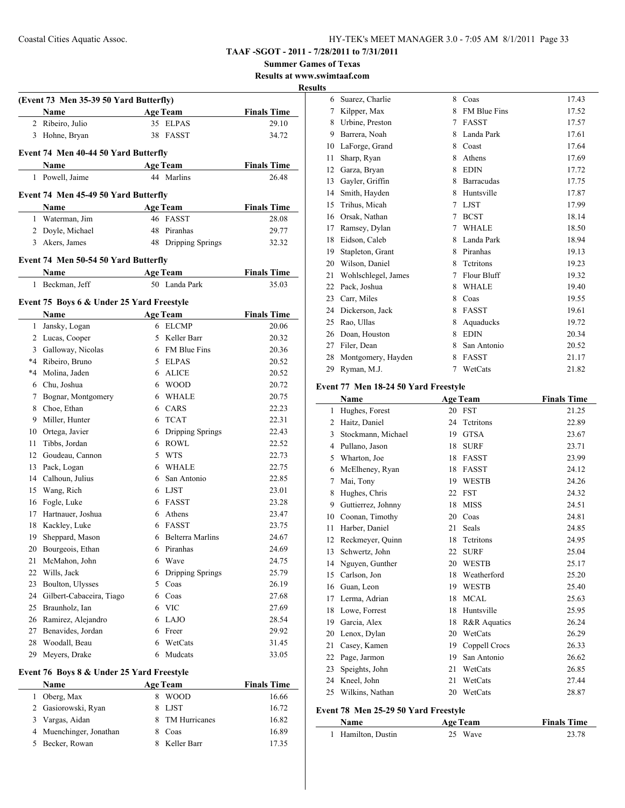**Summer Games of Texas**

**Results at www.swimtaaf.com Results**

|    | (Event 73 Men 35-39 50 Yard Butterfly)    |    |                     |                    |
|----|-------------------------------------------|----|---------------------|--------------------|
|    | Name                                      |    | <b>Age Team</b>     | <b>Finals Time</b> |
| 2  | Ribeiro, Julio                            |    | 35 ELPAS            | 29.10              |
| 3  | Hohne, Bryan                              | 38 | FASST               | 34.72              |
|    | Event 74 Men 40-44 50 Yard Butterfly      |    |                     |                    |
|    | Name                                      |    | <b>Age Team</b>     | <b>Finals Time</b> |
| 1  | Powell, Jaime                             |    | 44 Marlins          | 26.48              |
|    | Event 74 Men 45-49 50 Yard Butterfly      |    |                     |                    |
|    | Name                                      |    | <b>Age Team</b>     | <b>Finals Time</b> |
|    | 1 Waterman, Jim                           |    | 46 FASST            | 28.08              |
|    | 2 Doyle, Michael                          |    | 48 Piranhas         | 29.77              |
|    | 3 Akers, James                            |    | 48 Dripping Springs | 32.32              |
|    |                                           |    |                     |                    |
|    | Event 74 Men 50-54 50 Yard Butterfly      |    |                     |                    |
|    | Name                                      |    | <b>Age Team</b>     | <b>Finals Time</b> |
| 1  | Beckman, Jeff                             |    | 50 Landa Park       | 35.03              |
|    | Event 75 Boys 6 & Under 25 Yard Freestyle |    |                     |                    |
|    | Name                                      |    | <b>Age Team</b>     | <b>Finals Time</b> |
| 1  | Jansky, Logan                             |    | 6 ELCMP             | 20.06              |
| 2  | Lucas, Cooper                             |    | 5 Keller Barr       | 20.32              |
|    | 3 Galloway, Nicolas                       |    | 6 FM Blue Fins      | 20.36              |
|    | *4 Ribeiro, Bruno                         |    | 5 ELPAS             | 20.52              |
|    | *4 Molina, Jaden                          |    | 6 ALICE             | 20.52              |
|    | 6 Chu, Joshua                             |    | 6 WOOD              | 20.72              |
| 7  | Bognar, Montgomery                        |    | 6 WHALE             | 20.75              |
| 8  | Choe, Ethan                               |    | 6 CARS              | 22.23              |
| 9  | Miller, Hunter                            |    | 6 TCAT              | 22.31              |
| 10 | Ortega, Javier                            |    | 6 Dripping Springs  | 22.43              |
| 11 | Tibbs, Jordan                             |    | 6 ROWL              | 22.52              |
| 12 | Goudeau, Cannon                           |    | 5 WTS               | 22.73              |
| 13 | Pack, Logan                               |    | 6 WHALE             | 22.75              |
| 14 | Calhoun, Julius                           |    | 6 San Antonio       | 22.85              |
| 15 | Wang, Rich                                |    | 6 LJST              | 23.01              |
| 16 | Fogle, Luke                               |    | 6 FASST             | 23.28              |
| 17 | Hartnauer, Joshua                         |    | 6 Athens            | 23.47              |
| 18 | Kackley, Luke                             |    | 6 FASST             | 23.75              |
| 19 | Sheppard, Mason                           | 6  | Belterra Marlins    | 24.67              |
| 20 | Bourgeois, Ethan                          | 6  | Piranhas            | 24.69              |
| 21 | McMahon, John                             | 6  | Wave                | 24.75              |
| 22 | Wills, Jack                               | 6  | Dripping Springs    | 25.79              |
| 23 | Boulton, Ulysses                          | 5  | Coas                | 26.19              |
| 24 | Gilbert-Cabaceira, Tiago                  | 6  | Coas                | 27.68              |
| 25 | Braunholz, Ian                            |    | 6 VIC               | 27.69              |
| 26 | Ramirez, Alejandro                        |    | 6 LAJO              | 28.54              |
| 27 | Benavides, Jordan                         | 6  | Freer               | 29.92              |
| 28 | Woodall, Beau                             | 6  | WetCats<br>Mudcats  | 31.45              |
| 29 | Meyers, Drake                             | 6  |                     | 33.05              |

#### **Event 76 Boys 8 & Under 25 Yard Freestyle**

÷,

| Name                    | <b>Age Team</b> | <b>Finals Time</b> |
|-------------------------|-----------------|--------------------|
| 1 Oberg, Max            | <b>WOOD</b>     | 16.66              |
| 2 Gasiorowski, Ryan     | 8 LJST          | 16.72              |
| 3 Vargas, Aidan         | 8 TM Hurricanes | 16.82              |
| 4 Muenchinger, Jonathan | Coas            | 16.89              |
| 5 Becker, Rowan         | 8 Keller Barr   | 17.35              |
|                         |                 |                    |

| 6  | Suarez, Charlie     | 8 | Coas                | 17.43 |
|----|---------------------|---|---------------------|-------|
| 7  | Kilpper, Max        | 8 | <b>FM Blue Fins</b> | 17.52 |
| 8  | Urbine, Preston     | 7 | <b>FASST</b>        | 17.57 |
| 9  | Barrera, Noah       | 8 | Landa Park          | 17.61 |
| 10 | LaForge, Grand      | 8 | Coast               | 17.64 |
| 11 | Sharp, Ryan         | 8 | Athens              | 17.69 |
| 12 | Garza, Bryan        | 8 | <b>EDIN</b>         | 17.72 |
| 13 | Gayler, Griffin     | 8 | <b>Barracudas</b>   | 17.75 |
| 14 | Smith, Hayden       | 8 | Huntsville          | 17.87 |
| 15 | Trihus, Micah       | 7 | <b>LJST</b>         | 17.99 |
| 16 | Orsak, Nathan       | 7 | <b>BCST</b>         | 18.14 |
| 17 | Ramsey, Dylan       | 7 | <b>WHALE</b>        | 18.50 |
| 18 | Eidson, Caleb       | 8 | Landa Park          | 18.94 |
| 19 | Stapleton, Grant    | 8 | Piranhas            | 19.13 |
| 20 | Wilson, Daniel      | 8 | Tetritons           | 19.23 |
| 21 | Wohlschlegel, James | 7 | <b>Flour Bluff</b>  | 19.32 |
| 22 | Pack, Joshua        | 8 | <b>WHALE</b>        | 19.40 |
| 23 | Carr, Miles         | 8 | Coas                | 19.55 |
| 24 | Dickerson, Jack     | 8 | <b>FASST</b>        | 19.61 |
| 25 | Rao, Ullas          | 8 | Aquaducks           | 19.72 |
| 26 | Doan, Houston       | 8 | <b>EDIN</b>         | 20.34 |
| 27 | Filer, Dean         | 8 | San Antonio         | 20.52 |
| 28 | Montgomery, Hayden  | 8 | <b>FASST</b>        | 21.17 |
| 29 | Ryman, M.J.         | 7 | WetCats             | 21.82 |

#### **Event 77 Men 18-24 50 Yard Freestyle**

|    | Name               |    | <b>Age Team</b>         | <b>Finals Time</b> |  |
|----|--------------------|----|-------------------------|--------------------|--|
| 1  | Hughes, Forest     | 20 | <b>FST</b>              | 21.25              |  |
| 2  | Haitz, Daniel      | 24 | Tetritons               | 22.89              |  |
| 3  | Stockmann, Michael | 19 | <b>GTSA</b>             | 23.67              |  |
| 4  | Pullano, Jason     | 18 | <b>SURF</b>             | 23.71              |  |
| 5  | Wharton, Joe       | 18 | <b>FASST</b>            | 23.99              |  |
| 6  | McElheney, Ryan    | 18 | <b>FASST</b>            | 24.12              |  |
| 7  | Mai, Tony          | 19 | <b>WESTB</b>            | 24.26              |  |
| 8  | Hughes, Chris      | 22 | <b>FST</b>              | 24.32              |  |
| 9  | Guttierrez, Johnny | 18 | <b>MISS</b>             | 24.51              |  |
| 10 | Coonan, Timothy    | 20 | Coas                    | 24.81              |  |
| 11 | Harber, Daniel     | 21 | Seals                   | 24.85              |  |
| 12 | Reckmeyer, Quinn   | 18 | Tetritons               | 24.95              |  |
| 13 | Schwertz, John     | 22 | <b>SURF</b>             | 25.04              |  |
| 14 | Nguyen, Gunther    | 20 | <b>WESTB</b>            | 25.17              |  |
| 15 | Carlson, Jon       | 18 | Weatherford             | 25.20              |  |
| 16 | Guan, Leon         | 19 | <b>WESTB</b>            | 25.40              |  |
| 17 | Lerma, Adrian      | 18 | <b>MCAL</b>             | 25.63              |  |
| 18 | Lowe, Forrest      | 18 | Huntsville              | 25.95              |  |
| 19 | Garcia, Alex       | 18 | <b>R&amp;R</b> Aquatics | 26.24              |  |
| 20 | Lenox, Dylan       | 20 | WetCats                 | 26.29              |  |
| 21 | Casey, Kamen       | 19 | Coppell Crocs           | 26.33              |  |
| 22 | Page, Jarmon       | 19 | San Antonio             | 26.62              |  |
| 23 | Speights, John     | 21 | WetCats                 | 26.85              |  |
| 24 | Kneel, John        | 21 | WetCats                 | 27.44              |  |
| 25 | Wilkins, Nathan    | 20 | WetCats                 | 28.87              |  |
|    |                    |    |                         |                    |  |

#### **Event 78 Men 25-29 50 Yard Freestyle**

| <b>Name</b>        | <b>Age Team</b> | <b>Finals Time</b> |  |
|--------------------|-----------------|--------------------|--|
| 1 Hamilton, Dustin | 25 Wave         | 23.78              |  |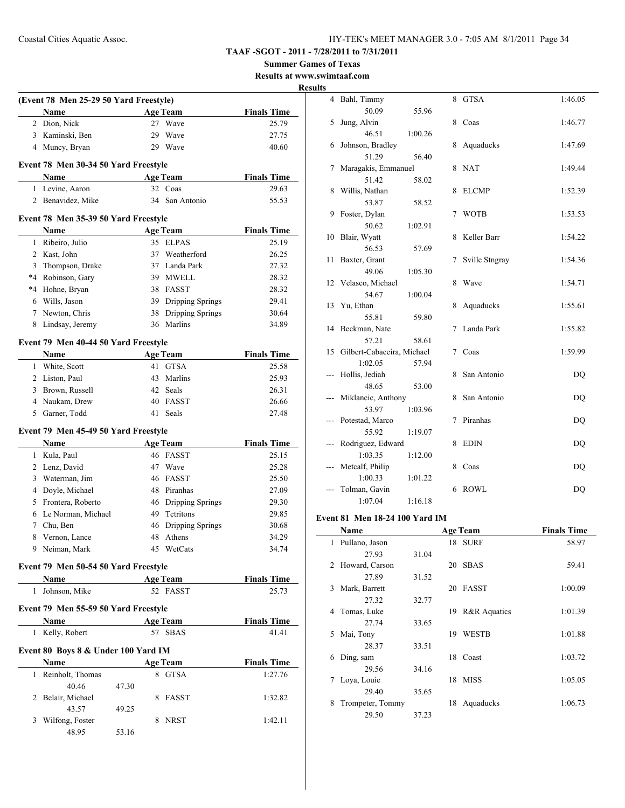**Summer Games of Texas**

**Results at www.swimtaaf.com Results**

|   |                                              |       |    |                                   | <b>Results at ww</b> |
|---|----------------------------------------------|-------|----|-----------------------------------|----------------------|
|   | (Event 78 Men 25-29 50 Yard Freestyle)       |       |    |                                   | R                    |
|   | Name                                         |       |    | <b>Age Team</b>                   | <b>Finals Time</b>   |
|   | 2 Dion, Nick                                 |       |    | 27 Wave                           | 25.79                |
|   | 3 Kaminski, Ben                              |       | 29 | Wave                              | 27.75                |
|   | 4 Muncy, Bryan                               |       |    | 29 Wave                           | 40.60                |
|   |                                              |       |    |                                   |                      |
|   | Event 78 Men 30-34 50 Yard Freestyle<br>Name |       |    | Age Team                          | <b>Finals Time</b>   |
|   | 1 Levine, Aaron                              |       |    | 32 Coas                           | 29.63                |
|   | 2 Benavidez, Mike                            |       |    | 34 San Antonio                    | 55.53                |
|   |                                              |       |    |                                   |                      |
|   | Event 78 Men 35-39 50 Yard Freestyle         |       |    |                                   |                      |
|   | Name                                         |       |    | <b>Age Team</b>                   | <b>Finals Time</b>   |
|   | 1 Ribeiro, Julio                             |       |    | 35 ELPAS                          | 25.19                |
|   | 2 Kast, John                                 |       |    | 37 Weatherford                    | 26.25                |
|   | 3 Thompson, Drake                            |       |    | 37 Landa Park                     | 27.32                |
|   | *4 Robinson, Gary                            |       |    | 39 MWELL                          | 28.32                |
|   | *4 Hohne, Bryan                              |       |    | 38 FASST                          | 28.32                |
|   | 6 Wills, Jason                               |       |    | 39 Dripping Springs               | 29.41                |
|   | 7 Newton, Chris                              |       |    | 38 Dripping Springs<br>36 Marlins | 30.64<br>34.89       |
| 8 | Lindsay, Jeremy                              |       |    |                                   |                      |
|   | Event 79 Men 40-44 50 Yard Freestyle         |       |    |                                   |                      |
|   | Name                                         |       |    | <b>Age Team</b>                   | <b>Finals Time</b>   |
|   | 1 White, Scott                               |       | 41 | <b>GTSA</b>                       | 25.58                |
|   | 2 Liston, Paul                               |       | 43 | Marlins                           | 25.93                |
|   | 3 Brown, Russell                             |       | 42 | Seals                             | 26.31                |
|   | 4 Naukam, Drew                               |       |    | 40 FASST                          | 26.66                |
| 5 | Garner, Todd                                 |       | 41 | Seals                             | 27.48                |
|   | Event 79 Men 45-49 50 Yard Freestyle         |       |    |                                   |                      |
|   | Name                                         |       |    | <b>Age Team</b>                   | <b>Finals Time</b>   |
|   | 1 Kula, Paul                                 |       |    | 46 FASST                          | 25.15                |
|   | 2 Lenz, David                                |       | 47 | Wave                              | 25.28                |
| 3 | Waterman, Jim                                |       |    | 46 FASST                          | 25.50                |
|   | 4 Doyle, Michael                             |       |    | 48 Piranhas                       | 27.09                |
|   | 5 Frontera, Roberto                          |       |    | 46 Dripping Springs               | 29.30                |
| 6 | Le Norman, Michael                           |       | 49 | Tetritons                         | 29.85                |
| 7 | Chu, Ben                                     |       | 46 | Dripping Springs                  | 30.68                |
| 8 | Vernon, Lance                                |       | 48 | Athens                            | 34.29                |
|   | 9 Neiman, Mark                               |       |    | 45 WetCats                        | 34.74                |
|   | Event 79 Men 50-54 50 Yard Freestyle         |       |    |                                   |                      |
|   | Name                                         |       |    | <b>Age Team</b>                   | <b>Finals Time</b>   |
| 1 | Johnson, Mike                                |       |    | 52 FASST                          | 25.73                |
|   | Event 79 Men 55-59 50 Yard Freestyle         |       |    |                                   |                      |
|   | Name                                         |       |    | <b>Age Team</b>                   | <b>Finals Time</b>   |
|   | 1 Kelly, Robert                              |       |    | 57 SBAS                           | 41.41                |
|   |                                              |       |    |                                   |                      |
|   | Event 80 Boys 8 & Under 100 Yard IM          |       |    |                                   |                      |
|   | Name                                         |       |    | <b>Age Team</b>                   | <b>Finals Time</b>   |
|   | 1 Reinholt, Thomas                           |       |    | 8 GTSA                            | 1:27.76              |
|   | 40.46                                        | 47.30 |    |                                   |                      |
| 2 | Belair, Michael                              |       | 8  | FASST                             | 1:32.82              |
| 3 | 43.57                                        | 49.25 | 8  |                                   |                      |
|   | Wilfong, Foster<br>48.95                     | 53.16 |    | NRST                              | 1:42.11              |
|   |                                              |       |    |                                   |                      |

| 4   | Bahl, Timmy                |         | 8 | <b>GTSA</b>    | 1:46.05        |
|-----|----------------------------|---------|---|----------------|----------------|
|     | 50.09                      | 55.96   |   |                |                |
| 5   | Jung, Alvin                |         | 8 | Coas           | 1:46.77        |
|     | 46.51                      | 1:00.26 |   |                |                |
| 6   | Johnson, Bradley           |         | 8 | Aquaducks      | 1:47.69        |
|     | 51.29                      | 56.40   |   |                |                |
| 7   | Maragakis, Emmanuel        |         | 8 | <b>NAT</b>     | 1:49.44        |
|     | 51.42                      | 58.02   |   |                |                |
| 8   | Willis, Nathan             |         | 8 | <b>ELCMP</b>   | 1:52.39        |
|     | 53.87                      | 58.52   |   |                |                |
| 9   | Foster, Dylan              |         | 7 | <b>WOTB</b>    | 1:53.53        |
|     | 50.62                      | 1:02.91 |   |                |                |
| 10  | Blair, Wyatt               |         | 8 | Keller Barr    | 1:54.22        |
|     | 56.53                      | 57.69   |   |                |                |
| 11  | Baxter, Grant              |         | 7 | Sville Stngray | 1:54.36        |
|     | 49.06                      | 1:05.30 |   |                |                |
| 12  | Velasco, Michael           |         | 8 | Wave           | 1:54.71        |
|     | 54.67                      | 1:00.04 |   |                |                |
| 13  | Yu, Ethan                  |         | 8 | Aquaducks      | 1:55.61        |
|     | 55.81                      | 59.80   |   |                |                |
| 14  | Beckman, Nate              |         | 7 | Landa Park     | 1:55.82        |
|     | 57.21                      | 58.61   |   |                |                |
| 15  | Gilbert-Cabaceira, Michael |         | 7 | Coas           | 1:59.99        |
|     | 1:02.05                    | 57.94   |   |                |                |
| --- | Hollis, Jediah             |         | 8 | San Antonio    | DQ             |
|     | 48.65                      | 53.00   |   |                |                |
|     | Miklancic, Anthony         |         | 8 | San Antonio    | DQ             |
|     | 53.97                      | 1:03.96 |   |                |                |
|     | Potestad, Marco            |         | 7 | Piranhas       | DQ             |
|     | 55.92                      | 1:19.07 |   |                |                |
|     | Rodriguez, Edward          |         | 8 | <b>EDIN</b>    | DQ             |
|     | 1:03.35                    | 1:12.00 |   |                |                |
|     | Metcalf, Philip            |         | 8 | Coas           | D <sub>O</sub> |
|     | 1:00.33                    | 1:01.22 |   |                |                |
|     | Tolman, Gavin              |         | 6 | <b>ROWL</b>    | DQ             |
|     | 1:07.04                    | 1:16.18 |   |                |                |

# **Event 81 Men 18-24 100 Yard IM**

| Name         |                  |       | <b>Age Team</b> | <b>Finals Time</b> |         |
|--------------|------------------|-------|-----------------|--------------------|---------|
| $\mathbf{1}$ | Pullano, Jason   |       |                 | 18 SURF            | 58.97   |
|              | 27.93            | 31.04 |                 |                    |         |
| 2            | Howard, Carson   |       | 20              | <b>SBAS</b>        | 59.41   |
|              | 27.89            | 31.52 |                 |                    |         |
| 3            | Mark, Barrett    |       | 20              | FASST              | 1:00.09 |
|              | 27.32            | 32.77 |                 |                    |         |
| 4            | Tomas, Luke      |       | 19              | R&R Aquatics       | 1:01.39 |
|              | 27.74            | 33.65 |                 |                    |         |
| 5.           | Mai, Tony        |       | 19              | <b>WESTB</b>       | 1:01.88 |
|              | 28.37            | 33.51 |                 |                    |         |
| 6            | Ding, sam        |       | 18              | Coast              | 1:03.72 |
|              | 29.56            | 34.16 |                 |                    |         |
| 7            | Loya, Louie      |       | 18              | <b>MISS</b>        | 1:05.05 |
|              | 29.40            | 35.65 |                 |                    |         |
| 8            | Trompeter, Tommy |       | 18              | Aquaducks          | 1:06.73 |
|              | 29.50            | 37.23 |                 |                    |         |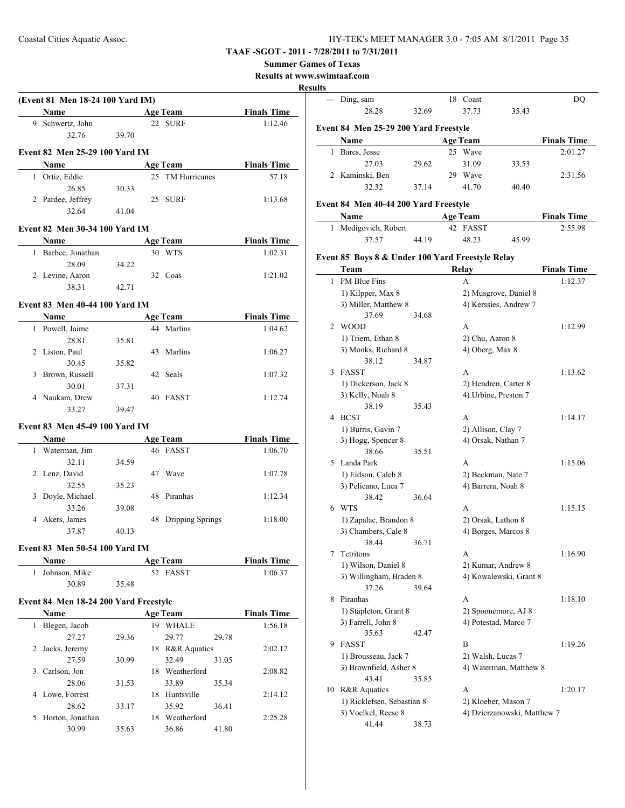#### **Summer Games of Texas**

**Results at www.swimtaaf.com**

#### **Results**

 $\overline{\phantom{a}}$ 

 $\overline{\phantom{0}}$ 

|   | (Event 81 Men 18-24 100 Yard IM)      |       |                     |       |                    |
|---|---------------------------------------|-------|---------------------|-------|--------------------|
|   | <b>Name</b>                           |       | <b>Age Team</b>     |       | <b>Finals Time</b> |
|   | 9 Schwertz, John                      |       | 22 SURF             |       | 1:12.46            |
|   | 32.76                                 | 39.70 |                     |       |                    |
|   | Event 82 Men 25-29 100 Yard IM        |       |                     |       |                    |
|   | <b>Name</b>                           |       | <b>Age Team</b>     |       | <b>Finals Time</b> |
|   | 1 Ortiz, Eddie                        |       | 25 TM Hurricanes    |       | 57.18              |
|   | 26.85                                 | 30.33 |                     |       |                    |
|   | 2 Pardee, Jeffrey                     |       | 25 SURF             |       | 1:13.68            |
|   | 32.64                                 | 41.04 |                     |       |                    |
|   | <b>Event 82 Men 30-34 100 Yard IM</b> |       |                     |       |                    |
|   | Name                                  |       | <b>Age Team</b>     |       | <b>Finals Time</b> |
|   | 1 Barbee, Jonathan                    |       | 30 WTS              |       | 1:02.31            |
|   | 28.09                                 | 34.22 |                     |       |                    |
|   | 2 Levine, Aaron                       |       | 32 Coas             |       | 1:21.02            |
|   | 38.31                                 | 42.71 |                     |       |                    |
|   |                                       |       |                     |       |                    |
|   | <b>Event 83 Men 40-44 100 Yard IM</b> |       |                     |       |                    |
|   | <b>Name</b>                           |       | <b>Age Team</b>     |       | <b>Finals Time</b> |
|   | 1 Powell, Jaime                       |       | 44 Marlins          |       | 1:04.62            |
|   | 28.81                                 | 35.81 |                     |       |                    |
|   | 2 Liston, Paul                        |       | 43 Marlins          |       | 1:06.27            |
|   | 30.45                                 | 35.82 |                     |       |                    |
|   | 3 Brown, Russell                      |       | 42 Seals            |       | 1:07.32            |
|   | 30.01                                 | 37.31 |                     |       |                    |
|   | 4 Naukam, Drew                        |       | 40 FASST            |       | 1:12.74            |
|   | 33.27                                 | 39.47 |                     |       |                    |
|   | Event 83 Men 45-49 100 Yard IM        |       |                     |       |                    |
|   | N <u>ame</u>                          |       | <b>Age Team</b>     |       | <b>Finals Time</b> |
|   | 1 Waterman, Jim                       |       | 46 FASST            |       | 1:06.70            |
|   | 32.11                                 | 34.59 |                     |       |                    |
|   | 2 Lenz, David                         |       | 47 Wave             |       | 1:07.78            |
|   | 32.55                                 | 35.23 |                     |       |                    |
|   | 3 Doyle, Michael                      |       | 48 Piranhas         |       | 1:12.34            |
|   | 33.26                                 | 39.08 |                     |       |                    |
|   | 4 Akers, James                        |       | 48 Dripping Springs |       | 1:18.00            |
|   | 37.87                                 | 40.13 |                     |       |                    |
|   | Event 83 Men 50-54 100 Yard IM        |       |                     |       |                    |
|   | Name                                  |       | <b>Age Team</b>     |       | <b>Finals Time</b> |
| 1 | Johnson, Mike                         |       | 52 FASST            |       | 1:06.37            |
|   | 30.89                                 | 35.48 |                     |       |                    |
|   |                                       |       |                     |       |                    |
|   | Event 84 Men 18-24 200 Yard Freestyle |       |                     |       |                    |
|   | Name                                  |       | <b>Age Team</b>     |       | <b>Finals Time</b> |
| 1 | Blegen, Jacob                         |       | 19 WHALE            |       | 1:56.18            |
|   | 27.27                                 | 29.36 | 29.77               | 29.78 |                    |
| 2 | Jacks, Jeremy                         |       | 18 R&R Aquatics     |       | 2:02.12            |
|   | 27.59                                 | 30.99 | 32.49               | 31.05 |                    |
| 3 | Carlson, Jon                          |       | 18 Weatherford      |       | 2:08.82            |
|   | 28.06                                 | 31.53 | 33.89               | 35.34 |                    |
| 4 | Lowe, Forrest                         |       | 18 Huntsville       |       | 2:14.12            |
|   | 28.62                                 | 33.17 | 35.92               | 36.41 |                    |
| 5 | Horton, Jonathan                      |       | 18 Weatherford      |       | 2:25.28            |
|   | 30.99                                 | 35.63 | 36.86               | 41.80 |                    |
|   |                                       |       |                     |       |                    |

|    | --- Ding, sam                                    |       |    | 18 Coast        |                             | DQ                 |
|----|--------------------------------------------------|-------|----|-----------------|-----------------------------|--------------------|
|    | 28.28                                            | 32.69 |    | 37.73           | 35.43                       |                    |
|    | Event 84 Men 25-29 200 Yard Freestyle            |       |    |                 |                             |                    |
|    | Name                                             |       |    | <b>Age Team</b> |                             | <b>Finals Time</b> |
| 1  | Bares, Jesse                                     |       |    | 25 Wave         |                             | 2:01.27            |
|    | 27.03                                            | 29.62 |    | 31.09           | 33.53                       |                    |
|    | 2 Kaminski, Ben                                  |       | 29 | Wave            |                             | 2:31.56            |
|    | 32.32                                            | 37.14 |    | 41.70           | 40.40                       |                    |
|    | Event 84 Men 40-44 200 Yard Freestyle            |       |    |                 |                             |                    |
|    | Name                                             |       |    | <b>Age Team</b> |                             | <b>Finals Time</b> |
| 1  | Medigovich, Robert                               |       |    | 42 FASST        |                             | 2:55.98            |
|    | 37.57                                            | 44.19 |    | 48.23           | 45.99                       |                    |
|    | Event 85 Boys 8 & Under 100 Yard Freestyle Relay |       |    |                 |                             |                    |
|    | Team                                             |       |    | <b>Relay</b>    |                             | <b>Finals Time</b> |
| 1  | FM Blue Fins                                     |       |    | A               |                             | 1:12.37            |
|    | 1) Kilpper, Max 8                                |       |    |                 | 2) Musgrove, Daniel 8       |                    |
|    | 3) Miller, Matthew 8                             |       |    |                 | 4) Kerssies, Andrew 7       |                    |
|    | 37.69                                            | 34.68 |    |                 |                             |                    |
| 2  | <b>WOOD</b>                                      |       |    | A               |                             | 1:12.99            |
|    |                                                  |       |    |                 |                             |                    |
|    | 1) Triem, Ethan 8                                |       |    |                 | 2) Chu, Aaron 8             |                    |
|    | 3) Monks, Richard 8                              |       |    |                 | 4) Oberg, Max 8             |                    |
|    | 38.12                                            | 34.87 |    |                 |                             |                    |
| 3  | FASST                                            |       |    | A               |                             | 1:13.62            |
|    | 1) Dickerson, Jack 8                             |       |    |                 | 2) Hendren, Carter 8        |                    |
|    | 3) Kelly, Noah 8                                 |       |    |                 | 4) Urbine, Preston 7        |                    |
|    | 38.19                                            | 35.43 |    |                 |                             |                    |
| 4  | <b>BCST</b>                                      |       |    | A               |                             | 1:14.17            |
|    | 1) Burris, Gavin 7                               |       |    |                 | 2) Allison, Clay 7          |                    |
|    | 3) Hogg, Spencer 8                               |       |    |                 | 4) Orsak, Nathan 7          |                    |
|    | 38.66                                            | 35.51 |    |                 |                             |                    |
| 5  | Landa Park                                       |       |    | A               |                             | 1:15.06            |
|    | 1) Eidson, Caleb 8                               |       |    |                 | 2) Beckman, Nate 7          |                    |
|    | 3) Pelicano, Luca 7                              |       |    |                 | 4) Barrera, Noah 8          |                    |
|    | 38.42                                            | 36.64 |    |                 |                             |                    |
| 6  | <b>WTS</b>                                       |       |    | A               |                             | 1:15.15            |
|    | 1) Zapalac, Brandon 8                            |       |    |                 | 2) Orsak, Lathon 8          |                    |
|    | 3) Chambers, Cale 8                              |       |    |                 | 4) Borges, Marcos 8         |                    |
|    | 38.44                                            | 36.71 |    |                 |                             |                    |
| 7  | Tetritons                                        |       |    | A               |                             | 1:16.90            |
|    |                                                  |       |    |                 | 2) Kumar, Andrew 8          |                    |
|    | 1) Wilson, Daniel 8                              |       |    |                 |                             |                    |
|    | 3) Willingham, Braden 8                          |       |    |                 | 4) Kowalewski, Grant 8      |                    |
|    | 37.26                                            | 39.64 |    |                 |                             |                    |
| 8  | Piranhas                                         |       |    | A               |                             | 1:18.10            |
|    | 1) Stapleton, Grant 8                            |       |    |                 | 2) Spoonemore, AJ 8         |                    |
|    | 3) Farrell, John 8                               |       |    |                 | 4) Potestad, Marco 7        |                    |
|    | 35.63                                            | 42.47 |    |                 |                             |                    |
| 9  | FASST                                            |       |    | B               |                             | 1:19.26            |
|    | 1) Brousseau, Jack 7                             |       |    |                 | 2) Walsh, Lucas 7           |                    |
|    | 3) Brownfield, Asher 8                           |       |    |                 | 4) Waterman, Matthew 8      |                    |
|    | 43.41                                            | 35.85 |    |                 |                             |                    |
| 10 | R&R Aquatics                                     |       |    | A               |                             | 1:20.17            |
|    | 1) Ricklefsen, Sebastian 8                       |       |    |                 | 2) Kloeber, Mason 7         |                    |
|    | 3) Voelkel, Reese 8                              |       |    |                 | 4) Dzierzanowski, Matthew 7 |                    |
|    | 41.44                                            | 38.73 |    |                 |                             |                    |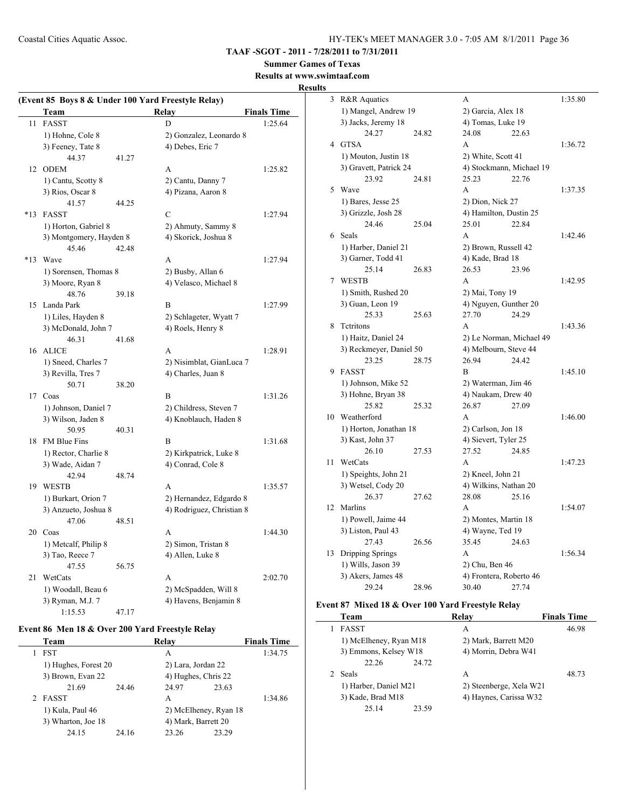**TAAF -SGOT - 2011 - 7/28/2011 to 7/31/2011**

**Summer Games of Texas**

#### **Results at www.swimtaaf.com Results**

|       |                          |       | (Event 85 Boys 8 & Under 100 Yard Freestyle Relay) |                    |
|-------|--------------------------|-------|----------------------------------------------------|--------------------|
|       | Team                     |       | Relay                                              | <b>Finals Time</b> |
| 11    | FASST                    |       | D                                                  | 1:25.64            |
|       | 1) Hohne, Cole 8         |       | 2) Gonzalez, Leonardo 8                            |                    |
|       | 3) Feeney, Tate 8        |       | 4) Debes, Eric 7                                   |                    |
|       | 44.37                    | 41.27 |                                                    |                    |
|       | 12 ODEM                  |       | А                                                  | 1:25.82            |
|       | 1) Cantu, Scotty 8       |       | 2) Cantu, Danny 7                                  |                    |
|       | 3) Rios, Oscar 8         |       | 4) Pizana, Aaron 8                                 |                    |
|       | 41.57                    | 44.25 |                                                    |                    |
| $*13$ | <b>FASST</b>             |       | C                                                  | 1:27.94            |
|       | 1) Horton, Gabriel 8     |       | 2) Ahmuty, Sammy 8                                 |                    |
|       | 3) Montgomery, Hayden 8  |       | 4) Skorick, Joshua 8                               |                    |
|       | 45.46                    | 42.48 |                                                    |                    |
| $*13$ | Wave                     |       | A                                                  | 1:27.94            |
|       | 1) Sorensen, Thomas 8    |       | 2) Busby, Allan 6                                  |                    |
|       | 3) Moore, Ryan 8         |       | 4) Velasco, Michael 8                              |                    |
|       | 48.76                    | 39.18 |                                                    |                    |
| 15    | Landa Park               |       | B                                                  | 1:27.99            |
|       | 1) Liles, Hayden 8       |       | 2) Schlageter, Wyatt 7                             |                    |
|       | 3) McDonald, John 7      |       | 4) Roels, Henry 8                                  |                    |
|       | 46.31                    | 41.68 |                                                    |                    |
|       | 16 ALICE                 |       | A                                                  | 1:28.91            |
|       | 1) Sneed, Charles 7      |       | 2) Nisimblat, GianLuca 7                           |                    |
|       | 3) Revilla, Tres 7       |       | 4) Charles, Juan 8                                 |                    |
|       | 50.71                    | 38.20 |                                                    |                    |
|       | 17 Coas                  |       | B                                                  | 1:31.26            |
|       | 1) Johnson, Daniel 7     |       | 2) Childress, Steven 7                             |                    |
|       | 3) Wilson, Jaden 8       |       | 4) Knoblauch, Haden 8                              |                    |
|       | 50.95                    | 40.31 |                                                    |                    |
| 18    | <b>FM Blue Fins</b>      |       | B                                                  | 1:31.68            |
|       | 1) Rector, Charlie 8     |       | 2) Kirkpatrick, Luke 8                             |                    |
|       | 3) Wade, Aidan 7         |       | 4) Conrad, Cole 8                                  |                    |
|       | 42.94                    | 48.74 |                                                    |                    |
|       | 19 WESTB                 |       | A                                                  | 1:35.57            |
|       | 1) Burkart, Orion 7      |       | 2) Hernandez, Edgardo 8                            |                    |
|       | 3) Anzueto, Joshua 8     |       | 4) Rodriguez, Christian 8                          |                    |
|       | 47.06                    | 48.51 |                                                    |                    |
| 20    | Coas                     |       | A                                                  | 1:44.30            |
|       | 1) Metcalf, Philip 8     |       | 2) Simon, Tristan 8                                |                    |
|       | 3) Tao, Reece 7<br>47.55 | 56.75 | 4) Allen, Luke 8                                   |                    |
| 21    | WetCats                  |       | A                                                  | 2:02.70            |
|       | 1) Woodall, Beau 6       |       | 2) McSpadden, Will 8                               |                    |
|       | 3) Ryman, M.J. 7         |       | 4) Havens, Benjamin 8                              |                    |
|       | 1:15.53                  | 47.17 |                                                    |                    |
|       |                          |       |                                                    |                    |

# **Event 86 Men 18 & Over 200 Yard Freestyle Relay**

| Team                 |       | Relay                 |       | <b>Finals Time</b> |
|----------------------|-------|-----------------------|-------|--------------------|
| <b>FST</b>           |       | А                     |       | 1:34.75            |
| 1) Hughes, Forest 20 |       | 2) Lara, Jordan 22    |       |                    |
| 3) Brown, Evan 22    |       | 4) Hughes, Chris 22   |       |                    |
| 21.69                | 24.46 | 24.97                 | 23.63 |                    |
| 2 FASST              |       | A                     |       | 1:34.86            |
| 1) Kula, Paul 46     |       | 2) McElheney, Ryan 18 |       |                    |
| 3) Wharton, Joe 18   |       | 4) Mark, Barrett 20   |       |                    |
| 24.15                | 24.16 | 23.26                 | 23.29 |                    |

| 3              | R&R Aquatics            |       | A                        |       | 1:35.80 |
|----------------|-------------------------|-------|--------------------------|-------|---------|
|                | 1) Mangel, Andrew 19    |       | 2) Garcia, Alex 18       |       |         |
|                | 3) Jacks, Jeremy 18     |       | 4) Tomas, Luke 19        |       |         |
|                | 24.27                   | 24.82 | 24.08                    | 22.63 |         |
| $\overline{4}$ | <b>GTSA</b>             |       | A                        |       | 1:36.72 |
|                | 1) Mouton, Justin 18    |       | 2) White, Scott 41       |       |         |
|                | 3) Gravett, Patrick 24  |       | 4) Stockmann, Michael 19 |       |         |
|                | 23.92                   | 24.81 | 25.23                    | 22.76 |         |
| 5              | Wave                    |       | A                        |       | 1:37.35 |
|                | 1) Bares, Jesse 25      |       | 2) Dion, Nick 27         |       |         |
|                | 3) Grizzle, Josh 28     |       | 4) Hamilton, Dustin 25   |       |         |
|                | 24.46                   | 25.04 | 25.01                    | 22.84 |         |
| 6              | Seals                   |       | A                        |       | 1:42.46 |
|                | 1) Harber, Daniel 21    |       | 2) Brown, Russell 42     |       |         |
|                | 3) Garner, Todd 41      |       | 4) Kade, Brad 18         |       |         |
|                | 25.14                   | 26.83 | 26.53                    | 23.96 |         |
| 7              | <b>WESTB</b>            |       | A                        |       | 1:42.95 |
|                | 1) Smith, Rushed 20     |       | 2) Mai, Tony 19          |       |         |
|                | 3) Guan, Leon 19        |       | 4) Nguyen, Gunther 20    |       |         |
|                | 25.33                   | 25.63 | 27.70                    | 24.29 |         |
| 8              | Tetritons               |       | A                        |       | 1:43.36 |
|                | 1) Haitz, Daniel 24     |       | 2) Le Norman, Michael 49 |       |         |
|                | 3) Reckmeyer, Daniel 50 |       | 4) Melbourn, Steve 44    |       |         |
|                | 23.25                   | 28.75 | 26.94                    | 24.42 |         |
| 9              | <b>FASST</b>            |       | B                        |       | 1:45.10 |
|                | 1) Johnson, Mike 52     |       | 2) Waterman, Jim 46      |       |         |
|                | 3) Hohne, Bryan 38      |       | 4) Naukam, Drew 40       |       |         |
|                | 25.82                   | 25.32 | 26.87                    | 27.09 |         |
| 10             | Weatherford             |       | A                        |       | 1:46.00 |
|                | 1) Horton, Jonathan 18  |       | 2) Carlson, Jon 18       |       |         |
|                | 3) Kast, John 37        |       | 4) Sievert, Tyler 25     |       |         |
|                | 26.10                   | 27.53 | 27.52                    | 24.85 |         |
| 11             | WetCats                 |       | A                        |       | 1:47.23 |
|                | 1) Speights, John 21    |       | 2) Kneel, John 21        |       |         |
|                | 3) Wetsel, Cody 20      |       | 4) Wilkins, Nathan 20    |       |         |
|                | 26.37                   | 27.62 | 28.08                    | 25.16 |         |
| 12             | Marlins                 |       | A                        |       | 1:54.07 |
|                | 1) Powell, Jaime 44     |       | 2) Montes, Martin 18     |       |         |
|                | 3) Liston, Paul 43      |       | 4) Wayne, Ted 19         |       |         |
|                | 27.43                   | 26.56 | 35.45                    | 24.63 |         |
| 13             | Dripping Springs        |       | A                        |       | 1:56.34 |
|                | 1) Wills, Jason 39      |       | 2) Chu, Ben 46           |       |         |
|                | 3) Akers, James 48      |       | 4) Frontera, Roberto 46  |       |         |
|                | 29.24                   | 28.96 | 30.40                    | 27.74 |         |

# **Event 87 Mixed 18 & Over 100 Yard Freestyle Relay**

| Team                   | Relay                   | <b>Finals Time</b> |
|------------------------|-------------------------|--------------------|
| <b>FASST</b>           | А                       | 46.98              |
| 1) McElheney, Ryan M18 | 2) Mark, Barrett M20    |                    |
| 3) Emmons, Kelsey W18  | 4) Morrin, Debra W41    |                    |
| 22.26<br>24.72         |                         |                    |
| <b>Seals</b>           | A                       | 48.73              |
| 1) Harber, Daniel M21  | 2) Steenberge, Xela W21 |                    |
| 3) Kade, Brad M18      | 4) Haynes, Carissa W32  |                    |
| 25 14<br>23.59         |                         |                    |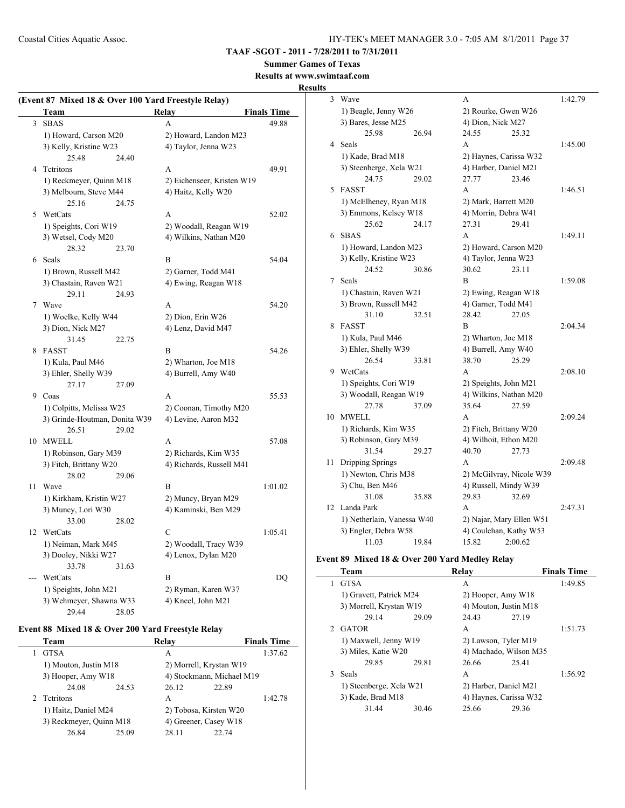#### **TAAF -SGOT - 2011 - 7/28/2011 to 7/31/2011**

# **Summer Games of Texas**

#### **Results at www.swimtaaf.com**

#### **Results**

| Relay<br>Team                                         |                    |
|-------------------------------------------------------|--------------------|
|                                                       | <b>Finals Time</b> |
| 3<br><b>SBAS</b><br>$\overline{A}$                    | 49.88              |
| 1) Howard, Carson M20<br>2) Howard, Landon M23        |                    |
| 3) Kelly, Kristine W23<br>4) Taylor, Jenna W23        |                    |
| 25.48<br>24.40                                        |                    |
| Tetritons<br>4<br>A                                   | 49.91              |
| 1) Reckmeyer, Quinn M18<br>2) Eichenseer, Kristen W19 |                    |
| 3) Melbourn, Steve M44<br>4) Haitz, Kelly W20         |                    |
| 25.16<br>24.75                                        |                    |
| WetCats<br>5<br>A                                     | 52.02              |
| 1) Speights, Cori W19<br>2) Woodall, Reagan W19       |                    |
| 3) Wetsel, Cody M20<br>4) Wilkins, Nathan M20         |                    |
| 28.32<br>23.70                                        |                    |
| Seals<br>6<br>B                                       | 54.04              |
|                                                       |                    |
| 1) Brown, Russell M42<br>2) Garner, Todd M41          |                    |
| 3) Chastain, Raven W21<br>4) Ewing, Reagan W18        |                    |
| 29.11<br>24.93                                        |                    |
| 7 Wave<br>A                                           | 54.20              |
| 1) Woelke, Kelly W44<br>2) Dion, Erin W26             |                    |
| 3) Dion, Nick M27<br>4) Lenz, David M47               |                    |
| 31.45<br>22.75                                        |                    |
| <b>FASST</b><br>8<br>B                                | 54.26              |
| 1) Kula, Paul M46<br>2) Wharton, Joe M18              |                    |
| 3) Ehler, Shelly W39<br>4) Burrell, Amy W40           |                    |
| 27.17<br>27.09                                        |                    |
| 9<br>Coas<br>A                                        | 55.53              |
| 1) Colpitts, Melissa W25<br>2) Coonan, Timothy M20    |                    |
| 3) Grinde-Houtman, Donita W39<br>4) Levine, Aaron M32 |                    |
| 26.51<br>29.02                                        |                    |
| MWELL<br>10<br>A                                      | 57.08              |
| 1) Robinson, Gary M39<br>2) Richards, Kim W35         |                    |
| 3) Fitch, Brittany W20<br>4) Richards, Russell M41    |                    |
| 28.02<br>29.06                                        |                    |
| 11<br>Wave<br>B                                       | 1:01.02            |
| 1) Kirkham, Kristin W27<br>2) Muncy, Bryan M29        |                    |
| 3) Muncy, Lori W30<br>4) Kaminski, Ben M29            |                    |
| 33.00<br>28.02                                        |                    |
| 12 WetCats<br>$\mathcal{C}$                           | 1:05.41            |
| 1) Neiman, Mark M45<br>2) Woodall, Tracy W39          |                    |
| 3) Dooley, Nikki W27<br>4) Lenox, Dylan M20           |                    |
| 33.78<br>31.63                                        |                    |
| WetCats<br>B                                          | DQ                 |
| 1) Speights, John M21<br>2) Ryman, Karen W37          |                    |
| 3) Wehmeyer, Shawna W33<br>4) Kneel, John M21         |                    |
| 29.44<br>28.05                                        |                    |

# **Event 88 Mixed 18 & Over 200 Yard Freestyle Relay**

|  | Team                                            |       | Relay                   |                           | <b>Finals Time</b> |  |  |
|--|-------------------------------------------------|-------|-------------------------|---------------------------|--------------------|--|--|
|  | <b>GTSA</b>                                     |       | А                       |                           | 1:37.62            |  |  |
|  | 1) Mouton, Justin M18<br>3) Hooper, Amy W18     |       | 2) Morrell, Krystan W19 |                           |                    |  |  |
|  |                                                 |       |                         | 4) Stockmann, Michael M19 |                    |  |  |
|  | 24.08                                           | 24.53 | 26.12                   | 22.89                     |                    |  |  |
|  | <b>Tetritons</b>                                |       | A                       |                           | 1:42.78            |  |  |
|  | 1) Haitz, Daniel M24<br>3) Reckmeyer, Quinn M18 |       | 2) Tobosa, Kirsten W20  |                           |                    |  |  |
|  |                                                 |       | 4) Greener, Casey W18   |                           |                    |  |  |
|  | 26.84                                           | 25.09 | 28.11                   | 22.74                     |                    |  |  |

| 3  | Wave                       |       | А                        |                          | 1:42.79 |
|----|----------------------------|-------|--------------------------|--------------------------|---------|
|    | 1) Beagle, Jenny W26       |       | 2) Rourke, Gwen W26      |                          |         |
|    | 3) Bares, Jesse M25        |       | 4) Dion, Nick M27        |                          |         |
|    | 25.98                      | 26.94 | 24.55                    | 25.32                    |         |
| 4  | Seals                      |       | A                        |                          | 1:45.00 |
|    | 1) Kade, Brad M18          |       | 2) Haynes, Carissa W32   |                          |         |
|    | 3) Steenberge, Xela W21    |       | 4) Harber, Daniel M21    |                          |         |
|    | 24.75                      | 29.02 | 27.77                    | 23.46                    |         |
| 5  | <b>FASST</b>               |       | A                        |                          | 1:46.51 |
|    | 1) McElheney, Ryan M18     |       | 2) Mark, Barrett M20     |                          |         |
|    | 3) Emmons, Kelsey W18      |       | 4) Morrin, Debra W41     |                          |         |
|    | 25.62                      | 24.17 | 27.31                    | 29.41                    |         |
| 6  | <b>SBAS</b>                |       | A                        |                          | 1:49.11 |
|    | 1) Howard, Landon M23      |       | 2) Howard, Carson M20    |                          |         |
|    | 3) Kelly, Kristine W23     |       |                          | 4) Taylor, Jenna W23     |         |
|    | 24.52                      | 30.86 | 30.62                    | 23.11                    |         |
| 7  | <b>Seals</b>               |       | B                        |                          | 1:59.08 |
|    | 1) Chastain, Raven W21     |       |                          | 2) Ewing, Reagan W18     |         |
|    | 3) Brown, Russell M42      |       | 4) Garner, Todd M41      |                          |         |
|    | 31.10                      | 32.51 | 28.42                    | 27.05                    |         |
| 8  | <b>FASST</b>               |       | B                        |                          | 2:04.34 |
|    | 1) Kula, Paul M46          |       | 2) Wharton, Joe M18      |                          |         |
|    | 3) Ehler, Shelly W39       |       | 4) Burrell, Amy W40      |                          |         |
|    | 26.54                      | 33.81 | 38.70                    | 25.29                    |         |
| 9  | WetCats                    |       | A                        |                          | 2:08.10 |
|    | 1) Speights, Cori W19      |       | 2) Speights, John M21    |                          |         |
|    | 3) Woodall, Reagan W19     |       | 4) Wilkins, Nathan M20   |                          |         |
|    | 27.78                      | 37.09 | 35.64                    | 27.59                    |         |
| 10 | <b>MWELL</b>               |       | A                        |                          | 2:09.24 |
|    | 1) Richards, Kim W35       |       | 2) Fitch, Brittany W20   |                          |         |
|    | 3) Robinson, Gary M39      |       | 4) Wilhoit, Ethon M20    |                          |         |
|    | 31.54                      | 29.27 | 40.70                    | 27.73                    |         |
| 11 | Dripping Springs           |       | A                        |                          | 2:09.48 |
|    | 1) Newton, Chris M38       |       |                          | 2) McGilvray, Nicole W39 |         |
|    | 3) Chu, Ben M46            |       | 4) Russell, Mindy W39    |                          |         |
|    | 31.08                      | 35.88 | 29.83                    | 32.69                    |         |
| 12 | Landa Park                 |       | A                        |                          | 2:47.31 |
|    | 1) Netherlain, Vanessa W40 |       | 2) Najar, Mary Ellen W51 |                          |         |
|    | 3) Engler, Debra W58       |       | 4) Coulehan, Kathy W53   |                          |         |
|    | 11.03                      | 19.84 | 15.82                    | 2:00.62                  |         |

#### **Event 89 Mixed 18 & Over 200 Yard Medley Relay**

|   | Team                    |       | Relav                  |         | <b>Finals Time</b> |
|---|-------------------------|-------|------------------------|---------|--------------------|
|   | <b>GTSA</b>             |       | A                      | 1:49.85 |                    |
|   | 1) Gravett, Patrick M24 |       | 2) Hooper, Amy W18     |         |                    |
|   | 3) Morrell, Krystan W19 |       | 4) Mouton, Justin M18  |         |                    |
|   | 29.14                   | 29.09 | 24.43                  | 27.19   |                    |
|   | 2 GATOR                 |       | A                      |         | 1:51.73            |
|   | 1) Maxwell, Jenny W19   |       | 2) Lawson, Tyler M19   |         |                    |
|   | 3) Miles, Katie W20     |       | 4) Machado, Wilson M35 |         |                    |
|   | 29.85                   | 29.81 | 26.66                  | 25.41   |                    |
| 3 | <b>Seals</b>            |       | A                      |         | 1:56.92            |
|   | 1) Steenberge, Xela W21 |       | 2) Harber, Daniel M21  |         |                    |
|   | 3) Kade, Brad M18       |       | 4) Haynes, Carissa W32 |         |                    |
|   | 31.44                   | 30.46 | 25.66                  | 29.36   |                    |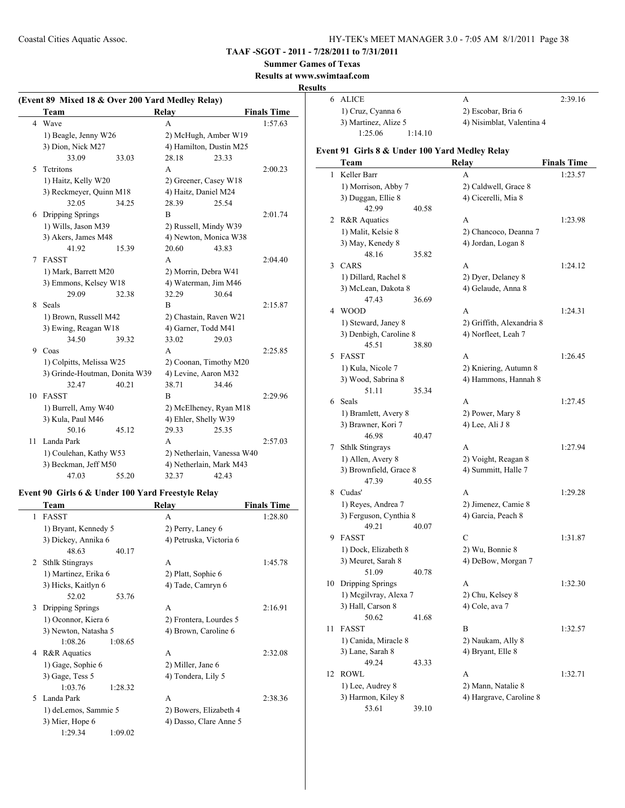# **TAAF -SGOT - 2011 - 7/28/2011 to 7/31/2011**

#### **Summer Games of Texas**

**Results at www.swimtaaf.com**

#### **Results**

| (Event 89 Mixed 18 & Over 200 Yard Medley Relay) |                               |       |                         |                            |                    |
|--------------------------------------------------|-------------------------------|-------|-------------------------|----------------------------|--------------------|
|                                                  | Team                          |       | Relay                   |                            | <b>Finals Time</b> |
| 4                                                | Wave                          |       | A                       |                            | 1:57.63            |
|                                                  | 1) Beagle, Jenny W26          |       | 2) McHugh, Amber W19    |                            |                    |
|                                                  | 3) Dion, Nick M27             |       | 4) Hamilton, Dustin M25 |                            |                    |
|                                                  | 33.09                         | 33.03 | 28.18                   | 23.33                      |                    |
| 5                                                | Tetritons                     |       | A                       |                            | 2:00.23            |
|                                                  | 1) Haitz, Kelly W20           |       | 2) Greener, Casey W18   |                            |                    |
|                                                  | 3) Reckmeyer, Quinn M18       |       | 4) Haitz, Daniel M24    |                            |                    |
|                                                  | 32.05                         | 34.25 | 28.39                   | 25.54                      |                    |
| 6                                                | Dripping Springs              |       | B                       |                            | 2:01.74            |
|                                                  | 1) Wills, Jason M39           |       | 2) Russell, Mindy W39   |                            |                    |
|                                                  | 3) Akers, James M48           |       | 4) Newton, Monica W38   |                            |                    |
|                                                  | 41.92                         | 15.39 | 20.60                   | 43.83                      |                    |
| 7                                                | <b>FASST</b>                  |       | A                       |                            | 2:04.40            |
|                                                  | 1) Mark, Barrett M20          |       | 2) Morrin, Debra W41    |                            |                    |
|                                                  | 3) Emmons, Kelsey W18         |       | 4) Waterman, Jim M46    |                            |                    |
|                                                  | 29.09                         | 32.38 | 32.29                   | 30.64                      |                    |
| 8                                                | <b>Seals</b>                  |       | B                       |                            | 2:15.87            |
|                                                  | 1) Brown, Russell M42         |       | 2) Chastain, Raven W21  |                            |                    |
|                                                  | 3) Ewing, Reagan W18          |       | 4) Garner, Todd M41     |                            |                    |
|                                                  | 34.50                         | 39.32 | 33.02                   | 29.03                      |                    |
| 9                                                | Coas                          |       | A                       |                            | 2:25.85            |
|                                                  | 1) Colpitts, Melissa W25      |       | 2) Coonan, Timothy M20  |                            |                    |
|                                                  | 3) Grinde-Houtman, Donita W39 |       | 4) Levine, Aaron M32    |                            |                    |
|                                                  | 32.47                         | 40.21 | 38.71                   | 34.46                      |                    |
| 10                                               | <b>FASST</b>                  |       | B                       |                            | 2:29.96            |
|                                                  | 1) Burrell, Amy W40           |       | 2) McElheney, Ryan M18  |                            |                    |
|                                                  | 3) Kula, Paul M46             |       | 4) Ehler, Shelly W39    |                            |                    |
|                                                  | 50.16                         | 45.12 | 29.33                   | 25.35                      |                    |
| 11                                               | Landa Park                    |       | A                       |                            | 2:57.03            |
|                                                  | 1) Coulehan, Kathy W53        |       |                         | 2) Netherlain, Vanessa W40 |                    |
|                                                  | 3) Beckman, Jeff M50          |       | 4) Netherlain, Mark M43 |                            |                    |
|                                                  | 47.03                         | 55.20 | 32.37                   | 42.43                      |                    |

#### **Event 90 Girls 6 & Under 100 Yard Freestyle Relay**

|   | Team                   |         | Relay                   | <b>Finals Time</b> |
|---|------------------------|---------|-------------------------|--------------------|
| 1 | <b>FASST</b>           |         | A                       | 1:28.80            |
|   | 1) Bryant, Kennedy 5   |         | 2) Perry, Laney 6       |                    |
|   | 3) Dickey, Annika 6    |         | 4) Petruska, Victoria 6 |                    |
|   | 48.63                  | 40.17   |                         |                    |
| 2 | <b>Sthlk Stingrays</b> |         | A                       | 1:45.78            |
|   | 1) Martinez, Erika 6   |         | 2) Platt, Sophie 6      |                    |
|   | 3) Hicks, Kaitlyn 6    |         | 4) Tade, Camryn 6       |                    |
|   | 52.02                  | 53 76   |                         |                    |
| 3 | Dripping Springs       |         | A                       | 2:16.91            |
|   | 1) Oconnor, Kiera 6    |         | 2) Frontera, Lourdes 5  |                    |
|   | 3) Newton, Natasha 5   |         | 4) Brown, Caroline 6    |                    |
|   | 1.0826                 | 1:08.65 |                         |                    |
|   | 4 R&R Aquatics         |         | A                       | 2:32.08            |
|   | 1) Gage, Sophie 6      |         | 2) Miller, Jane 6       |                    |
|   | 3) Gage, Tess 5        |         | 4) Tondera, Lily 5      |                    |
|   | 1:03.76                | 1:28.32 |                         |                    |
| 5 | Landa Park             |         | A                       | 2:38.36            |
|   | 1) deLemos, Sammie 5   |         | 2) Bowers, Elizabeth 4  |                    |
|   | 3) Mier, Hope 6        |         | 4) Dasso, Clare Anne 5  |                    |
|   | 1:29.34                | 1:09.02 |                         |                    |

| lts |                                                |         |                           |                    |
|-----|------------------------------------------------|---------|---------------------------|--------------------|
| 6   | <b>ALICE</b>                                   |         | A                         | 2:39.16            |
|     | 1) Cruz, Cyanna 6                              |         | 2) Escobar, Bria 6        |                    |
|     | 3) Martinez, Alize 5                           |         | 4) Nisimblat, Valentina 4 |                    |
|     | 1:25.06                                        | 1:14.10 |                           |                    |
|     | Event 91 Girls 8 & Under 100 Yard Medley Relay |         |                           |                    |
|     | Team                                           |         | Relay                     | <b>Finals Time</b> |
| 1   | Keller Barr                                    |         | A                         | 1:23.57            |
|     | 1) Morrison, Abby 7                            |         | 2) Caldwell, Grace 8      |                    |
|     | 3) Duggan, Ellie 8                             |         | 4) Cicerelli, Mia 8       |                    |
|     | 42.99                                          | 40.58   |                           |                    |
| 2   | R&R Aquatics                                   |         | А                         | 1:23.98            |
|     | 1) Malit, Kelsie 8                             |         | 2) Chancoco, Deanna 7     |                    |
|     | 3) May, Kenedy 8                               |         | 4) Jordan, Logan 8        |                    |
|     | 48.16                                          | 35.82   |                           |                    |
| 3   | <b>CARS</b>                                    |         | A                         | 1:24.12            |
|     | 1) Dillard, Rachel 8                           |         | 2) Dyer, Delaney 8        |                    |
|     | 3) McLean, Dakota 8                            |         | 4) Gelaude, Anna 8        |                    |
|     | 47.43                                          | 36.69   |                           |                    |
| 4   | <b>WOOD</b>                                    |         | А                         | 1:24.31            |
|     | 1) Steward, Janey 8                            |         | 2) Griffith, Alexandria 8 |                    |
|     | 3) Denbigh, Caroline 8                         |         | 4) Norfleet, Leah 7       |                    |
|     | 45.51                                          | 38.80   |                           |                    |
| 5   | FASST                                          |         | A                         | 1:26.45            |
|     | 1) Kula, Nicole 7                              |         | 2) Kniering, Autumn 8     |                    |
|     | 3) Wood, Sabrina 8                             |         | 4) Hammons, Hannah 8      |                    |
|     | 51.11                                          | 35.34   |                           |                    |
| 6   | Seals                                          |         | A                         | 1:27.45            |
|     | 1) Bramlett, Avery 8                           |         | 2) Power, Mary 8          |                    |
|     | 3) Brawner, Kori 7                             |         | 4) Lee, Ali J 8           |                    |
|     | 46.98                                          | 40.47   |                           |                    |
| 7   | <b>Sthlk Stingrays</b>                         |         | А                         | 1:27.94            |
|     | 1) Allen, Avery 8                              |         | 2) Voight, Reagan 8       |                    |
|     | 3) Brownfield, Grace 8<br>47.39                | 40.55   | 4) Summitt, Halle 7       |                    |
| 8   | Cudas'                                         |         | A                         | 1:29.28            |
|     | 1) Reyes, Andrea 7                             |         | 2) Jimenez, Camie 8       |                    |
|     | 3) Ferguson, Cynthia 8                         |         | 4) Garcia, Peach 8        |                    |
|     | 49.21                                          | 40.07   |                           |                    |
| 9.  | FASST                                          |         | С                         | 1:31.87            |
|     | 1) Dock, Elizabeth 8                           |         | 2) Wu, Bonnie 8           |                    |
|     | 3) Meuret, Sarah 8                             |         | 4) DeBow, Morgan 7        |                    |
|     | 51.09                                          | 40.78   |                           |                    |
| 10  | Dripping Springs                               |         | А                         | 1:32.30            |
|     | 1) Megilvray, Alexa 7                          |         | 2) Chu, Kelsey 8          |                    |
|     | 3) Hall, Carson 8                              |         | 4) Cole, ava 7            |                    |
|     | 50.62                                          | 41.68   |                           |                    |
| 11  | <b>FASST</b>                                   |         | B                         | 1:32.57            |
|     | 1) Canida, Miracle 8                           |         | 2) Naukam, Ally 8         |                    |
|     | 3) Lane, Sarah 8                               |         | 4) Bryant, Elle 8         |                    |
|     | 49.24                                          | 43.33   |                           |                    |
| 12  | ROWL                                           |         | А                         | 1:32.71            |
|     | 1) Lee, Audrey 8                               |         | 2) Mann, Natalie 8        |                    |
|     | 3) Harmon, Kiley 8                             |         | 4) Hargrave, Caroline 8   |                    |
|     | 53.61                                          | 39.10   |                           |                    |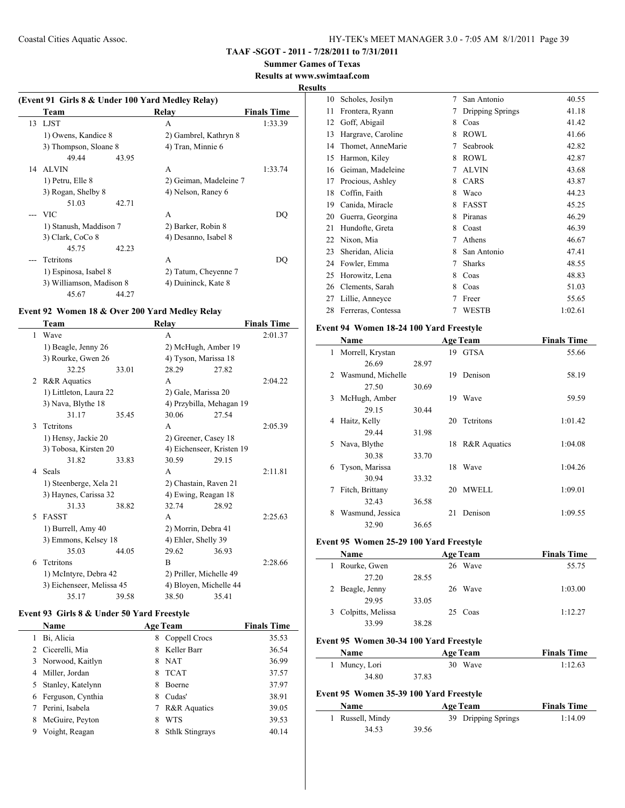# **Summer Games of Texas**

# **Results at www.swimtaaf.com**

**Results**

 $\frac{1}{2}$ 

 $\frac{1}{2}$ 

|    |                          |       | (Event 91 Girls 8 & Under 100 Yard Medley Relay) |                    |
|----|--------------------------|-------|--------------------------------------------------|--------------------|
|    | Team                     |       | Relay                                            | <b>Finals Time</b> |
| 13 | LJST                     |       | A                                                | 1:33.39            |
|    | 1) Owens, Kandice 8      |       | 2) Gambrel, Kathryn 8                            |                    |
|    | 3) Thompson, Sloane 8    |       | 4) Tran, Minnie 6                                |                    |
|    | 49.44                    | 43.95 |                                                  |                    |
|    | 14 ALVIN                 |       | A                                                | 1:33.74            |
|    | 1) Petru, Elle 8         |       | 2) Geiman, Madeleine 7                           |                    |
|    | 3) Rogan, Shelby 8       |       | 4) Nelson, Raney 6                               |                    |
|    | 51.03                    | 42.71 |                                                  |                    |
|    | - VIC                    |       | A                                                | DO                 |
|    | 1) Stanush, Maddison 7   |       | 2) Barker, Robin 8                               |                    |
|    | 3) Clark, CoCo 8         |       | 4) Desanno, Isabel 8                             |                    |
|    | 45.75                    | 42.23 |                                                  |                    |
|    | <b>Tetritons</b>         |       | A                                                | DO                 |
|    | 1) Espinosa, Isabel 8    |       | 2) Tatum, Cheyenne 7                             |                    |
|    | 3) Williamson, Madison 8 |       | 4) Duininck, Kate 8                              |                    |
|    | 45.67                    | 44.27 |                                                  |                    |

#### **Event 92 Women 18 & Over 200 Yard Medley Relay**

|    | Team                      |       | Relay                     |       | <b>Finals Time</b> |
|----|---------------------------|-------|---------------------------|-------|--------------------|
| 1  | Wave                      |       | A                         |       | 2:01.37            |
|    | 1) Beagle, Jenny 26       |       | 2) McHugh, Amber 19       |       |                    |
|    | 3) Rourke, Gwen 26        |       | 4) Tyson, Marissa 18      |       |                    |
|    | 32.25                     | 33.01 | 28.29                     | 27.82 |                    |
| 2  | <b>R&amp;R</b> Aquatics   |       | A                         |       | 2:04.22            |
|    | 1) Littleton, Laura 22    |       | 2) Gale, Marissa 20       |       |                    |
|    | 3) Nava, Blythe 18        |       | 4) Przybilla, Mehagan 19  |       |                    |
|    | 31.17                     | 35.45 | 30.06                     | 27.54 |                    |
| 3  | <b>Tetritons</b>          |       | A                         |       | 2:05.39            |
|    | 1) Hensy, Jackie 20       |       | 2) Greener, Casey 18      |       |                    |
|    | 3) Tobosa, Kirsten 20     |       | 4) Eichenseer, Kristen 19 |       |                    |
|    | 31.82                     | 33.83 | 30.59                     | 29.15 |                    |
| 4  | Seals                     |       | A                         |       | 2:11.81            |
|    | 1) Steenberge, Xela 21    |       | 2) Chastain, Raven 21     |       |                    |
|    | 3) Haynes, Carissa 32     |       | 4) Ewing, Reagan 18       |       |                    |
|    | 31.33                     | 38.82 | 32.74                     | 28.92 |                    |
| 5. | <b>FASST</b>              |       | A                         |       | 2:25.63            |
|    | 1) Burrell, Amy 40        |       | 2) Morrin, Debra 41       |       |                    |
|    | 3) Emmons, Kelsey 18      |       | 4) Ehler, Shelly 39       |       |                    |
|    | 35.03                     | 44.05 | 29.62                     | 36.93 |                    |
| 6  | Tetritons                 |       | B                         |       | 2:28.66            |
|    | 1) McIntyre, Debra 42     |       | 2) Priller, Michelle 49   |       |                    |
|    | 3) Eichenseer, Melissa 45 |       | 4) Bloyen, Michelle 44    |       |                    |
|    | 35.17                     | 39.58 | 38.50                     | 35.41 |                    |

#### **Event 93 Girls 8 & Under 50 Yard Freestyle**

|   | <b>Name</b>        | <b>Age Team</b> |                         | <b>Finals Time</b> |
|---|--------------------|-----------------|-------------------------|--------------------|
|   | Bi, Alicia         | 8               | Coppell Crocs           | 35.53              |
|   | Cicerelli, Mia     | 8               | Keller Barr             | 36.54              |
|   | 3 Norwood, Kaitlyn | 8               | <b>NAT</b>              | 36.99              |
| 4 | Miller, Jordan     | 8               | <b>TCAT</b>             | 37.57              |
| 5 | Stanley, Katelynn  | 8               | <b>Boerne</b>           | 37.97              |
| 6 | Ferguson, Cynthia  | 8               | Cudas'                  | 38.91              |
|   | Perini, Isabela    |                 | <b>R&amp;R</b> Aquatics | 39.05              |
|   | McGuire, Peyton    | 8               | <b>WTS</b>              | 39.53              |
| 9 | Voight, Reagan     | 8               | <b>Sthlk Stingrays</b>  | 40.14              |

| 10 | Scholes, Josilyn   | 7 | San Antonio      | 40.55   |
|----|--------------------|---|------------------|---------|
| 11 | Frontera, Ryann    | 7 | Dripping Springs | 41.18   |
| 12 | Goff, Abigail      | 8 | Coas             | 41.42   |
| 13 | Hargrave, Caroline | 8 | <b>ROWL</b>      | 41.66   |
| 14 | Thomet, AnneMarie  | 7 | Seabrook         | 42.82   |
| 15 | Harmon, Kiley      | 8 | <b>ROWL</b>      | 42.87   |
| 16 | Geiman, Madeleine  | 7 | <b>ALVIN</b>     | 43.68   |
| 17 | Procious, Ashley   | 8 | CARS             | 43.87   |
| 18 | Coffin, Faith      | 8 | Waco             | 44.23   |
| 19 | Canida, Miracle    | 8 | <b>FASST</b>     | 45.25   |
| 20 | Guerra, Georgina   | 8 | Piranas          | 46.29   |
| 21 | Hundofte, Greta    | 8 | Coast            | 46.39   |
| 22 | Nixon, Mia         | 7 | Athens           | 46.67   |
| 23 | Sheridan, Alicia   | 8 | San Antonio      | 47.41   |
| 24 | Fowler, Emma       | 7 | <b>Sharks</b>    | 48.55   |
| 25 | Horowitz, Lena     | 8 | Coas             | 48.83   |
| 26 | Clements, Sarah    | 8 | Coas             | 51.03   |
| 27 | Lillie, Anneyce    | 7 | Freer            | 55.65   |
| 28 | Ferreras, Contessa | 7 | WESTB            | 1:02.61 |
|    |                    |   |                  |         |

#### **Event 94 Women 18-24 100 Yard Freestyle**

|    | Name              |       |    | <b>Age Team</b>         | <b>Finals Time</b> |
|----|-------------------|-------|----|-------------------------|--------------------|
| 1  | Morrell, Krystan  |       |    | 19 GTSA                 | 55.66              |
|    | 26.69             | 28.97 |    |                         |                    |
| 2  | Wasmund, Michelle |       | 19 | Denison                 | 58.19              |
|    | 27.50             | 30.69 |    |                         |                    |
| 3  | McHugh, Amber     |       | 19 | Wave                    | 59.59              |
|    | 29.15             | 30.44 |    |                         |                    |
| 4  | Haitz, Kelly      |       | 20 | Tetritons               | 1:01.42            |
|    | 29.44             | 31.98 |    |                         |                    |
| 5. | Nava, Blythe      |       | 18 | <b>R&amp;R</b> Aquatics | 1:04.08            |
|    | 30.38             | 33.70 |    |                         |                    |
| 6  | Tyson, Marissa    |       | 18 | Wave                    | 1:04.26            |
|    | 30.94             | 33.32 |    |                         |                    |
| 7  | Fitch, Brittany   |       | 20 | <b>MWELL</b>            | 1:09.01            |
|    | 32.43             | 36.58 |    |                         |                    |
| 8  | Wasmund, Jessica  |       | 21 | Denison                 | 1:09.55            |
|    | 32.90             | 36.65 |    |                         |                    |

#### **Event 95 Women 25-29 100 Yard Freestyle**

| <b>Name</b>         |       | <b>Age Team</b> | <b>Finals Time</b> |
|---------------------|-------|-----------------|--------------------|
| Rourke, Gwen        |       | 26 Wave         | 55.75              |
| 27.20               | 28.55 |                 |                    |
| 2 Beagle, Jenny     |       | 26 Wave         | 1:03.00            |
| 29.95               | 33.05 |                 |                    |
| 3 Colpitts, Melissa |       | 25 Coas         | 1:12.27            |
| 33.99               | 38.28 |                 |                    |

# **Event 95 Women 30-34 100 Yard Freestyle**

| <b>Name</b>   | <b>Age Team</b> | <b>Finals Time</b> |
|---------------|-----------------|--------------------|
| 1 Muncy, Lori | 30 Wave         | 1:12.63            |
| 34.80         | 37.83           |                    |

#### **Event 95 Women 35-39 100 Yard Freestyle**

| <b>Name</b>      |       | <b>Age Team</b>     | <b>Finals Time</b> |
|------------------|-------|---------------------|--------------------|
| 1 Russell, Mindy |       | 39 Dripping Springs | 1:14.09            |
| 34.53            | 39.56 |                     |                    |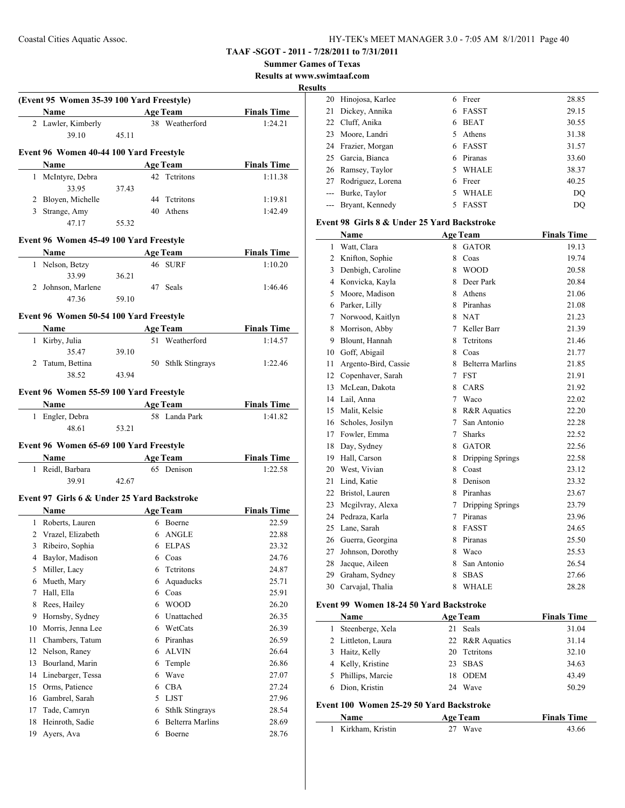**Summer Games of Texas**

**Results at www.swimtaaf.com**

**Results**

|    |                                                                                                                                                                                                                               |       |   |                                   |                               | Resul |
|----|-------------------------------------------------------------------------------------------------------------------------------------------------------------------------------------------------------------------------------|-------|---|-----------------------------------|-------------------------------|-------|
|    | (Event 95 Women 35-39 100 Yard Freestyle)<br>Name                                                                                                                                                                             |       |   | <b>Example 2</b> Age Team         | <b>Finals Time</b>            |       |
|    | 2 Lawler, Kimberly                                                                                                                                                                                                            |       |   | 38 Weatherford                    | 1:24.21                       |       |
|    | 39.10                                                                                                                                                                                                                         | 45.11 |   |                                   |                               |       |
|    |                                                                                                                                                                                                                               |       |   |                                   |                               |       |
|    | Event 96 Women 40-44 100 Yard Freestyle                                                                                                                                                                                       |       |   |                                   |                               |       |
|    | Name                                                                                                                                                                                                                          |       |   | <b>Age Team</b>                   | <b>Finals Time</b>            |       |
|    | 1 McIntyre, Debra                                                                                                                                                                                                             |       |   | 42 Tetritons                      | 1:11.38                       |       |
|    | 33.95                                                                                                                                                                                                                         | 37.43 |   |                                   |                               |       |
|    | 2 Bloyen, Michelle                                                                                                                                                                                                            |       |   | 44 Tetritons                      | 1:19.81                       |       |
|    | 3 Strange, Amy                                                                                                                                                                                                                |       |   | 40 Athens                         | 1:42.49                       |       |
|    | 47.17                                                                                                                                                                                                                         | 55.32 |   |                                   |                               |       |
|    | Event 96 Women 45-49 100 Yard Freestyle                                                                                                                                                                                       |       |   |                                   |                               |       |
|    | Name and the same state of the state of the state of the state of the state of the state of the state of the state of the state of the state of the state of the state of the state of the state of the state of the state of |       |   | <b>Age Team</b>                   | <b>Finals Time</b>            |       |
|    | 1 Nelson, Betzy                                                                                                                                                                                                               |       |   | 46 SURF                           | 1:10.20                       |       |
|    | 33.99                                                                                                                                                                                                                         | 36.21 |   |                                   |                               |       |
|    | 2 Johnson, Marlene                                                                                                                                                                                                            |       |   | 47 Seals                          | 1:46.46                       |       |
|    | 47.36                                                                                                                                                                                                                         | 59.10 |   |                                   |                               |       |
|    |                                                                                                                                                                                                                               |       |   |                                   |                               |       |
|    | Event 96 Women 50-54 100 Yard Freestyle                                                                                                                                                                                       |       |   |                                   |                               |       |
|    | Name                                                                                                                                                                                                                          |       |   | <b>Age Team</b><br>51 Weatherford | <b>Finals Time</b><br>1:14.57 |       |
|    | 1 Kirby, Julia<br>35.47                                                                                                                                                                                                       |       |   |                                   |                               |       |
|    | 2 Tatum, Bettina                                                                                                                                                                                                              | 39.10 |   |                                   |                               |       |
|    | 38.52                                                                                                                                                                                                                         |       |   | 50 Sthlk Stingrays                | 1:22.46                       |       |
|    |                                                                                                                                                                                                                               | 43.94 |   |                                   |                               |       |
|    | Event 96 Women 55-59 100 Yard Freestyle                                                                                                                                                                                       |       |   |                                   |                               |       |
|    | Name                                                                                                                                                                                                                          |       |   | <b>Age Team</b>                   | <b>Finals Time</b>            |       |
|    | 1 Engler, Debra                                                                                                                                                                                                               |       |   | 58 Landa Park                     | 1:41.82                       |       |
|    | 48.61                                                                                                                                                                                                                         | 53.21 |   |                                   |                               |       |
|    | Event 96 Women 65-69 100 Yard Freestyle                                                                                                                                                                                       |       |   |                                   |                               |       |
|    | <b>Name</b>                                                                                                                                                                                                                   |       |   | <b>Age Team</b>                   | <b>Finals Time</b>            |       |
|    | 1 Reidl, Barbara                                                                                                                                                                                                              |       |   | 65 Denison                        | 1:22.58                       |       |
|    | 39.91                                                                                                                                                                                                                         | 42.67 |   |                                   |                               |       |
|    |                                                                                                                                                                                                                               |       |   |                                   |                               |       |
|    | Event 97 Girls 6 & Under 25 Yard Backstroke                                                                                                                                                                                   |       |   |                                   |                               |       |
|    | <b>Name</b>                                                                                                                                                                                                                   |       |   | <b>Age Team</b>                   | <b>Finals Time</b>            |       |
|    | 1 Roberts, Lauren                                                                                                                                                                                                             |       |   | 6 Boerne                          | 22.59                         |       |
|    | 2 Vrazel, Elizabeth                                                                                                                                                                                                           |       |   | 6 ANGLE                           | 22.88                         |       |
| 3  | Ribeiro, Sophia                                                                                                                                                                                                               |       | 6 | <b>ELPAS</b>                      | 23.32                         |       |
| 4  | Baylor, Madison                                                                                                                                                                                                               |       | 6 | Coas                              | 24.76                         |       |
| 5  | Miller, Lacy                                                                                                                                                                                                                  |       | 6 | Tetritons                         | 24.87                         |       |
| 6  | Mueth, Mary                                                                                                                                                                                                                   |       | 6 | Aquaducks                         | 25.71                         |       |
| 7  | Hall, Ella                                                                                                                                                                                                                    |       |   | 6 Coas                            | 25.91                         |       |
| 8  | Rees, Hailey                                                                                                                                                                                                                  |       |   | 6 WOOD                            | 26.20                         |       |
| 9  | Hornsby, Sydney                                                                                                                                                                                                               |       |   | 6 Unattached                      | 26.35                         |       |
| 10 | Morris, Jenna Lee                                                                                                                                                                                                             |       |   | 6 WetCats                         | 26.39                         |       |
| 11 | Chambers, Tatum                                                                                                                                                                                                               |       |   | 6 Piranhas                        | 26.59                         |       |
| 12 | Nelson, Raney                                                                                                                                                                                                                 |       |   | 6 ALVIN                           | 26.64                         |       |
| 13 | Bourland, Marin                                                                                                                                                                                                               |       | 6 | Temple                            | 26.86                         |       |
| 14 | Linebarger, Tessa                                                                                                                                                                                                             |       | 6 | Wave                              | 27.07                         |       |
| 15 | Orms, Patience                                                                                                                                                                                                                |       |   | 6 CBA                             | 27.24                         |       |
| 16 | Gambrel, Sarah                                                                                                                                                                                                                |       |   | 5 LJST                            | 27.96                         |       |
| 17 | Tade, Camryn                                                                                                                                                                                                                  |       | 6 | <b>Sthlk Stingrays</b>            | 28.54                         |       |
| 18 | Heinroth, Sadie                                                                                                                                                                                                               |       | 6 | <b>Belterra Marlins</b>           | 28.69                         |       |
| 19 | Ayers, Ava                                                                                                                                                                                                                    |       | 6 | Boerne                            | 28.76                         |       |
|    |                                                                                                                                                                                                                               |       |   |                                   |                               |       |

| w  |                      |    |              |       |
|----|----------------------|----|--------------|-------|
|    | 20 Hinojosa, Karlee  |    | Freer        | 28.85 |
| 21 | Dickey, Annika       | 6  | <b>FASST</b> | 29.15 |
|    | 22 Cluff, Anika      | 6  | <b>BEAT</b>  | 30.55 |
|    | 23 Moore, Landri     | 5. | Athens       | 31.38 |
|    | 24 Frazier, Morgan   |    | 6 FASST      | 31.57 |
|    | 25 Garcia, Bianca    | 6  | Piranas      | 33.60 |
|    | 26 Ramsey, Taylor    | 5. | <b>WHALE</b> | 38.37 |
|    | 27 Rodriguez, Lorena | 6  | Freer        | 40.25 |
|    | --- Burke, Taylor    |    | <b>WHALE</b> | DO    |
|    | --- Bryant, Kennedy  |    | FASST        | DO    |

#### **Event 98 Girls 8 & Under 25 Yard Backstroke**

|    | Name                                                            |        | <b>Age Team</b>         | <b>Finals Time</b> |
|----|-----------------------------------------------------------------|--------|-------------------------|--------------------|
| 1  | Watt, Clara                                                     | 8      | <b>GATOR</b>            | 19.13              |
| 2  | Knifton, Sophie                                                 | 8      | Coas                    | 19.74              |
| 3  | Denbigh, Caroline                                               | 8      | <b>WOOD</b>             | 20.58              |
| 4  | Konvicka, Kayla                                                 | 8      | Deer Park               | 20.84              |
| 5  | Moore, Madison                                                  | 8      | Athens                  | 21.06              |
| 6  | Parker, Lilly                                                   | 8      | Piranhas                | 21.08              |
| 7  | Norwood, Kaitlyn                                                | 8      | <b>NAT</b>              | 21.23              |
| 8  | Morrison, Abby                                                  | 7      | Keller Barr             | 21.39              |
| 9  | Blount, Hannah                                                  | 8      | Tetritons               | 21.46              |
| 10 | Goff, Abigail                                                   | 8      | Coas                    | 21.77              |
| 11 | Argento-Bird, Cassie                                            | 8      | <b>Belterra Marlins</b> | 21.85              |
| 12 | Copenhaver, Sarah                                               | 7      | <b>FST</b>              | 21.91              |
| 13 | McLean, Dakota                                                  | 8      | CARS                    | 21.92              |
| 14 | Lail, Anna                                                      | $\tau$ | Waco                    | 22.02              |
| 15 | Malit, Kelsie                                                   | 8      | R&R Aquatics            | 22.20              |
| 16 | Scholes, Josilyn                                                | 7      | San Antonio             | 22.28              |
| 17 | Fowler, Emma                                                    | 7      | <b>Sharks</b>           | 22.52              |
| 18 | Day, Sydney                                                     | 8      | <b>GATOR</b>            | 22.56              |
| 19 | Hall, Carson                                                    | 8      | Dripping Springs        | 22.58              |
| 20 | West, Vivian                                                    | 8      | Coast                   | 23.12              |
| 21 | Lind, Katie                                                     | 8      | Denison                 | 23.32              |
| 22 | Bristol, Lauren                                                 | 8      | Piranhas                | 23.67              |
| 23 | Megilvray, Alexa                                                | 7      | Dripping Springs        | 23.79              |
| 24 | Pedraza, Karla                                                  | $\tau$ | Piranas                 | 23.96              |
| 25 | Lane, Sarah                                                     | 8      | <b>FASST</b>            | 24.65              |
| 26 | Guerra, Georgina                                                | 8      | Piranas                 | 25.50              |
| 27 | Johnson, Dorothy                                                | 8      | Waco                    | 25.53              |
| 28 | Jacque, Aileen                                                  | 8      | San Antonio             | 26.54              |
| 29 | Graham, Sydney                                                  | 8      | <b>SBAS</b>             | 27.66              |
| 30 | Carvajal, Thalia                                                | 8      | <b>WHALE</b>            | 28.28              |
|    | $100 \text{ W}$ $10.2450 \text{ V}$ $1 \text{ R}$ $1 \text{ A}$ |        |                         |                    |

# **Event 99 Women 18-24 50 Yard Backstroke**

|                                          | Name               |    | <b>Age Team</b> | <b>Finals Time</b> |  |
|------------------------------------------|--------------------|----|-----------------|--------------------|--|
| 1                                        | Steenberge, Xela   | 21 | Seals           | 31.04              |  |
|                                          | 2 Littleton, Laura |    | 22 R&R Aquatics | 31.14              |  |
| 3                                        | Haitz, Kelly       | 20 | Tetritons       | 32.10              |  |
| 4                                        | Kelly, Kristine    | 23 | <b>SBAS</b>     | 34.63              |  |
| 5                                        | Phillips, Marcie   | 18 | <b>ODEM</b>     | 43.49              |  |
| 6                                        | Dion, Kristin      |    | 24 Wave         | 50.29              |  |
| Event 100 Women 25-29 50 Yard Backstroke |                    |    |                 |                    |  |
|                                          | Name               |    | <b>Age Team</b> | <b>Finals Time</b> |  |
|                                          | Kirkham, Kristin   | 27 | Wave            | 43.66              |  |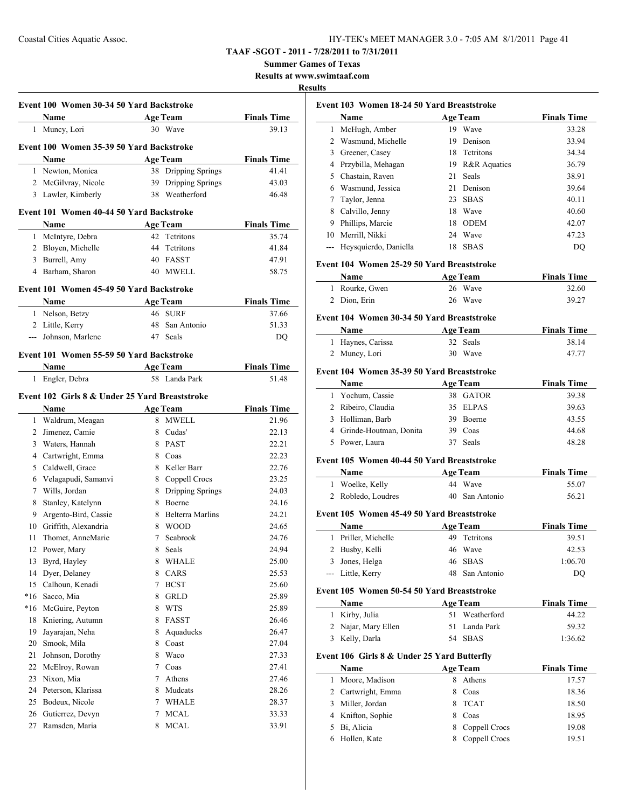**Summer Games of Texas**

**Results at www.swimtaaf.com**

#### **Results**

|                | Event 100 Women 30-34 50 Yard Backstroke       |   |                                  |                             |
|----------------|------------------------------------------------|---|----------------------------------|-----------------------------|
|                | Name                                           |   | <b>Age Team</b>                  | <b>Finals Time</b>          |
|                | 1 Muncy, Lori                                  |   | 30 Wave                          | 39.13                       |
|                | Event 100 Women 35-39 50 Yard Backstroke       |   |                                  |                             |
|                | <b>Name</b>                                    |   | <b>Age Team</b>                  | <b>Finals Time</b>          |
|                | 1 Newton, Monica                               |   | 38 Dripping Springs              | 41.41                       |
|                | 2 McGilvray, Nicole                            |   | 39 Dripping Springs              | 43.03                       |
|                | 3 Lawler, Kimberly                             |   | 38 Weatherford                   | 46.48                       |
|                |                                                |   |                                  |                             |
|                | Event 101 Women 40-44 50 Yard Backstroke       |   |                                  |                             |
|                | Name                                           |   | <b>Age Team</b>                  | <b>Finals Time</b>          |
|                | 1 McIntyre, Debra                              |   | 42 Tetritons                     | 35.74                       |
|                | 2 Bloyen, Michelle                             |   | 44 Tetritons                     | 41.84                       |
|                | 3 Burrell, Amy                                 |   | 40 FASST                         | 47.91                       |
|                | 4 Barham, Sharon                               |   | 40 MWELL                         | 58.75                       |
|                | Event 101 Women 45-49 50 Yard Backstroke       |   |                                  |                             |
|                | Name                                           |   | <b>Age Team</b>                  | <b>Finals Time</b>          |
|                | 1 Nelson, Betzy                                |   | 46 SURF                          | 37.66                       |
|                | 2 Little, Kerry                                |   | 48 San Antonio                   | 51.33                       |
|                | --- Johnson, Marlene                           |   | 47 Seals                         | DQ                          |
|                |                                                |   |                                  |                             |
|                | Event 101 Women 55-59 50 Yard Backstroke       |   |                                  |                             |
|                | Name<br>Engler, Debra                          |   | <b>Age Team</b><br>58 Landa Park | <b>Finals Time</b><br>51.48 |
| 1              |                                                |   |                                  |                             |
|                | Event 102 Girls 8 & Under 25 Yard Breaststroke |   |                                  |                             |
|                | Name                                           |   | <b>Age Team</b>                  | <b>Finals Time</b>          |
|                | 1 Waldrum, Meagan                              |   | 8 MWELL                          | 21.96                       |
| $\overline{2}$ | Jimenez, Camie                                 |   | 8 Cudas'                         | 22.13                       |
| 3              | Waters, Hannah                                 |   | 8 PAST                           | 22.21                       |
| 4              | Cartwright, Emma                               |   | 8 Coas                           | 22.23                       |
| 5              | Caldwell, Grace                                |   | 8 Keller Barr                    | 22.76                       |
| 6              | Velagapudi, Samanvi                            |   | 8 Coppell Crocs                  | 23.25                       |
| 7              | Wills, Jordan                                  |   | 8 Dripping Springs               | 24.03                       |
| 8              | Stanley, Katelynn                              |   | 8 Boerne                         | 24.16                       |
| 9.             | Argento-Bird, Cassie                           |   | 8 Belterra Marlins               | 24.21                       |
|                | 10 Griffith, Alexandria                        |   | 8 WOOD                           | 24.65                       |
| 11             | Thomet, AnneMarie                              |   | 7 Seabrook                       | 24.76                       |
|                | 12 Power, Mary                                 |   | 8 Seals                          | 24.94                       |
| 13             | Byrd, Hayley                                   | 8 | <b>WHALE</b>                     | 25.00                       |
| 14             | Dyer, Delaney                                  | 8 | CARS                             | 25.53                       |
| 15             | Calhoun, Kenadi                                | 7 | <b>BCST</b>                      | 25.60                       |
| $*16$          | Sacco, Mia                                     | 8 | <b>GRLD</b>                      | 25.89                       |
| $*16$          | McGuire, Peyton                                | 8 | <b>WTS</b>                       | 25.89                       |
| 18             | Kniering, Autumn                               | 8 | FASST                            | 26.46                       |
| 19             | Jayarajan, Neha                                | 8 | Aquaducks                        | 26.47                       |
| 20             | Smook, Mila                                    | 8 | Coast                            | 27.04                       |
| 21             | Johnson, Dorothy                               | 8 | Waco                             | 27.33                       |
| 22             | McElroy, Rowan                                 | 7 | Coas                             | 27.41                       |
| 23             | Nixon, Mia                                     | 7 | Athens                           | 27.46                       |
| 24             | Peterson, Klarissa                             | 8 | Mudcats                          | 28.26                       |
| 25             | Bodeux, Nicole                                 |   | 7 WHALE                          | 28.37                       |
| 26             | Gutierrez, Devyn                               | 7 | <b>MCAL</b>                      | 33.33                       |
| 27             | Ramsden, Maria                                 | 8 | <b>MCAL</b>                      | 33.91                       |

| Event 103 Women 18-24 50 Yard Breaststroke |                                             |    |                 |                    |  |
|--------------------------------------------|---------------------------------------------|----|-----------------|--------------------|--|
|                                            | Name                                        |    | <b>Age Team</b> | <b>Finals Time</b> |  |
| 1                                          | McHugh, Amber                               |    | 19 Wave         | 33.28              |  |
|                                            | 2 Wasmund, Michelle                         |    | 19 Denison      | 33.94              |  |
|                                            | 3 Greener, Casey                            |    | 18 Tetritons    | 34.34              |  |
|                                            | 4 Przybilla, Mehagan                        |    | 19 R&R Aquatics | 36.79              |  |
|                                            | 5 Chastain, Raven                           | 21 | Seals           | 38.91              |  |
|                                            | 6 Wasmund, Jessica                          |    | 21 Denison      | 39.64              |  |
| 7                                          | Taylor, Jenna                               |    | 23 SBAS         | 40.11              |  |
|                                            |                                             |    | 18 Wave         | 40.60              |  |
|                                            | 8 Calvillo, Jenny                           |    | 18 ODEM         |                    |  |
|                                            | 9 Phillips, Marcie                          |    |                 | 42.07              |  |
|                                            | 10 Merrill, Nikki                           |    | 24 Wave         | 47.23              |  |
|                                            | --- Heysquierdo, Daniella                   |    | 18 SBAS         | DQ                 |  |
|                                            | Event 104 Women 25-29 50 Yard Breaststroke  |    |                 |                    |  |
|                                            | Name                                        |    | <b>Age Team</b> | <b>Finals Time</b> |  |
|                                            | 1 Rourke, Gwen                              |    | 26 Wave         | 32.60              |  |
|                                            | 2 Dion, Erin                                |    | 26 Wave         | 39.27              |  |
|                                            | Event 104 Women 30-34 50 Yard Breaststroke  |    |                 |                    |  |
|                                            | Name                                        |    | <b>Age Team</b> | <b>Finals Time</b> |  |
|                                            | 1 Haynes, Carissa                           |    | 32 Seals        | 38.14              |  |
|                                            | 2 Muncy, Lori                               |    | 30 Wave         | 47.77              |  |
|                                            |                                             |    |                 |                    |  |
|                                            | Event 104 Women 35-39 50 Yard Breaststroke  |    |                 |                    |  |
|                                            | Name                                        |    | <b>Age Team</b> | <b>Finals Time</b> |  |
|                                            | 1 Yochum, Cassie                            |    | 38 GATOR        | 39.38              |  |
|                                            | 2 Ribeiro, Claudia                          |    | 35 ELPAS        | 39.63              |  |
|                                            | 3 Holliman, Barb                            |    | 39 Boerne       | 43.55              |  |
|                                            | 4 Grinde-Houtman, Donita                    |    | 39 Coas         | 44.68              |  |
|                                            | 5 Power, Laura                              |    | 37 Seals        | 48.28              |  |
|                                            | Event 105 Women 40-44 50 Yard Breaststroke  |    |                 |                    |  |
|                                            | Name                                        |    | <b>Age Team</b> | <b>Finals Time</b> |  |
|                                            | 1 Woelke, Kelly                             |    | 44 Wave         | 55.07              |  |
|                                            | 2 Robledo, Loudres                          |    | 40 San Antonio  | 56.21              |  |
|                                            | Event 105 Women 45-49 50 Yard Breaststroke  |    |                 |                    |  |
|                                            | Name                                        |    | <b>Age Team</b> | <b>Finals Time</b> |  |
|                                            | 1 Priller, Michelle                         |    | 49 Tetritons    | 39.51              |  |
|                                            | 2 Busby, Kelli                              |    | 46 Wave         | 42.53              |  |
|                                            |                                             | 46 | <b>SBAS</b>     |                    |  |
|                                            | 3 Jones, Helga<br>--- Little, Kerry         | 48 | San Antonio     | 1:06.70<br>DQ      |  |
|                                            |                                             |    |                 |                    |  |
|                                            | Event 105 Women 50-54 50 Yard Breaststroke  |    |                 |                    |  |
|                                            | Name                                        |    | <b>Age Team</b> | <b>Finals Time</b> |  |
| $\mathbf{1}$                               | Kirby, Julia                                | 51 | Weatherford     | 44.22              |  |
|                                            | 2 Najar, Mary Ellen                         | 51 | Landa Park      | 59.32              |  |
|                                            | 3 Kelly, Darla                              | 54 | <b>SBAS</b>     | 1:36.62            |  |
|                                            | Event 106 Girls 8 & Under 25 Yard Butterfly |    |                 |                    |  |
|                                            | Name                                        |    | <b>Age Team</b> | <b>Finals Time</b> |  |
| 1                                          | Moore, Madison                              | 8  | Athens          | 17.57              |  |
|                                            | 2 Cartwright, Emma                          | 8  | Coas            | 18.36              |  |
|                                            | 3 Miller, Jordan                            | 8. | <b>TCAT</b>     | 18.50              |  |
|                                            | 4 Knifton, Sophie                           | 8  | Coas            | 18.95              |  |

 Bi, Alicia 8 Coppell Crocs 19.08 Hollen, Kate 8 Coppell Crocs 19.51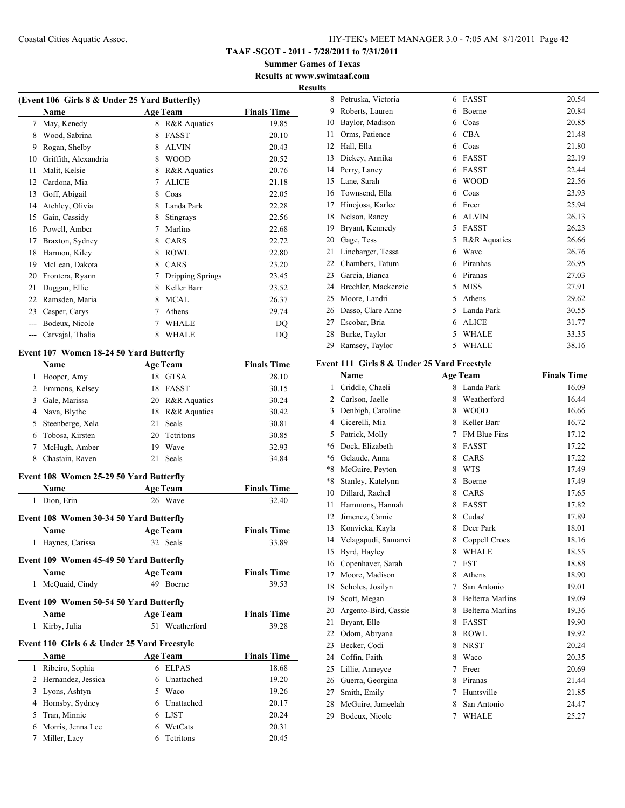**TAAF -SGOT - 2011 - 7/28/2011 to 7/31/2011**

**Summer Games of Texas Results at www.swimtaaf.com**

### **Results**

|             | (Event 106 Girls 8 & Under 25 Yard Butterfly) |             |                  |                    |  |  |
|-------------|-----------------------------------------------|-------------|------------------|--------------------|--|--|
|             | Name                                          |             | <b>Age Team</b>  | <b>Finals Time</b> |  |  |
| $7^{\circ}$ | May, Kenedy                                   |             | 8 R&R Aquatics   | 19.85              |  |  |
|             | 8 Wood, Sabrina                               | 8           | <b>FASST</b>     | 20.10              |  |  |
|             | 9 Rogan, Shelby                               |             | 8 ALVIN          | 20.43              |  |  |
| 10          | Griffith, Alexandria                          |             | 8 WOOD           | 20.52              |  |  |
| 11          | Malit, Kelsie                                 |             | 8 R&R Aquatics   | 20.76              |  |  |
|             | 12 Cardona, Mia                               | $7^{\circ}$ | <b>ALICE</b>     | 21.18              |  |  |
|             | 13 Goff, Abigail                              |             | 8 Coas           | 22.05              |  |  |
|             | 14 Atchley, Olivia                            |             | 8 Landa Park     | 22.28              |  |  |
|             | 15 Gain, Cassidy                              |             | 8 Stingrays      | 22.56              |  |  |
|             | 16 Powell, Amber                              |             | 7 Marlins        | 22.68              |  |  |
|             | 17 Braxton, Sydney                            |             | 8 CARS           | 22.72              |  |  |
|             | 18 Harmon, Kiley                              |             | 8 ROWL           | 22.80              |  |  |
|             | 19 McLean, Dakota                             | 8           | <b>CARS</b>      | 23.20              |  |  |
|             | 20 Frontera, Ryann                            | 7           | Dripping Springs | 23.45              |  |  |
| 21          | Duggan, Ellie                                 |             | 8 Keller Barr    | 23.52              |  |  |
|             | 22 Ramsden, Maria                             |             | 8 MCAL           | 26.37              |  |  |
|             | 23 Casper, Carys                              |             | 7 Athens         | 29.74              |  |  |
|             | --- Bodeux, Nicole                            |             | 7 WHALE          | DQ                 |  |  |
|             | --- Carvajal, Thalia                          | 8           | <b>WHALE</b>     | <b>DQ</b>          |  |  |
|             | Event 107 Women 18-24 50 Yard Butterfly       |             |                  |                    |  |  |
|             | Name                                          |             | <b>Age Team</b>  | <b>Finals Time</b> |  |  |
|             | 1 Hooper, Amy                                 |             | 18 GTSA          | 28.10              |  |  |
|             | 2 Emmons, Kelsey                              |             | 18 FASST         | 30.15              |  |  |
|             | 3 Gale, Marissa                               |             | 20 R&R Aquatics  | 30.24              |  |  |
|             | 4 Nava, Blythe                                |             | 18 R&R Aquatics  | 30.42              |  |  |
| 5           | Steenberge, Xela                              | 21          | Seals            | 30.81              |  |  |
| 6           | Tobosa, Kirsten                               |             | 20 Tetritons     | 30.85              |  |  |
| 7           | McHugh, Amber                                 |             | 19 Wave          | 32.93              |  |  |
| 8           | Chastain, Raven                               | 21          | Seals            | 34.84              |  |  |
|             |                                               |             |                  |                    |  |  |
|             | Event 108 Women 25-29 50 Yard Butterfly       |             |                  |                    |  |  |
|             | Name                                          |             | <b>Age Team</b>  | <b>Finals Time</b> |  |  |
| 1           | Dion, Erin                                    |             | 26 Wave          | 32.40              |  |  |
|             | Event 108 Women 30-34 50 Yard Butterfly       |             |                  |                    |  |  |
|             | Name                                          |             | <b>Age Team</b>  | <b>Finals Time</b> |  |  |
| 1           | Haynes, Carissa                               |             | 32 Seals         | 33.89              |  |  |
|             |                                               |             |                  |                    |  |  |
|             | Event 109 Women 45-49 50 Yard Butterfly       |             |                  |                    |  |  |
|             | Name                                          |             | <b>Age Team</b>  | <b>Finals Time</b> |  |  |
|             | 1 McQuaid, Cindy                              |             | 49 Boerne        | 39.53              |  |  |
|             | Event 109 Women 50-54 50 Yard Butterfly       |             |                  |                    |  |  |
|             | Name                                          |             | <b>Age Team</b>  | <b>Finals Time</b> |  |  |
| 1           | Kirby, Julia                                  | 51          | Weatherford      | 39.28              |  |  |
|             |                                               |             |                  |                    |  |  |
|             | Event 110 Girls 6 & Under 25 Yard Freestyle   |             |                  |                    |  |  |
|             | Name                                          |             | <b>Age Team</b>  | <b>Finals Time</b> |  |  |
| 1           | Ribeiro, Sophia                               |             | 6 ELPAS          | 18.68              |  |  |
|             | 2 Hernandez, Jessica                          |             | 6 Unattached     | 19.20              |  |  |
|             | 3 Lyons, Ashtyn                               |             | 5 Waco           | 19.26              |  |  |
|             | 4 Hornsby, Sydney                             |             | 6 Unattached     | 20.17              |  |  |
|             | 5 Tran, Minnie                                |             | 6 LJST           | 20.24              |  |  |
|             | 6 Morris, Jenna Lee                           |             | 6 WetCats        | 20.31              |  |  |
| 7           | Miller, Lacy                                  |             | 6 Tetritons      | 20.45              |  |  |

| 8  | Petruska, Victoria  | 6 | <b>FASST</b> | 20.54 |
|----|---------------------|---|--------------|-------|
| 9  | Roberts, Lauren     | 6 | Boerne       | 20.84 |
| 10 | Baylor, Madison     | 6 | Coas         | 20.85 |
| 11 | Orms, Patience      | 6 | <b>CBA</b>   | 21.48 |
| 12 | Hall, Ella          | 6 | Coas         | 21.80 |
| 13 | Dickey, Annika      | 6 | FASST        | 22.19 |
| 14 | Perry, Laney        | 6 | FASST        | 22.44 |
| 15 | Lane, Sarah         | 6 | <b>WOOD</b>  | 22.56 |
| 16 | Townsend, Ella      | 6 | Coas         | 23.93 |
| 17 | Hinojosa, Karlee    | 6 | Freer        | 25.94 |
| 18 | Nelson, Raney       | 6 | <b>ALVIN</b> | 26.13 |
| 19 | Bryant, Kennedy     | 5 | FASST        | 26.23 |
| 20 | Gage, Tess          | 5 | R&R Aquatics | 26.66 |
| 21 | Linebarger, Tessa   | 6 | Wave         | 26.76 |
| 22 | Chambers, Tatum     | 6 | Piranhas     | 26.95 |
| 23 | Garcia, Bianca      | 6 | Piranas      | 27.03 |
| 24 | Brechler, Mackenzie | 5 | <b>MISS</b>  | 27.91 |
| 25 | Moore, Landri       | 5 | Athens       | 29.62 |
| 26 | Dasso, Clare Anne   | 5 | Landa Park   | 30.55 |
| 27 | Escobar, Bria       | 6 | <b>ALICE</b> | 31.77 |
| 28 | Burke, Taylor       | 5 | <b>WHALE</b> | 33.35 |
| 29 | Ramsey, Taylor      | 5 | <b>WHALE</b> | 38.16 |

#### **Event 111 Girls 8 & Under 25 Yard Freestyle**

|                | Name                 |                | <b>Age Team</b>         | <b>Finals Time</b> |
|----------------|----------------------|----------------|-------------------------|--------------------|
| 1              | Criddle, Chaeli      | 8              | Landa Park              | 16.09              |
| $\overline{2}$ | Carlson, Jaelle      | 8              | Weatherford             | 16.44              |
| 3              | Denbigh, Caroline    | 8              | <b>WOOD</b>             | 16.66              |
| 4              | Cicerelli, Mia       | 8              | Keller Barr             | 16.72              |
| 5              | Patrick, Molly       | 7              | <b>FM Blue Fins</b>     | 17.12              |
| *6             | Dock, Elizabeth      | 8              | <b>FASST</b>            | 17.22              |
| *6             | Gelaude, Anna        | 8              | CARS                    | 17.22              |
| $*8$           | McGuire, Peyton      | 8              | <b>WTS</b>              | 17.49              |
| $*8$           | Stanley, Katelynn    | 8              | Boerne                  | 17.49              |
| 10             | Dillard, Rachel      | 8              | CARS                    | 17.65              |
| 11             | Hammons, Hannah      | 8              | <b>FASST</b>            | 17.82              |
| 12             | Jimenez, Camie       | 8              | Cudas'                  | 17.89              |
| 13             | Konvicka, Kayla      | 8              | Deer Park               | 18.01              |
| 14             | Velagapudi, Samanvi  | 8              | Coppell Crocs           | 18.16              |
| 15             | Byrd, Hayley         | 8              | <b>WHALE</b>            | 18.55              |
| 16             | Copenhaver, Sarah    | 7              | <b>FST</b>              | 18.88              |
| 17             | Moore, Madison       | 8              | Athens                  | 18.90              |
| 18             | Scholes, Josilyn     | 7              | San Antonio             | 19.01              |
| 19             | Scott, Megan         | 8              | <b>Belterra Marlins</b> | 19.09              |
| 20             | Argento-Bird, Cassie | 8              | <b>Belterra Marlins</b> | 19.36              |
| 21             | Bryant, Elle         | 8              | FASST                   | 19.90              |
| 22             | Odom, Abryana        | 8              | <b>ROWL</b>             | 19.92              |
| 23             | Becker, Codi         | 8              | <b>NRST</b>             | 20.24              |
| 24             | Coffin, Faith        | 8              | Waco                    | 20.35              |
| 25             | Lillie, Anneyce      | 7              | Freer                   | 20.69              |
| 26             | Guerra, Georgina     | 8              | Piranas                 | 21.44              |
| 27             | Smith, Emily         | 7              | Huntsville              | 21.85              |
| 28             | McGuire, Jameelah    | 8              | San Antonio             | 24.47              |
| 29             | Bodeux, Nicole       | $\overline{7}$ | <b>WHALE</b>            | 25.27              |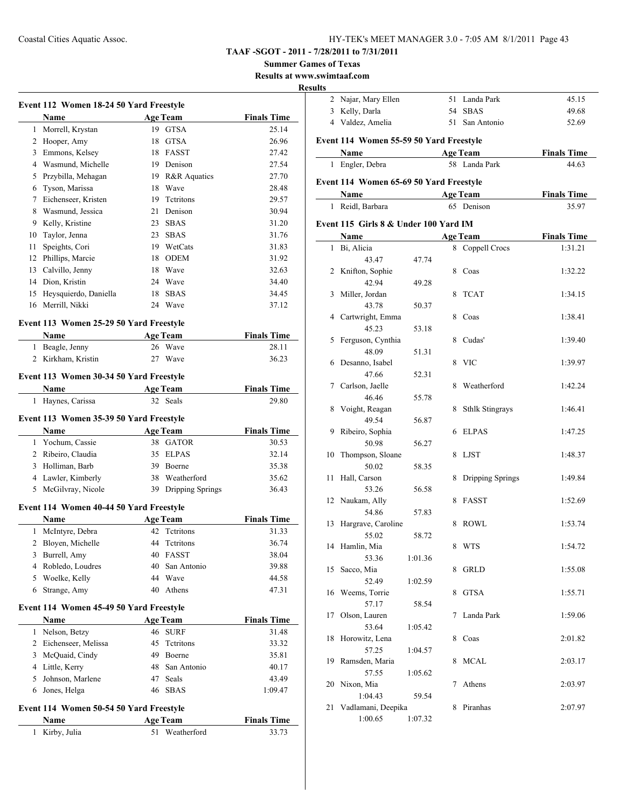# **TAAF -SGOT - 2011 - 7/28/2011 to 7/31/2011**

**Summer Games of Texas**

**Results at www.swimtaaf.com**

#### **Results**

|    | Event 112 Women 18-24 50 Yard Freestyle<br>Name        |    | <b>Age Team</b>                       | <b>Finals Time</b> |
|----|--------------------------------------------------------|----|---------------------------------------|--------------------|
|    | 1 Morrell, Krystan                                     |    | 19 GTSA                               | 25.14              |
|    | 2 Hooper, Amy                                          |    | 18 GTSA                               | 26.96              |
|    | 3 Emmons, Kelsey                                       |    | 18 FASST                              | 27.42              |
|    | 4 Wasmund, Michelle                                    |    | 19 Denison                            | 27.54              |
|    | 5 Przybilla, Mehagan                                   |    | 19 R&R Aquatics                       | 27.70              |
|    | 6 Tyson, Marissa                                       |    | 18 Wave                               | 28.48              |
|    | 7 Eichenseer, Kristen                                  |    | 19 Tetritons                          | 29.57              |
| 8  | Wasmund, Jessica                                       |    | 21 Denison                            | 30.94              |
|    | 9 Kelly, Kristine                                      |    | 23 SBAS                               | 31.20              |
|    | 10 Taylor, Jenna                                       |    | 23 SBAS                               | 31.76              |
| 11 | Speights, Cori                                         |    | 19 WetCats                            | 31.83              |
|    | 12 Phillips, Marcie                                    |    | 18 ODEM                               | 31.92              |
|    | 13 Calvillo, Jenny                                     |    | 18 Wave                               | 32.63              |
|    | 14 Dion, Kristin                                       |    | 24 Wave                               | 34.40              |
|    | 15 Heysquierdo, Daniella                               |    | 18 SBAS                               | 34.45              |
|    | 16 Merrill, Nikki                                      |    | 24 Wave                               | 37.12              |
|    | Event 113 Women 25-29 50 Yard Freestyle                |    |                                       |                    |
|    | Name                                                   |    | <b>Age Team</b>                       | <b>Finals Time</b> |
|    | 1 Beagle, Jenny                                        |    | 26 Wave                               | 28.11              |
|    | 2 Kirkham, Kristin                                     | 27 | Wave                                  | 36.23              |
|    | Event 113 Women 30-34 50 Yard Freestyle                |    |                                       |                    |
|    | Name                                                   |    | <b>Age Team</b>                       | <b>Finals Time</b> |
|    | 1 Haynes, Carissa                                      |    | 32 Seals                              | 29.80              |
|    | Event 113 Women 35-39 50 Yard Freestyle<br>Name        |    | <b>Age Team</b>                       | <b>Finals Time</b> |
|    | 1 Yochum, Cassie                                       |    | 38 GATOR                              | 30.53              |
|    | 2 Ribeiro, Claudia                                     |    | 35 ELPAS                              | 32.14              |
|    | 3 Holliman, Barb                                       |    | 39 Boerne                             | 35.38              |
|    | 4 Lawler, Kimberly<br>5 McGilvray, Nicole              |    | 38 Weatherford<br>39 Dripping Springs | 35.62<br>36.43     |
|    |                                                        |    |                                       |                    |
|    | Event 114 Women 40-44 50 Yard Freestyle<br><b>Name</b> |    | <b>Age Team</b>                       | <b>Finals Time</b> |
|    | 1 McIntyre, Debra                                      | 42 | Tetritons                             | 31.33              |
| 2  |                                                        | 44 | Tetritons                             | 36.74              |
|    | Bloyen, Michelle                                       |    | 40 FASST                              | 38.04              |
|    | 3 Burrell, Amy<br>4 Robledo, Loudres                   |    | 40 San Antonio                        | 39.88              |
|    | 5 Woelke, Kelly                                        |    | 44 Wave                               |                    |
|    | 6 Strange, Amy                                         |    | 40 Athens                             | 44.58<br>47.31     |
|    |                                                        |    |                                       |                    |
|    | Event 114 Women 45-49 50 Yard Freestyle<br>Name        |    | <b>Age Team</b>                       | <b>Finals Time</b> |
|    | 1 Nelson, Betzy                                        |    | 46 SURF                               | 31.48              |
|    | 2 Eichenseer, Melissa                                  |    | 45 Tetritons                          | 33.32              |
|    | 3 McQuaid, Cindy                                       |    | 49 Boerne                             | 35.81              |
|    | 4 Little, Kerry                                        |    | 48 San Antonio                        | 40.17              |
|    | 5 Johnson, Marlene                                     | 47 | Seals                                 | 43.49              |
|    | 6 Jones, Helga                                         | 46 | <b>SBAS</b>                           | 1:09.47            |
|    |                                                        |    |                                       |                    |
|    |                                                        |    |                                       |                    |
|    | Event 114 Women 50-54 50 Yard Freestyle<br>Name        |    | <b>Age Team</b>                       | <b>Finals Time</b> |

| ults |                                         |         |    |                        |                    |
|------|-----------------------------------------|---------|----|------------------------|--------------------|
|      | 2 Najar, Mary Ellen                     |         |    | 51 Landa Park          | 45.15              |
|      | 3 Kelly, Darla                          |         | 54 | <b>SBAS</b>            | 49.68              |
|      | 4 Valdez, Amelia                        |         |    | 51 San Antonio         | 52.69              |
|      | Event 114 Women 55-59 50 Yard Freestyle |         |    |                        |                    |
|      | Name                                    |         |    | <b>Age Team</b>        | <b>Finals Time</b> |
|      | 1 Engler, Debra                         |         |    | 58 Landa Park          | 44.63              |
|      |                                         |         |    |                        |                    |
|      | Event 114 Women 65-69 50 Yard Freestyle |         |    |                        |                    |
|      | Name                                    |         |    | <b>Age Team</b>        | <b>Finals Time</b> |
| 1    | Reidl, Barbara                          |         |    | 65 Denison             | 35.97              |
|      | Event 115 Girls 8 & Under 100 Yard IM   |         |    |                        |                    |
|      | Name                                    |         |    | <b>Age Team</b>        | <b>Finals Time</b> |
| 1    | Bi, Alicia                              |         |    | 8 Coppell Crocs        | 1:31.21            |
|      | 43.47                                   | 47.74   |    |                        |                    |
| 2    | Knifton, Sophie                         |         | 8  | Coas                   | 1:32.22            |
|      | 42.94                                   | 49.28   |    |                        |                    |
| 3    | Miller, Jordan                          |         | 8  | <b>TCAT</b>            | 1:34.15            |
|      | 43.78                                   | 50.37   |    |                        |                    |
|      | 4 Cartwright, Emma                      |         | 8  | Coas                   | 1:38.41            |
|      | 45.23                                   | 53.18   |    |                        |                    |
| 5    | Ferguson, Cynthia                       |         | 8  | Cudas'                 | 1:39.40            |
|      | 48.09                                   | 51.31   |    |                        |                    |
| 6    | Desanno, Isabel                         |         | 8  | <b>VIC</b>             | 1:39.97            |
|      | 47.66                                   | 52.31   |    |                        |                    |
| 7    | Carlson, Jaelle                         |         | 8  | Weatherford            | 1:42.24            |
|      | 46.46                                   | 55.78   |    |                        |                    |
| 8    | Voight, Reagan                          |         | 8  | <b>Sthlk Stingrays</b> | 1:46.41            |
|      | 49.54                                   | 56.87   |    |                        |                    |
| 9    | Ribeiro, Sophia                         |         | 6  | <b>ELPAS</b>           | 1:47.25            |
|      | 50.98                                   | 56.27   |    |                        |                    |
| 10   | Thompson, Sloane                        |         | 8  | LJST                   | 1:48.37            |
|      | 50.02                                   | 58.35   |    |                        |                    |
| 11   | Hall, Carson                            |         | 8  | Dripping Springs       | 1:49.84            |
|      | 53.26                                   | 56.58   |    |                        |                    |
|      | 12 Naukam, Ally                         |         | 8  | FASST                  | 1:52.69            |
|      | 54.86                                   | 57.83   |    |                        |                    |
| 13   | Hargrave, Caroline                      |         | 8  | ROWL                   | 1:53.74            |
|      | 55.02                                   | 58.72   |    |                        |                    |
|      | 14 Hamlin, Mia                          |         | 8  | <b>WTS</b>             | 1:54.72            |
|      | 53.36                                   | 1:01.36 |    |                        |                    |
| 15   | Sacco, Mia                              |         | 8  | <b>GRLD</b>            | 1:55.08            |
|      | 52.49                                   | 1:02.59 |    |                        |                    |
| 16   | Weems, Torrie                           |         | 8  | <b>GTSA</b>            | 1:55.71            |
|      | 57.17                                   | 58.54   |    |                        |                    |
| 17   | Olson, Lauren                           |         | 7  | Landa Park             | 1:59.06            |
|      | 53.64                                   | 1:05.42 |    |                        |                    |
| 18   | Horowitz, Lena                          |         | 8  | Coas                   | 2:01.82            |
|      | 57.25                                   | 1:04.57 |    |                        |                    |
| 19   | Ramsden, Maria                          |         | 8  | <b>MCAL</b>            | 2:03.17            |
|      | 57.55                                   | 1:05.62 |    |                        |                    |
| 20   | Nixon, Mia                              |         | 7  | Athens                 | 2:03.97            |
|      | 1:04.43                                 | 59.54   |    |                        |                    |
| 21   | Vadlamani, Deepika                      |         | 8  | Piranhas               | 2:07.97            |
|      | 1:00.65                                 | 1:07.32 |    |                        |                    |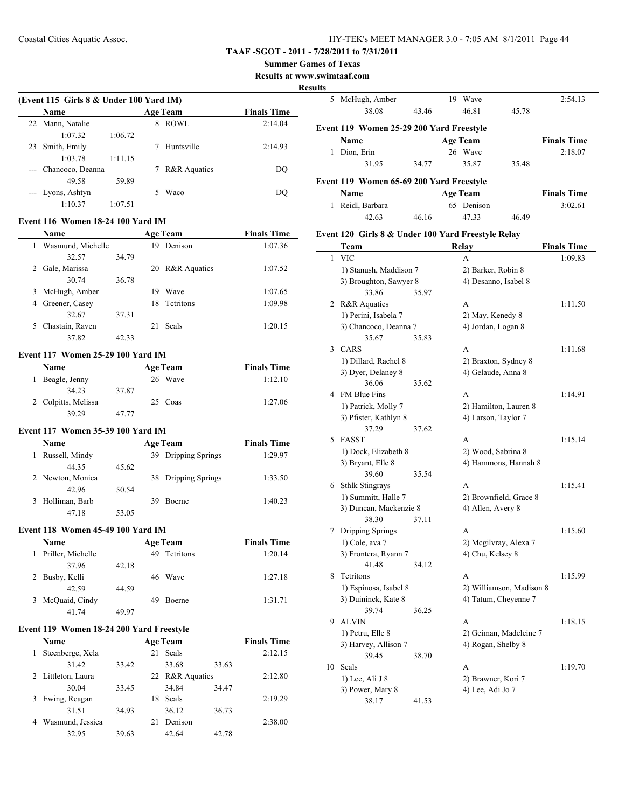#### **TAAF -SGOT - 2011 - 7/28/2011 to 7/31/2011**

#### **Summer Games of Texas**

**Results at www.swimtaaf.com**

#### **Results**

| (Event 115 Girls 8 & Under 100 Yard IM) |                   |         |   |                         |                    |  |  |  |
|-----------------------------------------|-------------------|---------|---|-------------------------|--------------------|--|--|--|
|                                         | <b>Name</b>       |         |   | <b>Age Team</b>         | <b>Finals Time</b> |  |  |  |
|                                         | 22 Mann, Natalie  |         | 8 | ROWL                    | 2:14.04            |  |  |  |
|                                         | 1:07.32           | 1:06.72 |   |                         |                    |  |  |  |
| 23                                      | Smith, Emily      |         |   | Huntsville              | 2:14.93            |  |  |  |
|                                         | 1:03.78           | 1:11.15 |   |                         |                    |  |  |  |
|                                         | Chancoco, Deanna  |         |   | <b>R&amp;R</b> Aquatics | DO                 |  |  |  |
|                                         | 49.58             | 59.89   |   |                         |                    |  |  |  |
|                                         | --- Lyons, Ashtyn |         |   | Waco                    | DO                 |  |  |  |
|                                         | 1:10.37           | 1:07.51 |   |                         |                    |  |  |  |
|                                         |                   |         |   |                         |                    |  |  |  |

#### **Event 116 Women 18-24 100 Yard IM**

|    | <b>Name</b>       | <b>Age Team</b> |     |                  | <b>Finals Time</b> |
|----|-------------------|-----------------|-----|------------------|--------------------|
| 1  | Wasmund, Michelle |                 | 19  | Denison          | 1:07.36            |
|    | 32.57             | 34.79           |     |                  |                    |
|    | 2 Gale, Marissa   |                 |     | 20 R&R Aquatics  | 1:07.52            |
|    | 30.74             | 36.78           |     |                  |                    |
|    | 3 McHugh, Amber   |                 | 19  | Wave             | 1:07.65            |
| 4  | Greener, Casey    |                 | 18. | <b>Tetritons</b> | 1:09.98            |
|    | 32.67             | 37.31           |     |                  |                    |
| 5. | Chastain, Raven   |                 | 21  | Seals            | 1:20.15            |
|    | 37.82             | 42.33           |     |                  |                    |

#### **Event 117 Women 25-29 100 Yard IM**

| Name                |       | <b>Age Team</b> | <b>Finals Time</b> |
|---------------------|-------|-----------------|--------------------|
| 1 Beagle, Jenny     |       | 26 Wave         | 1:12.10            |
| 34.23               | 37.87 |                 |                    |
| 2 Colpitts, Melissa |       | 25 Coas         | 1:27.06            |
| 39.29               | 47 77 |                 |                    |

#### **Event 117 Women 35-39 100 Yard IM**

| <b>Name</b>      |       | <b>Age Team</b>     | <b>Finals Time</b> |
|------------------|-------|---------------------|--------------------|
| Russell, Mindy   |       | 39 Dripping Springs | 1:29.97            |
| 44 35            | 45.62 |                     |                    |
| 2 Newton, Monica |       | 38 Dripping Springs | 1:33.50            |
| 42.96            | 50.54 |                     |                    |
| Holliman, Barb   |       | Boerne              | 1:40.23            |
| 47.18            | 53.05 |                     |                    |

#### **Event 118 Women 45-49 100 Yard IM**

|    | <b>Name</b>       | <b>Age Team</b> |    |           | <b>Finals Time</b> |
|----|-------------------|-----------------|----|-----------|--------------------|
|    | Priller, Michelle |                 | 49 | Tetritons | 1:20.14            |
|    | 37.96             | 42.18           |    |           |                    |
|    | 2 Busby, Kelli    |                 |    | 46 Wave   | 1:27.18            |
|    | 42.59             | 44.59           |    |           |                    |
| 3. | McQuaid, Cindy    |                 | 49 | Boerne    | 1:31.71            |
|    | 41.74             | 49.97           |    |           |                    |

#### **Event 119 Women 18-24 200 Yard Freestyle**

|   | <b>Name</b>        |       |    | <b>Age Team</b> |       | <b>Finals Time</b> |
|---|--------------------|-------|----|-----------------|-------|--------------------|
|   | Steenberge, Xela   |       | 21 | Seals           |       | 2:12.15            |
|   | 31.42              | 33.42 |    | 33.68           | 33.63 |                    |
|   | 2 Littleton, Laura |       |    | 22 R&R Aquatics |       | 2:12.80            |
|   | 30.04              | 33.45 |    | 34.84           | 34.47 |                    |
|   | 3 Ewing, Reagan    |       | 18 | Seals           |       | 2:19.29            |
|   | 31.51              | 34.93 |    | 36.12           | 36.73 |                    |
| 4 | Wasmund, Jessica   |       | 21 | Denison         |       | 2:38.00            |
|   | 32.95              | 39.63 |    | 42.64           | 42.78 |                    |

| ults |                                                    |       |    |                          |       |                    |
|------|----------------------------------------------------|-------|----|--------------------------|-------|--------------------|
|      | 5 McHugh, Amber                                    |       | 19 | Wave                     |       | 2:54.13            |
|      | 38.08                                              | 43.46 |    | 46.81                    | 45.78 |                    |
|      |                                                    |       |    |                          |       |                    |
|      | Event 119 Women 25-29 200 Yard Freestyle           |       |    |                          |       |                    |
|      | Name                                               |       |    | <b>Age Team</b>          |       | <b>Finals Time</b> |
| 1    | Dion, Erin                                         |       |    | 26 Wave                  |       | 2:18.07            |
|      | 31.95                                              | 34.77 |    | 35.87                    | 35.48 |                    |
|      |                                                    |       |    |                          |       |                    |
|      | Event 119 Women 65-69 200 Yard Freestyle           |       |    |                          |       |                    |
|      | Name                                               |       |    | <b>Age Team</b>          |       | <b>Finals Time</b> |
| 1    | Reidl, Barbara                                     |       |    | 65 Denison               |       | 3:02.61            |
|      | 42.63                                              | 46.16 |    | 47.33                    | 46.49 |                    |
|      | Event 120 Girls 8 & Under 100 Yard Freestyle Relay |       |    |                          |       |                    |
|      | Team                                               |       |    | Relay                    |       | <b>Finals Time</b> |
| 1    | <b>VIC</b>                                         |       |    | A                        |       | 1:09.83            |
|      | 1) Stanush, Maddison 7                             |       |    | 2) Barker, Robin 8       |       |                    |
|      | 3) Broughton, Sawyer 8                             |       |    | 4) Desanno, Isabel 8     |       |                    |
|      | 33.86                                              | 35.97 |    |                          |       |                    |
|      | 2 R&R Aquatics                                     |       |    | A                        |       | 1:11.50            |
|      | 1) Perini, Isabela 7                               |       |    | 2) May, Kenedy 8         |       |                    |
|      | 3) Chancoco, Deanna 7                              |       |    | 4) Jordan, Logan 8       |       |                    |
|      | 35.67                                              | 35.83 |    |                          |       |                    |
|      | 3 CARS                                             |       |    | A                        |       | 1:11.68            |
|      | 1) Dillard, Rachel 8                               |       |    | 2) Braxton, Sydney 8     |       |                    |
|      | 3) Dyer, Delaney 8                                 |       |    | 4) Gelaude, Anna 8       |       |                    |
|      | 36.06                                              | 35.62 |    |                          |       |                    |
|      | 4 FM Blue Fins                                     |       |    | A                        |       | 1:14.91            |
|      | 1) Patrick, Molly 7                                |       |    | 2) Hamilton, Lauren 8    |       |                    |
|      | 3) Pfister, Kathlyn 8                              |       |    | 4) Larson, Taylor 7      |       |                    |
|      | 37.29                                              | 37.62 |    |                          |       |                    |
| 5    | FASST                                              |       |    | A                        |       | 1:15.14            |
|      | 1) Dock, Elizabeth 8                               |       |    | 2) Wood, Sabrina 8       |       |                    |
|      | 3) Bryant, Elle 8                                  |       |    | 4) Hammons, Hannah 8     |       |                    |
|      | 39.60                                              | 35.54 |    |                          |       |                    |
|      | 6 Sthlk Stingrays                                  |       |    | A                        |       | 1:15.41            |
|      | 1) Summitt, Halle 7                                |       |    | 2) Brownfield, Grace 8   |       |                    |
|      | 3) Duncan, Mackenzie 8                             |       |    | 4) Allen, Avery 8        |       |                    |
|      | 38.30                                              | 37.11 |    |                          |       |                    |
| 7    | Dripping Springs                                   |       |    | А                        |       | 1:15.60            |
|      | 1) Cole, ava 7                                     |       |    | 2) Megilvray, Alexa 7    |       |                    |
|      | 3) Frontera, Ryann 7                               |       |    | 4) Chu, Kelsey 8         |       |                    |
|      | 41.48                                              | 34.12 |    |                          |       |                    |
| 8    | Tetritons                                          |       |    | A                        |       | 1:15.99            |
|      | 1) Espinosa, Isabel 8                              |       |    | 2) Williamson, Madison 8 |       |                    |
|      | 3) Duininck, Kate 8                                |       |    | 4) Tatum, Cheyenne 7     |       |                    |
|      | 39.74                                              | 36.25 |    |                          |       |                    |
| 9    | <b>ALVIN</b>                                       |       |    | A                        |       | 1:18.15            |
|      | 1) Petru, Elle 8                                   |       |    | 2) Geiman, Madeleine 7   |       |                    |
|      | 3) Harvey, Allison 7                               |       |    | 4) Rogan, Shelby 8       |       |                    |
|      | 39.45                                              | 38.70 |    |                          |       |                    |
| 10   | Seals                                              |       |    | A                        |       | 1:19.70            |
|      | 1) Lee, Ali J 8                                    |       |    | 2) Brawner, Kori 7       |       |                    |
|      | 3) Power, Mary 8                                   |       |    | 4) Lee, Adi Jo 7         |       |                    |
|      | 38.17                                              | 41.53 |    |                          |       |                    |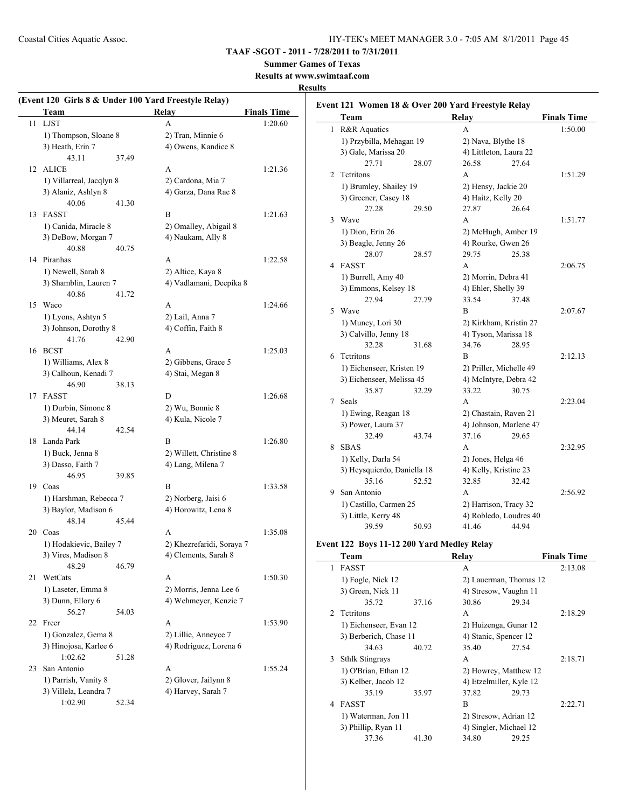# **TAAF -SGOT - 2011 - 7/28/2011 to 7/31/2011**

# **Summer Games of Texas**

**Results at www.swimtaaf.com**

#### **Results**

 $\overline{a}$ 

|    | Team                                           | (Event 120 Girls 8 & Under 100 Yard Freestyle Relay)<br><b>Relay</b> | <b>Finals Time</b> |
|----|------------------------------------------------|----------------------------------------------------------------------|--------------------|
| 11 | <b>LJST</b>                                    | A                                                                    | 1:20.60            |
|    | 1) Thompson, Sloane 8                          | 2) Tran, Minnie 6                                                    |                    |
|    | 3) Heath, Erin 7                               | 4) Owens, Kandice 8                                                  |                    |
|    | 43.11                                          | 37.49                                                                |                    |
| 12 | <b>ALICE</b>                                   | A                                                                    | 1:21.36            |
|    | 1) Villarreal, Jacqlyn 8                       | 2) Cardona, Mia 7                                                    |                    |
|    | 3) Alaniz, Ashlyn 8                            | 4) Garza, Dana Rae 8                                                 |                    |
|    | 40.06                                          | 41.30                                                                |                    |
| 13 | <b>FASST</b>                                   | B                                                                    | 1:21.63            |
|    | 1) Canida, Miracle 8                           | 2) Omalley, Abigail 8                                                |                    |
|    | 3) DeBow, Morgan 7                             | 4) Naukam, Ally 8                                                    |                    |
|    | 40.88                                          | 40.75                                                                |                    |
|    | 14 Piranhas                                    | A                                                                    | 1:22.58            |
|    | 1) Newell, Sarah 8                             | 2) Altice, Kaya 8                                                    |                    |
|    | 3) Shamblin, Lauren 7                          | 4) Vadlamani, Deepika 8                                              |                    |
|    | 40.86                                          | 41.72                                                                |                    |
| 15 | Waco                                           | A                                                                    | 1:24.66            |
|    | 1) Lyons, Ashtyn 5                             | 2) Lail, Anna 7                                                      |                    |
|    | 3) Johnson, Dorothy 8                          | 4) Coffin, Faith 8                                                   |                    |
|    | 41.76                                          | 42.90                                                                |                    |
| 16 | <b>BCST</b>                                    | A                                                                    | 1:25.03            |
|    | 1) Williams, Alex 8                            | 2) Gibbens, Grace 5                                                  |                    |
|    | 3) Calhoun, Kenadi 7                           | 4) Stai, Megan 8                                                     |                    |
|    | 46.90                                          | 38.13                                                                |                    |
| 17 | <b>FASST</b>                                   | D                                                                    | 1:26.68            |
|    | 1) Durbin, Simone 8                            | 2) Wu, Bonnie 8                                                      |                    |
|    | 3) Meuret, Sarah 8                             | 4) Kula, Nicole 7                                                    |                    |
|    | 44.14                                          | 42.54                                                                |                    |
| 18 | Landa Park                                     | B                                                                    | 1:26.80            |
|    | 1) Buck, Jenna 8                               | 2) Willett, Christine 8                                              |                    |
|    | 3) Dasso, Faith 7                              | 4) Lang, Milena 7                                                    |                    |
|    | 46.95<br>Coas                                  | 39.85<br>B                                                           |                    |
| 19 |                                                |                                                                      | 1:33.58            |
|    | 1) Harshman, Rebecca 7<br>3) Baylor, Madison 6 | 2) Norberg, Jaisi 6<br>4) Horowitz, Lena 8                           |                    |
|    | 48.14                                          | 45.44                                                                |                    |
|    | 20 Coas                                        | A                                                                    | 1:35.08            |
|    | 1) Hodakievic, Bailey 7                        | 2) Khezrefaridi, Soraya 7                                            |                    |
|    | 3) Vires, Madison 8                            | 4) Clements, Sarah 8                                                 |                    |
|    | 48.29                                          | 46.79                                                                |                    |
| 21 | WetCats                                        | A                                                                    | 1:50.30            |
|    | 1) Laseter, Emma 8                             | 2) Morris, Jenna Lee 6                                               |                    |
|    | 3) Dunn, Ellory 6                              | 4) Wehmeyer, Kenzie 7                                                |                    |
|    | 56.27                                          | 54.03                                                                |                    |
| 22 | Freer                                          | A                                                                    | 1:53.90            |
|    | 1) Gonzalez, Gema 8                            | 2) Lillie, Anneyce 7                                                 |                    |
|    | 3) Hinojosa, Karlee 6                          | 4) Rodriguez, Lorena 6                                               |                    |
|    | 1:02.62                                        | 51.28                                                                |                    |
| 23 | San Antonio                                    | A                                                                    | 1:55.24            |
|    | 1) Parrish, Vanity 8                           | 2) Glover, Jailynn 8                                                 |                    |
|    | 3) Villela, Leandra 7                          | 4) Harvey, Sarah 7                                                   |                    |
|    | 1:02.90                                        | 52.34                                                                |                    |
|    |                                                |                                                                      |                    |

| Event 121 Women 18 & Over 200 Yard Freestyle Relay |                             |       |                         |       |                    |
|----------------------------------------------------|-----------------------------|-------|-------------------------|-------|--------------------|
|                                                    | Team                        |       | Relay                   |       | <b>Finals Time</b> |
| 1                                                  | <b>R&amp;R</b> Aquatics     |       | A                       |       | 1:50.00            |
|                                                    | 1) Przybilla, Mehagan 19    |       | 2) Nava, Blythe 18      |       |                    |
|                                                    | 3) Gale, Marissa 20         |       | 4) Littleton, Laura 22  |       |                    |
|                                                    | 27.71                       | 28.07 | 26.58                   | 27.64 |                    |
| $\overline{2}$                                     | <b>Tetritons</b>            |       | A                       |       | 1:51.29            |
|                                                    | 1) Brumley, Shailey 19      |       | 2) Hensy, Jackie 20     |       |                    |
|                                                    | 3) Greener, Casey 18        |       | 4) Haitz, Kelly 20      |       |                    |
|                                                    | 27.28                       | 29.50 | 27.87                   | 26.64 |                    |
| 3                                                  | Wave                        |       | A                       |       | 1:51.77            |
|                                                    | 1) Dion, Erin 26            |       | 2) McHugh, Amber 19     |       |                    |
|                                                    | 3) Beagle, Jenny 26         |       | 4) Rourke, Gwen 26      |       |                    |
|                                                    | 28.07                       | 28.57 | 29.75                   | 25.38 |                    |
|                                                    | 4 FASST                     |       | A                       |       | 2:06.75            |
|                                                    | 1) Burrell, Amy 40          |       | 2) Morrin, Debra 41     |       |                    |
|                                                    | 3) Emmons, Kelsey 18        |       | 4) Ehler, Shelly 39     |       |                    |
|                                                    | 27.94                       | 27.79 | 33.54                   | 37.48 |                    |
| 5                                                  | Wave                        |       | B                       |       | 2:07.67            |
|                                                    | 1) Muncy, Lori 30           |       | 2) Kirkham, Kristin 27  |       |                    |
|                                                    | 3) Calvillo, Jenny 18       |       | 4) Tyson, Marissa 18    |       |                    |
|                                                    | 32.28                       | 31.68 | 34.76                   | 28.95 |                    |
| 6                                                  | Tetritons                   |       | B                       |       | 2:12.13            |
|                                                    | 1) Eichenseer, Kristen 19   |       | 2) Priller, Michelle 49 |       |                    |
|                                                    | 3) Eichenseer, Melissa 45   |       | 4) McIntyre, Debra 42   |       |                    |
|                                                    | 35.87                       | 32.29 | 33.22                   | 30.75 |                    |
|                                                    | 7 Seals                     |       | A                       |       | 2:23.04            |
|                                                    | 1) Ewing, Reagan 18         |       | 2) Chastain, Raven 21   |       |                    |
|                                                    | 3) Power, Laura 37          |       | 4) Johnson, Marlene 47  |       |                    |
|                                                    | 32.49                       | 43.74 | 37.16                   | 29.65 |                    |
| 8                                                  | <b>SBAS</b>                 |       | A                       |       | 2:32.95            |
|                                                    | 1) Kelly, Darla 54          |       | 2) Jones, Helga 46      |       |                    |
|                                                    | 3) Heysquierdo, Daniella 18 |       | 4) Kelly, Kristine 23   |       |                    |
|                                                    | 35.16                       | 52.52 | 32.85                   | 32.42 |                    |
|                                                    | 9 San Antonio               |       | A                       |       | 2:56.92            |
|                                                    | 1) Castillo, Carmen 25      |       | 2) Harrison, Tracy 32   |       |                    |
|                                                    | 3) Little, Kerry 48         |       | 4) Robledo, Loudres 40  |       |                    |
|                                                    | 39.59                       | 50.93 | 41.46                   | 44.94 |                    |
|                                                    |                             |       |                         |       |                    |

#### **Event 122 Boys 11-12 200 Yard Medley Relay**

| Team                        |       |                                                                                                 |       | <b>Finals Time</b>                                                                                                                                                                                       |
|-----------------------------|-------|-------------------------------------------------------------------------------------------------|-------|----------------------------------------------------------------------------------------------------------------------------------------------------------------------------------------------------------|
| <b>FASST</b>                |       | A                                                                                               |       | 2:13.08                                                                                                                                                                                                  |
| 1) Fogle, Nick 12           |       |                                                                                                 |       |                                                                                                                                                                                                          |
| 3) Green, Nick 11           |       |                                                                                                 |       |                                                                                                                                                                                                          |
| 35.72                       | 37.16 | 30.86                                                                                           | 29.34 |                                                                                                                                                                                                          |
| 2 Tetritons                 |       | A                                                                                               |       | 2:18.29                                                                                                                                                                                                  |
|                             |       |                                                                                                 |       |                                                                                                                                                                                                          |
|                             |       |                                                                                                 |       |                                                                                                                                                                                                          |
| 34.63                       | 40.72 | 35.40                                                                                           | 27.54 |                                                                                                                                                                                                          |
| <b>Sthlk Stingrays</b><br>3 |       | A                                                                                               |       | 2:18.71                                                                                                                                                                                                  |
|                             |       |                                                                                                 |       |                                                                                                                                                                                                          |
| 3) Kelber, Jacob 12         |       |                                                                                                 |       |                                                                                                                                                                                                          |
| 35.19                       | 35.97 | 37.82                                                                                           | 29.73 |                                                                                                                                                                                                          |
| <b>FASST</b>                |       | B                                                                                               |       | 2:22.71                                                                                                                                                                                                  |
|                             |       |                                                                                                 |       |                                                                                                                                                                                                          |
| 3) Phillip, Ryan 11         |       |                                                                                                 |       |                                                                                                                                                                                                          |
| 37.36                       | 41.30 | 34.80                                                                                           | 29.25 |                                                                                                                                                                                                          |
|                             |       | 1) Eichenseer, Evan 12<br>3) Berberich, Chase 11<br>1) O'Brian, Ethan 12<br>1) Waterman, Jon 11 | Relay | 2) Lauerman, Thomas 12<br>4) Stresow, Vaughn 11<br>2) Huizenga, Gunar 12<br>4) Stanic, Spencer 12<br>2) Howrey, Matthew 12<br>4) Etzelmiller, Kyle 12<br>2) Stresow, Adrian 12<br>4) Singler, Michael 12 |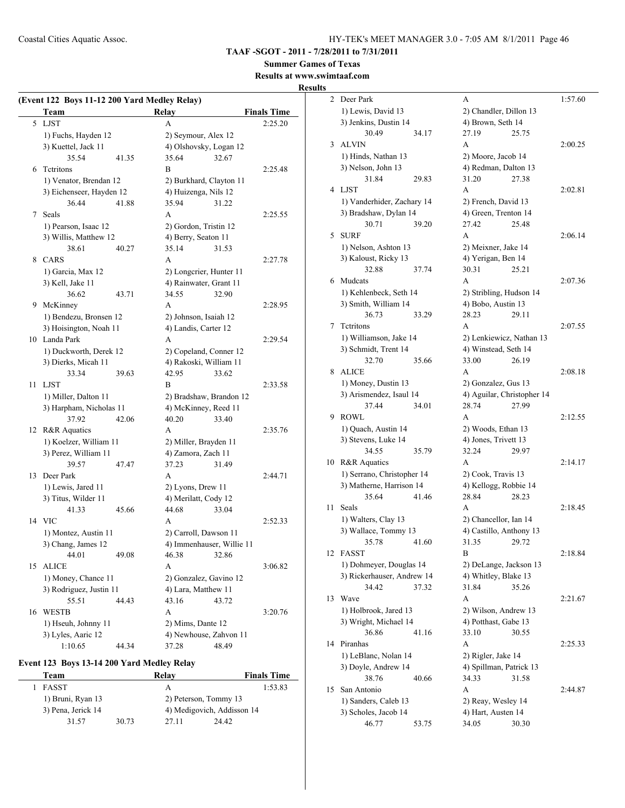**TAAF -SGOT - 2011 - 7/28/2011 to 7/31/2011**

# **Summer Games of Texas**

**Results at www.swimtaaf.com**

#### **Results**

|    | (Event 122 Boys 11-12 200 Yard Medley Relay)<br>Team |       | Relay                     |       | <b>Finals Time</b> |
|----|------------------------------------------------------|-------|---------------------------|-------|--------------------|
|    | 5 LJST                                               |       | A                         |       | 2:25.20            |
|    | 1) Fuchs, Hayden 12                                  |       | 2) Seymour, Alex 12       |       |                    |
|    | 3) Kuettel, Jack 11                                  |       | 4) Olshovsky, Logan 12    |       |                    |
|    | 35.54                                                | 41.35 | 35.64                     | 32.67 |                    |
| 6  | Tetritons                                            |       | B                         |       | 2:25.48            |
|    |                                                      |       |                           |       |                    |
|    | 1) Venator, Brendan 12                               |       | 2) Burkhard, Clayton 11   |       |                    |
|    | 3) Eichenseer, Hayden 12                             |       | 4) Huizenga, Nils 12      |       |                    |
|    | 36.44<br>Seals                                       | 41.88 | 35.94                     | 31.22 |                    |
| 7  |                                                      |       | A                         |       | 2:25.55            |
|    | 1) Pearson, Isaac 12                                 |       | 2) Gordon, Tristin 12     |       |                    |
|    | 3) Willis, Matthew 12                                |       | 4) Berry, Seaton 11       |       |                    |
|    | 38.61                                                | 40.27 | 35.14                     | 31.53 |                    |
| 8  | <b>CARS</b>                                          |       | А                         |       | 2:27.78            |
|    | 1) Garcia, Max 12                                    |       | 2) Longcrier, Hunter 11   |       |                    |
|    | 3) Kell, Jake 11                                     |       | 4) Rainwater, Grant 11    |       |                    |
|    | 36.62                                                | 43.71 | 34.55                     | 32.90 |                    |
| 9  | McKinney                                             |       | A                         |       | 2:28.95            |
|    | 1) Bendezu, Bronsen 12                               |       | 2) Johnson, Isaiah 12     |       |                    |
|    | 3) Hoisington, Noah 11                               |       | 4) Landis, Carter 12      |       |                    |
|    | 10 Landa Park                                        |       | А                         |       | 2:29.54            |
|    | 1) Duckworth, Derek 12                               |       | 2) Copeland, Conner 12    |       |                    |
|    | 3) Dierks, Micah 11                                  |       | 4) Rakoski, William 11    |       |                    |
|    | 33.34                                                | 39.63 | 42.95                     | 33.62 |                    |
| 11 | LJST                                                 |       | В                         |       | 2:33.58            |
|    | 1) Miller, Dalton 11                                 |       | 2) Bradshaw, Brandon 12   |       |                    |
|    | 3) Harpham, Nicholas 11                              |       | 4) McKinney, Reed 11      |       |                    |
|    | 37.92                                                | 42.06 | 40.20                     | 33.40 |                    |
| 12 | R&R Aquatics                                         |       | A                         |       | 2:35.76            |
|    | 1) Koelzer, William 11                               |       | 2) Miller, Brayden 11     |       |                    |
|    | 3) Perez, William 11                                 |       | 4) Zamora, Zach 11        |       |                    |
|    | 39.57                                                | 47.47 | 37.23                     | 31.49 |                    |
| 13 | Deer Park                                            |       | A                         |       | 2:44.71            |
|    | 1) Lewis, Jared 11                                   |       | 2) Lyons, Drew 11         |       |                    |
|    | 3) Titus, Wilder 11                                  |       | 4) Merilatt, Cody 12      |       |                    |
|    | 41.33                                                | 45.66 | 44.68                     | 33.04 |                    |
|    | 14 VIC                                               |       | A                         |       | 2:52.33            |
|    | 1) Montez, Austin 11                                 |       | 2) Carroll, Dawson 11     |       |                    |
|    | 3) Chang, James 12                                   |       | 4) Immenhauser, Willie 11 |       |                    |
|    | 44.01                                                | 49.08 | 46.38                     | 32.86 |                    |
| 15 | <b>ALICE</b>                                         |       | A                         |       | 3:06.82            |
|    | 1) Money, Chance 11                                  |       | 2) Gonzalez, Gavino 12    |       |                    |
|    | 3) Rodriguez, Justin 11                              |       | 4) Lara, Matthew 11       |       |                    |
|    | 55.51                                                | 44.43 | 43.16                     | 43.72 |                    |
| 16 | <b>WESTB</b>                                         |       | А                         |       | 3:20.76            |
|    | 1) Hseuh, Johnny 11                                  |       | 2) Mims, Dante 12         |       |                    |
|    | 3) Lyles, Aaric 12                                   |       | 4) Newhouse, Zahvon 11    |       |                    |
|    | 1:10.65                                              | 44.34 | 37.28                     | 48.49 |                    |

#### **Event 123 Boys 13-14 200 Yard Medley Relay**

| Team               |       | Relay | <b>Finals Time</b>         |
|--------------------|-------|-------|----------------------------|
| FASST              |       | А     | 1:53.83                    |
| 1) Bruni, Ryan 13  |       |       | 2) Peterson, Tommy 13      |
| 3) Pena, Jerick 14 |       |       | 4) Medigovich, Addisson 14 |
| 31.57              | 30.73 | 27 11 | 24.42                      |

| $\overline{2}$ | Deer Park                  |       | А                          |       | 1:57.60 |
|----------------|----------------------------|-------|----------------------------|-------|---------|
|                | 1) Lewis, David 13         |       | 2) Chandler, Dillon 13     |       |         |
|                | 3) Jenkins, Dustin 14      |       | 4) Brown, Seth 14          |       |         |
|                | 30.49                      | 34.17 | 27.19                      | 25.75 |         |
| 3              | <b>ALVIN</b>               |       | A                          |       | 2:00.25 |
|                | 1) Hinds, Nathan 13        |       | 2) Moore, Jacob 14         |       |         |
|                | 3) Nelson, John 13         |       | 4) Redman, Dalton 13       |       |         |
|                | 31.84                      | 29.83 | 31.20                      | 27.38 |         |
| 4              | <b>LJST</b>                |       | A                          |       | 2:02.81 |
|                | 1) Vanderhider, Zachary 14 |       | 2) French, David 13        |       |         |
|                | 3) Bradshaw, Dylan 14      |       | 4) Green, Trenton 14       |       |         |
|                | 30.71                      | 39.20 | 27.42                      | 25.48 |         |
|                |                            |       |                            |       |         |
| 5              | <b>SURF</b>                |       | A                          |       | 2:06.14 |
|                | 1) Nelson, Ashton 13       |       | 2) Meixner, Jake 14        |       |         |
|                | 3) Kaloust, Ricky 13       |       | 4) Yerigan, Ben 14         |       |         |
|                | 32.88                      | 37.74 | 30.31                      | 25.21 |         |
| 6              | Mudcats                    |       | A                          |       | 2:07.36 |
|                | 1) Kehlenbeck, Seth 14     |       | 2) Stribling, Hudson 14    |       |         |
|                | 3) Smith, William 14       |       | 4) Bobo, Austin 13         |       |         |
|                | 36.73                      | 33.29 | 28.23                      | 29.11 |         |
| 7              | Tetritons                  |       | A                          |       | 2:07.55 |
|                | 1) Williamson, Jake 14     |       | 2) Lenkiewicz, Nathan 13   |       |         |
|                | 3) Schmidt, Trent 14       |       | 4) Winstead, Seth 14       |       |         |
|                | 32.70                      | 35.66 | 33.00                      | 26.19 |         |
| 8              | <b>ALICE</b>               |       | A                          |       | 2:08.18 |
|                | 1) Money, Dustin 13        |       | 2) Gonzalez, Gus 13        |       |         |
|                | 3) Arismendez, Isaul 14    |       | 4) Aguilar, Christopher 14 |       |         |
|                | 37.44                      | 34.01 | 28.74                      | 27.99 |         |
| 9              | <b>ROWL</b>                |       | A                          |       | 2:12.55 |
|                | 1) Quach, Austin 14        |       | 2) Woods, Ethan 13         |       |         |
|                | 3) Stevens, Luke 14        |       | 4) Jones, Trivett 13       |       |         |
|                | 34.55                      | 35.79 | 32.24                      | 29.97 |         |
| 10             | R&R Aquatics               |       | A                          |       | 2:14.17 |
|                | 1) Serrano, Christopher 14 |       | 2) Cook, Travis 13         |       |         |
|                | 3) Matherne, Harrison 14   |       | 4) Kellogg, Robbie 14      |       |         |
|                | 35.64                      | 41.46 | 28.84                      | 28.23 |         |
|                |                            |       |                            |       |         |
| 11             | Seals                      |       | A                          |       | 2:18.45 |
|                | 1) Walters, Clay 13        |       | 2) Chancellor, Ian 14      |       |         |
|                | 3) Wallace, Tommy 13       |       | 4) Castillo, Anthony 13    |       |         |
|                | 35.78                      | 41.60 | 31.35                      | 29.72 |         |
| 12             | <b>FASST</b>               |       | B                          |       | 2:18.84 |
|                | 1) Dohmeyer, Douglas 14    |       | 2) DeLange, Jackson 13     |       |         |
|                | 3) Rickerhauser, Andrew 14 |       | 4) Whitley, Blake 13       |       |         |
|                | 34.42                      | 37.32 | 31.84                      | 35.26 |         |
| 13             | Wave                       |       | А                          |       | 2:21.67 |
|                | 1) Holbrook, Jared 13      |       | 2) Wilson, Andrew 13       |       |         |
|                | 3) Wright, Michael 14      |       | 4) Potthast, Gabe 13       |       |         |
|                | 36.86                      | 41.16 | 33.10                      | 30.55 |         |
| 14             | Piranhas                   |       | А                          |       | 2:25.33 |
|                | 1) LeBlanc, Nolan 14       |       | 2) Rigler, Jake 14         |       |         |
|                | 3) Doyle, Andrew 14        |       | 4) Spillman, Patrick 13    |       |         |
|                | 38.76                      | 40.66 | 34.33                      | 31.58 |         |
| 15             | San Antonio                |       | А                          |       | 2:44.87 |
|                | 1) Sanders, Caleb 13       |       | 2) Reay, Wesley 14         |       |         |
|                | 3) Scholes, Jacob 14       |       | 4) Hart, Austen 14         |       |         |
|                | 46.77                      | 53.75 | 34.05                      | 30.30 |         |
|                |                            |       |                            |       |         |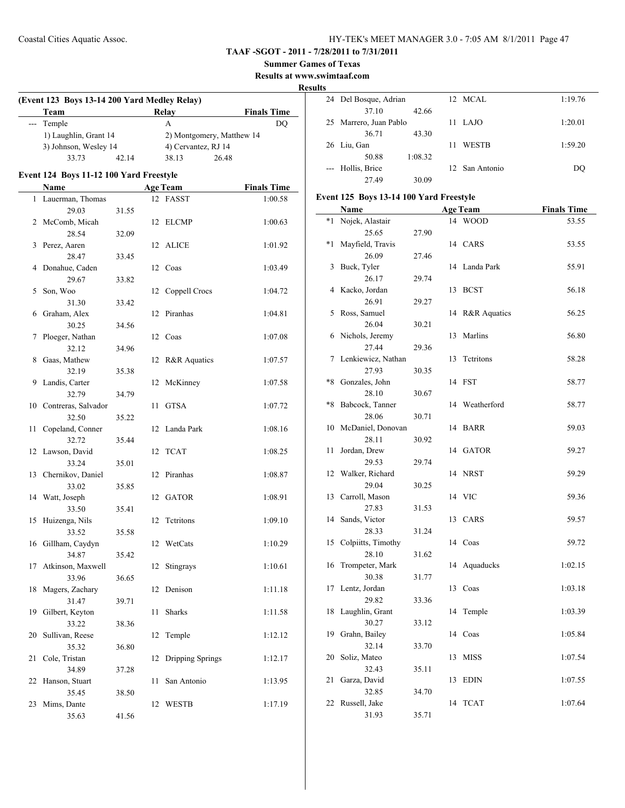**Summer Games of Texas**

**Results at www.swimtaaf.com**

**Results**

| ĸ<br>(Event 123 Boys 13-14 200 Yard Medley Relay) |                                         |       |    |                           |                    |  |
|---------------------------------------------------|-----------------------------------------|-------|----|---------------------------|--------------------|--|
|                                                   | Team                                    |       |    | <b>Relay</b>              | <b>Finals Time</b> |  |
| ---                                               | Temple                                  |       |    | A                         | <b>DQ</b>          |  |
|                                                   | 1) Laughlin, Grant 14                   |       |    | 2) Montgomery, Matthew 14 |                    |  |
|                                                   | 3) Johnson, Wesley 14                   |       |    | 4) Cervantez, RJ 14       |                    |  |
|                                                   | 33.73                                   | 42.14 |    | 38.13<br>26.48            |                    |  |
|                                                   | Event 124 Boys 11-12 100 Yard Freestyle |       |    |                           |                    |  |
|                                                   | <b>Name</b>                             |       |    | <b>Age Team</b>           | <b>Finals Time</b> |  |
| $\mathbf{1}$                                      | Lauerman, Thomas                        |       |    | 12 FASST                  | 1:00.58            |  |
|                                                   | 29.03                                   | 31.55 |    |                           |                    |  |
|                                                   | 2 McComb, Micah                         |       |    | 12 ELCMP                  | 1:00.63            |  |
|                                                   | 28.54                                   | 32.09 |    |                           |                    |  |
| 3                                                 | Perez, Aaren                            |       | 12 | ALICE                     | 1:01.92            |  |
|                                                   | 28.47                                   | 33.45 |    |                           |                    |  |
| 4                                                 | Donahue, Caden                          |       |    | 12 Coas                   | 1:03.49            |  |
|                                                   | 29.67                                   | 33.82 |    |                           |                    |  |
| 5                                                 | Son, Woo                                |       | 12 | Coppell Crocs             | 1:04.72            |  |
|                                                   | 31.30                                   | 33.42 |    |                           |                    |  |
| 6                                                 | Graham, Alex                            |       | 12 | Piranhas                  | 1:04.81            |  |
|                                                   | 30.25                                   | 34.56 |    |                           |                    |  |
| 7                                                 | Ploeger, Nathan                         |       |    | 12 Coas                   | 1:07.08            |  |
|                                                   | 32.12                                   | 34.96 |    |                           |                    |  |
| 8                                                 | Gaas, Mathew                            |       | 12 | R&R Aquatics              | 1:07.57            |  |
|                                                   | 32.19                                   | 35.38 |    |                           |                    |  |
| 9                                                 | Landis, Carter                          |       | 12 | McKinney                  | 1:07.58            |  |
|                                                   | 32.79                                   | 34.79 |    |                           |                    |  |
|                                                   | 10 Contreras, Salvador                  |       | 11 | <b>GTSA</b>               | 1:07.72            |  |
|                                                   | 32.50                                   | 35.22 |    |                           |                    |  |
| 11                                                | Copeland, Conner                        |       | 12 | Landa Park                | 1:08.16            |  |
|                                                   | 32.72                                   | 35.44 |    |                           |                    |  |
|                                                   | 12 Lawson, David                        |       | 12 | TCAT                      | 1:08.25            |  |
|                                                   | 33.24                                   | 35.01 |    |                           |                    |  |
| 13                                                | Chernikov, Daniel                       |       | 12 | Piranhas                  | 1:08.87            |  |
|                                                   | 33.02                                   | 35.85 |    |                           |                    |  |
|                                                   | 14 Watt, Joseph                         |       |    | 12 GATOR                  | 1:08.91            |  |
|                                                   | 33.50                                   | 35.41 |    |                           |                    |  |
| 15                                                | Huizenga, Nils                          |       | 12 | Tetritons                 | 1:09.10            |  |
|                                                   | 33.52                                   | 35.58 |    |                           |                    |  |
|                                                   | 16 Gillham, Caydyn                      |       |    | 12 WetCats                | 1:10.29            |  |
|                                                   | 34.87                                   | 35.42 |    |                           |                    |  |
| 17                                                | Atkinson, Maxwell                       |       | 12 | Stingrays                 | 1:10.61            |  |
|                                                   | 33.96                                   | 36.65 |    |                           |                    |  |
| 18                                                | Magers, Zachary                         |       | 12 | Denison                   | 1:11.18            |  |
|                                                   | 31.47                                   | 39.71 |    |                           |                    |  |
| 19                                                | Gilbert, Keyton                         |       | 11 | Sharks                    | 1:11.58            |  |
|                                                   | 33.22                                   | 38.36 |    |                           |                    |  |
| 20                                                | Sullivan, Reese                         |       | 12 | Temple                    | 1:12.12            |  |
|                                                   | 35.32                                   | 36.80 |    |                           |                    |  |
| 21                                                | Cole, Tristan                           |       | 12 | Dripping Springs          | 1:12.17            |  |
|                                                   | 34.89                                   | 37.28 |    |                           |                    |  |
| 22                                                | Hanson, Stuart                          |       | 11 | San Antonio               | 1:13.95            |  |
|                                                   | 35.45                                   | 38.50 |    |                           |                    |  |
| 23                                                | Mims, Dante                             |       | 12 | <b>WESTB</b>              | 1:17.19            |  |
|                                                   | 35.63                                   | 41.56 |    |                           |                    |  |

| 24 Del Bosque, Adrian  |         |    | 12 MCAL        | 1:19.76 |
|------------------------|---------|----|----------------|---------|
| 37.10                  | 42.66   |    |                |         |
| 25 Marrero, Juan Pablo |         |    | 11 LAJO        | 1:20.01 |
| 36.71                  | 43.30   |    |                |         |
| 26 Liu, Gan            |         | 11 | <b>WESTB</b>   | 1:59.20 |
| 50.88                  | 1:08.32 |    |                |         |
| Hollis, Brice          |         |    | 12 San Antonio | DO      |
| 27.49                  | 30.09   |    |                |         |

#### **Event 125 Boys 13-14 100 Yard Freestyle**

|      | <b>Name</b>                 |       |    | <b>Age Team</b> | <b>Finals Time</b> |
|------|-----------------------------|-------|----|-----------------|--------------------|
| $*1$ | Nojek, Alastair             |       | 14 | <b>WOOD</b>     | 53.55              |
|      | 25.65                       | 27.90 |    |                 |                    |
| *1   | Mayfield, Travis            |       |    | 14 CARS         | 53.55              |
|      | 26.09                       | 27.46 |    |                 |                    |
| 3    | Buck, Tyler                 |       | 14 | Landa Park      | 55.91              |
|      | 26.17                       | 29.74 |    |                 |                    |
| 4    | Kacko, Jordan               |       | 13 | <b>BCST</b>     | 56.18              |
|      | 26.91                       | 29.27 |    |                 |                    |
| 5    | Ross, Samuel                |       | 14 | R&R Aquatics    | 56.25              |
|      | 26.04                       | 30.21 |    |                 |                    |
| 6    | Nichols, Jeremy             |       | 13 | Marlins         | 56.80              |
|      | 27.44                       | 29.36 |    |                 |                    |
| 7    | Lenkiewicz, Nathan          |       | 13 | Tetritons       | 58.28              |
|      | 27.93                       | 30.35 |    |                 |                    |
| $*8$ | Gonzales, John              |       | 14 | <b>FST</b>      | 58.77              |
|      | 28.10                       | 30.67 |    |                 |                    |
| $*8$ | Babcock, Tanner             |       | 14 | Weatherford     | 58.77              |
|      | 28.06                       | 30.71 |    |                 |                    |
| 10   | McDaniel, Donovan           |       | 14 | <b>BARR</b>     | 59.03              |
|      | 28.11                       | 30.92 |    |                 |                    |
| 11   | Jordan, Drew                |       | 14 | <b>GATOR</b>    | 59.27              |
|      | 29.53                       | 29.74 |    |                 |                    |
| 12   | Walker, Richard             |       | 14 | <b>NRST</b>     | 59.29              |
|      | 29.04                       | 30.25 |    |                 |                    |
| 13   | Carroll, Mason              |       | 14 | <b>VIC</b>      | 59.36              |
|      | 27.83                       | 31.53 |    |                 |                    |
| 14   | Sands, Victor               |       | 13 | CARS            | 59.57              |
| 15   | 28.33                       | 31.24 |    | 14 Coas         | 59.72              |
|      | Colpiitts, Timothy<br>28.10 |       |    |                 |                    |
| 16   | Trompeter, Mark             | 31.62 | 14 | Aquaducks       | 1:02.15            |
|      | 30.38                       | 31.77 |    |                 |                    |
| 17   | Lentz, Jordan               |       | 13 | Coas            | 1:03.18            |
|      | 29.82                       | 33.36 |    |                 |                    |
| 18   | Laughlin, Grant             |       | 14 | Temple          | 1:03.39            |
|      | 30.27                       | 33.12 |    |                 |                    |
| 19   | Grahn, Bailey               |       | 14 | Coas            | 1:05.84            |
|      | 32.14                       | 33.70 |    |                 |                    |
| 20   | Soliz, Mateo                |       | 13 | <b>MISS</b>     | 1:07.54            |
|      | 32.43                       | 35.11 |    |                 |                    |
| 21   | Garza, David                |       | 13 | <b>EDIN</b>     | 1:07.55            |
|      | 32.85                       | 34.70 |    |                 |                    |
| 22   | Russell, Jake               |       | 14 | <b>TCAT</b>     | 1:07.64            |
|      | 31.93                       | 35.71 |    |                 |                    |
|      |                             |       |    |                 |                    |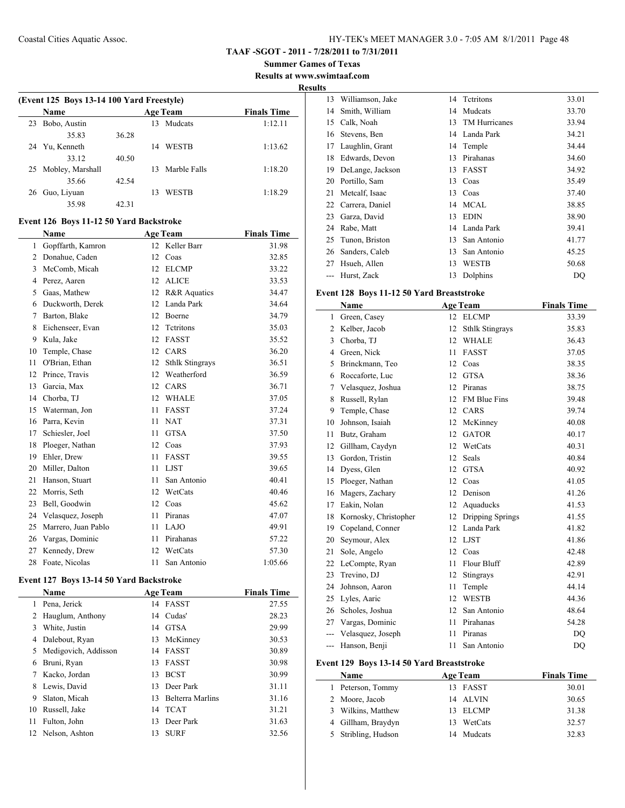**TAAF -SGOT - 2011 - 7/28/2011 to 7/31/2011**

**Summer Games of Texas Results at www.swimtaaf.com**

**Results**

|    | (Event 125 Boys 13-14 100 Yard Freestyle) |       |    |                 |                    |  |  |  |
|----|-------------------------------------------|-------|----|-----------------|--------------------|--|--|--|
|    | <b>Name</b>                               |       |    | <b>Age Team</b> | <b>Finals Time</b> |  |  |  |
| 23 | Bobo, Austin                              |       | 13 | Mudcats         | 1:12.11            |  |  |  |
|    | 35.83                                     | 36.28 |    |                 |                    |  |  |  |
|    | 24 Yu, Kenneth                            |       | 14 | <b>WESTB</b>    | 1:13.62            |  |  |  |
|    | 33.12                                     | 40.50 |    |                 |                    |  |  |  |
|    | 25 Mobley, Marshall                       |       | 13 | Marble Falls    | 1:18.20            |  |  |  |
|    | 35.66                                     | 42.54 |    |                 |                    |  |  |  |
| 26 | Guo, Livuan                               |       | 13 | <b>WESTB</b>    | 1:18.29            |  |  |  |
|    | 35.98                                     | 42.31 |    |                 |                    |  |  |  |

#### **Event 126 Boys 11-12 50 Yard Backstroke**

|                | Name                |    | <b>Age Team</b>         | <b>Finals Time</b> |
|----------------|---------------------|----|-------------------------|--------------------|
| 1              | Gopffarth, Kamron   | 12 | Keller Barr             | 31.98              |
| $\overline{2}$ | Donahue, Caden      | 12 | Coas                    | 32.85              |
| 3              | McComb, Micah       | 12 | <b>ELCMP</b>            | 33.22              |
| 4              | Perez, Aaren        | 12 | <b>ALICE</b>            | 33.53              |
| 5              | Gaas, Mathew        | 12 | <b>R&amp;R</b> Aquatics | 34.47              |
| 6              | Duckworth, Derek    | 12 | Landa Park              | 34.64              |
| 7              | Barton, Blake       | 12 | Boerne                  | 34.79              |
| 8              | Eichenseer, Evan    | 12 | Tetritons               | 35.03              |
| 9              | Kula, Jake          | 12 | <b>FASST</b>            | 35.52              |
| 10             | Temple, Chase       | 12 | CARS                    | 36.20              |
| 11             | O'Brian, Ethan      | 12 | <b>Sthlk Stingrays</b>  | 36.51              |
| 12             | Prince, Travis      | 12 | Weatherford             | 36.59              |
| 13             | Garcia, Max         | 12 | CARS                    | 36.71              |
| 14             | Chorba, TJ          | 12 | <b>WHALE</b>            | 37.05              |
| 15             | Waterman, Jon       | 11 | <b>FASST</b>            | 37.24              |
| 16             | Parra, Kevin        | 11 | <b>NAT</b>              | 37.31              |
| 17             | Schiesler, Joel     | 11 | <b>GTSA</b>             | 37.50              |
| 18             | Ploeger, Nathan     | 12 | Coas                    | 37.93              |
| 19             | Ehler, Drew         | 11 | <b>FASST</b>            | 39.55              |
| 20             | Miller, Dalton      | 11 | <b>LJST</b>             | 39.65              |
| 21             | Hanson, Stuart      | 11 | San Antonio             | 40.41              |
| 22             | Morris, Seth        | 12 | WetCats                 | 40.46              |
| 23             | Bell, Goodwin       | 12 | Coas                    | 45.62              |
| 24             | Velasquez, Joseph   | 11 | Piranas                 | 47.07              |
| 25             | Marrero, Juan Pablo | 11 | LAJO                    | 49.91              |
| 26             | Vargas, Dominic     | 11 | Pirahanas               | 57.22              |
| 27             | Kennedy, Drew       | 12 | WetCats                 | 57.30              |
| 28             | Foate, Nicolas      | 11 | San Antonio             | 1:05.66            |

#### **Event 127 Boys 13-14 50 Yard Backstroke**

 $\overline{\phantom{0}}$ 

|    | <b>Name</b>          |    | <b>Age Team</b>  | <b>Finals Time</b> |
|----|----------------------|----|------------------|--------------------|
| 1  | Pena, Jerick         | 14 | FASST            | 27.55              |
| 2  | Hauglum, Anthony     | 14 | Cudas'           | 28.23              |
| 3  | White, Justin        | 14 | GTSA             | 29.99              |
| 4  | Dalebout, Ryan       | 13 | McKinney         | 30.53              |
| 5  | Medigovich, Addisson | 14 | <b>FASST</b>     | 30.89              |
| 6  | Bruni, Ryan          | 13 | <b>FASST</b>     | 30.98              |
|    | Kacko, Jordan        | 13 | <b>BCST</b>      | 30.99              |
| 8  | Lewis, David         | 13 | Deer Park        | 31.11              |
| 9  | Slaton, Micah        | 13 | Belterra Marlins | 31.16              |
| 10 | Russell, Jake        |    | 14 TCAT          | 31.21              |
| 11 | Fulton, John         | 13 | Deer Park        | 31.63              |
|    | 12 Nelson, Ashton    | 13 | <b>SURF</b>      | 32.56              |

| o  |                  |    |                      |       |
|----|------------------|----|----------------------|-------|
| 13 | Williamson, Jake | 14 | Tetritons            | 33.01 |
| 14 | Smith, William   | 14 | Mudcats              | 33.70 |
| 15 | Calk, Noah       | 13 | <b>TM Hurricanes</b> | 33.94 |
| 16 | Stevens, Ben     | 14 | Landa Park           | 34.21 |
| 17 | Laughlin, Grant  | 14 | Temple               | 34.44 |
| 18 | Edwards, Devon   | 13 | Pirahanas            | 34.60 |
| 19 | DeLange, Jackson | 13 | <b>FASST</b>         | 34.92 |
| 20 | Portillo, Sam    | 13 | Coas                 | 35.49 |
| 21 | Metcalf, Isaac   | 13 | Coas                 | 37.40 |
| 22 | Carrera, Daniel  | 14 | <b>MCAL</b>          | 38.85 |
| 23 | Garza, David     | 13 | <b>EDIN</b>          | 38.90 |
| 24 | Rabe, Matt       | 14 | Landa Park           | 39.41 |
| 25 | Tunon, Briston   | 13 | San Antonio          | 41.77 |
| 26 | Sanders, Caleb   | 13 | San Antonio          | 45.25 |
| 27 | Hsueh, Allen     | 13 | WESTB                | 50.68 |
|    | Hurst, Zack      | 13 | Dolphins             | DQ    |

# **Event 128 Boys 11-12 50 Yard Breaststroke**

|                | Name                  |    | <b>Age Team</b>        | <b>Finals Time</b> |
|----------------|-----------------------|----|------------------------|--------------------|
| $\mathbf{1}$   | Green, Casey          | 12 | <b>ELCMP</b>           | 33.39              |
| $\overline{2}$ | Kelber, Jacob         | 12 | <b>Sthlk Stingrays</b> | 35.83              |
| 3              | Chorba, TJ            | 12 | <b>WHALE</b>           | 36.43              |
| $\overline{4}$ | Green, Nick           | 11 | <b>FASST</b>           | 37.05              |
| 5              | Brinckmann, Teo       | 12 | Coas                   | 38.35              |
| 6              | Roccaforte, Luc       | 12 | <b>GTSA</b>            | 38.36              |
| 7              | Velasquez, Joshua     | 12 | Piranas                | 38.75              |
| 8              | Russell, Rylan        | 12 | <b>FM Blue Fins</b>    | 39.48              |
| 9              | Temple, Chase         | 12 | CARS                   | 39.74              |
| 10             | Johnson, Isaiah       | 12 | McKinney               | 40.08              |
| 11             | Butz, Graham          | 12 | <b>GATOR</b>           | 40.17              |
| 12             | Gillham, Caydyn       | 12 | WetCats                | 40.31              |
| 13             | Gordon, Tristin       | 12 | Seals                  | 40.84              |
| 14             | Dyess, Glen           | 12 | <b>GTSA</b>            | 40.92              |
| 15             | Ploeger, Nathan       | 12 | Coas                   | 41.05              |
| 16             | Magers, Zachary       | 12 | Denison                | 41.26              |
| 17             | Eakin, Nolan          | 12 | Aquaducks              | 41.53              |
| 18             | Kornosky, Christopher | 12 | Dripping Springs       | 41.55              |
| 19             | Copeland, Conner      | 12 | Landa Park             | 41.82              |
| 20             | Seymour, Alex         | 12 | <b>LJST</b>            | 41.86              |
| 21             | Sole, Angelo          | 12 | Coas                   | 42.48              |
| 22             | LeCompte, Ryan        | 11 | Flour Bluff            | 42.89              |
| 23             | Trevino, DJ           | 12 | Stingrays              | 42.91              |
| 24             | Johnson, Aaron        | 11 | Temple                 | 44.14              |
| 25             | Lyles, Aaric          | 12 | <b>WESTB</b>           | 44.36              |
| 26             | Scholes, Joshua       | 12 | San Antonio            | 48.64              |
| 27             | Vargas, Dominic       | 11 | Pirahanas              | 54.28              |
| ---            | Velasquez, Joseph     | 11 | Piranas                | DQ                 |
| $---$          | Hanson, Benii         | 11 | San Antonio            | D <sub>O</sub>     |

#### **Event 129 Boys 13-14 50 Yard Breaststroke**

| <b>Name</b>         |    | <b>Age Team</b> | <b>Finals Time</b> |
|---------------------|----|-----------------|--------------------|
| 1 Peterson, Tommy   |    | 13 FASST        | 30.01              |
| 2 Moore, Jacob      |    | 14 ALVIN        | 30.65              |
| 3 Wilkins, Matthew  |    | 13 ELCMP        | 31.38              |
| 4 Gillham, Braydyn  |    | 13 WetCats      | 32.57              |
| 5 Stribling, Hudson | 14 | Mudcats         | 32.83              |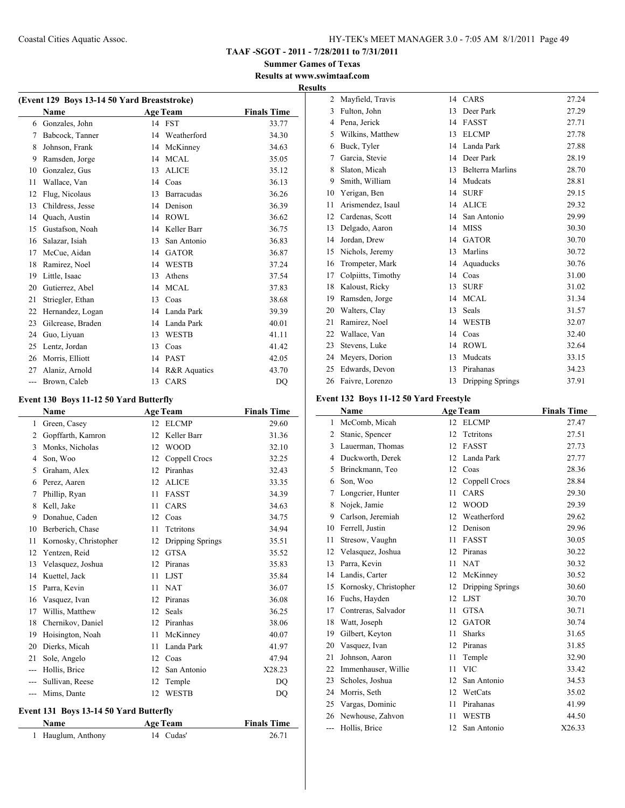**TAAF -SGOT - 2011 - 7/28/2011 to 7/31/2011**

**Summer Games of Texas Results at www.swimtaaf.com**

#### **Results**

| (Event 129 Boys 13-14 50 Yard Breaststroke) |                   |    |                   |                    |  |  |
|---------------------------------------------|-------------------|----|-------------------|--------------------|--|--|
|                                             | <b>Name</b>       |    | <b>Age Team</b>   | <b>Finals Time</b> |  |  |
| 6                                           | Gonzales, John    |    | 14 FST            | 33.77              |  |  |
| 7                                           | Babcock, Tanner   | 14 | Weatherford       | 34.30              |  |  |
| 8                                           | Johnson, Frank    | 14 | McKinney          | 34.63              |  |  |
| 9                                           | Ramsden, Jorge    | 14 | <b>MCAL</b>       | 35.05              |  |  |
| 10                                          | Gonzalez, Gus     | 13 | <b>ALICE</b>      | 35.12              |  |  |
| 11                                          | Wallace, Van      | 14 | Coas              | 36.13              |  |  |
| 12                                          | Flug, Nicolaus    | 13 | <b>Barracudas</b> | 36.26              |  |  |
| 13                                          | Childress, Jesse  | 14 | Denison           | 36.39              |  |  |
| 14                                          | Quach, Austin     | 14 | <b>ROWL</b>       | 36.62              |  |  |
| 15                                          | Gustafson, Noah   | 14 | Keller Barr       | 36.75              |  |  |
| 16                                          | Salazar, Isiah    | 13 | San Antonio       | 36.83              |  |  |
| 17                                          | McCue, Aidan      | 14 | <b>GATOR</b>      | 36.87              |  |  |
| 18                                          | Ramirez, Noel     | 14 | <b>WESTB</b>      | 37.24              |  |  |
| 19                                          | Little, Isaac     | 13 | Athens            | 37.54              |  |  |
| 20                                          | Gutierrez, Abel   | 14 | <b>MCAL</b>       | 37.83              |  |  |
| 21                                          | Striegler, Ethan  | 13 | Coas              | 38.68              |  |  |
| 22                                          | Hernandez, Logan  | 14 | Landa Park        | 39.39              |  |  |
| 23                                          | Gilcrease, Braden | 14 | Landa Park        | 40.01              |  |  |
| 24                                          | Guo, Liyuan       | 13 | <b>WESTB</b>      | 41.11              |  |  |
| 25                                          | Lentz, Jordan     | 13 | Coas              | 41.42              |  |  |
| 26                                          | Morris, Elliott   | 14 | <b>PAST</b>       | 42.05              |  |  |
| 27                                          | Alaniz, Arnold    | 14 | R&R Aquatics      | 43.70              |  |  |
| $---$                                       | Brown, Caleb      | 13 | CARS              | DO                 |  |  |

#### **Event 130 Boys 11-12 50 Yard Butterfly**

 $\equiv$ 

|     | Name                  |    | <b>Age Team</b>  | <b>Finals Time</b> |
|-----|-----------------------|----|------------------|--------------------|
| 1   | Green, Casey          | 12 | <b>ELCMP</b>     | 29.60              |
| 2   | Gopffarth, Kamron     | 12 | Keller Barr      | 31.36              |
| 3   | Monks, Nicholas       | 12 | <b>WOOD</b>      | 32.10              |
| 4   | Son, Woo              | 12 | Coppell Crocs    | 32.25              |
| 5   | Graham, Alex          | 12 | Piranhas         | 32.43              |
| 6   | Perez, Aaren          | 12 | <b>ALICE</b>     | 33.35              |
| 7   | Phillip, Ryan         | 11 | <b>FASST</b>     | 34.39              |
| 8   | Kell, Jake            | 11 | CARS             | 34.63              |
| 9   | Donahue, Caden        | 12 | Coas             | 34.75              |
| 10  | Berberich, Chase      | 11 | Tetritons        | 34.94              |
| 11  | Kornosky, Christopher | 12 | Dripping Springs | 35.51              |
| 12  | Yentzen, Reid         | 12 | <b>GTSA</b>      | 35.52              |
| 13  | Velasquez, Joshua     | 12 | Piranas          | 35.83              |
| 14  | Kuettel, Jack         | 11 | <b>LJST</b>      | 35.84              |
| 15  | Parra, Kevin          | 11 | <b>NAT</b>       | 36.07              |
| 16  | Vasquez, Ivan         | 12 | Piranas          | 36.08              |
| 17  | Willis, Matthew       | 12 | Seals            | 36.25              |
| 18  | Chernikov, Daniel     | 12 | Piranhas         | 38.06              |
| 19  | Hoisington, Noah      | 11 | McKinney         | 40.07              |
| 20  | Dierks, Micah         | 11 | Landa Park       | 41.97              |
| 21  | Sole, Angelo          | 12 | Coas             | 47.94              |
| --- | Hollis, Brice         | 12 | San Antonio      | X28.23             |
| --- | Sullivan, Reese       | 12 | Temple           | DO                 |
|     | Mims, Dante           | 12 | <b>WESTB</b>     | DQ                 |
|     |                       |    |                  |                    |

#### **Event 131 Boys 13-14 50 Yard Butterfly**

| <b>Name</b>        | <b>Age Team</b> | <b>Finals Time</b> |
|--------------------|-----------------|--------------------|
| 1 Hauglum, Anthony | 14 Cudas'       | 26.71              |

| $\overline{c}$ | Mayfield, Travis   | 14 | CARS                    | 27.24 |
|----------------|--------------------|----|-------------------------|-------|
| 3              | Fulton, John       | 13 | Deer Park               | 27.29 |
| 4              | Pena, Jerick       | 14 | <b>FASST</b>            | 27.71 |
| 5              | Wilkins, Matthew   | 13 | <b>ELCMP</b>            | 27.78 |
| 6              | Buck, Tyler        | 14 | Landa Park              | 27.88 |
| 7              | Garcia, Stevie     | 14 | Deer Park               | 28.19 |
| 8              | Slaton, Micah      | 13 | <b>Belterra Marlins</b> | 28.70 |
| 9              | Smith, William     | 14 | Mudcats                 | 28.81 |
| 10             | Yerigan, Ben       | 14 | <b>SURF</b>             | 29.15 |
| 11             | Arismendez, Isaul  | 14 | <b>ALICE</b>            | 29.32 |
| 12             | Cardenas, Scott    | 14 | San Antonio             | 29.99 |
| 13             | Delgado, Aaron     | 14 | <b>MISS</b>             | 30.30 |
| 14             | Jordan, Drew       | 14 | <b>GATOR</b>            | 30.70 |
| 15             | Nichols, Jeremy    | 13 | Marlins                 | 30.72 |
| 16             | Trompeter, Mark    | 14 | Aquaducks               | 30.76 |
| 17             | Colpiitts, Timothy | 14 | Coas                    | 31.00 |
| 18             | Kaloust, Ricky     | 13 | <b>SURF</b>             | 31.02 |
| 19             | Ramsden, Jorge     | 14 | <b>MCAL</b>             | 31.34 |
| 20             | Walters, Clay      | 13 | Seals                   | 31.57 |
| 21             | Ramirez, Noel      | 14 | <b>WESTB</b>            | 32.07 |
| 22             | Wallace, Van       | 14 | Coas                    | 32.40 |
| 23             | Stevens, Luke      | 14 | <b>ROWL</b>             | 32.64 |
| 24             | Meyers, Dorion     | 13 | Mudcats                 | 33.15 |
| 25             | Edwards, Devon     | 13 | Pirahanas               | 34.23 |
| 26             | Faivre, Lorenzo    | 13 | Dripping Springs        | 37.91 |

#### **Event 132 Boys 11-12 50 Yard Freestyle**

|                | Name                  |                  | <b>Age Team</b>  | <b>Finals Time</b> |
|----------------|-----------------------|------------------|------------------|--------------------|
| 1              | McComb, Micah         | 12 <sup>12</sup> | <b>ELCMP</b>     | 27.47              |
| $\overline{2}$ | Stanic, Spencer       | 12               | Tetritons        | 27.51              |
| 3              | Lauerman, Thomas      | 12               | <b>FASST</b>     | 27.73              |
| 4              | Duckworth, Derek      | 12               | Landa Park       | 27.77              |
| 5              | Brinckmann, Teo       | 12               | Coas             | 28.36              |
| 6              | Son, Woo              | 12               | Coppell Crocs    | 28.84              |
| 7              | Longcrier, Hunter     | 11               | CARS             | 29.30              |
| 8              | Nojek, Jamie          | 12               | <b>WOOD</b>      | 29.39              |
| 9              | Carlson, Jeremiah     | 12               | Weatherford      | 29.62              |
| 10             | Ferrell, Justin       | 12               | Denison          | 29.96              |
| 11             | Stresow, Vaughn       | 11               | <b>FASST</b>     | 30.05              |
| 12             | Velasquez, Joshua     | 12               | Piranas          | 30.22              |
| 13             | Parra, Kevin          | 11               | <b>NAT</b>       | 30.32              |
| 14             | Landis, Carter        | 12               | McKinney         | 30.52              |
| 15             | Kornosky, Christopher | 12               | Dripping Springs | 30.60              |
| 16             | Fuchs, Hayden         | 12               | <b>LJST</b>      | 30.70              |
| 17             | Contreras, Salvador   | 11               | <b>GTSA</b>      | 30.71              |
| 18             | Watt, Joseph          | 12               | <b>GATOR</b>     | 30.74              |
| 19             | Gilbert, Keyton       | 11               | <b>Sharks</b>    | 31.65              |
| 20             | Vasquez, Ivan         | 12               | Piranas          | 31.85              |
| 21             | Johnson, Aaron        | 11               | Temple           | 32.90              |
| 22             | Immenhauser, Willie   | 11               | <b>VIC</b>       | 33.42              |
| 23             | Scholes, Joshua       | 12               | San Antonio      | 34.53              |
| 24             | Morris, Seth          | 12               | WetCats          | 35.02              |
| 25             | Vargas, Dominic       | 11               | Pirahanas        | 41.99              |
| 26             | Newhouse, Zahvon      | 11               | <b>WESTB</b>     | 44.50              |
| ---            | Hollis, Brice         | 12               | San Antonio      | X26.33             |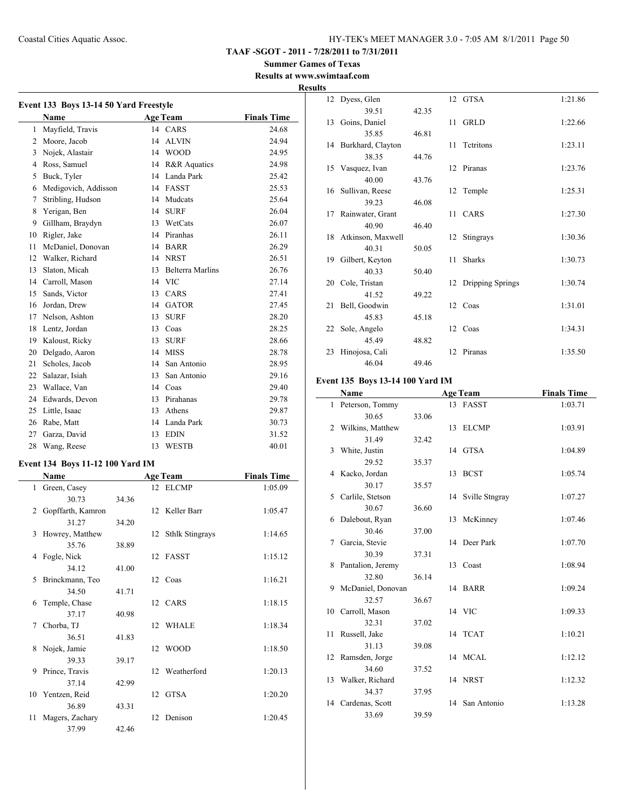**Summer Games of Texas Results at www.swimtaaf.com**

# **Results**

| Event 133 Boys 13-14 50 Yard Freestyle |                      |    |                         |                    |  |
|----------------------------------------|----------------------|----|-------------------------|--------------------|--|
|                                        | <b>Name</b>          |    | <b>Age Team</b>         | <b>Finals Time</b> |  |
| 1                                      | Mayfield, Travis     |    | 14 CARS                 | 24.68              |  |
| $\overline{c}$                         | Moore, Jacob         | 14 | <b>ALVIN</b>            | 24.94              |  |
| 3                                      | Nojek, Alastair      | 14 | <b>WOOD</b>             | 24.95              |  |
| 4                                      | Ross, Samuel         | 14 | <b>R&amp;R</b> Aquatics | 24.98              |  |
| 5                                      | Buck, Tyler          | 14 | Landa Park              | 25.42              |  |
| 6                                      | Medigovich, Addisson | 14 | <b>FASST</b>            | 25.53              |  |
| 7                                      | Stribling, Hudson    | 14 | Mudcats                 | 25.64              |  |
| 8                                      | Yerigan, Ben         | 14 | <b>SURF</b>             | 26.04              |  |
| 9                                      | Gillham, Braydyn     | 13 | WetCats                 | 26.07              |  |
| 10                                     | Rigler, Jake         | 14 | Piranhas                | 26.11              |  |
| 11                                     | McDaniel, Donovan    | 14 | <b>BARR</b>             | 26.29              |  |
| 12                                     | Walker, Richard      | 14 | <b>NRST</b>             | 26.51              |  |
| 13                                     | Slaton, Micah        | 13 | <b>Belterra Marlins</b> | 26.76              |  |
| 14                                     | Carroll, Mason       | 14 | <b>VIC</b>              | 27.14              |  |
| 15                                     | Sands, Victor        | 13 | CARS                    | 27.41              |  |
| 16                                     | Jordan, Drew         | 14 | <b>GATOR</b>            | 27.45              |  |
| 17                                     | Nelson, Ashton       | 13 | <b>SURF</b>             | 28.20              |  |
| 18                                     | Lentz, Jordan        | 13 | Coas                    | 28.25              |  |
| 19                                     | Kaloust, Ricky       | 13 | <b>SURF</b>             | 28.66              |  |
| 20                                     | Delgado, Aaron       | 14 | <b>MISS</b>             | 28.78              |  |
| 21                                     | Scholes, Jacob       | 14 | San Antonio             | 28.95              |  |
| 22                                     | Salazar, Isiah       | 13 | San Antonio             | 29.16              |  |
| 23                                     | Wallace, Van         | 14 | Coas                    | 29.40              |  |
| 24                                     | Edwards, Devon       | 13 | Pirahanas               | 29.78              |  |
| 25                                     | Little, Isaac        | 13 | Athens                  | 29.87              |  |
| 26                                     | Rabe, Matt           | 14 | Landa Park              | 30.73              |  |
| 27                                     | Garza, David         | 13 | <b>EDIN</b>             | 31.52              |  |
| 28                                     | Wang, Reese          | 13 | <b>WESTB</b>            | 40.01              |  |

#### **Event 134 Boys 11-12 100 Yard IM**

|              | Name              | <b>Age Team</b> |    |                    | <b>Finals Time</b> |
|--------------|-------------------|-----------------|----|--------------------|--------------------|
| $\mathbf{1}$ | Green, Casey      |                 |    | 12 ELCMP           | 1:05.09            |
|              | 30.73             | 34.36           |    |                    |                    |
| 2            | Gopffarth, Kamron |                 |    | 12 Keller Barr     | 1:05.47            |
|              | 31.27             | 34.20           |    |                    |                    |
| 3            | Howrey, Matthew   |                 |    | 12 Sthlk Stingrays | 1:14.65            |
|              | 35.76             | 38.89           |    |                    |                    |
| 4            | Fogle, Nick       |                 |    | 12 FASST           | 1:15.12            |
|              | 34.12             | 41.00           |    |                    |                    |
| 5            | Brinckmann, Teo   |                 |    | 12 Coas            | 1:16.21            |
|              | 34.50             | 41.71           |    |                    |                    |
| 6            | Temple, Chase     |                 |    | 12 CARS            | 1:18.15            |
|              | 37.17             | 40.98           |    |                    |                    |
| 7            | Chorba, TJ        |                 |    | 12 WHALE           | 1:18.34            |
|              | 36.51             | 41.83           |    |                    |                    |
| 8            | Nojek, Jamie      |                 |    | 12 WOOD            | 1:18.50            |
|              | 39.33             | 39.17           |    |                    |                    |
| 9            | Prince, Travis    |                 |    | 12 Weatherford     | 1:20.13            |
|              | 37.14             | 42.99           |    |                    |                    |
|              | 10 Yentzen, Reid  |                 | 12 | GTSA               | 1:20.20            |
|              | 36.89             | 43.31           |    |                    |                    |
| 11           | Magers, Zachary   |                 | 12 | Denison            | 1:20.45            |
|              | 37.99             | 42.46           |    |                    |                    |

| LJ  |                      |       |    |                     |         |
|-----|----------------------|-------|----|---------------------|---------|
| 12  | Dyess, Glen          |       |    | 12 GTSA             | 1:21.86 |
|     | 39.51                | 42.35 |    |                     |         |
| 13  | Goins, Daniel        |       | 11 | <b>GRLD</b>         | 1:22.66 |
|     | 35.85                | 46.81 |    |                     |         |
|     | 14 Burkhard, Clayton |       | 11 | Tetritons           | 1:23.11 |
|     | 38.35                | 44.76 |    |                     |         |
|     | 15 Vasquez, Ivan     |       |    | 12 Piranas          | 1:23.76 |
|     | 40.00                | 43.76 |    |                     |         |
|     | 16 Sullivan, Reese   |       |    | 12 Temple           | 1:25.31 |
|     | 39.23                | 46.08 |    |                     |         |
| 17  | Rainwater, Grant     |       |    | 11 CARS             | 1:27.30 |
|     | 40.90                | 46.40 |    |                     |         |
|     | 18 Atkinson, Maxwell |       | 12 | Stingrays           | 1:30.36 |
|     | 40.31                | 50.05 |    |                     |         |
| 19. | Gilbert, Keyton      |       | 11 | <b>Sharks</b>       | 1:30.73 |
|     | 40.33                | 50.40 |    |                     |         |
| 20  | Cole, Tristan        |       |    | 12 Dripping Springs | 1:30.74 |
|     | 41.52                | 49.22 |    |                     |         |
| 21  | Bell, Goodwin        |       |    | 12 Coas             | 1:31.01 |
|     | 45.83                | 45.18 |    |                     |         |
| 22  | Sole, Angelo         |       |    | 12 Coas             | 1:34.31 |
|     | 45.49                | 48.82 |    |                     |         |
| 23  | Hinojosa, Cali       |       | 12 | Piranas             | 1:35.50 |
|     | 46.04                | 49.46 |    |                     |         |

# **Event 135 Boys 13-14 100 Yard IM**

|    | Name              |       |    | <b>Age Team</b>   | <b>Finals Time</b> |
|----|-------------------|-------|----|-------------------|--------------------|
|    | 1 Peterson, Tommy |       |    | 13 FASST          | 1:03.71            |
|    | 30.65             | 33.06 |    |                   |                    |
| 2  | Wilkins, Matthew  |       |    | 13 ELCMP          | 1:03.91            |
|    | 31.49             | 32.42 |    |                   |                    |
| 3  | White, Justin     |       |    | 14 GTSA           | 1:04.89            |
|    | 29.52             | 35.37 |    |                   |                    |
| 4  | Kacko, Jordan     |       |    | 13 BCST           | 1:05.74            |
|    | 30.17             | 35.57 |    |                   |                    |
| 5  | Carlile, Stetson  |       |    | 14 Sville Stngray | 1:07.27            |
|    | 30.67             | 36.60 |    |                   |                    |
| 6  | Dalebout, Ryan    |       | 13 | McKinney          | 1:07.46            |
|    | 30.46             | 37.00 |    |                   |                    |
| 7  | Garcia, Stevie    |       |    | 14 Deer Park      | 1:07.70            |
|    | 30.39             | 37.31 |    |                   |                    |
| 8  | Pantalion, Jeremy |       |    | 13 Coast          | 1:08.94            |
|    | 32.80             | 36.14 |    |                   |                    |
| 9  | McDaniel, Donovan |       |    | 14 BARR           | 1:09.24            |
|    | 32.57             | 36.67 |    |                   |                    |
| 10 | Carroll, Mason    |       |    | 14 VIC            | 1:09.33            |
|    | 32.31             | 37.02 |    |                   |                    |
| 11 | Russell, Jake     |       |    | 14 TCAT           | 1:10.21            |
|    | 31.13             | 39.08 |    |                   |                    |
| 12 | Ramsden, Jorge    |       |    | 14 MCAL           | 1:12.12            |
|    | 34.60             | 37.52 |    |                   |                    |
| 13 | Walker, Richard   |       |    | 14 NRST           | 1:12.32            |
|    | 34.37             | 37.95 |    |                   |                    |
| 14 | Cardenas, Scott   |       | 14 | San Antonio       | 1:13.28            |
|    | 33.69             | 39.59 |    |                   |                    |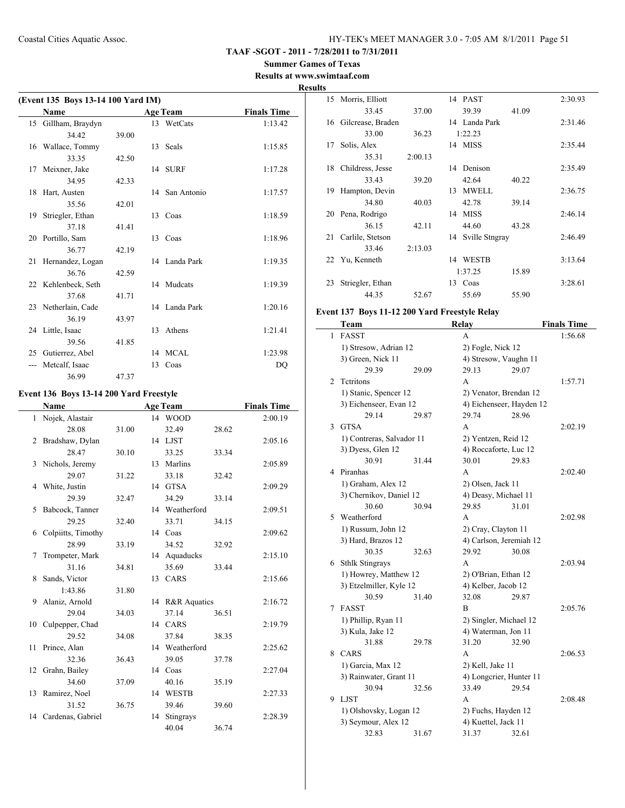**Summer Games of Texas Results at www.swimtaaf.com**

# **Results**

| (Event 135 Boys 13-14 100 Yard IM) |                     |       |    |                 |                    |  |
|------------------------------------|---------------------|-------|----|-----------------|--------------------|--|
|                                    | <b>Name</b>         |       |    | <b>Age Team</b> | <b>Finals Time</b> |  |
| 15                                 | Gillham, Braydyn    |       |    | 13 WetCats      | 1:13.42            |  |
|                                    | 34.42               | 39.00 |    |                 |                    |  |
|                                    | 16 Wallace, Tommy   |       |    | 13 Seals        | 1:15.85            |  |
|                                    | 33.35               | 42.50 |    |                 |                    |  |
|                                    | 17 Meixner, Jake    |       |    | 14 SURF         | 1:17.28            |  |
|                                    | 34.95               | 42.33 |    |                 |                    |  |
|                                    | 18 Hart, Austen     |       |    | 14 San Antonio  | 1:17.57            |  |
|                                    | 35.56               | 42.01 |    |                 |                    |  |
| 19                                 | Striegler, Ethan    |       |    | 13 Coas         | 1:18.59            |  |
|                                    | 37.18               | 41.41 |    |                 |                    |  |
|                                    | 20 Portillo, Sam    |       |    | 13 Coas         | 1:18.96            |  |
|                                    | 36.77               | 42.19 |    |                 |                    |  |
|                                    | 21 Hernandez, Logan |       |    | 14 Landa Park   | 1:19.35            |  |
|                                    | 36.76               | 42.59 |    |                 |                    |  |
|                                    | 22 Kehlenbeck, Seth |       |    | 14 Mudcats      | 1:19.39            |  |
|                                    | 37.68               | 41.71 |    |                 |                    |  |
|                                    | 23 Netherlain, Cade |       |    | 14 Landa Park   | 1:20.16            |  |
|                                    | 36.19               | 43.97 |    |                 |                    |  |
|                                    | 24 Little, Isaac    |       | 13 | Athens          | 1:21.41            |  |
|                                    | 39.56               | 41.85 |    |                 |                    |  |
| 25                                 | Gutierrez, Abel     |       | 14 | MCAL            | 1:23.98            |  |
| ---                                | Metcalf, Isaac      |       | 13 | Coas            | DQ                 |  |
|                                    | 36.99               | 47.37 |    |                 |                    |  |

#### **Event 136 Boys 13-14 200 Yard Freestyle**

|    | <b>Name</b>          |       |    | <b>Age Team</b> |       | <b>Finals Time</b> |
|----|----------------------|-------|----|-----------------|-------|--------------------|
| 1  | Nojek, Alastair      |       |    | 14 WOOD         |       | 2:00.19            |
|    | 28.08                | 31.00 |    | 32.49           | 28.62 |                    |
| 2  | Bradshaw, Dylan      |       |    | 14 LJST         |       | 2:05.16            |
|    | 28.47                | 30.10 |    | 33.25           | 33.34 |                    |
| 3  | Nichols, Jeremy      |       |    | 13 Marlins      |       | 2:05.89            |
|    | 29.07                | 31.22 |    | 33.18           | 32.42 |                    |
|    | 4 White, Justin      |       |    | 14 GTSA         |       | 2:09.29            |
|    | 29.39                | 32.47 |    | 34.29           | 33.14 |                    |
| 5  | Babcock, Tanner      |       |    | 14 Weatherford  |       | 2:09.51            |
|    | 29.25                | 32.40 |    | 33.71           | 34.15 |                    |
| 6  | Colpiitts, Timothy   |       |    | 14 Coas         |       | 2:09.62            |
|    | 28.99                | 33.19 |    | 34.52           | 32.92 |                    |
| 7  | Trompeter, Mark      |       |    | 14 Aquaducks    |       | 2:15.10            |
|    | 31.16                | 34.81 |    | 35.69           | 33.44 |                    |
| 8  | Sands, Victor        |       |    | 13 CARS         |       | 2:15.66            |
|    | 1:43.86              | 31.80 |    |                 |       |                    |
| 9  | Alaniz, Arnold       |       |    | 14 R&R Aquatics |       | 2:16.72            |
|    | 29.04                | 34.03 |    | 37.14           | 36.51 |                    |
|    | 10 Culpepper, Chad   |       |    | 14 CARS         |       | 2:19.79            |
|    | 29.52                | 34.08 |    | 37.84           | 38.35 |                    |
| 11 | Prince, Alan         |       |    | 14 Weatherford  |       | 2:25.62            |
|    | 32.36                | 36.43 |    | 39.05           | 37.78 |                    |
|    | 12 Grahn, Bailey     |       |    | 14 Coas         |       | 2:27.04            |
|    | 34.60                | 37.09 |    | 40.16           | 35.19 |                    |
| 13 | Ramirez, Noel        |       |    | 14 WESTB        |       | 2:27.33            |
|    | 31.52                | 36.75 |    | 39.46           | 39.60 |                    |
|    | 14 Cardenas, Gabriel |       | 14 | Stingrays       |       | 2:28.39            |
|    |                      |       |    | 40.04           | 36.74 |                    |

| 15 | Morris, Elliott   |         |    | 14 PAST           |       | 2:30.93 |
|----|-------------------|---------|----|-------------------|-------|---------|
|    | 33.45             | 37.00   |    | 39.39             | 41.09 |         |
| 16 | Gilcrease, Braden |         |    | 14 Landa Park     |       | 2:31.46 |
|    | 33.00             | 36.23   |    | 1:22.23           |       |         |
| 17 | Solis, Alex       |         |    | 14 MISS           |       | 2:35.44 |
|    | 35.31             | 2:00.13 |    |                   |       |         |
| 18 | Childress, Jesse  |         | 14 | Denison           |       | 2:35.49 |
|    | 33.43             | 39.20   |    | 42.64             | 40.22 |         |
| 19 | Hampton, Devin    |         | 13 | <b>MWELL</b>      |       | 2:36.75 |
|    | 34.80             | 40.03   |    | 42.78             | 39.14 |         |
| 20 | Pena, Rodrigo     |         | 14 | <b>MISS</b>       |       | 2:46.14 |
|    | 36.15             | 42.11   |    | 44.60             | 43.28 |         |
| 21 | Carlile, Stetson  |         |    | 14 Sville Stngray |       | 2:46.49 |
|    | 33.46             | 2:13.03 |    |                   |       |         |
|    | 22 Yu, Kenneth    |         | 14 | <b>WESTB</b>      |       | 3:13.64 |
|    |                   |         |    | 1:37.25           | 15.89 |         |
| 23 | Striegler, Ethan  |         |    | 13 Coas           |       | 3:28.61 |
|    | 44.35             | 52.67   |    | 55.69             | 55.90 |         |

#### **Event 137 Boys 11-12 200 Yard Freestyle Relay**

|   | <b>Team</b>               |       | <b>Relay</b>             |       | <b>Finals Time</b> |
|---|---------------------------|-------|--------------------------|-------|--------------------|
| 1 | <b>FASST</b>              |       | A                        |       | 1:56.68            |
|   | 1) Stresow, Adrian 12     |       | 2) Fogle, Nick 12        |       |                    |
|   | 3) Green, Nick 11         |       | 4) Stresow, Vaughn 11    |       |                    |
|   | 29.39                     | 29.09 | 29.13                    | 29.07 |                    |
| 2 | Tetritons                 |       | A                        |       | 1:57.71            |
|   | 1) Stanic, Spencer 12     |       | 2) Venator, Brendan 12   |       |                    |
|   | 3) Eichenseer, Evan 12    |       | 4) Eichenseer, Hayden 12 |       |                    |
|   | 29.14                     | 29.87 | 29.74                    | 28.96 |                    |
| 3 | <b>GTSA</b>               |       | A                        |       | 2:02.19            |
|   | 1) Contreras, Salvador 11 |       | 2) Yentzen, Reid 12      |       |                    |
|   | 3) Dyess, Glen 12         |       | 4) Roccaforte, Luc 12    |       |                    |
|   | 30.91                     | 31.44 | 30.01                    | 29.83 |                    |
| 4 | Piranhas                  |       | A                        |       | 2:02.40            |
|   | 1) Graham, Alex 12        |       | 2) Olsen, Jack 11        |       |                    |
|   | 3) Chernikov, Daniel 12   |       | 4) Deasy, Michael 11     |       |                    |
|   | 30.60                     | 30.94 | 29.85                    | 31.01 |                    |
| 5 | Weatherford               |       | A                        |       | 2:02.98            |
|   | 1) Russum, John 12        |       | 2) Cray, Clayton 11      |       |                    |
|   | 3) Hard, Brazos 12        |       | 4) Carlson, Jeremiah 12  |       |                    |
|   | 30.35                     | 32.63 | 29.92                    | 30.08 |                    |
|   | 6 Sthlk Stingrays         |       | A                        |       | 2:03.94            |
|   | 1) Howrey, Matthew 12     |       | 2) O'Brian, Ethan 12     |       |                    |
|   | 3) Etzelmiller, Kyle 12   |       | 4) Kelber, Jacob 12      |       |                    |
|   | 30.59                     | 31.40 | 32.08                    | 29.87 |                    |
| 7 | <b>FASST</b>              |       | В                        |       | 2:05.76            |
|   | 1) Phillip, Ryan 11       |       | 2) Singler, Michael 12   |       |                    |
|   | 3) Kula, Jake 12          |       | 4) Waterman, Jon 11      |       |                    |
|   | 31.88                     | 29.78 | 31.20                    | 32.90 |                    |
| 8 | <b>CARS</b>               |       | A                        |       | 2:06.53            |
|   | 1) Garcia, Max 12         |       | 2) Kell, Jake 11         |       |                    |
|   | 3) Rainwater, Grant 11    |       | 4) Longcrier, Hunter 11  |       |                    |
|   | 30.94                     | 32.56 | 33.49                    | 29.54 |                    |
| 9 | <b>LJST</b>               |       | A                        |       | 2:08.48            |
|   | 1) Olshovsky, Logan 12    |       | 2) Fuchs, Hayden 12      |       |                    |
|   | 3) Seymour, Alex 12       |       | 4) Kuettel, Jack 11      |       |                    |
|   | 32.83                     | 31.67 | 31.37                    | 32.61 |                    |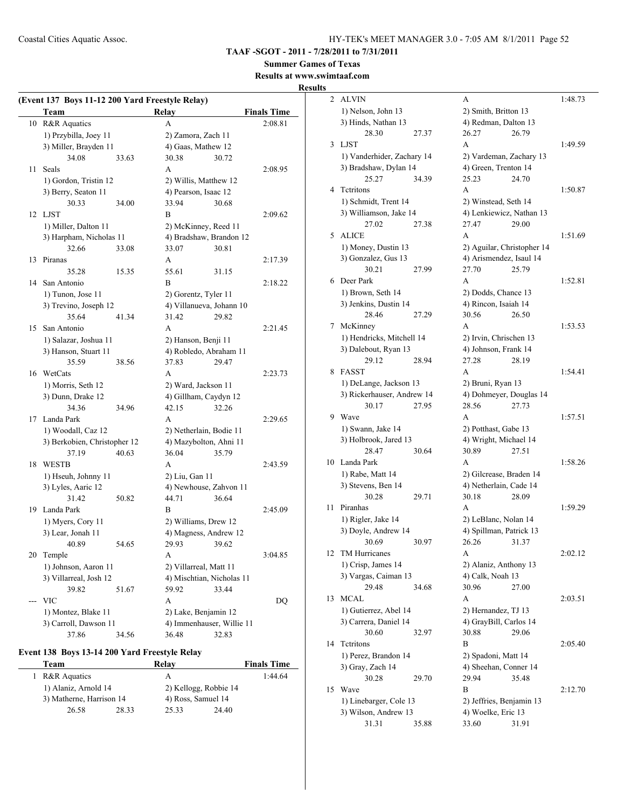**TAAF -SGOT - 2011 - 7/28/2011 to 7/31/2011**

**Summer Games of Texas Results at www.swimtaaf.com**

# **Results**

| (Event 137 Boys 11-12 200 Yard Freestyle Relay) |                              |       |                           |       |                    |
|-------------------------------------------------|------------------------------|-------|---------------------------|-------|--------------------|
|                                                 | Team                         |       | Relay                     |       | <b>Finals Time</b> |
| 10                                              | R&R Aquatics                 |       | A                         |       | 2:08.81            |
|                                                 | 1) Przybilla, Joey 11        |       | 2) Zamora, Zach 11        |       |                    |
|                                                 | 3) Miller, Brayden 11        |       | 4) Gaas, Mathew 12        |       |                    |
|                                                 | 34.08                        | 33.63 | 30.38                     | 30.72 |                    |
| 11                                              | Seals                        |       | A                         |       | 2:08.95            |
|                                                 | 1) Gordon, Tristin 12        |       | 2) Willis, Matthew 12     |       |                    |
|                                                 | 3) Berry, Seaton 11          |       | 4) Pearson, Isaac 12      |       |                    |
|                                                 | 30.33                        | 34.00 | 33.94                     | 30.68 |                    |
|                                                 | 12 LJST                      |       | B                         |       | 2:09.62            |
|                                                 | 1) Miller, Dalton 11         |       | 2) McKinney, Reed 11      |       |                    |
|                                                 | 3) Harpham, Nicholas 11      |       | 4) Bradshaw, Brandon 12   |       |                    |
|                                                 | 32.66                        | 33.08 | 33.07                     | 30.81 |                    |
| 13                                              | Piranas                      |       | A                         |       | 2:17.39            |
|                                                 | 35.28                        | 15.35 | 55.61                     | 31.15 |                    |
| 14                                              | San Antonio                  |       | В                         |       | 2:18.22            |
|                                                 | 1) Tunon, Jose 11            |       | 2) Gorentz, Tyler 11      |       |                    |
|                                                 | 3) Trevino, Joseph 12        |       | 4) Villanueva, Johann 10  |       |                    |
|                                                 | 35.64                        | 41.34 | 31.42                     | 29.82 |                    |
| 15                                              | San Antonio                  |       | A                         |       | 2:21.45            |
|                                                 | 1) Salazar, Joshua 11        |       | 2) Hanson, Benji 11       |       |                    |
|                                                 | 3) Hanson, Stuart 11         |       | 4) Robledo, Abraham 11    |       |                    |
|                                                 | 35.59                        | 38.56 | 37.83                     | 29.47 |                    |
| 16                                              | WetCats                      |       | A                         |       | 2:23.73            |
|                                                 | 1) Morris, Seth 12           |       | 2) Ward, Jackson 11       |       |                    |
|                                                 | 3) Dunn, Drake 12            |       | 4) Gillham, Caydyn 12     |       |                    |
|                                                 | 34.36                        | 34.96 | 42.15                     | 32.26 |                    |
| 17                                              | Landa Park                   |       | A                         |       | 2:29.65            |
|                                                 | 1) Woodall, Caz 12           |       | 2) Netherlain, Bodie 11   |       |                    |
|                                                 | 3) Berkobien, Christopher 12 |       | 4) Mazybolton, Ahni 11    |       |                    |
|                                                 | 37.19                        | 40.63 | 36.04                     | 35.79 |                    |
| 18                                              | <b>WESTB</b>                 |       | А                         |       | 2:43.59            |
|                                                 | 1) Hseuh, Johnny 11          |       | 2) Liu, Gan 11            |       |                    |
|                                                 | 3) Lyles, Aaric 12           |       | 4) Newhouse, Zahvon 11    |       |                    |
|                                                 | 31.42                        | 50.82 | 44.71                     | 36.64 |                    |
| 19                                              | Landa Park                   |       | В                         |       | 2:45.09            |
|                                                 | 1) Myers, Cory 11            |       | 2) Williams, Drew 12      |       |                    |
|                                                 | 3) Lear, Jonah 11            |       | 4) Magness, Andrew 12     |       |                    |
|                                                 | 40.89                        | 54.65 | 29.93                     | 39.62 |                    |
|                                                 | 20 Temple                    |       | A                         |       | 3:04.85            |
|                                                 | 1) Johnson, Aaron 11         |       | 2) Villarreal, Matt 11    |       |                    |
|                                                 | 3) Villarreal, Josh 12       |       | 4) Mischtian, Nicholas 11 |       |                    |
|                                                 | 39.82                        | 51.67 | 59.92                     | 33.44 |                    |
| ---                                             | <b>VIC</b>                   |       | A                         |       | DQ                 |
|                                                 | 1) Montez, Blake 11          |       | 2) Lake, Benjamin 12      |       |                    |
|                                                 | 3) Carroll, Dawson 11        |       | 4) Immenhauser, Willie 11 |       |                    |
|                                                 | 37.86                        | 34.56 | 36.48                     | 32.83 |                    |

### **Event 138 Boys 13-14 200 Yard Freestyle Relay**

| Team                     |       | Relav                 | <b>Finals Time</b> |
|--------------------------|-------|-----------------------|--------------------|
| R&R Aquatics             |       | А                     | 1:44.64            |
| 1) Alaniz, Arnold 14     |       | 2) Kellogg, Robbie 14 |                    |
| 3) Matherne, Harrison 14 |       | 4) Ross, Samuel 14    |                    |
| 26.58                    | 28.33 | 25.33                 | 24.40              |

| 2  |                                                |       |                                                       |       |         |
|----|------------------------------------------------|-------|-------------------------------------------------------|-------|---------|
|    | <b>ALVIN</b>                                   |       | A                                                     |       | 1:48.73 |
|    | 1) Nelson, John 13                             |       | 2) Smith, Britton 13                                  |       |         |
|    | 3) Hinds, Nathan 13                            |       | 4) Redman, Dalton 13                                  |       |         |
|    | 28.30                                          | 27.37 | 26.27                                                 | 26.79 |         |
| 3  | <b>LJST</b>                                    |       | A                                                     |       | 1:49.59 |
|    | 1) Vanderhider, Zachary 14                     |       | 2) Vardeman, Zachary 13                               |       |         |
|    | 3) Bradshaw, Dylan 14                          |       | 4) Green, Trenton 14                                  |       |         |
|    | 25.27                                          | 34.39 | 25.23                                                 | 24.70 |         |
| 4  | Tetritons                                      |       | A                                                     |       | 1:50.87 |
|    |                                                |       |                                                       |       |         |
|    | 1) Schmidt, Trent 14                           |       | 2) Winstead, Seth 14                                  |       |         |
|    | 3) Williamson, Jake 14                         |       | 4) Lenkiewicz, Nathan 13                              |       |         |
|    | 27.02                                          | 27.38 | 27.47                                                 | 29.00 |         |
| 5  | <b>ALICE</b>                                   |       | A                                                     |       | 1:51.69 |
|    | 1) Money, Dustin 13                            |       | 2) Aguilar, Christopher 14<br>4) Arismendez, Isaul 14 |       |         |
|    | 3) Gonzalez, Gus 13                            |       |                                                       |       |         |
|    | 30.21                                          | 27.99 | 27.70                                                 | 25.79 |         |
| 6  | Deer Park                                      |       | A                                                     |       | 1:52.81 |
|    | 1) Brown, Seth 14                              |       | 2) Dodds, Chance 13                                   |       |         |
|    | 3) Jenkins, Dustin 14                          |       | 4) Rincon, Isaiah 14                                  |       |         |
|    | 28.46                                          | 27.29 | 30.56                                                 | 26.50 |         |
| 7  | McKinney                                       |       | A                                                     |       | 1:53.53 |
|    | 1) Hendricks, Mitchell 14                      |       | 2) Irvin, Chrischen 13                                |       |         |
|    | 3) Dalebout, Ryan 13                           |       | 4) Johnson, Frank 14                                  |       |         |
|    | 29.12                                          | 28.94 | 27.28                                                 | 28.19 |         |
| 8  | <b>FASST</b>                                   |       | A                                                     |       | 1:54.41 |
|    | 1) DeLange, Jackson 13                         |       | 2) Bruni, Ryan 13                                     |       |         |
|    |                                                |       |                                                       |       |         |
|    |                                                |       |                                                       |       |         |
|    | 3) Rickerhauser, Andrew 14                     |       | 4) Dohmeyer, Douglas 14                               |       |         |
| 9  | 30.17                                          | 27.95 | 28.56<br>A                                            | 27.73 |         |
|    | Wave                                           |       |                                                       |       | 1:57.51 |
|    | 1) Swann, Jake 14                              |       | 2) Potthast, Gabe 13                                  |       |         |
|    | 3) Holbrook, Jared 13                          |       | 4) Wright, Michael 14                                 |       |         |
|    | 28.47                                          | 30.64 | 30.89                                                 | 27.51 |         |
| 10 | Landa Park                                     |       | A                                                     |       | 1:58.26 |
|    | 1) Rabe, Matt 14                               |       | 2) Gilcrease, Braden 14                               |       |         |
|    | 3) Stevens, Ben 14                             |       | 4) Netherlain, Cade 14                                |       |         |
|    | 30.28                                          | 29.71 | 30.18                                                 | 28.09 |         |
| 11 | Piranhas                                       |       | A                                                     |       | 1:59.29 |
|    | 1) Rigler, Jake 14                             |       | 2) LeBlanc, Nolan 14                                  |       |         |
|    | 3) Doyle, Andrew 14                            |       | 4) Spillman, Patrick 13                               |       |         |
|    | 30.69                                          | 30.97 | 26.26                                                 | 31.37 |         |
| 12 | TM Hurricanes                                  |       | A                                                     |       | 2:02.12 |
|    | 1) Crisp, James 14                             |       | 2) Alaniz, Anthony 13                                 |       |         |
|    | 3) Vargas, Caiman 13                           |       | 4) Calk, Noah 13                                      |       |         |
|    | 29.48                                          | 34.68 | 30.96                                                 | 27.00 |         |
| 13 | <b>MCAL</b>                                    |       | А                                                     |       | 2:03.51 |
|    | 1) Gutierrez, Abel 14                          |       | 2) Hernandez, TJ 13                                   |       |         |
|    | 3) Carrera, Daniel 14                          |       | 4) GrayBill, Carlos 14                                |       |         |
|    | 30.60                                          | 32.97 | 30.88                                                 | 29.06 |         |
| 14 | Tetritons                                      |       | B                                                     |       | 2:05.40 |
|    | 1) Perez, Brandon 14                           |       | 2) Spadoni, Matt 14                                   |       |         |
|    | 3) Gray, Zach 14                               |       | 4) Sheehan, Conner 14                                 |       |         |
|    | 30.28                                          | 29.70 | 29.94                                                 | 35.48 |         |
| 15 | Wave                                           |       | B                                                     |       | 2:12.70 |
|    |                                                |       |                                                       |       |         |
|    | 1) Linebarger, Cole 13<br>3) Wilson, Andrew 13 |       | 2) Jeffries, Benjamin 13<br>4) Woelke, Eric 13        |       |         |